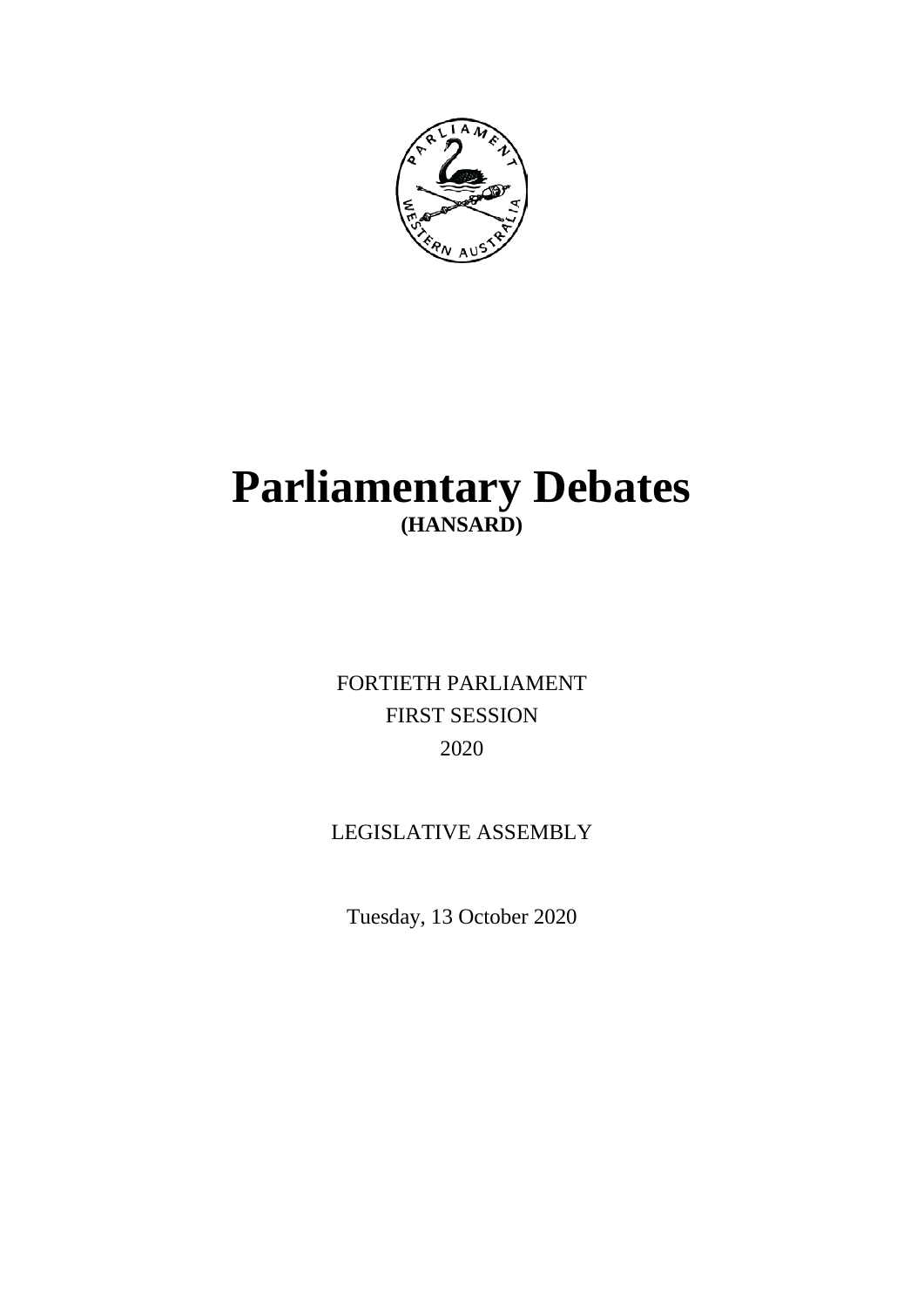

# **Parliamentary Debates (HANSARD)**

FORTIETH PARLIAMENT FIRST SESSION 2020

## LEGISLATIVE ASSEMBLY

Tuesday, 13 October 2020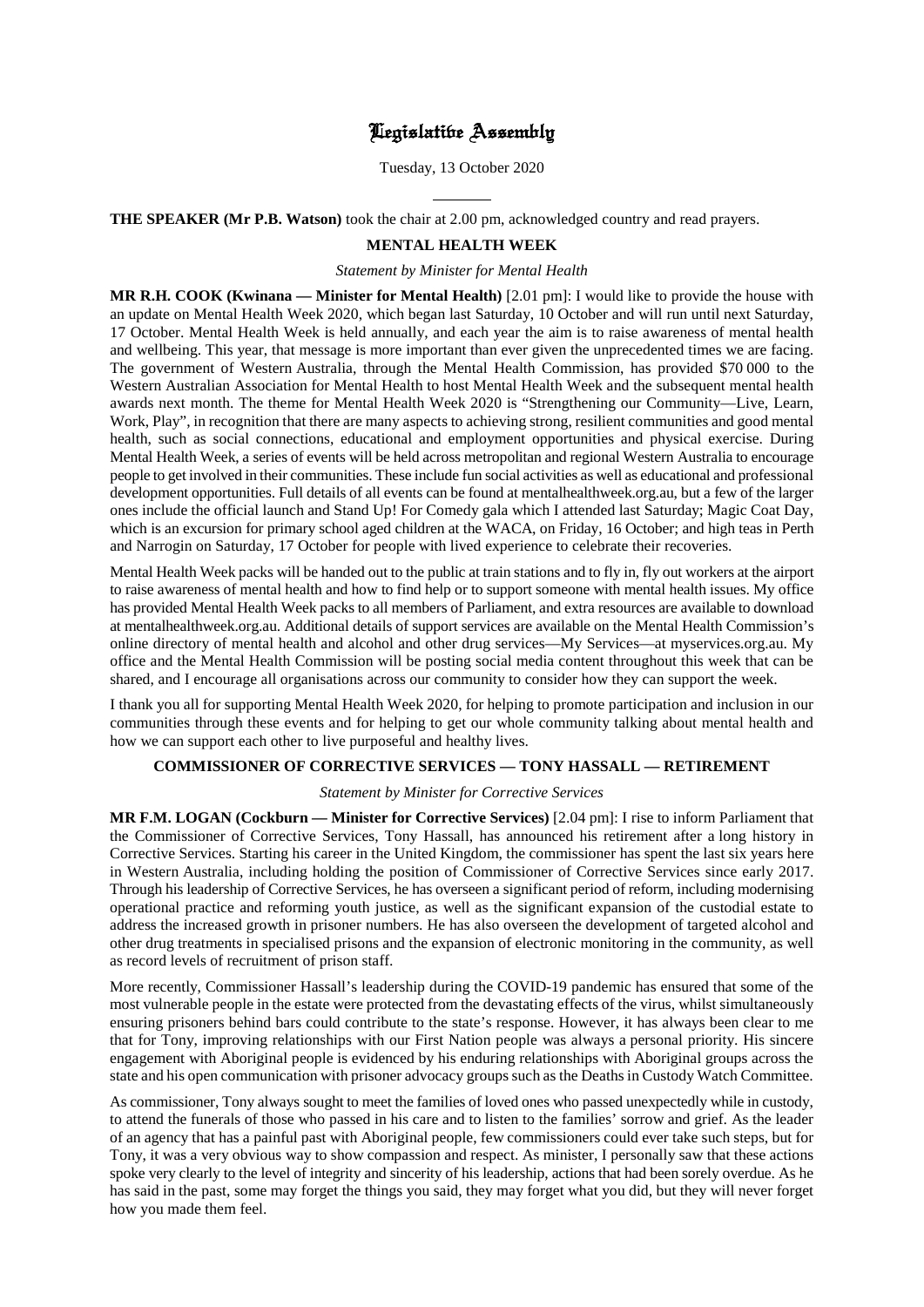## Legislative Assembly

Tuesday, 13 October 2020

 $\overline{a}$ **THE SPEAKER (Mr P.B. Watson)** took the chair at 2.00 pm, acknowledged country and read prayers.

## **MENTAL HEALTH WEEK**

#### *Statement by Minister for Mental Health*

**MR R.H. COOK (Kwinana — Minister for Mental Health)** [2.01 pm]: I would like to provide the house with an update on Mental Health Week 2020, which began last Saturday, 10 October and will run until next Saturday, 17 October. Mental Health Week is held annually, and each year the aim is to raise awareness of mental health and wellbeing. This year, that message is more important than ever given the unprecedented times we are facing. The government of Western Australia, through the Mental Health Commission, has provided \$70 000 to the Western Australian Association for Mental Health to host Mental Health Week and the subsequent mental health awards next month. The theme for Mental Health Week 2020 is "Strengthening our Community—Live, Learn, Work, Play", in recognition that there are many aspects to achieving strong, resilient communities and good mental health, such as social connections, educational and employment opportunities and physical exercise. During Mental Health Week, a series of events will be held across metropolitan and regional Western Australia to encourage people to get involved in their communities. These include fun social activities as well as educational and professional development opportunities. Full details of all events can be found at mentalhealthweek.org.au, but a few of the larger ones include the official launch and Stand Up! For Comedy gala which I attended last Saturday; Magic Coat Day, which is an excursion for primary school aged children at the WACA, on Friday, 16 October; and high teas in Perth and Narrogin on Saturday, 17 October for people with lived experience to celebrate their recoveries.

Mental Health Week packs will be handed out to the public at train stations and to fly in, fly out workers at the airport to raise awareness of mental health and how to find help or to support someone with mental health issues. My office has provided Mental Health Week packs to all members of Parliament, and extra resources are available to download at mentalhealthweek.org.au. Additional details of support services are available on the Mental Health Commission's online directory of mental health and alcohol and other drug services—My Services—at myservices.org.au. My office and the Mental Health Commission will be posting social media content throughout this week that can be shared, and I encourage all organisations across our community to consider how they can support the week.

I thank you all for supporting Mental Health Week 2020, for helping to promote participation and inclusion in our communities through these events and for helping to get our whole community talking about mental health and how we can support each other to live purposeful and healthy lives.

## **COMMISSIONER OF CORRECTIVE SERVICES — TONY HASSALL — RETIREMENT**

#### *Statement by Minister for Corrective Services*

**MR F.M. LOGAN (Cockburn — Minister for Corrective Services)** [2.04 pm]: I rise to inform Parliament that the Commissioner of Corrective Services, Tony Hassall, has announced his retirement after a long history in Corrective Services. Starting his career in the United Kingdom, the commissioner has spent the last six years here in Western Australia, including holding the position of Commissioner of Corrective Services since early 2017. Through his leadership of Corrective Services, he has overseen a significant period of reform, including modernising operational practice and reforming youth justice, as well as the significant expansion of the custodial estate to address the increased growth in prisoner numbers. He has also overseen the development of targeted alcohol and other drug treatments in specialised prisons and the expansion of electronic monitoring in the community, as well as record levels of recruitment of prison staff.

More recently, Commissioner Hassall's leadership during the COVID-19 pandemic has ensured that some of the most vulnerable people in the estate were protected from the devastating effects of the virus, whilst simultaneously ensuring prisoners behind bars could contribute to the state's response. However, it has always been clear to me that for Tony, improving relationships with our First Nation people was always a personal priority. His sincere engagement with Aboriginal people is evidenced by his enduring relationships with Aboriginal groups across the state and his open communication with prisoner advocacy groups such as the Deaths in Custody Watch Committee.

As commissioner, Tony always sought to meet the families of loved ones who passed unexpectedly while in custody, to attend the funerals of those who passed in his care and to listen to the families' sorrow and grief. As the leader of an agency that has a painful past with Aboriginal people, few commissioners could ever take such steps, but for Tony, it was a very obvious way to show compassion and respect. As minister, I personally saw that these actions spoke very clearly to the level of integrity and sincerity of his leadership, actions that had been sorely overdue. As he has said in the past, some may forget the things you said, they may forget what you did, but they will never forget how you made them feel.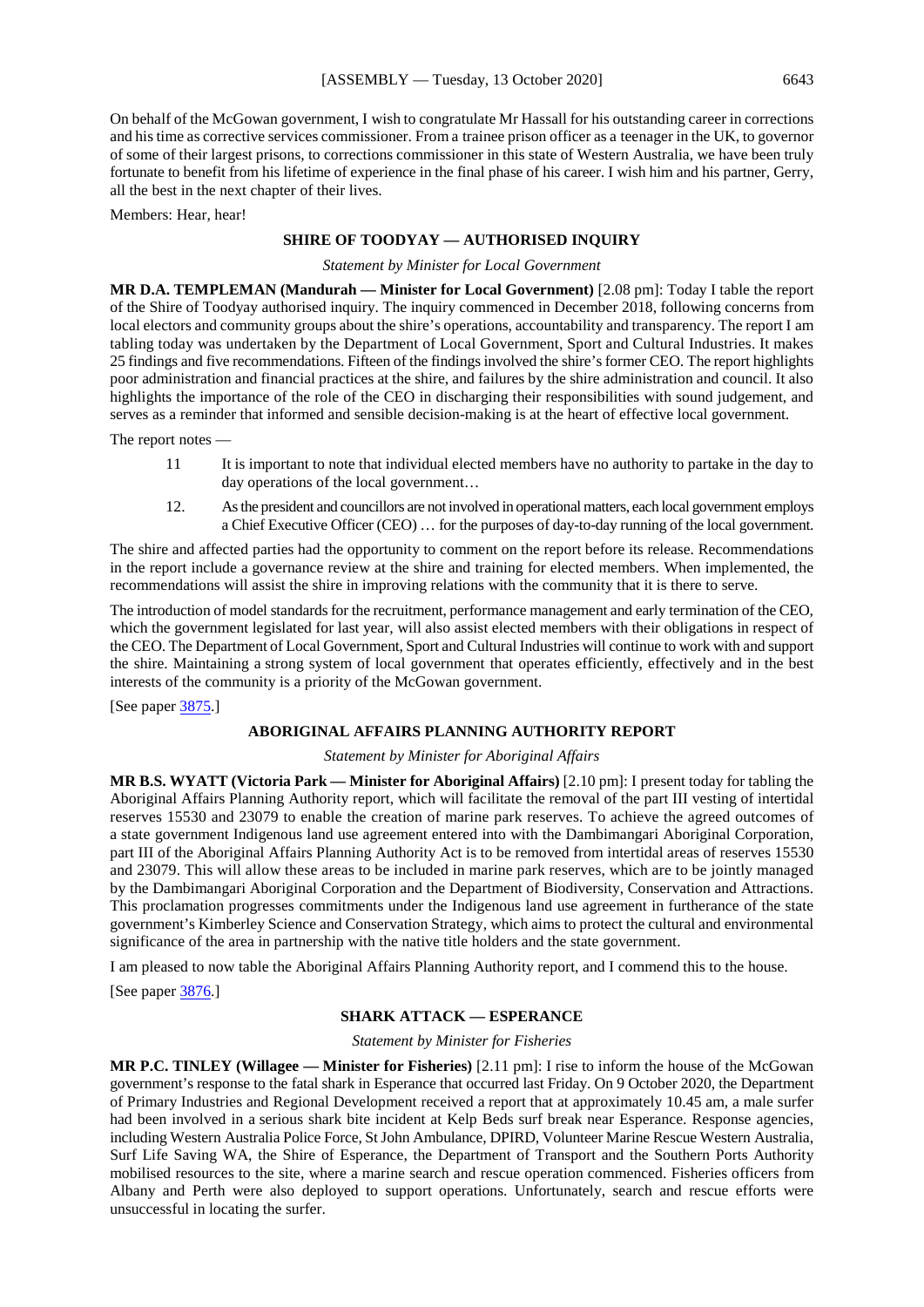On behalf of the McGowan government, I wish to congratulate Mr Hassall for his outstanding career in corrections and his time as corrective services commissioner. From a trainee prison officer as a teenager in the UK, to governor of some of their largest prisons, to corrections commissioner in this state of Western Australia, we have been truly fortunate to benefit from his lifetime of experience in the final phase of his career. I wish him and his partner, Gerry, all the best in the next chapter of their lives.

Members: Hear, hear!

## **SHIRE OF TOODYAY — AUTHORISED INQUIRY**

*Statement by Minister for Local Government*

**MR D.A. TEMPLEMAN (Mandurah — Minister for Local Government)** [2.08 pm]: Today I table the report of the Shire of Toodyay authorised inquiry. The inquiry commenced in December 2018, following concerns from local electors and community groups about the shire's operations, accountability and transparency. The report I am tabling today was undertaken by the Department of Local Government, Sport and Cultural Industries. It makes 25 findings and five recommendations. Fifteen of the findings involved the shire's former CEO. The report highlights poor administration and financial practices at the shire, and failures by the shire administration and council. It also highlights the importance of the role of the CEO in discharging their responsibilities with sound judgement, and serves as a reminder that informed and sensible decision-making is at the heart of effective local government.

The report notes -

- 11 It is important to note that individual elected members have no authority to partake in the day to day operations of the local government…
- 12. As the president and councillors are not involved in operational matters, each local government employs a Chief Executive Officer (CEO) … for the purposes of day-to-day running of the local government.

The shire and affected parties had the opportunity to comment on the report before its release. Recommendations in the report include a governance review at the shire and training for elected members. When implemented, the recommendations will assist the shire in improving relations with the community that it is there to serve.

The introduction of model standards for the recruitment, performance management and early termination of the CEO, which the government legislated for last year, will also assist elected members with their obligations in respect of the CEO. The Department of Local Government, Sport and Cultural Industries will continue to work with and support the shire. Maintaining a strong system of local government that operates efficiently, effectively and in the best interests of the community is a priority of the McGowan government.

[See paper [3875.](https://www.parliament.wa.gov.au/publications/tabledpapers.nsf/displaypaper/4013875a1097557961d4c4264825860100077d25/$file/3875.pdf)]

#### **ABORIGINAL AFFAIRS PLANNING AUTHORITY REPORT**

#### *Statement by Minister for Aboriginal Affairs*

**MR B.S. WYATT (Victoria Park — Minister for Aboriginal Affairs)** [2.10 pm]: I present today for tabling the Aboriginal Affairs Planning Authority report, which will facilitate the removal of the part III vesting of intertidal reserves 15530 and 23079 to enable the creation of marine park reserves. To achieve the agreed outcomes of a state government Indigenous land use agreement entered into with the Dambimangari Aboriginal Corporation, part III of the Aboriginal Affairs Planning Authority Act is to be removed from intertidal areas of reserves 15530 and 23079. This will allow these areas to be included in marine park reserves, which are to be jointly managed by the Dambimangari Aboriginal Corporation and the Department of Biodiversity, Conservation and Attractions. This proclamation progresses commitments under the Indigenous land use agreement in furtherance of the state government's Kimberley Science and Conservation Strategy, which aims to protect the cultural and environmental significance of the area in partnership with the native title holders and the state government.

I am pleased to now table the Aboriginal Affairs Planning Authority report, and I commend this to the house.

[See paper [3876.](https://www.parliament.wa.gov.au/publications/tabledpapers.nsf/displaypaper/4013876a0e73e251577b554d4825860100077d5d/$file/3876.pdf)]

## **SHARK ATTACK — ESPERANCE**

*Statement by Minister for Fisheries*

**MR P.C. TINLEY (Willagee — Minister for Fisheries)** [2.11 pm]: I rise to inform the house of the McGowan government's response to the fatal shark in Esperance that occurred last Friday. On 9 October 2020, the Department of Primary Industries and Regional Development received a report that at approximately 10.45 am, a male surfer had been involved in a serious shark bite incident at Kelp Beds surf break near Esperance. Response agencies, including Western Australia Police Force, St John Ambulance, DPIRD, Volunteer Marine Rescue Western Australia, Surf Life Saving WA, the Shire of Esperance, the Department of Transport and the Southern Ports Authority mobilised resources to the site, where a marine search and rescue operation commenced. Fisheries officers from Albany and Perth were also deployed to support operations. Unfortunately, search and rescue efforts were unsuccessful in locating the surfer.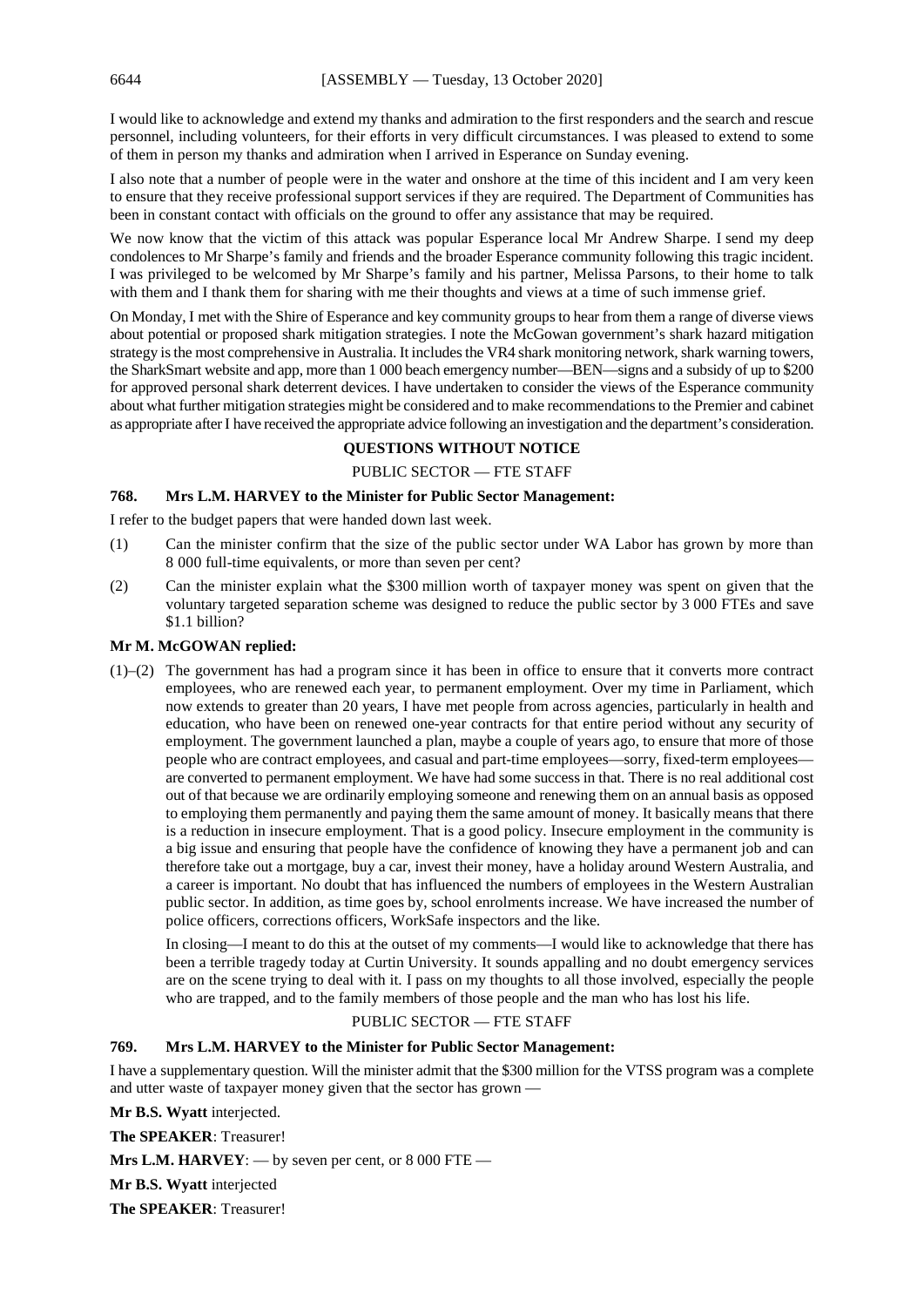I would like to acknowledge and extend my thanks and admiration to the first responders and the search and rescue personnel, including volunteers, for their efforts in very difficult circumstances. I was pleased to extend to some of them in person my thanks and admiration when I arrived in Esperance on Sunday evening.

I also note that a number of people were in the water and onshore at the time of this incident and I am very keen to ensure that they receive professional support services if they are required. The Department of Communities has been in constant contact with officials on the ground to offer any assistance that may be required.

We now know that the victim of this attack was popular Esperance local Mr Andrew Sharpe. I send my deep condolences to Mr Sharpe's family and friends and the broader Esperance community following this tragic incident. I was privileged to be welcomed by Mr Sharpe's family and his partner, Melissa Parsons, to their home to talk with them and I thank them for sharing with me their thoughts and views at a time of such immense grief.

On Monday, I met with the Shire of Esperance and key community groups to hear from them a range of diverse views about potential or proposed shark mitigation strategies. I note the McGowan government's shark hazard mitigation strategy is the most comprehensive in Australia. It includes the VR4 shark monitoring network, shark warning towers, the SharkSmart website and app, more than 1 000 beach emergency number—BEN—signs and a subsidy of up to \$200 for approved personal shark deterrent devices. I have undertaken to consider the views of the Esperance community about what further mitigation strategies might be considered and to make recommendations to the Premier and cabinet as appropriate afterI have received the appropriate advice following an investigation and the department's consideration.

## **QUESTIONS WITHOUT NOTICE**

## PUBLIC SECTOR — FTE STAFF

## **768. Mrs L.M. HARVEY to the Minister for Public Sector Management:**

I refer to the budget papers that were handed down last week.

- (1) Can the minister confirm that the size of the public sector under WA Labor has grown by more than 8 000 full-time equivalents, or more than seven per cent?
- (2) Can the minister explain what the \$300 million worth of taxpayer money was spent on given that the voluntary targeted separation scheme was designed to reduce the public sector by 3 000 FTEs and save \$1.1 billion?

## **Mr M. McGOWAN replied:**

(1)–(2) The government has had a program since it has been in office to ensure that it converts more contract employees, who are renewed each year, to permanent employment. Over my time in Parliament, which now extends to greater than 20 years, I have met people from across agencies, particularly in health and education, who have been on renewed one-year contracts for that entire period without any security of employment. The government launched a plan, maybe a couple of years ago, to ensure that more of those people who are contract employees, and casual and part-time employees—sorry, fixed-term employees are converted to permanent employment. We have had some success in that. There is no real additional cost out of that because we are ordinarily employing someone and renewing them on an annual basis as opposed to employing them permanently and paying them the same amount of money. It basically means that there is a reduction in insecure employment. That is a good policy. Insecure employment in the community is a big issue and ensuring that people have the confidence of knowing they have a permanent job and can therefore take out a mortgage, buy a car, invest their money, have a holiday around Western Australia, and a career is important. No doubt that has influenced the numbers of employees in the Western Australian public sector. In addition, as time goes by, school enrolments increase. We have increased the number of police officers, corrections officers, WorkSafe inspectors and the like.

In closing—I meant to do this at the outset of my comments—I would like to acknowledge that there has been a terrible tragedy today at Curtin University. It sounds appalling and no doubt emergency services are on the scene trying to deal with it. I pass on my thoughts to all those involved, especially the people who are trapped, and to the family members of those people and the man who has lost his life.

## PUBLIC SECTOR — FTE STAFF

## **769. Mrs L.M. HARVEY to the Minister for Public Sector Management:**

I have a supplementary question. Will the minister admit that the \$300 million for the VTSS program was a complete and utter waste of taxpayer money given that the sector has grown —

**Mr B.S. Wyatt** interjected.

**The SPEAKER**: Treasurer!

**Mrs L.M. HARVEY**: — by seven per cent, or 8 000 FTE —

**Mr B.S. Wyatt** interjected

**The SPEAKER**: Treasurer!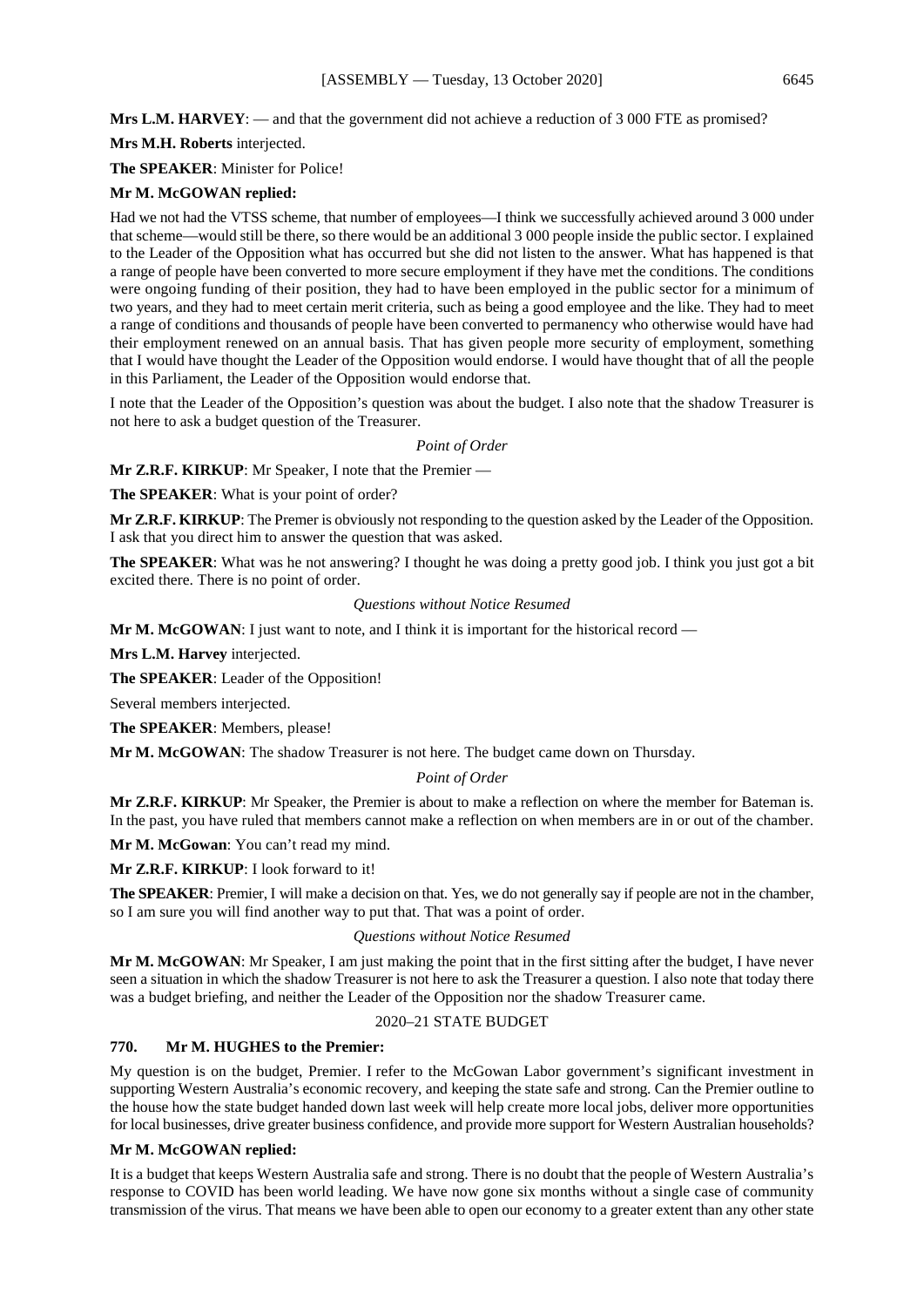## **Mrs L.M. HARVEY**: — and that the government did not achieve a reduction of 3 000 FTE as promised?

**Mrs M.H. Roberts** interjected.

**The SPEAKER**: Minister for Police!

## **Mr M. McGOWAN replied:**

Had we not had the VTSS scheme, that number of employees—I think we successfully achieved around 3 000 under that scheme—would still be there, so there would be an additional 3 000 people inside the public sector. I explained to the Leader of the Opposition what has occurred but she did not listen to the answer. What has happened is that a range of people have been converted to more secure employment if they have met the conditions. The conditions were ongoing funding of their position, they had to have been employed in the public sector for a minimum of two years, and they had to meet certain merit criteria, such as being a good employee and the like. They had to meet a range of conditions and thousands of people have been converted to permanency who otherwise would have had their employment renewed on an annual basis. That has given people more security of employment, something that I would have thought the Leader of the Opposition would endorse. I would have thought that of all the people in this Parliament, the Leader of the Opposition would endorse that.

I note that the Leader of the Opposition's question was about the budget. I also note that the shadow Treasurer is not here to ask a budget question of the Treasurer.

## *Point of Order*

**Mr Z.R.F. KIRKUP**: Mr Speaker, I note that the Premier —

**The SPEAKER**: What is your point of order?

**Mr Z.R.F. KIRKUP**: The Premer is obviously not responding to the question asked by the Leader of the Opposition. I ask that you direct him to answer the question that was asked.

**The SPEAKER**: What was he not answering? I thought he was doing a pretty good job. I think you just got a bit excited there. There is no point of order.

#### *Questions without Notice Resumed*

**Mr M. McGOWAN**: I just want to note, and I think it is important for the historical record —

**Mrs L.M. Harvey** interjected.

**The SPEAKER**: Leader of the Opposition!

Several members interjected.

**The SPEAKER**: Members, please!

**Mr M. McGOWAN**: The shadow Treasurer is not here. The budget came down on Thursday.

#### *Point of Order*

**Mr Z.R.F. KIRKUP**: Mr Speaker, the Premier is about to make a reflection on where the member for Bateman is. In the past, you have ruled that members cannot make a reflection on when members are in or out of the chamber.

**Mr M. McGowan**: You can't read my mind.

**Mr Z.R.F. KIRKUP**: I look forward to it!

**The SPEAKER**: Premier, I will make a decision on that. Yes, we do not generally say if people are not in the chamber, so I am sure you will find another way to put that. That was a point of order.

#### *Questions without Notice Resumed*

**Mr M. McGOWAN**: Mr Speaker, I am just making the point that in the first sitting after the budget, I have never seen a situation in which the shadow Treasurer is not here to ask the Treasurer a question. I also note that today there was a budget briefing, and neither the Leader of the Opposition nor the shadow Treasurer came.

#### 2020–21 STATE BUDGET

#### **770. Mr M. HUGHES to the Premier:**

My question is on the budget, Premier. I refer to the McGowan Labor government's significant investment in supporting Western Australia's economic recovery, and keeping the state safe and strong. Can the Premier outline to the house how the state budget handed down last week will help create more local jobs, deliver more opportunities for local businesses, drive greater business confidence, and provide more support for Western Australian households?

## **Mr M. McGOWAN replied:**

It is a budget that keeps Western Australia safe and strong. There is no doubt that the people of Western Australia's response to COVID has been world leading. We have now gone six months without a single case of community transmission of the virus. That means we have been able to open our economy to a greater extent than any other state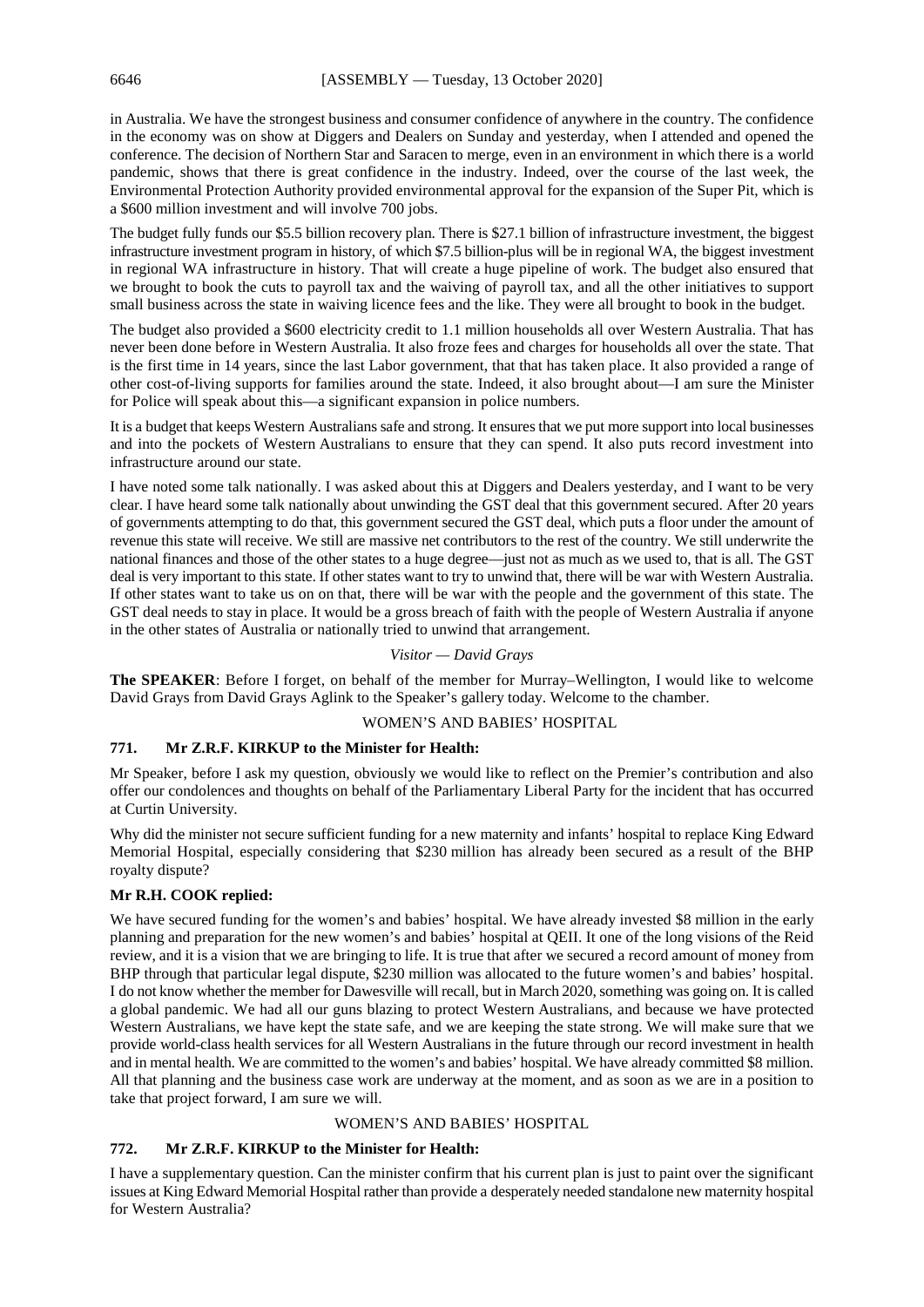in Australia. We have the strongest business and consumer confidence of anywhere in the country. The confidence in the economy was on show at Diggers and Dealers on Sunday and yesterday, when I attended and opened the conference. The decision of Northern Star and Saracen to merge, even in an environment in which there is a world pandemic, shows that there is great confidence in the industry. Indeed, over the course of the last week, the Environmental Protection Authority provided environmental approval for the expansion of the Super Pit, which is a \$600 million investment and will involve 700 jobs.

The budget fully funds our \$5.5 billion recovery plan. There is \$27.1 billion of infrastructure investment, the biggest infrastructure investment program in history, of which \$7.5 billion-plus will be in regional WA, the biggest investment in regional WA infrastructure in history. That will create a huge pipeline of work. The budget also ensured that we brought to book the cuts to payroll tax and the waiving of payroll tax, and all the other initiatives to support small business across the state in waiving licence fees and the like. They were all brought to book in the budget.

The budget also provided a \$600 electricity credit to 1.1 million households all over Western Australia. That has never been done before in Western Australia. It also froze fees and charges for households all over the state. That is the first time in 14 years, since the last Labor government, that that has taken place. It also provided a range of other cost-of-living supports for families around the state. Indeed, it also brought about—I am sure the Minister for Police will speak about this—a significant expansion in police numbers.

It is a budget that keeps Western Australians safe and strong. It ensures that we put more support into local businesses and into the pockets of Western Australians to ensure that they can spend. It also puts record investment into infrastructure around our state.

I have noted some talk nationally. I was asked about this at Diggers and Dealers yesterday, and I want to be very clear. I have heard some talk nationally about unwinding the GST deal that this government secured. After 20 years of governments attempting to do that, this government secured the GST deal, which puts a floor under the amount of revenue this state will receive. We still are massive net contributors to the rest of the country. We still underwrite the national finances and those of the other states to a huge degree—just not as much as we used to, that is all. The GST deal is very important to this state. If other states want to try to unwind that, there will be war with Western Australia. If other states want to take us on on that, there will be war with the people and the government of this state. The GST deal needs to stay in place. It would be a gross breach of faith with the people of Western Australia if anyone in the other states of Australia or nationally tried to unwind that arrangement.

#### *Visitor — David Grays*

**The SPEAKER**: Before I forget, on behalf of the member for Murray–Wellington, I would like to welcome David Grays from David Grays Aglink to the Speaker's gallery today. Welcome to the chamber.

#### WOMEN'S AND BABIES' HOSPITAL

#### **771. Mr Z.R.F. KIRKUP to the Minister for Health:**

Mr Speaker, before I ask my question, obviously we would like to reflect on the Premier's contribution and also offer our condolences and thoughts on behalf of the Parliamentary Liberal Party for the incident that has occurred at Curtin University.

Why did the minister not secure sufficient funding for a new maternity and infants' hospital to replace King Edward Memorial Hospital, especially considering that \$230 million has already been secured as a result of the BHP royalty dispute?

#### **Mr R.H. COOK replied:**

We have secured funding for the women's and babies' hospital. We have already invested \$8 million in the early planning and preparation for the new women's and babies' hospital at QEII. It one of the long visions of the Reid review, and it is a vision that we are bringing to life. It is true that after we secured a record amount of money from BHP through that particular legal dispute, \$230 million was allocated to the future women's and babies' hospital. I do not know whether the member for Dawesville will recall, but in March 2020, something was going on. It is called a global pandemic. We had all our guns blazing to protect Western Australians, and because we have protected Western Australians, we have kept the state safe, and we are keeping the state strong. We will make sure that we provide world-class health services for all Western Australians in the future through our record investment in health and in mental health. We are committed to the women's and babies' hospital. We have already committed \$8 million. All that planning and the business case work are underway at the moment, and as soon as we are in a position to take that project forward, I am sure we will.

#### WOMEN'S AND BABIES' HOSPITAL

#### **772. Mr Z.R.F. KIRKUP to the Minister for Health:**

I have a supplementary question. Can the minister confirm that his current plan is just to paint over the significant issues at King Edward Memorial Hospital rather than provide a desperately needed standalone new maternity hospital for Western Australia?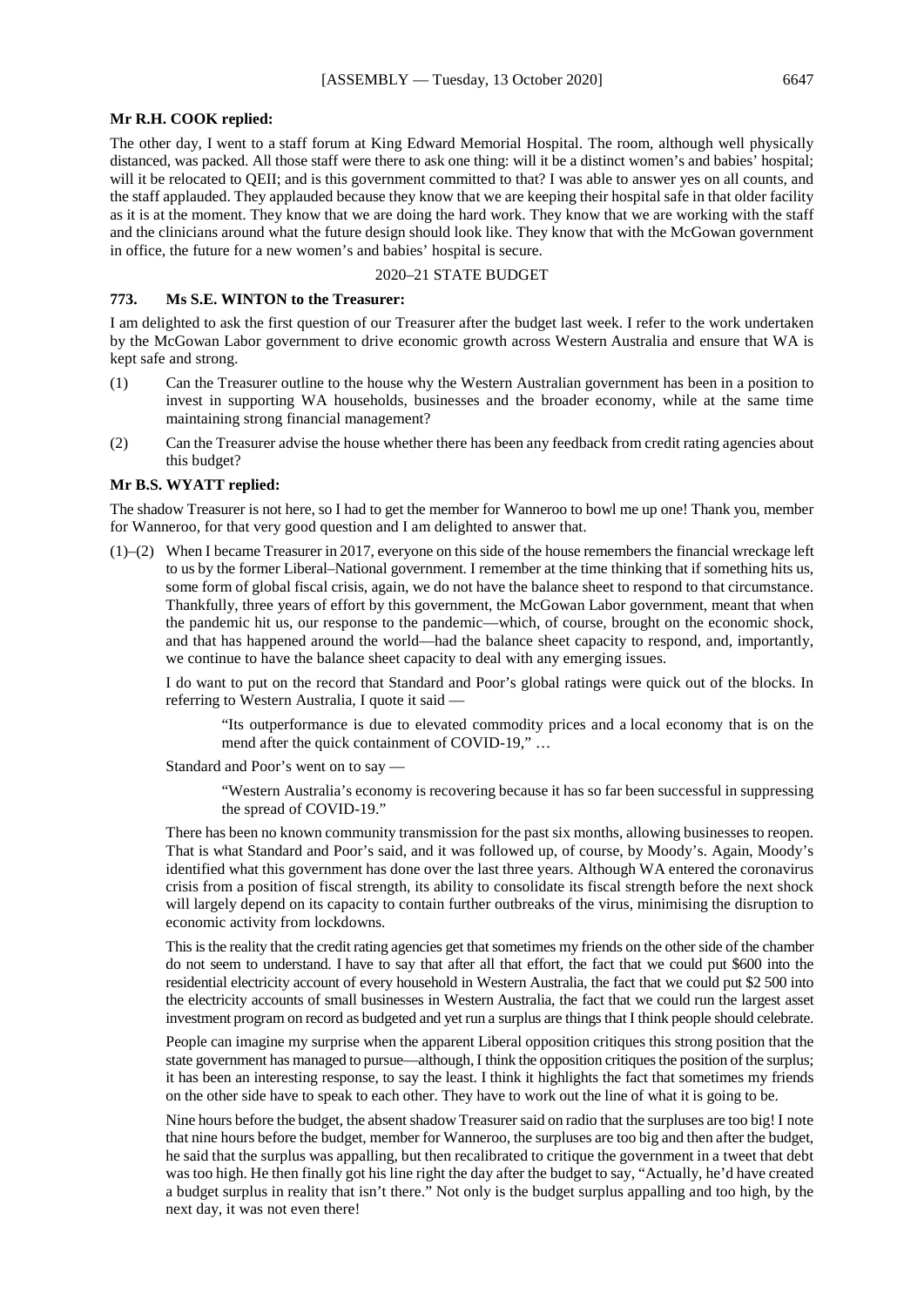#### **Mr R.H. COOK replied:**

The other day, I went to a staff forum at King Edward Memorial Hospital. The room, although well physically distanced, was packed. All those staff were there to ask one thing: will it be a distinct women's and babies' hospital; will it be relocated to QEII; and is this government committed to that? I was able to answer yes on all counts, and the staff applauded. They applauded because they know that we are keeping their hospital safe in that older facility as it is at the moment. They know that we are doing the hard work. They know that we are working with the staff and the clinicians around what the future design should look like. They know that with the McGowan government in office, the future for a new women's and babies' hospital is secure.

## 2020–21 STATE BUDGET

## **773. Ms S.E. WINTON to the Treasurer:**

I am delighted to ask the first question of our Treasurer after the budget last week. I refer to the work undertaken by the McGowan Labor government to drive economic growth across Western Australia and ensure that WA is kept safe and strong.

- (1) Can the Treasurer outline to the house why the Western Australian government has been in a position to invest in supporting WA households, businesses and the broader economy, while at the same time maintaining strong financial management?
- (2) Can the Treasurer advise the house whether there has been any feedback from credit rating agencies about this budget?

## **Mr B.S. WYATT replied:**

The shadow Treasurer is not here, so I had to get the member for Wanneroo to bowl me up one! Thank you, member for Wanneroo, for that very good question and I am delighted to answer that.

(1)–(2) When I became Treasurer in 2017, everyone on this side of the house remembers the financial wreckage left to us by the former Liberal–National government. I remember at the time thinking that if something hits us, some form of global fiscal crisis, again, we do not have the balance sheet to respond to that circumstance. Thankfully, three years of effort by this government, the McGowan Labor government, meant that when the pandemic hit us, our response to the pandemic—which, of course, brought on the economic shock, and that has happened around the world—had the balance sheet capacity to respond, and, importantly, we continue to have the balance sheet capacity to deal with any emerging issues.

I do want to put on the record that Standard and Poor's global ratings were quick out of the blocks. In referring to Western Australia, I quote it said —

"Its outperformance is due to elevated commodity prices and a local economy that is on the mend after the quick containment of COVID-19," ...

Standard and Poor's went on to say —

"Western Australia's economy is recovering because it has so far been successful in suppressing the spread of COVID-19."

There has been no known community transmission for the past six months, allowing businesses to reopen. That is what Standard and Poor's said, and it was followed up, of course, by Moody's. Again, Moody's identified what this government has done over the last three years. Although WA entered the coronavirus crisis from a position of fiscal strength, its ability to consolidate its fiscal strength before the next shock will largely depend on its capacity to contain further outbreaks of the virus, minimising the disruption to economic activity from lockdowns.

This is the reality that the credit rating agencies get that sometimes my friends on the other side of the chamber do not seem to understand. I have to say that after all that effort, the fact that we could put \$600 into the residential electricity account of every household in Western Australia, the fact that we could put \$2 500 into the electricity accounts of small businesses in Western Australia, the fact that we could run the largest asset investment program on record as budgeted and yet run a surplus are things that I think people should celebrate.

People can imagine my surprise when the apparent Liberal opposition critiques this strong position that the state government has managed to pursue—although, I think the opposition critiques the position of the surplus; it has been an interesting response, to say the least. I think it highlights the fact that sometimes my friends on the other side have to speak to each other. They have to work out the line of what it is going to be.

Nine hours before the budget, the absent shadow Treasurer said on radio that the surpluses are too big! I note that nine hours before the budget, member for Wanneroo, the surpluses are too big and then after the budget, he said that the surplus was appalling, but then recalibrated to critique the government in a tweet that debt was too high. He then finally got his line right the day after the budget to say, "Actually, he'd have created a budget surplus in reality that isn't there." Not only is the budget surplus appalling and too high, by the next day, it was not even there!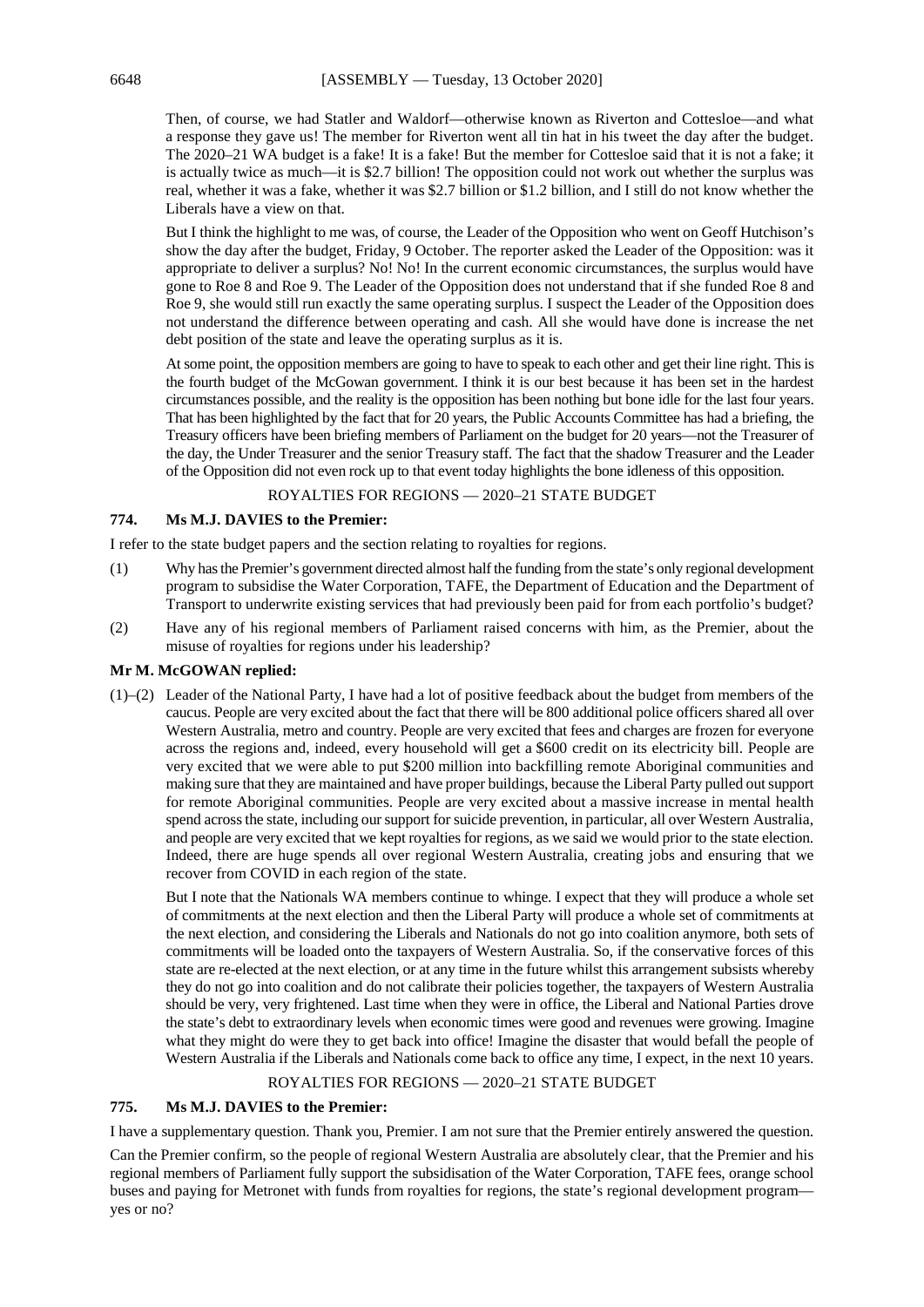Then, of course, we had Statler and Waldorf—otherwise known as Riverton and Cottesloe—and what a response they gave us! The member for Riverton went all tin hat in his tweet the day after the budget. The 2020–21 WA budget is a fake! It is a fake! But the member for Cottesloe said that it is not a fake; it is actually twice as much—it is \$2.7 billion! The opposition could not work out whether the surplus was real, whether it was a fake, whether it was \$2.7 billion or \$1.2 billion, and I still do not know whether the Liberals have a view on that.

But I think the highlight to me was, of course, the Leader of the Opposition who went on Geoff Hutchison's show the day after the budget, Friday, 9 October. The reporter asked the Leader of the Opposition: was it appropriate to deliver a surplus? No! No! In the current economic circumstances, the surplus would have gone to Roe 8 and Roe 9. The Leader of the Opposition does not understand that if she funded Roe 8 and Roe 9, she would still run exactly the same operating surplus. I suspect the Leader of the Opposition does not understand the difference between operating and cash. All she would have done is increase the net debt position of the state and leave the operating surplus as it is.

At some point, the opposition members are going to have to speak to each other and get their line right. This is the fourth budget of the McGowan government. I think it is our best because it has been set in the hardest circumstances possible, and the reality is the opposition has been nothing but bone idle for the last four years. That has been highlighted by the fact that for 20 years, the Public Accounts Committee has had a briefing, the Treasury officers have been briefing members of Parliament on the budget for 20 years—not the Treasurer of the day, the Under Treasurer and the senior Treasury staff. The fact that the shadow Treasurer and the Leader of the Opposition did not even rock up to that event today highlights the bone idleness of this opposition.

## ROYALTIES FOR REGIONS — 2020–21 STATE BUDGET

## **774. Ms M.J. DAVIES to the Premier:**

I refer to the state budget papers and the section relating to royalties for regions.

- (1) Why has the Premier's government directed almost half the funding from the state's only regional development program to subsidise the Water Corporation, TAFE, the Department of Education and the Department of Transport to underwrite existing services that had previously been paid for from each portfolio's budget?
- (2) Have any of his regional members of Parliament raised concerns with him, as the Premier, about the misuse of royalties for regions under his leadership?

## **Mr M. McGOWAN replied:**

(1)–(2) Leader of the National Party, I have had a lot of positive feedback about the budget from members of the caucus. People are very excited about the fact that there will be 800 additional police officers shared all over Western Australia, metro and country. People are very excited that fees and charges are frozen for everyone across the regions and, indeed, every household will get a \$600 credit on its electricity bill. People are very excited that we were able to put \$200 million into backfilling remote Aboriginal communities and making sure that they are maintained and have proper buildings, because the Liberal Party pulled out support for remote Aboriginal communities. People are very excited about a massive increase in mental health spend across the state, including our support for suicide prevention, in particular, all over Western Australia, and people are very excited that we kept royalties for regions, as we said we would prior to the state election. Indeed, there are huge spends all over regional Western Australia, creating jobs and ensuring that we recover from COVID in each region of the state.

But I note that the Nationals WA members continue to whinge. I expect that they will produce a whole set of commitments at the next election and then the Liberal Party will produce a whole set of commitments at the next election, and considering the Liberals and Nationals do not go into coalition anymore, both sets of commitments will be loaded onto the taxpayers of Western Australia. So, if the conservative forces of this state are re-elected at the next election, or at any time in the future whilst this arrangement subsists whereby they do not go into coalition and do not calibrate their policies together, the taxpayers of Western Australia should be very, very frightened. Last time when they were in office, the Liberal and National Parties drove the state's debt to extraordinary levels when economic times were good and revenues were growing. Imagine what they might do were they to get back into office! Imagine the disaster that would befall the people of Western Australia if the Liberals and Nationals come back to office any time, I expect, in the next 10 years.

## ROYALTIES FOR REGIONS — 2020–21 STATE BUDGET

## **775. Ms M.J. DAVIES to the Premier:**

I have a supplementary question. Thank you, Premier. I am not sure that the Premier entirely answered the question.

Can the Premier confirm, so the people of regional Western Australia are absolutely clear, that the Premier and his regional members of Parliament fully support the subsidisation of the Water Corporation, TAFE fees, orange school buses and paying for Metronet with funds from royalties for regions, the state's regional development program yes or no?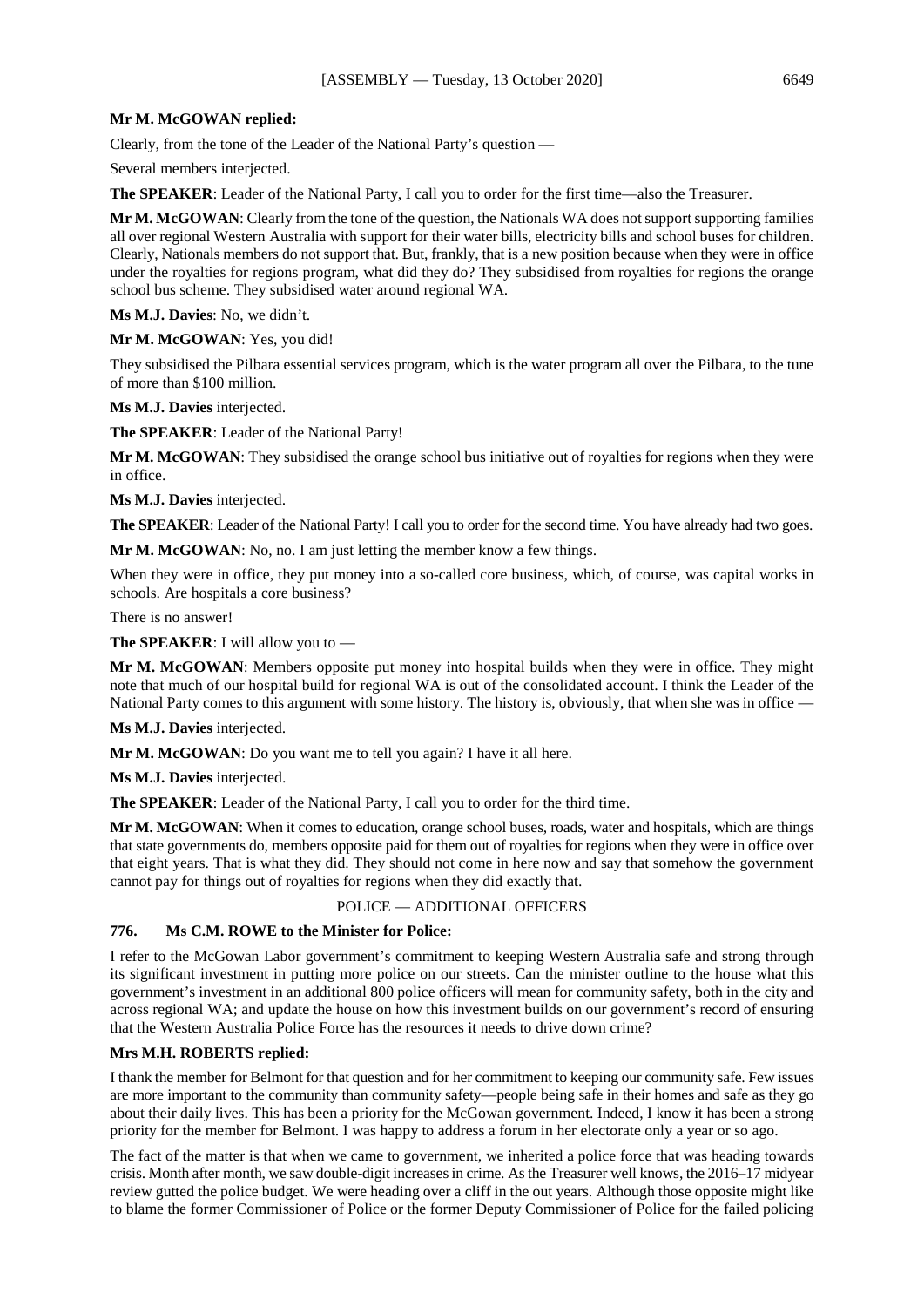## **Mr M. McGOWAN replied:**

Clearly, from the tone of the Leader of the National Party's question —

Several members interjected.

**The SPEAKER**: Leader of the National Party, I call you to order for the first time—also the Treasurer.

**Mr M. McGOWAN**: Clearly from the tone of the question, the Nationals WA does not support supporting families all over regional Western Australia with support for their water bills, electricity bills and school buses for children. Clearly, Nationals members do not support that. But, frankly, that is a new position because when they were in office under the royalties for regions program, what did they do? They subsidised from royalties for regions the orange school bus scheme. They subsidised water around regional WA.

**Ms M.J. Davies**: No, we didn't.

**Mr M. McGOWAN**: Yes, you did!

They subsidised the Pilbara essential services program, which is the water program all over the Pilbara, to the tune of more than \$100 million.

**Ms M.J. Davies** interjected.

**The SPEAKER**: Leader of the National Party!

**Mr M. McGOWAN**: They subsidised the orange school bus initiative out of royalties for regions when they were in office.

**Ms M.J. Davies** interjected.

**The SPEAKER**: Leader of the National Party! I call you to order for the second time. You have already had two goes.

**Mr M. McGOWAN**: No, no. I am just letting the member know a few things.

When they were in office, they put money into a so-called core business, which, of course, was capital works in schools. Are hospitals a core business?

There is no answer!

**The SPEAKER**: I will allow you to —

**Mr M. McGOWAN**: Members opposite put money into hospital builds when they were in office. They might note that much of our hospital build for regional WA is out of the consolidated account. I think the Leader of the National Party comes to this argument with some history. The history is, obviously, that when she was in office —

**Ms M.J. Davies** interjected.

**Mr M. McGOWAN**: Do you want me to tell you again? I have it all here.

**Ms M.J. Davies** interjected.

**The SPEAKER**: Leader of the National Party, I call you to order for the third time.

**Mr M. McGOWAN**: When it comes to education, orange school buses, roads, water and hospitals, which are things that state governments do, members opposite paid for them out of royalties for regions when they were in office over that eight years. That is what they did. They should not come in here now and say that somehow the government cannot pay for things out of royalties for regions when they did exactly that.

## POLICE — ADDITIONAL OFFICERS

#### **776. Ms C.M. ROWE to the Minister for Police:**

I refer to the McGowan Labor government's commitment to keeping Western Australia safe and strong through its significant investment in putting more police on our streets. Can the minister outline to the house what this government's investment in an additional 800 police officers will mean for community safety, both in the city and across regional WA; and update the house on how this investment builds on our government's record of ensuring that the Western Australia Police Force has the resources it needs to drive down crime?

## **Mrs M.H. ROBERTS replied:**

I thank the member for Belmont for that question and for her commitment to keeping our community safe. Few issues are more important to the community than community safety—people being safe in their homes and safe as they go about their daily lives. This has been a priority for the McGowan government. Indeed, I know it has been a strong priority for the member for Belmont. I was happy to address a forum in her electorate only a year or so ago.

The fact of the matter is that when we came to government, we inherited a police force that was heading towards crisis. Month after month, we saw double-digit increases in crime. As the Treasurer well knows, the 2016–17 midyear review gutted the police budget. We were heading over a cliff in the out years. Although those opposite might like to blame the former Commissioner of Police or the former Deputy Commissioner of Police for the failed policing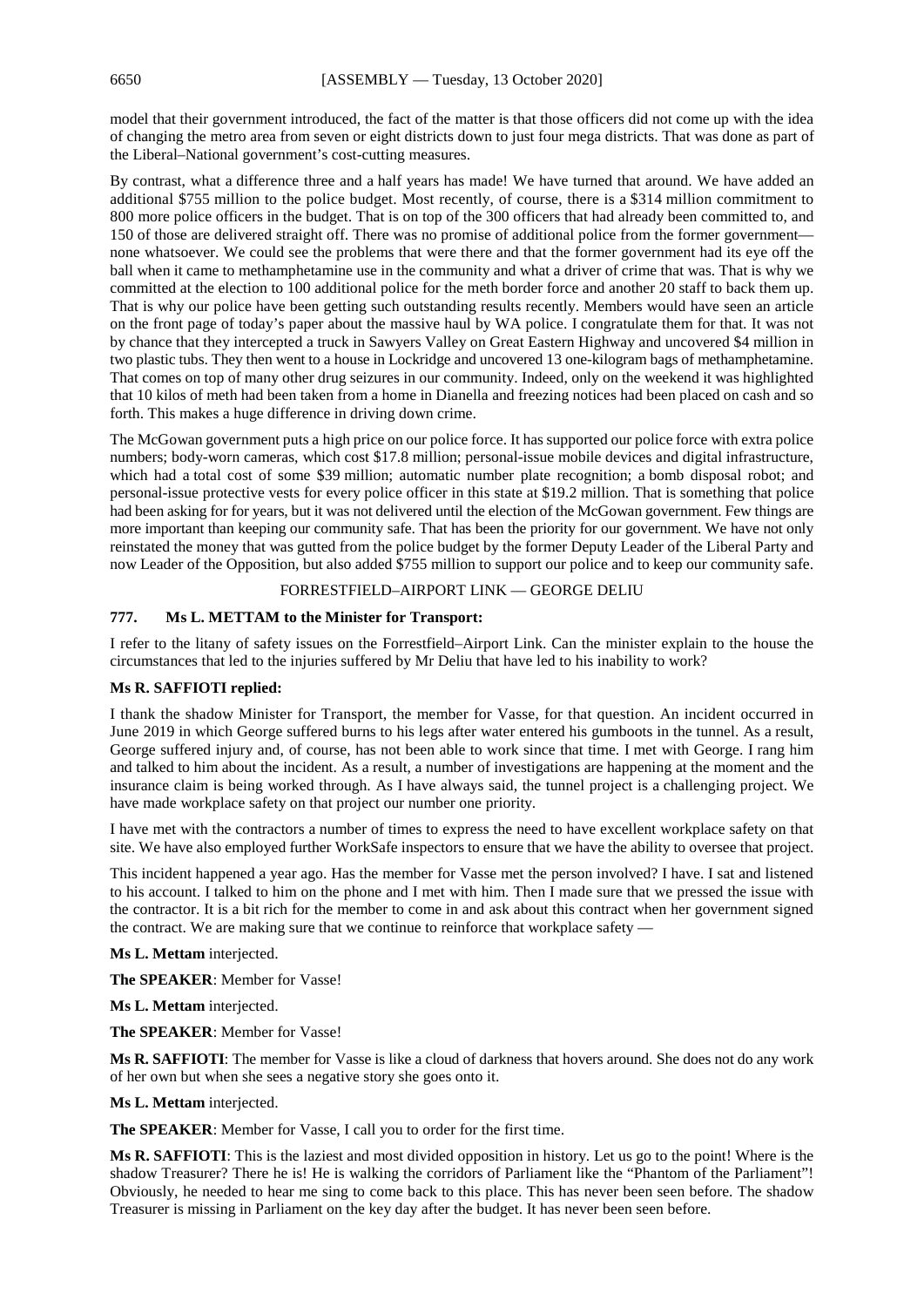model that their government introduced, the fact of the matter is that those officers did not come up with the idea of changing the metro area from seven or eight districts down to just four mega districts. That was done as part of the Liberal–National government's cost-cutting measures.

By contrast, what a difference three and a half years has made! We have turned that around. We have added an additional \$755 million to the police budget. Most recently, of course, there is a \$314 million commitment to 800 more police officers in the budget. That is on top of the 300 officers that had already been committed to, and 150 of those are delivered straight off. There was no promise of additional police from the former government none whatsoever. We could see the problems that were there and that the former government had its eye off the ball when it came to methamphetamine use in the community and what a driver of crime that was. That is why we committed at the election to 100 additional police for the meth border force and another 20 staff to back them up. That is why our police have been getting such outstanding results recently. Members would have seen an article on the front page of today's paper about the massive haul by WA police. I congratulate them for that. It was not by chance that they intercepted a truck in Sawyers Valley on Great Eastern Highway and uncovered \$4 million in two plastic tubs. They then went to a house in Lockridge and uncovered 13 one-kilogram bags of methamphetamine. That comes on top of many other drug seizures in our community. Indeed, only on the weekend it was highlighted that 10 kilos of meth had been taken from a home in Dianella and freezing notices had been placed on cash and so forth. This makes a huge difference in driving down crime.

The McGowan government puts a high price on our police force. It has supported our police force with extra police numbers; body-worn cameras, which cost \$17.8 million; personal-issue mobile devices and digital infrastructure, which had a total cost of some \$39 million; automatic number plate recognition; a bomb disposal robot; and personal-issue protective vests for every police officer in this state at \$19.2 million. That is something that police had been asking for for years, but it was not delivered until the election of the McGowan government. Few things are more important than keeping our community safe. That has been the priority for our government. We have not only reinstated the money that was gutted from the police budget by the former Deputy Leader of the Liberal Party and now Leader of the Opposition, but also added \$755 million to support our police and to keep our community safe.

## FORRESTFIELD–AIRPORT LINK — GEORGE DELIU

## **777. Ms L. METTAM to the Minister for Transport:**

I refer to the litany of safety issues on the Forrestfield–Airport Link. Can the minister explain to the house the circumstances that led to the injuries suffered by Mr Deliu that have led to his inability to work?

## **Ms R. SAFFIOTI replied:**

I thank the shadow Minister for Transport, the member for Vasse, for that question. An incident occurred in June 2019 in which George suffered burns to his legs after water entered his gumboots in the tunnel. As a result, George suffered injury and, of course, has not been able to work since that time. I met with George. I rang him and talked to him about the incident. As a result, a number of investigations are happening at the moment and the insurance claim is being worked through. As I have always said, the tunnel project is a challenging project. We have made workplace safety on that project our number one priority.

I have met with the contractors a number of times to express the need to have excellent workplace safety on that site. We have also employed further WorkSafe inspectors to ensure that we have the ability to oversee that project.

This incident happened a year ago. Has the member for Vasse met the person involved? I have. I sat and listened to his account. I talked to him on the phone and I met with him. Then I made sure that we pressed the issue with the contractor. It is a bit rich for the member to come in and ask about this contract when her government signed the contract. We are making sure that we continue to reinforce that workplace safety —

**Ms L. Mettam** interjected.

**The SPEAKER**: Member for Vasse!

**Ms L. Mettam** interjected.

**The SPEAKER**: Member for Vasse!

**Ms R. SAFFIOTI**: The member for Vasse is like a cloud of darkness that hovers around. She does not do any work of her own but when she sees a negative story she goes onto it.

**Ms L. Mettam** interjected.

**The SPEAKER**: Member for Vasse, I call you to order for the first time.

**Ms R. SAFFIOTI**: This is the laziest and most divided opposition in history. Let us go to the point! Where is the shadow Treasurer? There he is! He is walking the corridors of Parliament like the "Phantom of the Parliament"! Obviously, he needed to hear me sing to come back to this place. This has never been seen before. The shadow Treasurer is missing in Parliament on the key day after the budget. It has never been seen before.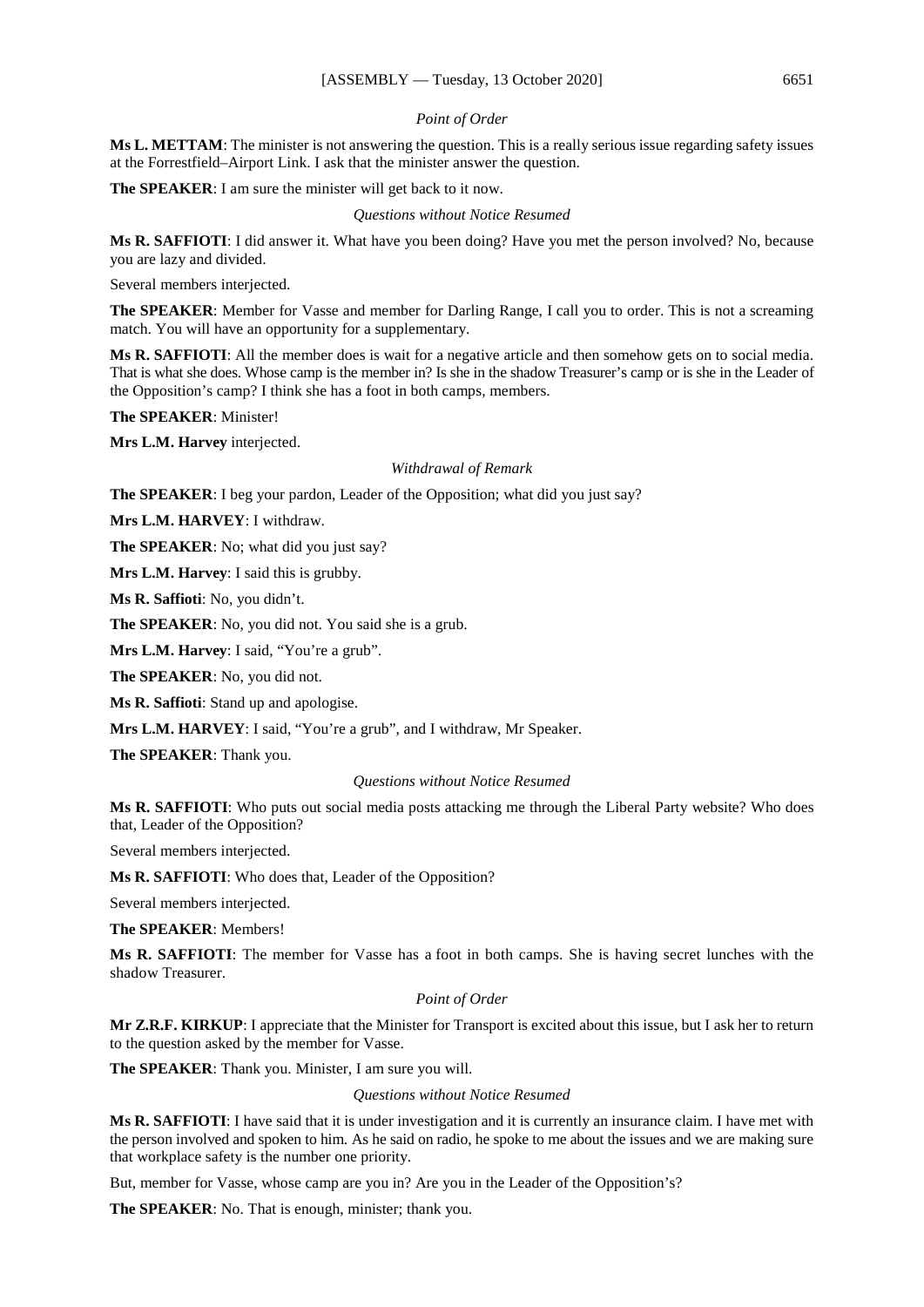#### *Point of Order*

**Ms L. METTAM**: The minister is not answering the question. This is a really serious issue regarding safety issues at the Forrestfield–Airport Link. I ask that the minister answer the question.

**The SPEAKER**: I am sure the minister will get back to it now.

*Questions without Notice Resumed*

**Ms R. SAFFIOTI**: I did answer it. What have you been doing? Have you met the person involved? No, because you are lazy and divided.

Several members interjected.

**The SPEAKER**: Member for Vasse and member for Darling Range, I call you to order. This is not a screaming match. You will have an opportunity for a supplementary.

**Ms R. SAFFIOTI**: All the member does is wait for a negative article and then somehow gets on to social media. That is what she does. Whose camp is the member in? Is she in the shadow Treasurer's camp or is she in the Leader of the Opposition's camp? I think she has a foot in both camps, members.

**The SPEAKER**: Minister!

**Mrs L.M. Harvey** interjected.

#### *Withdrawal of Remark*

**The SPEAKER**: I beg your pardon, Leader of the Opposition; what did you just say?

**Mrs L.M. HARVEY**: I withdraw.

**The SPEAKER**: No; what did you just say?

**Mrs L.M. Harvey**: I said this is grubby.

**Ms R. Saffioti**: No, you didn't.

**The SPEAKER**: No, you did not. You said she is a grub.

**Mrs L.M. Harvey**: I said, "You're a grub".

**The SPEAKER**: No, you did not.

**Ms R. Saffioti**: Stand up and apologise.

**Mrs L.M. HARVEY**: I said, "You're a grub", and I withdraw, Mr Speaker.

**The SPEAKER**: Thank you.

#### *Questions without Notice Resumed*

**Ms R. SAFFIOTI**: Who puts out social media posts attacking me through the Liberal Party website? Who does that, Leader of the Opposition?

Several members interjected.

**Ms R. SAFFIOTI**: Who does that, Leader of the Opposition?

Several members interjected.

**The SPEAKER**: Members!

**Ms R. SAFFIOTI**: The member for Vasse has a foot in both camps. She is having secret lunches with the shadow Treasurer.

#### *Point of Order*

**Mr Z.R.F. KIRKUP**: I appreciate that the Minister for Transport is excited about this issue, but I ask her to return to the question asked by the member for Vasse.

**The SPEAKER**: Thank you. Minister, I am sure you will.

*Questions without Notice Resumed*

**Ms R. SAFFIOTI**: I have said that it is under investigation and it is currently an insurance claim. I have met with the person involved and spoken to him. As he said on radio, he spoke to me about the issues and we are making sure that workplace safety is the number one priority.

But, member for Vasse, whose camp are you in? Are you in the Leader of the Opposition's?

**The SPEAKER**: No. That is enough, minister; thank you.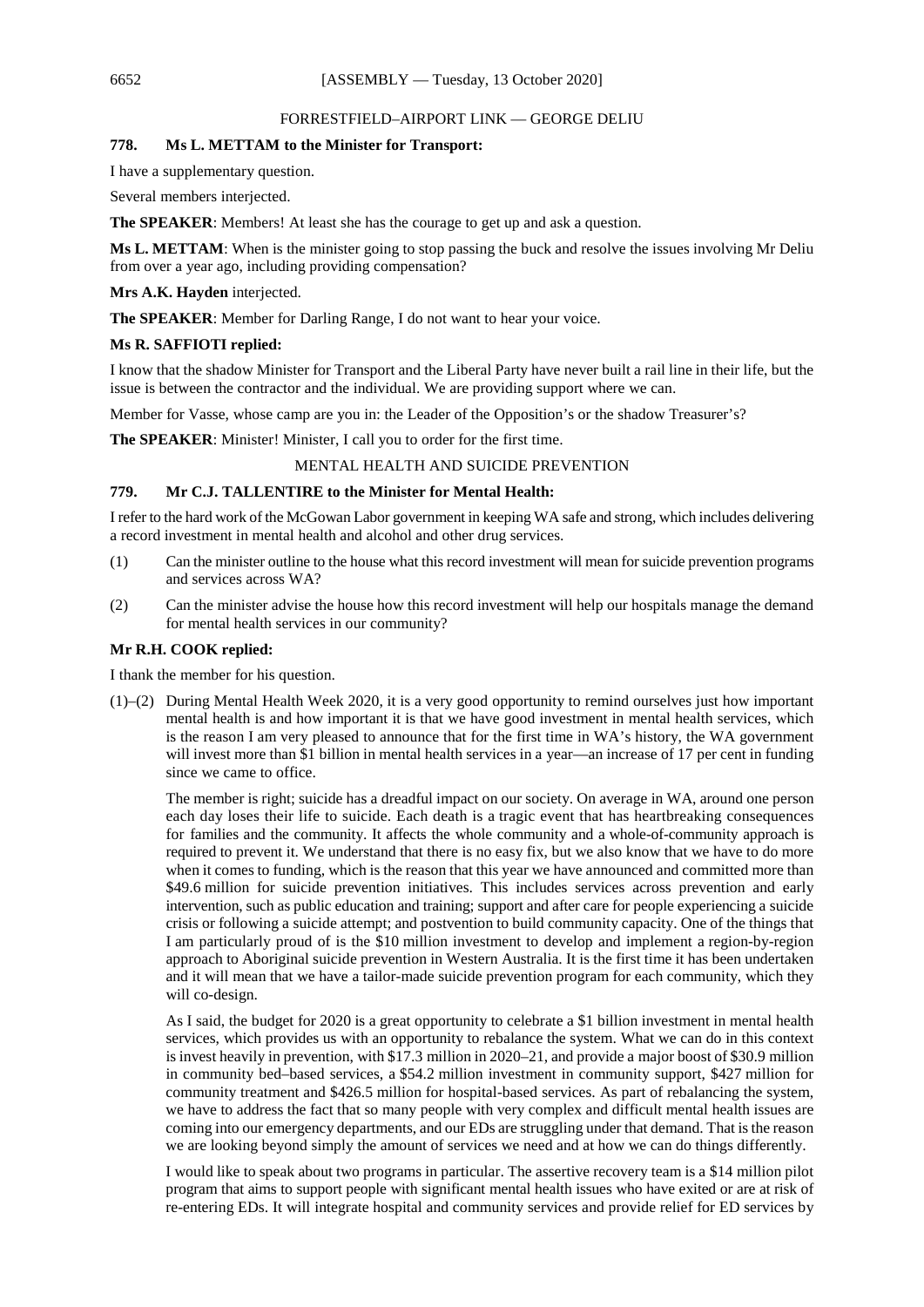#### FORRESTFIELD–AIRPORT LINK — GEORGE DELIU

## **778. Ms L. METTAM to the Minister for Transport:**

I have a supplementary question.

Several members interjected.

**The SPEAKER**: Members! At least she has the courage to get up and ask a question.

**Ms L. METTAM**: When is the minister going to stop passing the buck and resolve the issues involving Mr Deliu from over a year ago, including providing compensation?

**Mrs A.K. Hayden** interjected.

**The SPEAKER**: Member for Darling Range, I do not want to hear your voice.

#### **Ms R. SAFFIOTI replied:**

I know that the shadow Minister for Transport and the Liberal Party have never built a rail line in their life, but the issue is between the contractor and the individual. We are providing support where we can.

Member for Vasse, whose camp are you in: the Leader of the Opposition's or the shadow Treasurer's?

**The SPEAKER:** Minister! Minister, I call you to order for the first time.

## MENTAL HEALTH AND SUICIDE PREVENTION

#### **779. Mr C.J. TALLENTIRE to the Minister for Mental Health:**

I refer to the hard work of the McGowan Labor government in keeping WA safe and strong, which includes delivering a record investment in mental health and alcohol and other drug services.

- (1) Can the minister outline to the house what this record investment will mean for suicide prevention programs and services across WA?
- (2) Can the minister advise the house how this record investment will help our hospitals manage the demand for mental health services in our community?

#### **Mr R.H. COOK replied:**

I thank the member for his question.

(1)–(2) During Mental Health Week 2020, it is a very good opportunity to remind ourselves just how important mental health is and how important it is that we have good investment in mental health services, which is the reason I am very pleased to announce that for the first time in WA's history, the WA government will invest more than \$1 billion in mental health services in a year—an increase of 17 per cent in funding since we came to office.

The member is right; suicide has a dreadful impact on our society. On average in WA, around one person each day loses their life to suicide. Each death is a tragic event that has heartbreaking consequences for families and the community. It affects the whole community and a whole-of-community approach is required to prevent it. We understand that there is no easy fix, but we also know that we have to do more when it comes to funding, which is the reason that this year we have announced and committed more than \$49.6 million for suicide prevention initiatives. This includes services across prevention and early intervention, such as public education and training; support and after care for people experiencing a suicide crisis or following a suicide attempt; and postvention to build community capacity. One of the things that I am particularly proud of is the \$10 million investment to develop and implement a region-by-region approach to Aboriginal suicide prevention in Western Australia. It is the first time it has been undertaken and it will mean that we have a tailor-made suicide prevention program for each community, which they will co-design.

As I said, the budget for 2020 is a great opportunity to celebrate a \$1 billion investment in mental health services, which provides us with an opportunity to rebalance the system. What we can do in this context is invest heavily in prevention, with \$17.3 million in 2020–21, and provide a major boost of \$30.9 million in community bed–based services, a \$54.2 million investment in community support, \$427 million for community treatment and \$426.5 million for hospital-based services. As part of rebalancing the system, we have to address the fact that so many people with very complex and difficult mental health issues are coming into our emergency departments, and our EDs are struggling under that demand. That is the reason we are looking beyond simply the amount of services we need and at how we can do things differently.

I would like to speak about two programs in particular. The assertive recovery team is a \$14 million pilot program that aims to support people with significant mental health issues who have exited or are at risk of re-entering EDs. It will integrate hospital and community services and provide relief for ED services by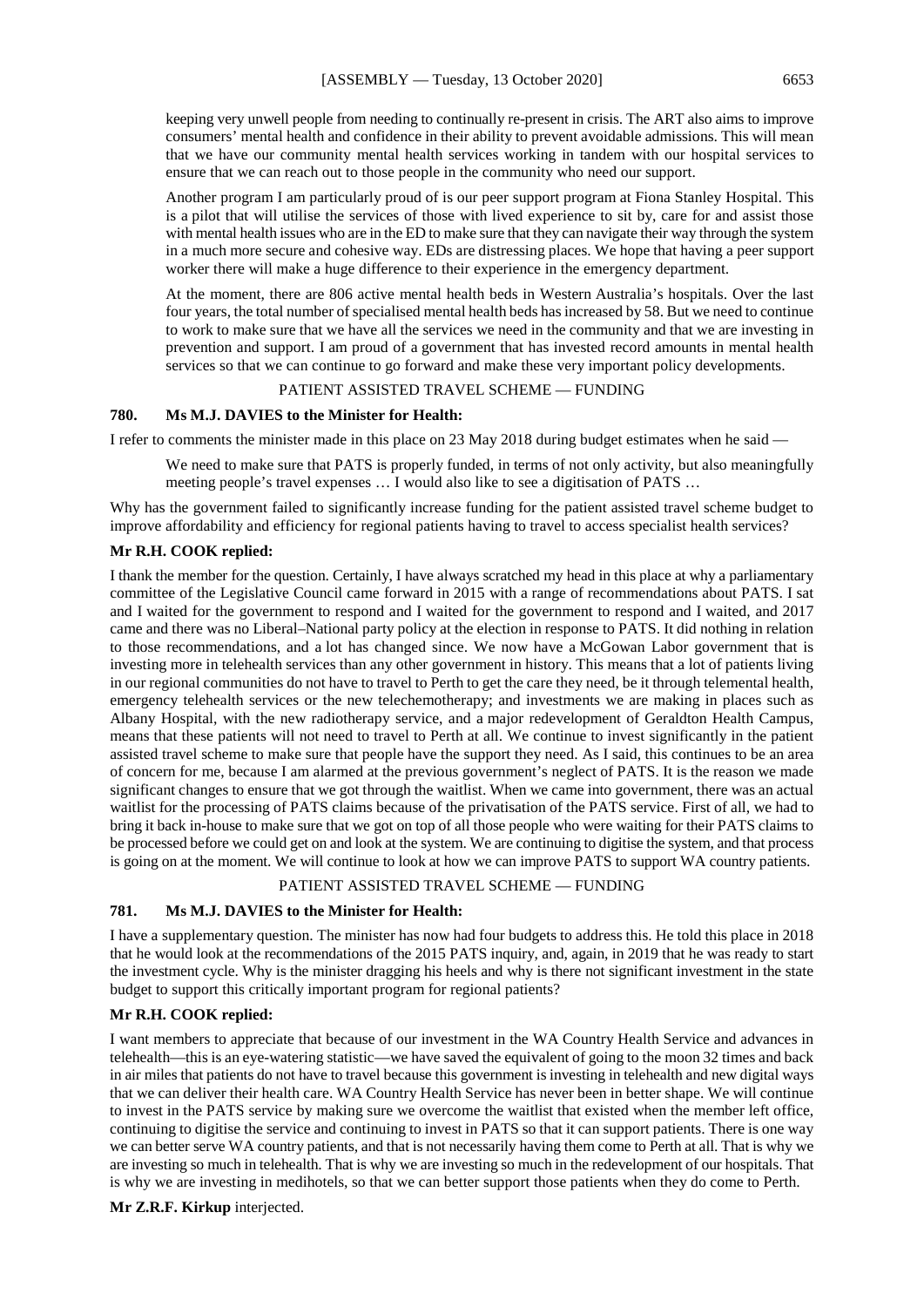keeping very unwell people from needing to continually re-present in crisis. The ART also aims to improve consumers' mental health and confidence in their ability to prevent avoidable admissions. This will mean that we have our community mental health services working in tandem with our hospital services to ensure that we can reach out to those people in the community who need our support.

Another program I am particularly proud of is our peer support program at Fiona Stanley Hospital. This is a pilot that will utilise the services of those with lived experience to sit by, care for and assist those with mental health issues who are in the ED to make sure that they can navigate their way through the system in a much more secure and cohesive way. EDs are distressing places. We hope that having a peer support worker there will make a huge difference to their experience in the emergency department.

At the moment, there are 806 active mental health beds in Western Australia's hospitals. Over the last four years, the total number of specialised mental health beds has increased by 58. But we need to continue to work to make sure that we have all the services we need in the community and that we are investing in prevention and support. I am proud of a government that has invested record amounts in mental health services so that we can continue to go forward and make these very important policy developments.

#### PATIENT ASSISTED TRAVEL SCHEME — FUNDING

## **780. Ms M.J. DAVIES to the Minister for Health:**

I refer to comments the minister made in this place on 23 May 2018 during budget estimates when he said —

We need to make sure that PATS is properly funded, in terms of not only activity, but also meaningfully meeting people's travel expenses … I would also like to see a digitisation of PATS …

Why has the government failed to significantly increase funding for the patient assisted travel scheme budget to improve affordability and efficiency for regional patients having to travel to access specialist health services?

#### **Mr R.H. COOK replied:**

I thank the member for the question. Certainly, I have always scratched my head in this place at why a parliamentary committee of the Legislative Council came forward in 2015 with a range of recommendations about PATS. I sat and I waited for the government to respond and I waited for the government to respond and I waited, and 2017 came and there was no Liberal–National party policy at the election in response to PATS. It did nothing in relation to those recommendations, and a lot has changed since. We now have a McGowan Labor government that is investing more in telehealth services than any other government in history. This means that a lot of patients living in our regional communities do not have to travel to Perth to get the care they need, be it through telemental health, emergency telehealth services or the new telechemotherapy; and investments we are making in places such as Albany Hospital, with the new radiotherapy service, and a major redevelopment of Geraldton Health Campus, means that these patients will not need to travel to Perth at all. We continue to invest significantly in the patient assisted travel scheme to make sure that people have the support they need. As I said, this continues to be an area of concern for me, because I am alarmed at the previous government's neglect of PATS. It is the reason we made significant changes to ensure that we got through the waitlist. When we came into government, there was an actual waitlist for the processing of PATS claims because of the privatisation of the PATS service. First of all, we had to bring it back in-house to make sure that we got on top of all those people who were waiting for their PATS claims to be processed before we could get on and look at the system. We are continuing to digitise the system, and that process is going on at the moment. We will continue to look at how we can improve PATS to support WA country patients.

#### PATIENT ASSISTED TRAVEL SCHEME — FUNDING

## **781. Ms M.J. DAVIES to the Minister for Health:**

I have a supplementary question. The minister has now had four budgets to address this. He told this place in 2018 that he would look at the recommendations of the 2015 PATS inquiry, and, again, in 2019 that he was ready to start the investment cycle. Why is the minister dragging his heels and why is there not significant investment in the state budget to support this critically important program for regional patients?

#### **Mr R.H. COOK replied:**

I want members to appreciate that because of our investment in the WA Country Health Service and advances in telehealth—this is an eye-watering statistic—we have saved the equivalent of going to the moon 32 times and back in air miles that patients do not have to travel because this government is investing in telehealth and new digital ways that we can deliver their health care. WA Country Health Service has never been in better shape. We will continue to invest in the PATS service by making sure we overcome the waitlist that existed when the member left office, continuing to digitise the service and continuing to invest in PATS so that it can support patients. There is one way we can better serve WA country patients, and that is not necessarily having them come to Perth at all. That is why we are investing so much in telehealth. That is why we are investing so much in the redevelopment of our hospitals. That is why we are investing in medihotels, so that we can better support those patients when they do come to Perth.

#### **Mr Z.R.F. Kirkup** interjected.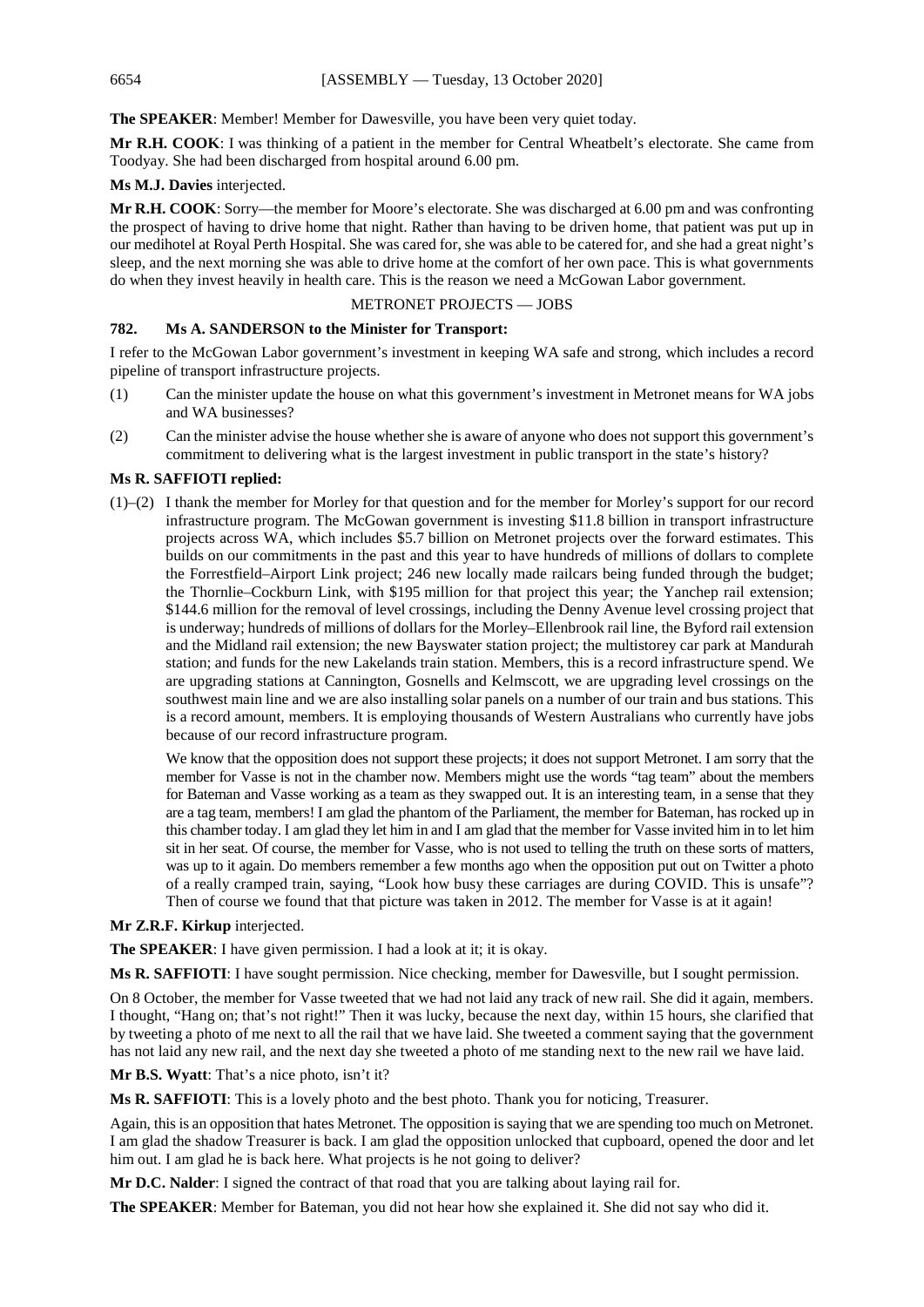The SPEAKER: Member! Member for Dawesville, you have been very quiet today.

**Mr R.H. COOK**: I was thinking of a patient in the member for Central Wheatbelt's electorate. She came from Toodyay. She had been discharged from hospital around 6.00 pm.

**Ms M.J. Davies** interjected.

**Mr R.H. COOK**: Sorry—the member for Moore's electorate. She was discharged at 6.00 pm and was confronting the prospect of having to drive home that night. Rather than having to be driven home, that patient was put up in our medihotel at Royal Perth Hospital. She was cared for, she was able to be catered for, and she had a great night's sleep, and the next morning she was able to drive home at the comfort of her own pace. This is what governments do when they invest heavily in health care. This is the reason we need a McGowan Labor government.

## METRONET PROJECTS — JOBS

## **782. Ms A. SANDERSON to the Minister for Transport:**

I refer to the McGowan Labor government's investment in keeping WA safe and strong, which includes a record pipeline of transport infrastructure projects.

- (1) Can the minister update the house on what this government's investment in Metronet means for WA jobs and WA businesses?
- (2) Can the minister advise the house whether she is aware of anyone who does not support this government's commitment to delivering what is the largest investment in public transport in the state's history?

## **Ms R. SAFFIOTI replied:**

(1)–(2) I thank the member for Morley for that question and for the member for Morley's support for our record infrastructure program. The McGowan government is investing \$11.8 billion in transport infrastructure projects across WA, which includes \$5.7 billion on Metronet projects over the forward estimates. This builds on our commitments in the past and this year to have hundreds of millions of dollars to complete the Forrestfield–Airport Link project; 246 new locally made railcars being funded through the budget; the Thornlie–Cockburn Link, with \$195 million for that project this year; the Yanchep rail extension; \$144.6 million for the removal of level crossings, including the Denny Avenue level crossing project that is underway; hundreds of millions of dollars for the Morley–Ellenbrook rail line, the Byford rail extension and the Midland rail extension; the new Bayswater station project; the multistorey car park at Mandurah station; and funds for the new Lakelands train station. Members, this is a record infrastructure spend. We are upgrading stations at Cannington, Gosnells and Kelmscott, we are upgrading level crossings on the southwest main line and we are also installing solar panels on a number of our train and bus stations. This is a record amount, members. It is employing thousands of Western Australians who currently have jobs because of our record infrastructure program.

We know that the opposition does not support these projects; it does not support Metronet. I am sorry that the member for Vasse is not in the chamber now. Members might use the words "tag team" about the members for Bateman and Vasse working as a team as they swapped out. It is an interesting team, in a sense that they are a tag team, members! I am glad the phantom of the Parliament, the member for Bateman, has rocked up in this chamber today. I am glad they let him in and I am glad that the member for Vasse invited him in to let him sit in her seat. Of course, the member for Vasse, who is not used to telling the truth on these sorts of matters, was up to it again. Do members remember a few months ago when the opposition put out on Twitter a photo of a really cramped train, saying, "Look how busy these carriages are during COVID. This is unsafe"? Then of course we found that that picture was taken in 2012. The member for Vasse is at it again!

## **Mr Z.R.F. Kirkup** interjected.

**The SPEAKER**: I have given permission. I had a look at it; it is okay.

**Ms R. SAFFIOTI**: I have sought permission. Nice checking, member for Dawesville, but I sought permission.

On 8 October, the member for Vasse tweeted that we had not laid any track of new rail. She did it again, members. I thought, "Hang on; that's not right!" Then it was lucky, because the next day, within 15 hours, she clarified that by tweeting a photo of me next to all the rail that we have laid. She tweeted a comment saying that the government has not laid any new rail, and the next day she tweeted a photo of me standing next to the new rail we have laid.

**Mr B.S. Wyatt**: That's a nice photo, isn't it?

**Ms R. SAFFIOTI**: This is a lovely photo and the best photo. Thank you for noticing, Treasurer.

Again, this is an opposition that hates Metronet. The opposition is saying that we are spending too much on Metronet. I am glad the shadow Treasurer is back. I am glad the opposition unlocked that cupboard, opened the door and let him out. I am glad he is back here. What projects is he not going to deliver?

**Mr D.C. Nalder**: I signed the contract of that road that you are talking about laying rail for.

**The SPEAKER**: Member for Bateman, you did not hear how she explained it. She did not say who did it.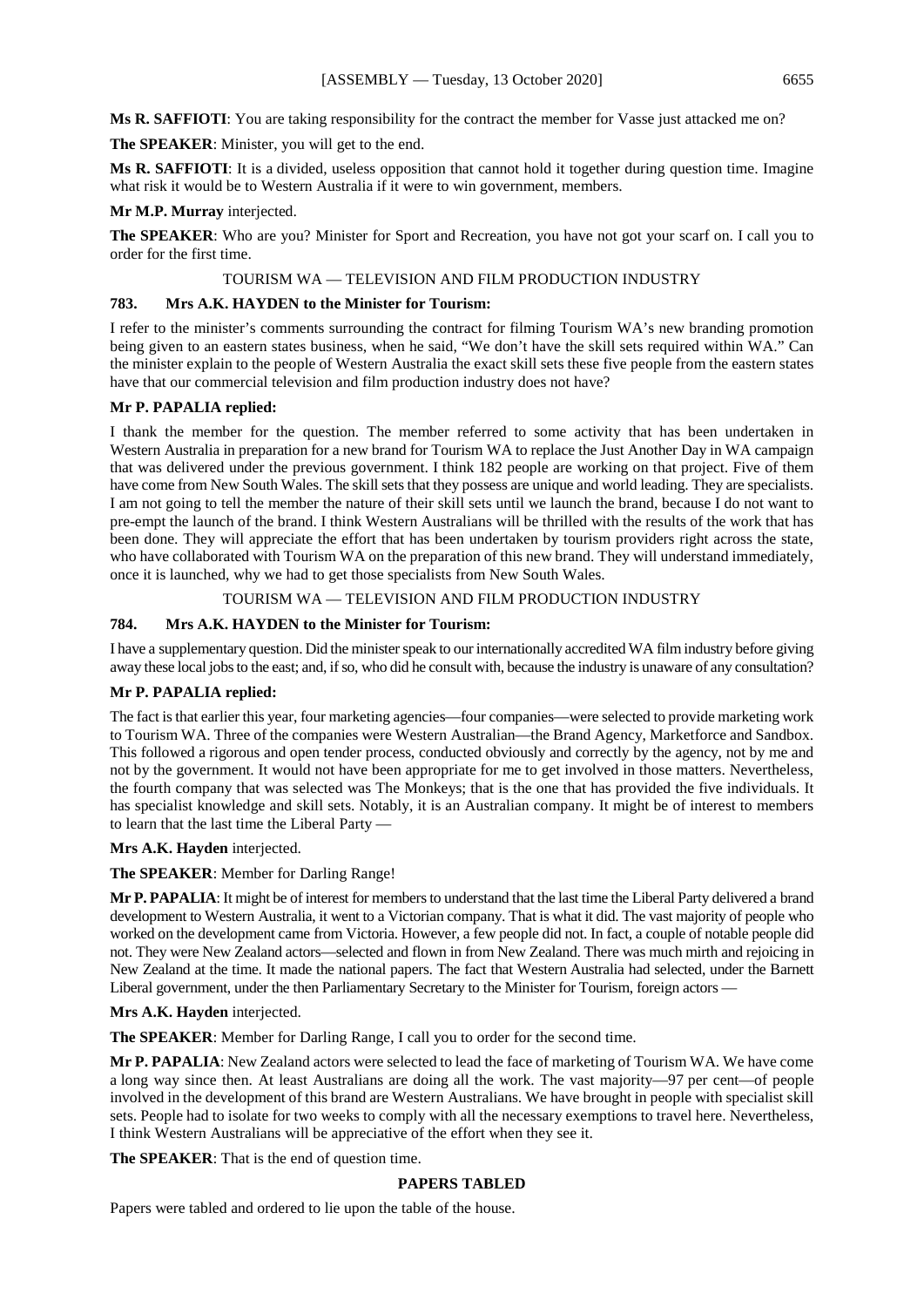**The SPEAKER**: Minister, you will get to the end.

**Ms R. SAFFIOTI**: It is a divided, useless opposition that cannot hold it together during question time. Imagine what risk it would be to Western Australia if it were to win government, members.

## **Mr M.P. Murray** interjected.

**The SPEAKER**: Who are you? Minister for Sport and Recreation, you have not got your scarf on. I call you to order for the first time.

## TOURISM WA — TELEVISION AND FILM PRODUCTION INDUSTRY

## **783. Mrs A.K. HAYDEN to the Minister for Tourism:**

I refer to the minister's comments surrounding the contract for filming Tourism WA's new branding promotion being given to an eastern states business, when he said, "We don't have the skill sets required within WA." Can the minister explain to the people of Western Australia the exact skill sets these five people from the eastern states have that our commercial television and film production industry does not have?

## **Mr P. PAPALIA replied:**

I thank the member for the question. The member referred to some activity that has been undertaken in Western Australia in preparation for a new brand for Tourism WA to replace the Just Another Day in WA campaign that was delivered under the previous government. I think 182 people are working on that project. Five of them have come from New South Wales. The skill sets that they possess are unique and world leading. They are specialists. I am not going to tell the member the nature of their skill sets until we launch the brand, because I do not want to pre-empt the launch of the brand. I think Western Australians will be thrilled with the results of the work that has been done. They will appreciate the effort that has been undertaken by tourism providers right across the state, who have collaborated with Tourism WA on the preparation of this new brand. They will understand immediately, once it is launched, why we had to get those specialists from New South Wales.

## TOURISM WA — TELEVISION AND FILM PRODUCTION INDUSTRY

## **784. Mrs A.K. HAYDEN to the Minister for Tourism:**

I have a supplementary question. Did the minister speak to our internationally accredited WA film industry before giving away these local jobs to the east; and, if so, who did he consult with, because the industry is unaware of any consultation?

## **Mr P. PAPALIA replied:**

The fact is that earlier this year, four marketing agencies—four companies—were selected to provide marketing work to Tourism WA. Three of the companies were Western Australian—the Brand Agency, Marketforce and Sandbox. This followed a rigorous and open tender process, conducted obviously and correctly by the agency, not by me and not by the government. It would not have been appropriate for me to get involved in those matters. Nevertheless, the fourth company that was selected was The Monkeys; that is the one that has provided the five individuals. It has specialist knowledge and skill sets. Notably, it is an Australian company. It might be of interest to members to learn that the last time the Liberal Party —

## **Mrs A.K. Hayden** interjected.

**The SPEAKER**: Member for Darling Range!

**Mr P. PAPALIA**: It might be of interest for members to understand that the last time the Liberal Party delivered a brand development to Western Australia, it went to a Victorian company. That is what it did. The vast majority of people who worked on the development came from Victoria. However, a few people did not. In fact, a couple of notable people did not. They were New Zealand actors—selected and flown in from New Zealand. There was much mirth and rejoicing in New Zealand at the time. It made the national papers. The fact that Western Australia had selected, under the Barnett Liberal government, under the then Parliamentary Secretary to the Minister for Tourism, foreign actors —

## **Mrs A.K. Hayden** interjected.

**The SPEAKER**: Member for Darling Range, I call you to order for the second time.

**Mr P. PAPALIA**: New Zealand actors were selected to lead the face of marketing of Tourism WA. We have come a long way since then. At least Australians are doing all the work. The vast majority—97 per cent—of people involved in the development of this brand are Western Australians. We have brought in people with specialist skill sets. People had to isolate for two weeks to comply with all the necessary exemptions to travel here. Nevertheless, I think Western Australians will be appreciative of the effort when they see it.

## **The SPEAKER**: That is the end of question time.

## **PAPERS TABLED**

Papers were tabled and ordered to lie upon the table of the house.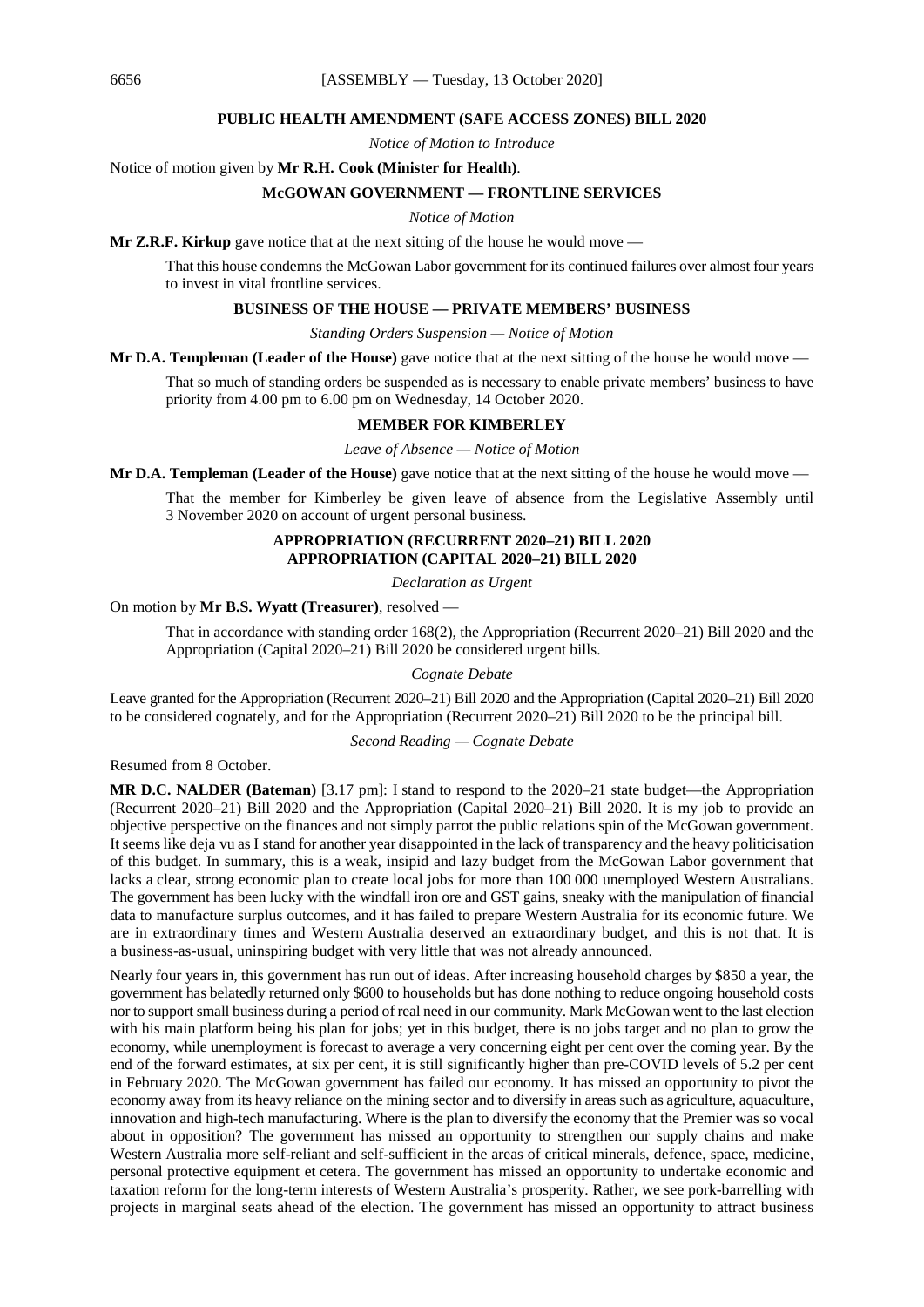#### **PUBLIC HEALTH AMENDMENT (SAFE ACCESS ZONES) BILL 2020**

*Notice of Motion to Introduce*

Notice of motion given by **Mr R.H. Cook (Minister for Health)**.

#### **McGOWAN GOVERNMENT — FRONTLINE SERVICES**

#### *Notice of Motion*

**Mr Z.R.F. Kirkup** gave notice that at the next sitting of the house he would move —

That this house condemns the McGowan Labor government for its continued failures over almost four years to invest in vital frontline services.

## **BUSINESS OF THE HOUSE — PRIVATE MEMBERS' BUSINESS**

*Standing Orders Suspension — Notice of Motion*

**Mr D.A. Templeman (Leader of the House)** gave notice that at the next sitting of the house he would move —

That so much of standing orders be suspended as is necessary to enable private members' business to have priority from 4.00 pm to 6.00 pm on Wednesday, 14 October 2020.

#### **MEMBER FOR KIMBERLEY**

*Leave of Absence — Notice of Motion*

**Mr D.A. Templeman (Leader of the House)** gave notice that at the next sitting of the house he would move —

That the member for Kimberley be given leave of absence from the Legislative Assembly until 3 November 2020 on account of urgent personal business.

## **APPROPRIATION (RECURRENT 2020–21) BILL 2020 APPROPRIATION (CAPITAL 2020–21) BILL 2020**

*Declaration as Urgent*

On motion by **Mr B.S. Wyatt (Treasurer)**, resolved —

That in accordance with standing order 168(2), the Appropriation (Recurrent 2020–21) Bill 2020 and the Appropriation (Capital 2020–21) Bill 2020 be considered urgent bills.

*Cognate Debate*

Leave granted for the Appropriation (Recurrent 2020–21) Bill 2020 and the Appropriation (Capital 2020–21) Bill 2020 to be considered cognately, and for the Appropriation (Recurrent 2020–21) Bill 2020 to be the principal bill.

*Second Reading — Cognate Debate*

Resumed from 8 October.

**MR D.C. NALDER (Bateman)** [3.17 pm]: I stand to respond to the 2020–21 state budget—the Appropriation (Recurrent 2020–21) Bill 2020 and the Appropriation (Capital 2020–21) Bill 2020. It is my job to provide an objective perspective on the finances and not simply parrot the public relations spin of the McGowan government. It seems like deja vu as I stand for another year disappointed in the lack of transparency and the heavy politicisation of this budget. In summary, this is a weak, insipid and lazy budget from the McGowan Labor government that lacks a clear, strong economic plan to create local jobs for more than 100 000 unemployed Western Australians. The government has been lucky with the windfall iron ore and GST gains, sneaky with the manipulation of financial data to manufacture surplus outcomes, and it has failed to prepare Western Australia for its economic future. We are in extraordinary times and Western Australia deserved an extraordinary budget, and this is not that. It is a business-as-usual, uninspiring budget with very little that was not already announced.

Nearly four years in, this government has run out of ideas. After increasing household charges by \$850 a year, the government has belatedly returned only \$600 to households but has done nothing to reduce ongoing household costs nor to support small business during a period of real need in our community. Mark McGowan went to the last election with his main platform being his plan for jobs; yet in this budget, there is no jobs target and no plan to grow the economy, while unemployment is forecast to average a very concerning eight per cent over the coming year. By the end of the forward estimates, at six per cent, it is still significantly higher than pre-COVID levels of 5.2 per cent in February 2020. The McGowan government has failed our economy. It has missed an opportunity to pivot the economy away from its heavy reliance on the mining sector and to diversify in areas such as agriculture, aquaculture, innovation and high-tech manufacturing. Where is the plan to diversify the economy that the Premier was so vocal about in opposition? The government has missed an opportunity to strengthen our supply chains and make Western Australia more self-reliant and self-sufficient in the areas of critical minerals, defence, space, medicine, personal protective equipment et cetera. The government has missed an opportunity to undertake economic and taxation reform for the long-term interests of Western Australia's prosperity. Rather, we see pork-barrelling with projects in marginal seats ahead of the election. The government has missed an opportunity to attract business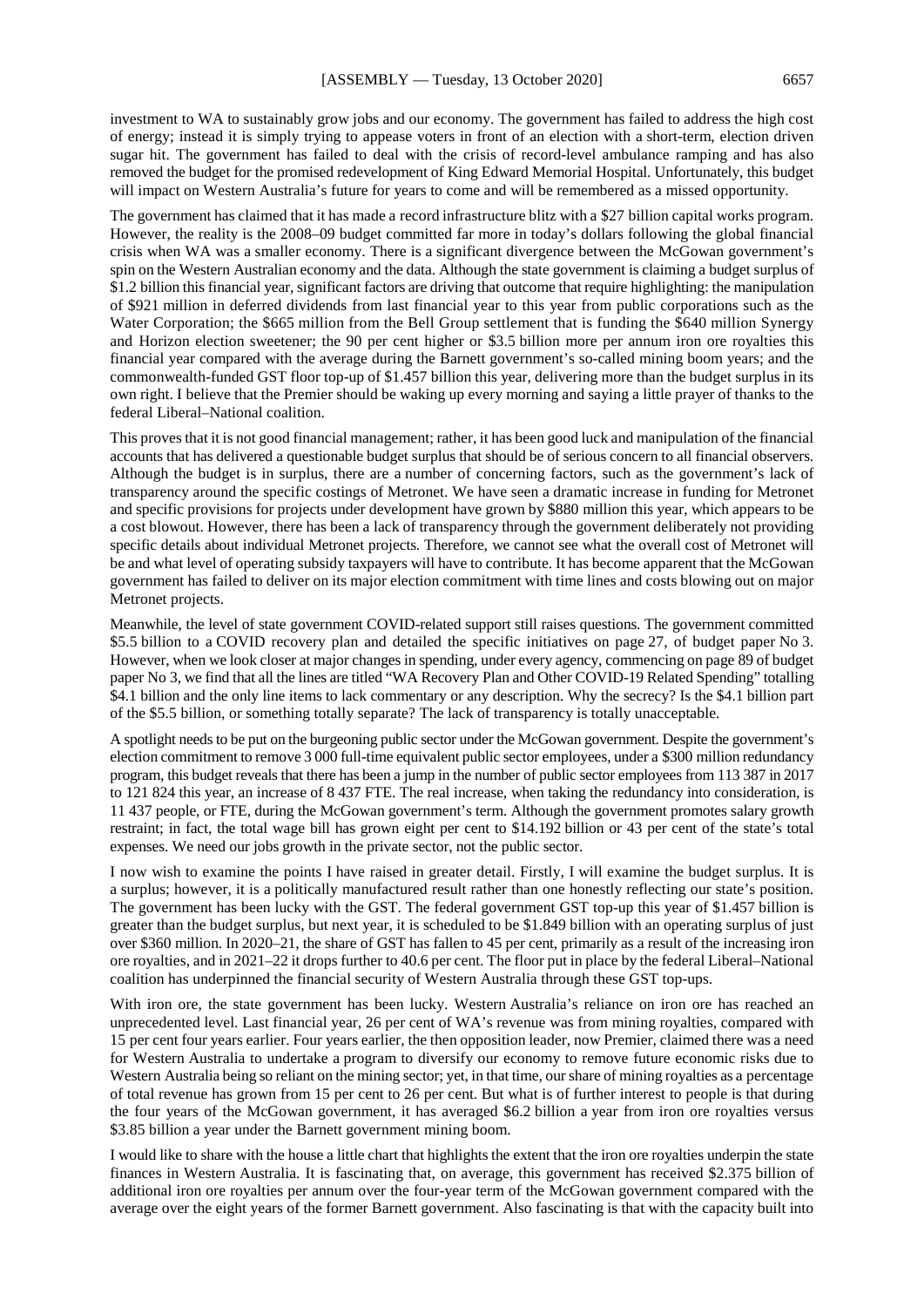investment to WA to sustainably grow jobs and our economy. The government has failed to address the high cost of energy; instead it is simply trying to appease voters in front of an election with a short-term, election driven sugar hit. The government has failed to deal with the crisis of record-level ambulance ramping and has also removed the budget for the promised redevelopment of King Edward Memorial Hospital. Unfortunately, this budget will impact on Western Australia's future for years to come and will be remembered as a missed opportunity.

The government has claimed that it has made a record infrastructure blitz with a \$27 billion capital works program. However, the reality is the 2008–09 budget committed far more in today's dollars following the global financial crisis when WA was a smaller economy. There is a significant divergence between the McGowan government's spin on the Western Australian economy and the data. Although the state government is claiming a budget surplus of \$1.2 billion this financial year, significant factors are driving that outcome that require highlighting: the manipulation of \$921 million in deferred dividends from last financial year to this year from public corporations such as the Water Corporation; the \$665 million from the Bell Group settlement that is funding the \$640 million Synergy and Horizon election sweetener; the 90 per cent higher or \$3.5 billion more per annum iron ore royalties this financial year compared with the average during the Barnett government's so-called mining boom years; and the commonwealth-funded GST floor top-up of \$1.457 billion this year, delivering more than the budget surplus in its own right. I believe that the Premier should be waking up every morning and saying a little prayer of thanks to the federal Liberal–National coalition.

This proves that it is not good financial management; rather, it has been good luck and manipulation of the financial accounts that has delivered a questionable budget surplus that should be of serious concern to all financial observers. Although the budget is in surplus, there are a number of concerning factors, such as the government's lack of transparency around the specific costings of Metronet. We have seen a dramatic increase in funding for Metronet and specific provisions for projects under development have grown by \$880 million this year, which appears to be a cost blowout. However, there has been a lack of transparency through the government deliberately not providing specific details about individual Metronet projects. Therefore, we cannot see what the overall cost of Metronet will be and what level of operating subsidy taxpayers will have to contribute. It has become apparent that the McGowan government has failed to deliver on its major election commitment with time lines and costs blowing out on major Metronet projects.

Meanwhile, the level of state government COVID-related support still raises questions. The government committed \$5.5 billion to a COVID recovery plan and detailed the specific initiatives on page 27, of budget paper No 3. However, when we look closer at major changes in spending, under every agency, commencing on page 89 of budget paper No 3, we find that all the lines are titled "WA Recovery Plan and Other COVID-19 Related Spending" totalling \$4.1 billion and the only line items to lack commentary or any description. Why the secrecy? Is the \$4.1 billion part of the \$5.5 billion, or something totally separate? The lack of transparency is totally unacceptable.

A spotlight needs to be put on the burgeoning public sector under the McGowan government. Despite the government's election commitment to remove 3 000 full-time equivalent public sector employees, under a \$300 million redundancy program, this budget reveals that there has been a jump in the number of public sector employees from 113 387 in 2017 to 121 824 this year, an increase of 8 437 FTE. The real increase, when taking the redundancy into consideration, is 11 437 people, or FTE, during the McGowan government's term. Although the government promotes salary growth restraint; in fact, the total wage bill has grown eight per cent to \$14.192 billion or 43 per cent of the state's total expenses. We need our jobs growth in the private sector, not the public sector.

I now wish to examine the points I have raised in greater detail. Firstly, I will examine the budget surplus. It is a surplus; however, it is a politically manufactured result rather than one honestly reflecting our state's position. The government has been lucky with the GST. The federal government GST top-up this year of \$1.457 billion is greater than the budget surplus, but next year, it is scheduled to be \$1.849 billion with an operating surplus of just over \$360 million. In 2020–21, the share of GST has fallen to 45 per cent, primarily as a result of the increasing iron ore royalties, and in 2021–22 it drops further to 40.6 per cent. The floor put in place by the federal Liberal–National coalition has underpinned the financial security of Western Australia through these GST top-ups.

With iron ore, the state government has been lucky. Western Australia's reliance on iron ore has reached an unprecedented level. Last financial year, 26 per cent of WA's revenue was from mining royalties, compared with 15 per cent four years earlier. Four years earlier, the then opposition leader, now Premier, claimed there was a need for Western Australia to undertake a program to diversify our economy to remove future economic risks due to Western Australia being so reliant on the mining sector; yet, in that time, our share of mining royalties as a percentage of total revenue has grown from 15 per cent to 26 per cent. But what is of further interest to people is that during the four years of the McGowan government, it has averaged \$6.2 billion a year from iron ore royalties versus \$3.85 billion a year under the Barnett government mining boom.

I would like to share with the house a little chart that highlights the extent that the iron ore royalties underpin the state finances in Western Australia. It is fascinating that, on average, this government has received \$2.375 billion of additional iron ore royalties per annum over the four-year term of the McGowan government compared with the average over the eight years of the former Barnett government. Also fascinating is that with the capacity built into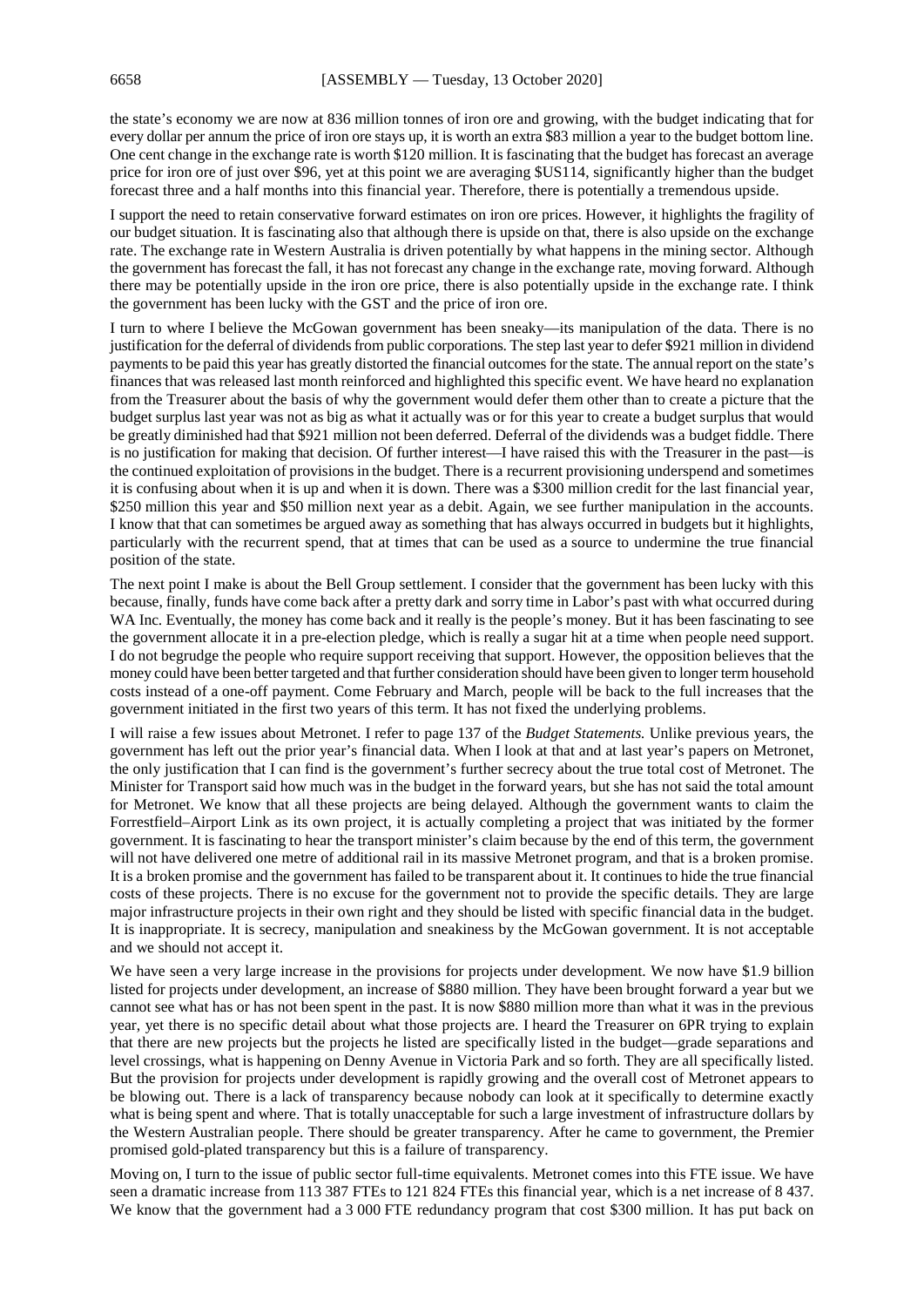the state's economy we are now at 836 million tonnes of iron ore and growing, with the budget indicating that for every dollar per annum the price of iron ore stays up, it is worth an extra \$83 million a year to the budget bottom line. One cent change in the exchange rate is worth \$120 million. It is fascinating that the budget has forecast an average price for iron ore of just over \$96, yet at this point we are averaging \$US114, significantly higher than the budget forecast three and a half months into this financial year. Therefore, there is potentially a tremendous upside.

I support the need to retain conservative forward estimates on iron ore prices. However, it highlights the fragility of our budget situation. It is fascinating also that although there is upside on that, there is also upside on the exchange rate. The exchange rate in Western Australia is driven potentially by what happens in the mining sector. Although the government has forecast the fall, it has not forecast any change in the exchange rate, moving forward. Although there may be potentially upside in the iron ore price, there is also potentially upside in the exchange rate. I think the government has been lucky with the GST and the price of iron ore.

I turn to where I believe the McGowan government has been sneaky—its manipulation of the data. There is no justification for the deferral of dividends from public corporations. The step last year to defer \$921 million in dividend payments to be paid this year has greatly distorted the financial outcomes for the state. The annual report on the state's finances that was released last month reinforced and highlighted this specific event. We have heard no explanation from the Treasurer about the basis of why the government would defer them other than to create a picture that the budget surplus last year was not as big as what it actually was or for this year to create a budget surplus that would be greatly diminished had that \$921 million not been deferred. Deferral of the dividends was a budget fiddle. There is no justification for making that decision. Of further interest—I have raised this with the Treasurer in the past—is the continued exploitation of provisions in the budget. There is a recurrent provisioning underspend and sometimes it is confusing about when it is up and when it is down. There was a \$300 million credit for the last financial year, \$250 million this year and \$50 million next year as a debit. Again, we see further manipulation in the accounts. I know that that can sometimes be argued away as something that has always occurred in budgets but it highlights, particularly with the recurrent spend, that at times that can be used as a source to undermine the true financial position of the state.

The next point I make is about the Bell Group settlement. I consider that the government has been lucky with this because, finally, funds have come back after a pretty dark and sorry time in Labor's past with what occurred during WA Inc. Eventually, the money has come back and it really is the people's money. But it has been fascinating to see the government allocate it in a pre-election pledge, which is really a sugar hit at a time when people need support. I do not begrudge the people who require support receiving that support. However, the opposition believes that the money could have been better targeted and that further consideration should have been given to longer term household costs instead of a one-off payment. Come February and March, people will be back to the full increases that the government initiated in the first two years of this term. It has not fixed the underlying problems.

I will raise a few issues about Metronet. I refer to page 137 of the *Budget Statements.* Unlike previous years, the government has left out the prior year's financial data. When I look at that and at last year's papers on Metronet, the only justification that I can find is the government's further secrecy about the true total cost of Metronet. The Minister for Transport said how much was in the budget in the forward years, but she has not said the total amount for Metronet. We know that all these projects are being delayed. Although the government wants to claim the Forrestfield–Airport Link as its own project, it is actually completing a project that was initiated by the former government. It is fascinating to hear the transport minister's claim because by the end of this term, the government will not have delivered one metre of additional rail in its massive Metronet program, and that is a broken promise. It is a broken promise and the government has failed to be transparent about it. It continues to hide the true financial costs of these projects. There is no excuse for the government not to provide the specific details. They are large major infrastructure projects in their own right and they should be listed with specific financial data in the budget. It is inappropriate. It is secrecy, manipulation and sneakiness by the McGowan government. It is not acceptable and we should not accept it.

We have seen a very large increase in the provisions for projects under development. We now have \$1.9 billion listed for projects under development, an increase of \$880 million. They have been brought forward a year but we cannot see what has or has not been spent in the past. It is now \$880 million more than what it was in the previous year, yet there is no specific detail about what those projects are. I heard the Treasurer on 6PR trying to explain that there are new projects but the projects he listed are specifically listed in the budget—grade separations and level crossings, what is happening on Denny Avenue in Victoria Park and so forth. They are all specifically listed. But the provision for projects under development is rapidly growing and the overall cost of Metronet appears to be blowing out. There is a lack of transparency because nobody can look at it specifically to determine exactly what is being spent and where. That is totally unacceptable for such a large investment of infrastructure dollars by the Western Australian people. There should be greater transparency. After he came to government, the Premier promised gold-plated transparency but this is a failure of transparency.

Moving on, I turn to the issue of public sector full-time equivalents. Metronet comes into this FTE issue. We have seen a dramatic increase from 113 387 FTEs to 121 824 FTEs this financial year, which is a net increase of 8 437. We know that the government had a 3 000 FTE redundancy program that cost \$300 million. It has put back on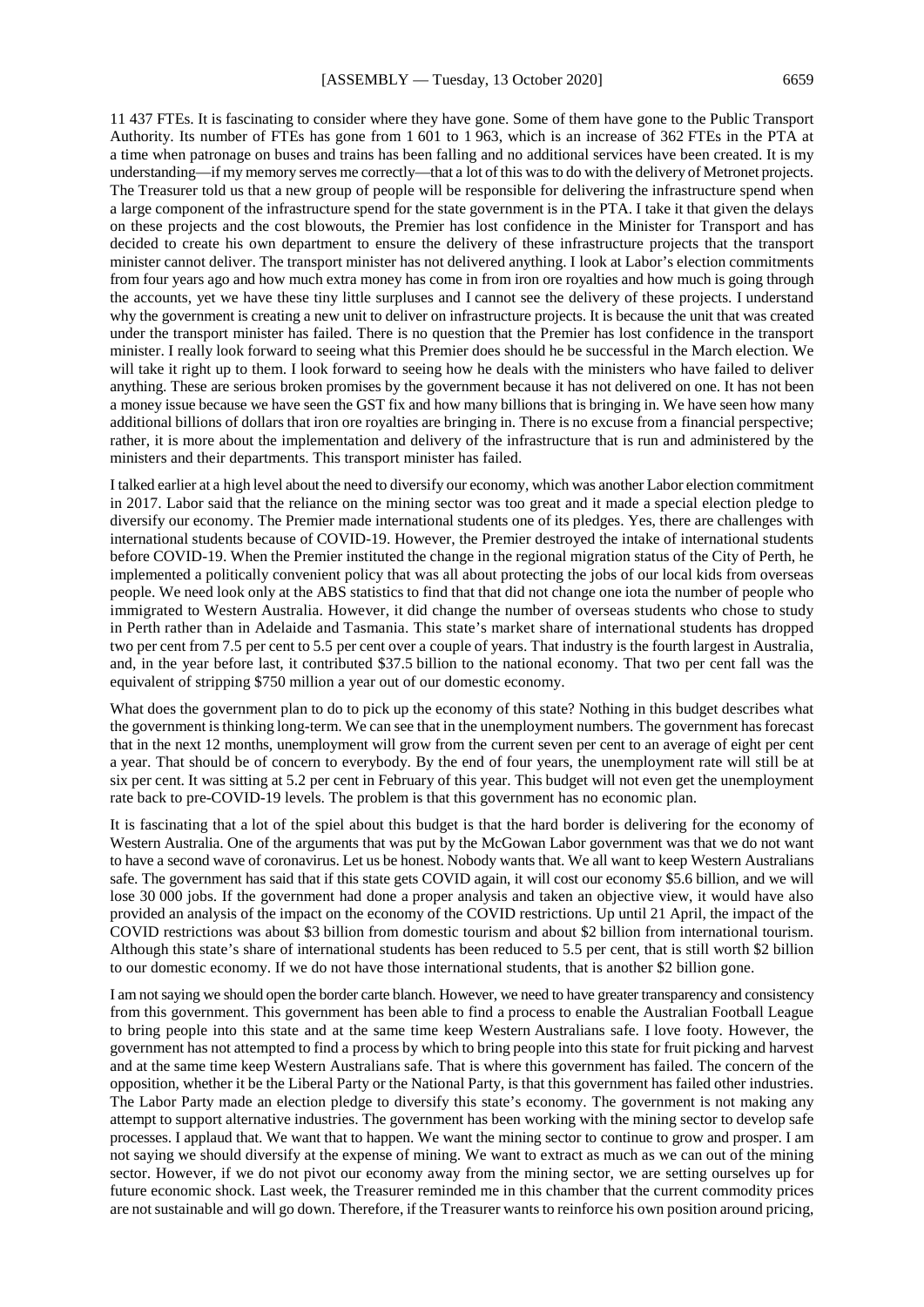11 437 FTEs. It is fascinating to consider where they have gone. Some of them have gone to the Public Transport Authority. Its number of FTEs has gone from 1 601 to 1 963, which is an increase of 362 FTEs in the PTA at a time when patronage on buses and trains has been falling and no additional services have been created. It is my understanding—if my memory serves me correctly—that a lot of this was to do with the delivery of Metronet projects. The Treasurer told us that a new group of people will be responsible for delivering the infrastructure spend when a large component of the infrastructure spend for the state government is in the PTA. I take it that given the delays on these projects and the cost blowouts, the Premier has lost confidence in the Minister for Transport and has decided to create his own department to ensure the delivery of these infrastructure projects that the transport minister cannot deliver. The transport minister has not delivered anything. I look at Labor's election commitments from four years ago and how much extra money has come in from iron ore royalties and how much is going through the accounts, yet we have these tiny little surpluses and I cannot see the delivery of these projects. I understand why the government is creating a new unit to deliver on infrastructure projects. It is because the unit that was created under the transport minister has failed. There is no question that the Premier has lost confidence in the transport minister. I really look forward to seeing what this Premier does should he be successful in the March election. We will take it right up to them. I look forward to seeing how he deals with the ministers who have failed to deliver anything. These are serious broken promises by the government because it has not delivered on one. It has not been a money issue because we have seen the GST fix and how many billions that is bringing in. We have seen how many additional billions of dollars that iron ore royalties are bringing in. There is no excuse from a financial perspective; rather, it is more about the implementation and delivery of the infrastructure that is run and administered by the ministers and their departments. This transport minister has failed.

I talked earlier at a high level about the need to diversify our economy, which was another Labor election commitment in 2017. Labor said that the reliance on the mining sector was too great and it made a special election pledge to diversify our economy. The Premier made international students one of its pledges. Yes, there are challenges with international students because of COVID-19. However, the Premier destroyed the intake of international students before COVID-19. When the Premier instituted the change in the regional migration status of the City of Perth, he implemented a politically convenient policy that was all about protecting the jobs of our local kids from overseas people. We need look only at the ABS statistics to find that that did not change one iota the number of people who immigrated to Western Australia. However, it did change the number of overseas students who chose to study in Perth rather than in Adelaide and Tasmania. This state's market share of international students has dropped two per cent from 7.5 per cent to 5.5 per cent over a couple of years. That industry is the fourth largest in Australia, and, in the year before last, it contributed \$37.5 billion to the national economy. That two per cent fall was the equivalent of stripping \$750 million a year out of our domestic economy.

What does the government plan to do to pick up the economy of this state? Nothing in this budget describes what the government is thinking long-term. We can see that in the unemployment numbers. The government has forecast that in the next 12 months, unemployment will grow from the current seven per cent to an average of eight per cent a year. That should be of concern to everybody. By the end of four years, the unemployment rate will still be at six per cent. It was sitting at 5.2 per cent in February of this year. This budget will not even get the unemployment rate back to pre-COVID-19 levels. The problem is that this government has no economic plan.

It is fascinating that a lot of the spiel about this budget is that the hard border is delivering for the economy of Western Australia. One of the arguments that was put by the McGowan Labor government was that we do not want to have a second wave of coronavirus. Let us be honest. Nobody wants that. We all want to keep Western Australians safe. The government has said that if this state gets COVID again, it will cost our economy \$5.6 billion, and we will lose 30 000 jobs. If the government had done a proper analysis and taken an objective view, it would have also provided an analysis of the impact on the economy of the COVID restrictions. Up until 21 April, the impact of the COVID restrictions was about \$3 billion from domestic tourism and about \$2 billion from international tourism. Although this state's share of international students has been reduced to 5.5 per cent, that is still worth \$2 billion to our domestic economy. If we do not have those international students, that is another \$2 billion gone.

I am not saying we should open the border carte blanch. However, we need to have greater transparency and consistency from this government. This government has been able to find a process to enable the Australian Football League to bring people into this state and at the same time keep Western Australians safe. I love footy. However, the government has not attempted to find a process by which to bring people into this state for fruit picking and harvest and at the same time keep Western Australians safe. That is where this government has failed. The concern of the opposition, whether it be the Liberal Party or the National Party, is that this government has failed other industries. The Labor Party made an election pledge to diversify this state's economy. The government is not making any attempt to support alternative industries. The government has been working with the mining sector to develop safe processes. I applaud that. We want that to happen. We want the mining sector to continue to grow and prosper. I am not saying we should diversify at the expense of mining. We want to extract as much as we can out of the mining sector. However, if we do not pivot our economy away from the mining sector, we are setting ourselves up for future economic shock. Last week, the Treasurer reminded me in this chamber that the current commodity prices are not sustainable and will go down. Therefore, if the Treasurer wants to reinforce his own position around pricing,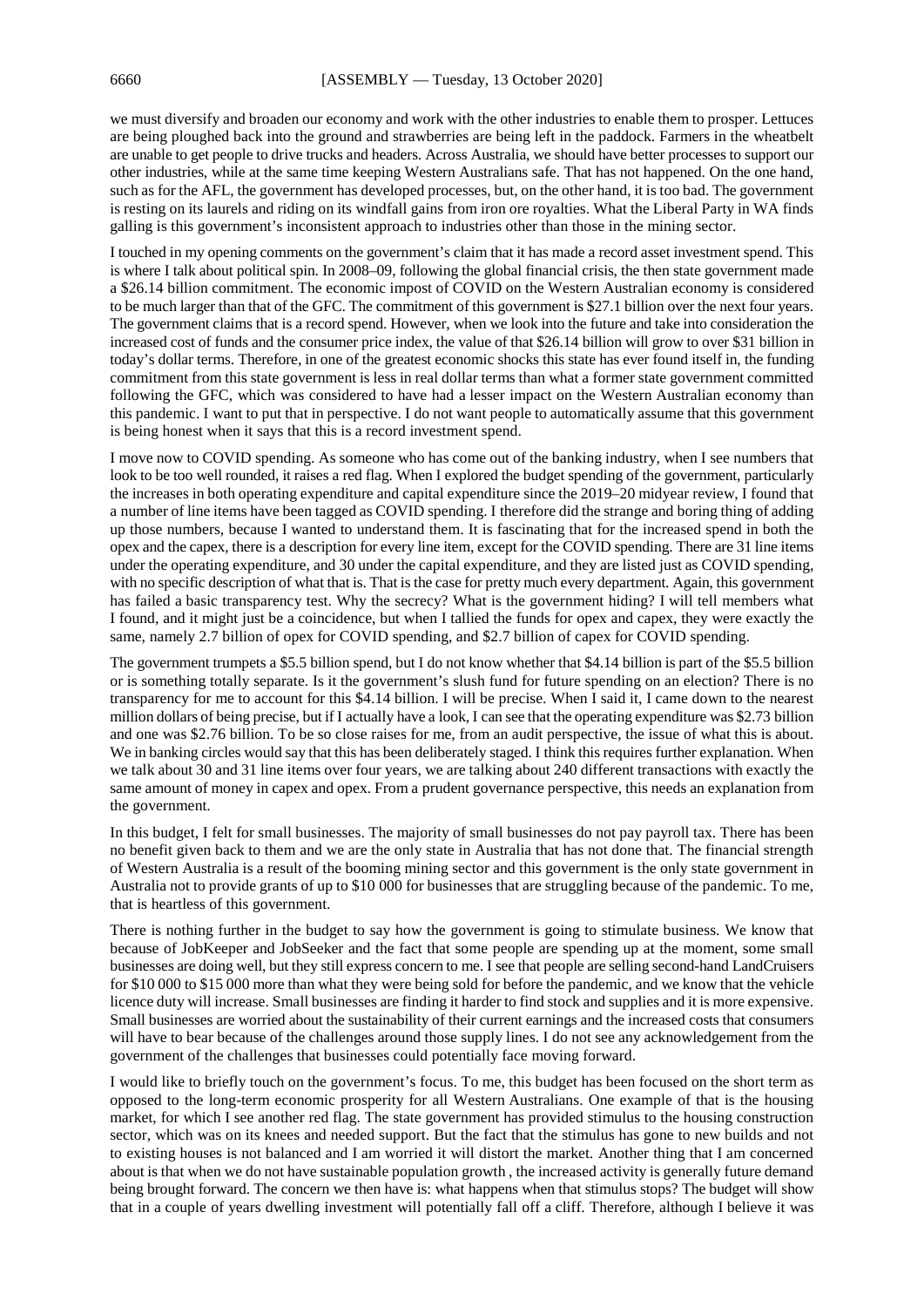we must diversify and broaden our economy and work with the other industries to enable them to prosper. Lettuces are being ploughed back into the ground and strawberries are being left in the paddock. Farmers in the wheatbelt are unable to get people to drive trucks and headers. Across Australia, we should have better processes to support our other industries, while at the same time keeping Western Australians safe. That has not happened. On the one hand, such as for the AFL, the government has developed processes, but, on the other hand, it is too bad. The government is resting on its laurels and riding on its windfall gains from iron ore royalties. What the Liberal Party in WA finds galling is this government's inconsistent approach to industries other than those in the mining sector.

I touched in my opening comments on the government's claim that it has made a record asset investment spend. This is where I talk about political spin. In 2008–09, following the global financial crisis, the then state government made a \$26.14 billion commitment. The economic impost of COVID on the Western Australian economy is considered to be much larger than that of the GFC. The commitment of this government is \$27.1 billion over the next four years. The government claims that is a record spend. However, when we look into the future and take into consideration the increased cost of funds and the consumer price index, the value of that \$26.14 billion will grow to over \$31 billion in today's dollar terms. Therefore, in one of the greatest economic shocks this state has ever found itself in, the funding commitment from this state government is less in real dollar terms than what a former state government committed following the GFC, which was considered to have had a lesser impact on the Western Australian economy than this pandemic. I want to put that in perspective. I do not want people to automatically assume that this government is being honest when it says that this is a record investment spend.

I move now to COVID spending. As someone who has come out of the banking industry, when I see numbers that look to be too well rounded, it raises a red flag. When I explored the budget spending of the government, particularly the increases in both operating expenditure and capital expenditure since the 2019–20 midyear review, I found that a number of line items have been tagged as COVID spending. I therefore did the strange and boring thing of adding up those numbers, because I wanted to understand them. It is fascinating that for the increased spend in both the opex and the capex, there is a description for every line item, except for the COVID spending. There are 31 line items under the operating expenditure, and 30 under the capital expenditure, and they are listed just as COVID spending, with no specific description of what that is. That is the case for pretty much every department. Again, this government has failed a basic transparency test. Why the secrecy? What is the government hiding? I will tell members what I found, and it might just be a coincidence, but when I tallied the funds for opex and capex, they were exactly the same, namely 2.7 billion of opex for COVID spending, and \$2.7 billion of capex for COVID spending.

The government trumpets a \$5.5 billion spend, but I do not know whether that \$4.14 billion is part of the \$5.5 billion or is something totally separate. Is it the government's slush fund for future spending on an election? There is no transparency for me to account for this \$4.14 billion. I will be precise. When I said it, I came down to the nearest million dollars of being precise, but if I actually have a look, I can see that the operating expenditure was \$2.73 billion and one was \$2.76 billion. To be so close raises for me, from an audit perspective, the issue of what this is about. We in banking circles would say that this has been deliberately staged. I think this requires further explanation. When we talk about 30 and 31 line items over four years, we are talking about 240 different transactions with exactly the same amount of money in capex and opex. From a prudent governance perspective, this needs an explanation from the government.

In this budget, I felt for small businesses. The majority of small businesses do not pay payroll tax. There has been no benefit given back to them and we are the only state in Australia that has not done that. The financial strength of Western Australia is a result of the booming mining sector and this government is the only state government in Australia not to provide grants of up to \$10 000 for businesses that are struggling because of the pandemic. To me, that is heartless of this government.

There is nothing further in the budget to say how the government is going to stimulate business. We know that because of JobKeeper and JobSeeker and the fact that some people are spending up at the moment, some small businesses are doing well, but they still express concern to me. I see that people are selling second-hand LandCruisers for \$10 000 to \$15 000 more than what they were being sold for before the pandemic, and we know that the vehicle licence duty will increase. Small businesses are finding it harder to find stock and supplies and it is more expensive. Small businesses are worried about the sustainability of their current earnings and the increased costs that consumers will have to bear because of the challenges around those supply lines. I do not see any acknowledgement from the government of the challenges that businesses could potentially face moving forward.

I would like to briefly touch on the government's focus. To me, this budget has been focused on the short term as opposed to the long-term economic prosperity for all Western Australians. One example of that is the housing market, for which I see another red flag. The state government has provided stimulus to the housing construction sector, which was on its knees and needed support. But the fact that the stimulus has gone to new builds and not to existing houses is not balanced and I am worried it will distort the market. Another thing that I am concerned about is that when we do not have sustainable population growth , the increased activity is generally future demand being brought forward. The concern we then have is: what happens when that stimulus stops? The budget will show that in a couple of years dwelling investment will potentially fall off a cliff. Therefore, although I believe it was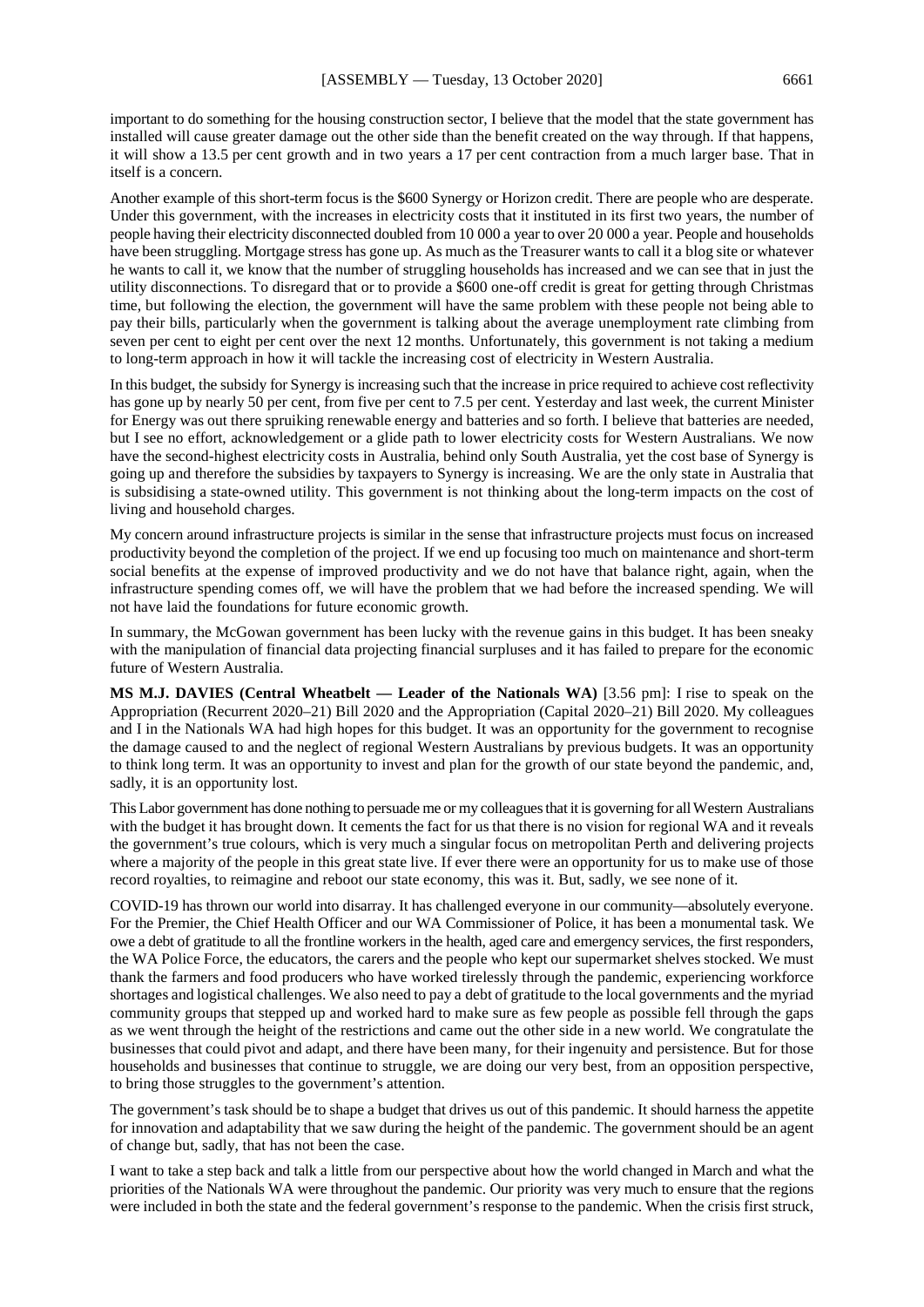important to do something for the housing construction sector, I believe that the model that the state government has installed will cause greater damage out the other side than the benefit created on the way through. If that happens, it will show a 13.5 per cent growth and in two years a 17 per cent contraction from a much larger base. That in itself is a concern.

Another example of this short-term focus is the \$600 Synergy or Horizon credit. There are people who are desperate. Under this government, with the increases in electricity costs that it instituted in its first two years, the number of people having their electricity disconnected doubled from 10 000 a year to over 20 000 a year. People and households have been struggling. Mortgage stress has gone up. As much as the Treasurer wants to call it a blog site or whatever he wants to call it, we know that the number of struggling households has increased and we can see that in just the utility disconnections. To disregard that or to provide a \$600 one-off credit is great for getting through Christmas time, but following the election, the government will have the same problem with these people not being able to pay their bills, particularly when the government is talking about the average unemployment rate climbing from seven per cent to eight per cent over the next 12 months. Unfortunately, this government is not taking a medium to long-term approach in how it will tackle the increasing cost of electricity in Western Australia.

In this budget, the subsidy for Synergy is increasing such that the increase in price required to achieve cost reflectivity has gone up by nearly 50 per cent, from five per cent to 7.5 per cent. Yesterday and last week, the current Minister for Energy was out there spruiking renewable energy and batteries and so forth. I believe that batteries are needed, but I see no effort, acknowledgement or a glide path to lower electricity costs for Western Australians. We now have the second-highest electricity costs in Australia, behind only South Australia, yet the cost base of Synergy is going up and therefore the subsidies by taxpayers to Synergy is increasing. We are the only state in Australia that is subsidising a state-owned utility. This government is not thinking about the long-term impacts on the cost of living and household charges.

My concern around infrastructure projects is similar in the sense that infrastructure projects must focus on increased productivity beyond the completion of the project. If we end up focusing too much on maintenance and short-term social benefits at the expense of improved productivity and we do not have that balance right, again, when the infrastructure spending comes off, we will have the problem that we had before the increased spending. We will not have laid the foundations for future economic growth.

In summary, the McGowan government has been lucky with the revenue gains in this budget. It has been sneaky with the manipulation of financial data projecting financial surpluses and it has failed to prepare for the economic future of Western Australia.

**MS M.J. DAVIES (Central Wheatbelt — Leader of the Nationals WA)** [3.56 pm]: I rise to speak on the Appropriation (Recurrent 2020–21) Bill 2020 and the Appropriation (Capital 2020–21) Bill 2020. My colleagues and I in the Nationals WA had high hopes for this budget. It was an opportunity for the government to recognise the damage caused to and the neglect of regional Western Australians by previous budgets. It was an opportunity to think long term. It was an opportunity to invest and plan for the growth of our state beyond the pandemic, and, sadly, it is an opportunity lost.

This Labor government has done nothing to persuade me or my colleagues that it is governing for all Western Australians with the budget it has brought down. It cements the fact for us that there is no vision for regional WA and it reveals the government's true colours, which is very much a singular focus on metropolitan Perth and delivering projects where a majority of the people in this great state live. If ever there were an opportunity for us to make use of those record royalties, to reimagine and reboot our state economy, this was it. But, sadly, we see none of it.

COVID-19 has thrown our world into disarray. It has challenged everyone in our community—absolutely everyone. For the Premier, the Chief Health Officer and our WA Commissioner of Police, it has been a monumental task. We owe a debt of gratitude to all the frontline workers in the health, aged care and emergency services, the first responders, the WA Police Force, the educators, the carers and the people who kept our supermarket shelves stocked. We must thank the farmers and food producers who have worked tirelessly through the pandemic, experiencing workforce shortages and logistical challenges. We also need to pay a debt of gratitude to the local governments and the myriad community groups that stepped up and worked hard to make sure as few people as possible fell through the gaps as we went through the height of the restrictions and came out the other side in a new world. We congratulate the businesses that could pivot and adapt, and there have been many, for their ingenuity and persistence. But for those households and businesses that continue to struggle, we are doing our very best, from an opposition perspective, to bring those struggles to the government's attention.

The government's task should be to shape a budget that drives us out of this pandemic. It should harness the appetite for innovation and adaptability that we saw during the height of the pandemic. The government should be an agent of change but, sadly, that has not been the case.

I want to take a step back and talk a little from our perspective about how the world changed in March and what the priorities of the Nationals WA were throughout the pandemic. Our priority was very much to ensure that the regions were included in both the state and the federal government's response to the pandemic. When the crisis first struck,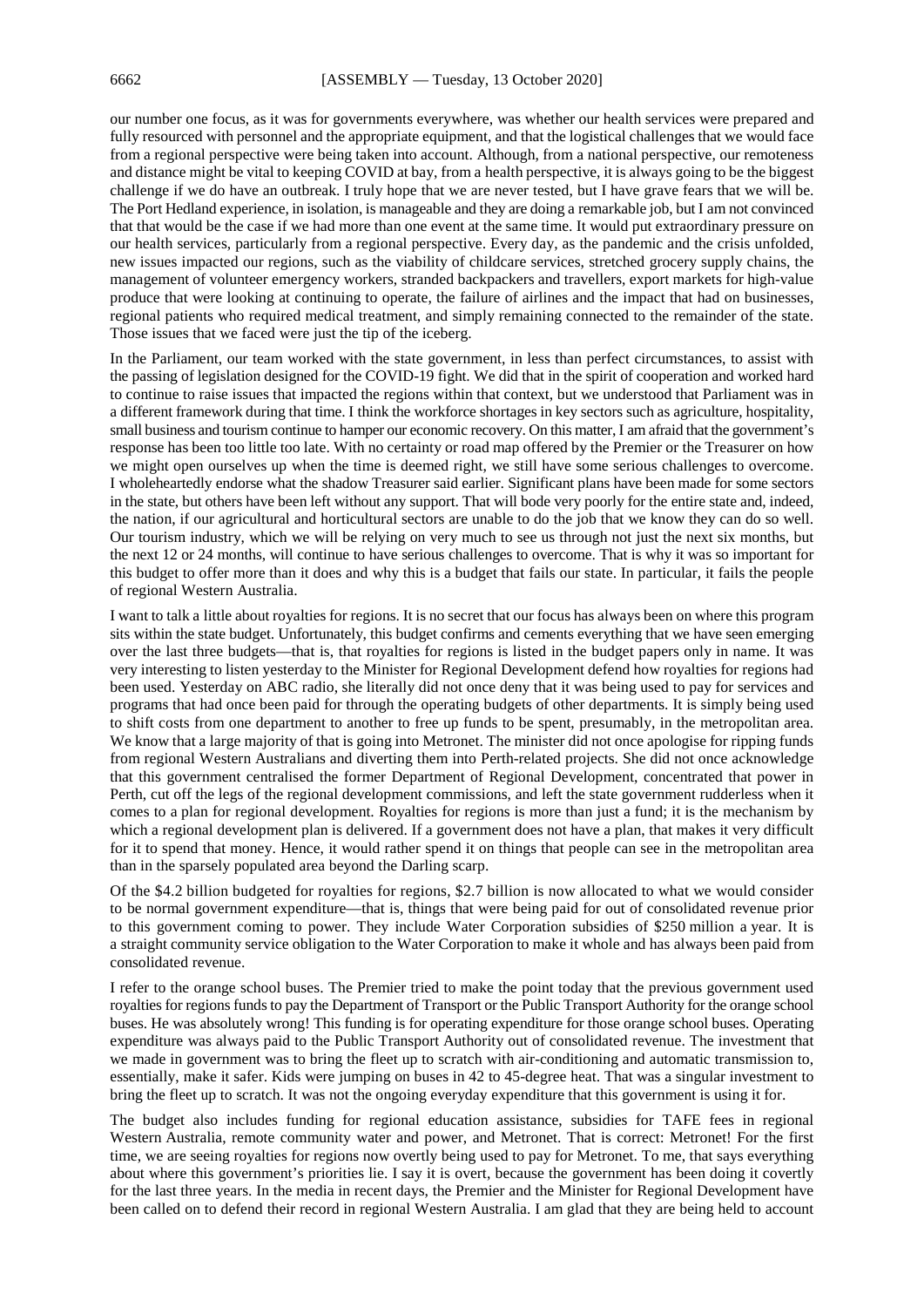our number one focus, as it was for governments everywhere, was whether our health services were prepared and fully resourced with personnel and the appropriate equipment, and that the logistical challenges that we would face from a regional perspective were being taken into account. Although, from a national perspective, our remoteness and distance might be vital to keeping COVID at bay, from a health perspective, it is always going to be the biggest challenge if we do have an outbreak. I truly hope that we are never tested, but I have grave fears that we will be. The Port Hedland experience, in isolation, is manageable and they are doing a remarkable job, but I am not convinced that that would be the case if we had more than one event at the same time. It would put extraordinary pressure on our health services, particularly from a regional perspective. Every day, as the pandemic and the crisis unfolded, new issues impacted our regions, such as the viability of childcare services, stretched grocery supply chains, the management of volunteer emergency workers, stranded backpackers and travellers, export markets for high-value produce that were looking at continuing to operate, the failure of airlines and the impact that had on businesses, regional patients who required medical treatment, and simply remaining connected to the remainder of the state. Those issues that we faced were just the tip of the iceberg.

In the Parliament, our team worked with the state government, in less than perfect circumstances, to assist with the passing of legislation designed for the COVID-19 fight. We did that in the spirit of cooperation and worked hard to continue to raise issues that impacted the regions within that context, but we understood that Parliament was in a different framework during that time. I think the workforce shortages in key sectors such as agriculture, hospitality, small business and tourism continue to hamper our economic recovery. On this matter, I am afraid that the government's response has been too little too late. With no certainty or road map offered by the Premier or the Treasurer on how we might open ourselves up when the time is deemed right, we still have some serious challenges to overcome. I wholeheartedly endorse what the shadow Treasurer said earlier. Significant plans have been made for some sectors in the state, but others have been left without any support. That will bode very poorly for the entire state and, indeed, the nation, if our agricultural and horticultural sectors are unable to do the job that we know they can do so well. Our tourism industry, which we will be relying on very much to see us through not just the next six months, but the next 12 or 24 months, will continue to have serious challenges to overcome. That is why it was so important for this budget to offer more than it does and why this is a budget that fails our state. In particular, it fails the people of regional Western Australia.

I want to talk a little about royalties for regions. It is no secret that our focus has always been on where this program sits within the state budget. Unfortunately, this budget confirms and cements everything that we have seen emerging over the last three budgets—that is, that royalties for regions is listed in the budget papers only in name. It was very interesting to listen yesterday to the Minister for Regional Development defend how royalties for regions had been used. Yesterday on ABC radio, she literally did not once deny that it was being used to pay for services and programs that had once been paid for through the operating budgets of other departments. It is simply being used to shift costs from one department to another to free up funds to be spent, presumably, in the metropolitan area. We know that a large majority of that is going into Metronet. The minister did not once apologise for ripping funds from regional Western Australians and diverting them into Perth-related projects. She did not once acknowledge that this government centralised the former Department of Regional Development, concentrated that power in Perth, cut off the legs of the regional development commissions, and left the state government rudderless when it comes to a plan for regional development. Royalties for regions is more than just a fund; it is the mechanism by which a regional development plan is delivered. If a government does not have a plan, that makes it very difficult for it to spend that money. Hence, it would rather spend it on things that people can see in the metropolitan area than in the sparsely populated area beyond the Darling scarp.

Of the \$4.2 billion budgeted for royalties for regions, \$2.7 billion is now allocated to what we would consider to be normal government expenditure—that is, things that were being paid for out of consolidated revenue prior to this government coming to power. They include Water Corporation subsidies of \$250 million a year. It is a straight community service obligation to the Water Corporation to make it whole and has always been paid from consolidated revenue.

I refer to the orange school buses. The Premier tried to make the point today that the previous government used royalties for regions funds to pay the Department of Transport or the Public Transport Authority for the orange school buses. He was absolutely wrong! This funding is for operating expenditure for those orange school buses. Operating expenditure was always paid to the Public Transport Authority out of consolidated revenue. The investment that we made in government was to bring the fleet up to scratch with air-conditioning and automatic transmission to, essentially, make it safer. Kids were jumping on buses in 42 to 45-degree heat. That was a singular investment to bring the fleet up to scratch. It was not the ongoing everyday expenditure that this government is using it for.

The budget also includes funding for regional education assistance, subsidies for TAFE fees in regional Western Australia, remote community water and power, and Metronet. That is correct: Metronet! For the first time, we are seeing royalties for regions now overtly being used to pay for Metronet. To me, that says everything about where this government's priorities lie. I say it is overt, because the government has been doing it covertly for the last three years. In the media in recent days, the Premier and the Minister for Regional Development have been called on to defend their record in regional Western Australia. I am glad that they are being held to account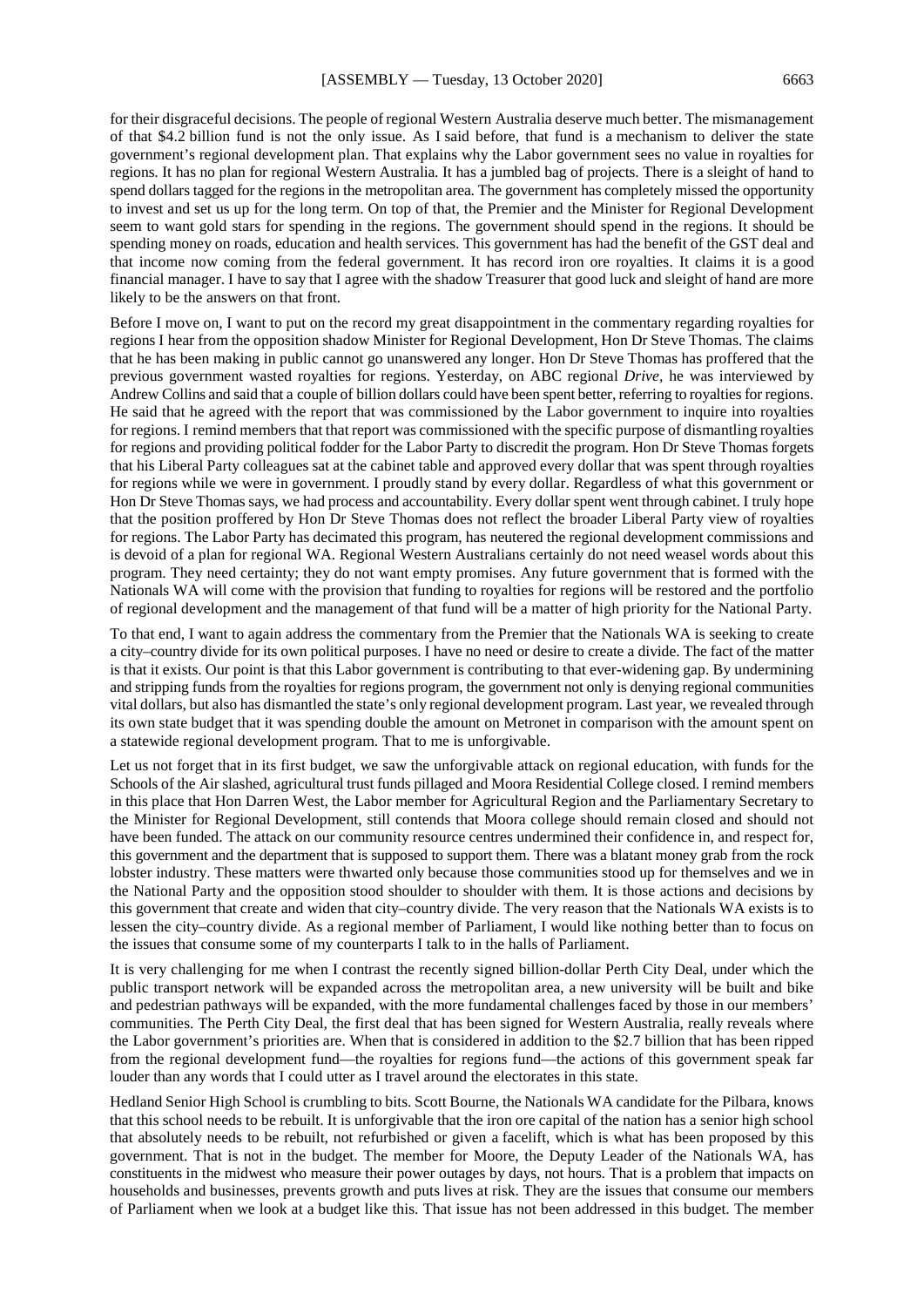for their disgraceful decisions. The people of regional Western Australia deserve much better. The mismanagement of that \$4.2 billion fund is not the only issue. As I said before, that fund is a mechanism to deliver the state government's regional development plan. That explains why the Labor government sees no value in royalties for regions. It has no plan for regional Western Australia. It has a jumbled bag of projects. There is a sleight of hand to spend dollars tagged for the regions in the metropolitan area. The government has completely missed the opportunity to invest and set us up for the long term. On top of that, the Premier and the Minister for Regional Development seem to want gold stars for spending in the regions. The government should spend in the regions. It should be spending money on roads, education and health services. This government has had the benefit of the GST deal and that income now coming from the federal government. It has record iron ore royalties. It claims it is a good financial manager. I have to say that I agree with the shadow Treasurer that good luck and sleight of hand are more likely to be the answers on that front.

Before I move on, I want to put on the record my great disappointment in the commentary regarding royalties for regions I hear from the opposition shadow Minister for Regional Development, Hon Dr Steve Thomas. The claims that he has been making in public cannot go unanswered any longer. Hon Dr Steve Thomas has proffered that the previous government wasted royalties for regions. Yesterday, on ABC regional *Drive*, he was interviewed by Andrew Collins and said that a couple of billion dollars could have been spent better, referring to royalties for regions. He said that he agreed with the report that was commissioned by the Labor government to inquire into royalties for regions. I remind members that that report was commissioned with the specific purpose of dismantling royalties for regions and providing political fodder for the Labor Party to discredit the program. Hon Dr Steve Thomas forgets that his Liberal Party colleagues sat at the cabinet table and approved every dollar that was spent through royalties for regions while we were in government. I proudly stand by every dollar. Regardless of what this government or Hon Dr Steve Thomas says, we had process and accountability. Every dollar spent went through cabinet. I truly hope that the position proffered by Hon Dr Steve Thomas does not reflect the broader Liberal Party view of royalties for regions. The Labor Party has decimated this program, has neutered the regional development commissions and is devoid of a plan for regional WA. Regional Western Australians certainly do not need weasel words about this program. They need certainty; they do not want empty promises. Any future government that is formed with the Nationals WA will come with the provision that funding to royalties for regions will be restored and the portfolio of regional development and the management of that fund will be a matter of high priority for the National Party.

To that end, I want to again address the commentary from the Premier that the Nationals WA is seeking to create a city–country divide for its own political purposes. I have no need or desire to create a divide. The fact of the matter is that it exists. Our point is that this Labor government is contributing to that ever-widening gap. By undermining and stripping funds from the royalties for regions program, the government not only is denying regional communities vital dollars, but also has dismantled the state's only regional development program. Last year, we revealed through its own state budget that it was spending double the amount on Metronet in comparison with the amount spent on a statewide regional development program. That to me is unforgivable.

Let us not forget that in its first budget, we saw the unforgivable attack on regional education, with funds for the Schools of the Air slashed, agricultural trust funds pillaged and Moora Residential College closed. I remind members in this place that Hon Darren West, the Labor member for Agricultural Region and the Parliamentary Secretary to the Minister for Regional Development, still contends that Moora college should remain closed and should not have been funded. The attack on our community resource centres undermined their confidence in, and respect for, this government and the department that is supposed to support them. There was a blatant money grab from the rock lobster industry. These matters were thwarted only because those communities stood up for themselves and we in the National Party and the opposition stood shoulder to shoulder with them. It is those actions and decisions by this government that create and widen that city–country divide. The very reason that the Nationals WA exists is to lessen the city–country divide. As a regional member of Parliament, I would like nothing better than to focus on the issues that consume some of my counterparts I talk to in the halls of Parliament.

It is very challenging for me when I contrast the recently signed billion-dollar Perth City Deal, under which the public transport network will be expanded across the metropolitan area, a new university will be built and bike and pedestrian pathways will be expanded, with the more fundamental challenges faced by those in our members' communities. The Perth City Deal, the first deal that has been signed for Western Australia, really reveals where the Labor government's priorities are. When that is considered in addition to the \$2.7 billion that has been ripped from the regional development fund—the royalties for regions fund—the actions of this government speak far louder than any words that I could utter as I travel around the electorates in this state.

Hedland Senior High School is crumbling to bits. Scott Bourne, the Nationals WA candidate for the Pilbara, knows that this school needs to be rebuilt. It is unforgivable that the iron ore capital of the nation has a senior high school that absolutely needs to be rebuilt, not refurbished or given a facelift, which is what has been proposed by this government. That is not in the budget. The member for Moore, the Deputy Leader of the Nationals WA, has constituents in the midwest who measure their power outages by days, not hours. That is a problem that impacts on households and businesses, prevents growth and puts lives at risk. They are the issues that consume our members of Parliament when we look at a budget like this. That issue has not been addressed in this budget. The member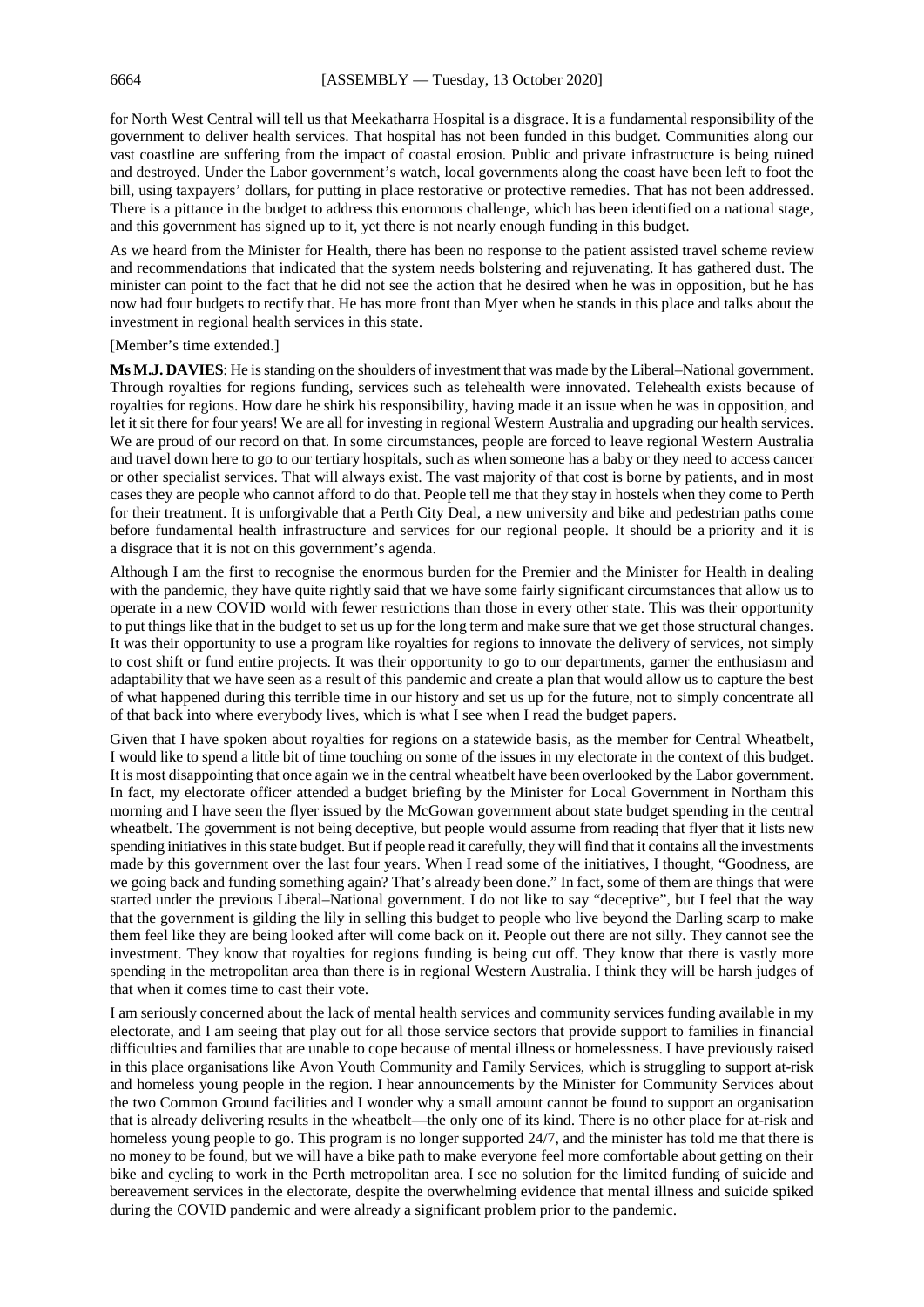for North West Central will tell us that Meekatharra Hospital is a disgrace. It is a fundamental responsibility of the government to deliver health services. That hospital has not been funded in this budget. Communities along our vast coastline are suffering from the impact of coastal erosion. Public and private infrastructure is being ruined and destroyed. Under the Labor government's watch, local governments along the coast have been left to foot the bill, using taxpayers' dollars, for putting in place restorative or protective remedies. That has not been addressed. There is a pittance in the budget to address this enormous challenge, which has been identified on a national stage, and this government has signed up to it, yet there is not nearly enough funding in this budget.

As we heard from the Minister for Health, there has been no response to the patient assisted travel scheme review and recommendations that indicated that the system needs bolstering and rejuvenating. It has gathered dust. The minister can point to the fact that he did not see the action that he desired when he was in opposition, but he has now had four budgets to rectify that. He has more front than Myer when he stands in this place and talks about the investment in regional health services in this state.

[Member's time extended.]

**Ms M.J. DAVIES**: He is standing on the shoulders of investment that was made by the Liberal–National government. Through royalties for regions funding, services such as telehealth were innovated. Telehealth exists because of royalties for regions. How dare he shirk his responsibility, having made it an issue when he was in opposition, and let it sit there for four years! We are all for investing in regional Western Australia and upgrading our health services. We are proud of our record on that. In some circumstances, people are forced to leave regional Western Australia and travel down here to go to our tertiary hospitals, such as when someone has a baby or they need to access cancer or other specialist services. That will always exist. The vast majority of that cost is borne by patients, and in most cases they are people who cannot afford to do that. People tell me that they stay in hostels when they come to Perth for their treatment. It is unforgivable that a Perth City Deal, a new university and bike and pedestrian paths come before fundamental health infrastructure and services for our regional people. It should be a priority and it is a disgrace that it is not on this government's agenda.

Although I am the first to recognise the enormous burden for the Premier and the Minister for Health in dealing with the pandemic, they have quite rightly said that we have some fairly significant circumstances that allow us to operate in a new COVID world with fewer restrictions than those in every other state. This was their opportunity to put things like that in the budget to set us up for the long term and make sure that we get those structural changes. It was their opportunity to use a program like royalties for regions to innovate the delivery of services, not simply to cost shift or fund entire projects. It was their opportunity to go to our departments, garner the enthusiasm and adaptability that we have seen as a result of this pandemic and create a plan that would allow us to capture the best of what happened during this terrible time in our history and set us up for the future, not to simply concentrate all of that back into where everybody lives, which is what I see when I read the budget papers.

Given that I have spoken about royalties for regions on a statewide basis, as the member for Central Wheatbelt, I would like to spend a little bit of time touching on some of the issues in my electorate in the context of this budget. It is most disappointing that once again we in the central wheatbelt have been overlooked by the Labor government. In fact, my electorate officer attended a budget briefing by the Minister for Local Government in Northam this morning and I have seen the flyer issued by the McGowan government about state budget spending in the central wheatbelt. The government is not being deceptive, but people would assume from reading that flyer that it lists new spending initiatives in this state budget. But if people read it carefully, they will find that it contains all the investments made by this government over the last four years. When I read some of the initiatives, I thought, "Goodness, are we going back and funding something again? That's already been done." In fact, some of them are things that were started under the previous Liberal–National government. I do not like to say "deceptive", but I feel that the way that the government is gilding the lily in selling this budget to people who live beyond the Darling scarp to make them feel like they are being looked after will come back on it. People out there are not silly. They cannot see the investment. They know that royalties for regions funding is being cut off. They know that there is vastly more spending in the metropolitan area than there is in regional Western Australia. I think they will be harsh judges of that when it comes time to cast their vote.

I am seriously concerned about the lack of mental health services and community services funding available in my electorate, and I am seeing that play out for all those service sectors that provide support to families in financial difficulties and families that are unable to cope because of mental illness or homelessness. I have previously raised in this place organisations like Avon Youth Community and Family Services, which is struggling to support at-risk and homeless young people in the region. I hear announcements by the Minister for Community Services about the two Common Ground facilities and I wonder why a small amount cannot be found to support an organisation that is already delivering results in the wheatbelt—the only one of its kind. There is no other place for at-risk and homeless young people to go. This program is no longer supported 24/7, and the minister has told me that there is no money to be found, but we will have a bike path to make everyone feel more comfortable about getting on their bike and cycling to work in the Perth metropolitan area. I see no solution for the limited funding of suicide and bereavement services in the electorate, despite the overwhelming evidence that mental illness and suicide spiked during the COVID pandemic and were already a significant problem prior to the pandemic.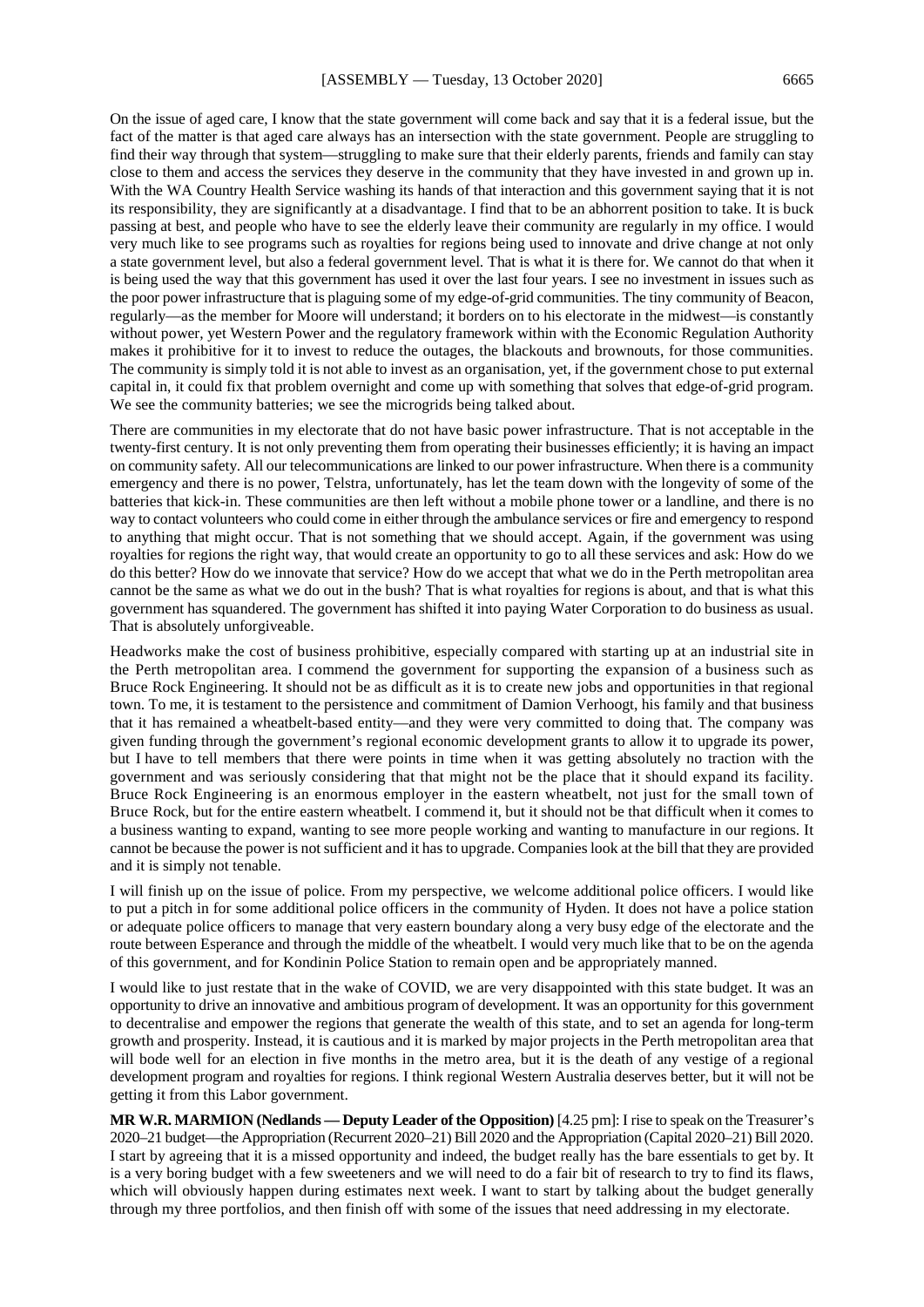On the issue of aged care, I know that the state government will come back and say that it is a federal issue, but the fact of the matter is that aged care always has an intersection with the state government. People are struggling to find their way through that system—struggling to make sure that their elderly parents, friends and family can stay close to them and access the services they deserve in the community that they have invested in and grown up in. With the WA Country Health Service washing its hands of that interaction and this government saying that it is not its responsibility, they are significantly at a disadvantage. I find that to be an abhorrent position to take. It is buck passing at best, and people who have to see the elderly leave their community are regularly in my office. I would very much like to see programs such as royalties for regions being used to innovate and drive change at not only a state government level, but also a federal government level. That is what it is there for. We cannot do that when it is being used the way that this government has used it over the last four years. I see no investment in issues such as the poor power infrastructure that is plaguing some of my edge-of-grid communities. The tiny community of Beacon, regularly—as the member for Moore will understand; it borders on to his electorate in the midwest—is constantly without power, yet Western Power and the regulatory framework within with the Economic Regulation Authority makes it prohibitive for it to invest to reduce the outages, the blackouts and brownouts, for those communities. The community is simply told it is not able to invest as an organisation, yet, if the government chose to put external capital in, it could fix that problem overnight and come up with something that solves that edge-of-grid program. We see the community batteries; we see the microgrids being talked about.

There are communities in my electorate that do not have basic power infrastructure. That is not acceptable in the twenty-first century. It is not only preventing them from operating their businesses efficiently; it is having an impact on community safety. All our telecommunications are linked to our power infrastructure. When there is a community emergency and there is no power, Telstra, unfortunately, has let the team down with the longevity of some of the batteries that kick-in. These communities are then left without a mobile phone tower or a landline, and there is no way to contact volunteers who could come in either through the ambulance services or fire and emergency to respond to anything that might occur. That is not something that we should accept. Again, if the government was using royalties for regions the right way, that would create an opportunity to go to all these services and ask: How do we do this better? How do we innovate that service? How do we accept that what we do in the Perth metropolitan area cannot be the same as what we do out in the bush? That is what royalties for regions is about, and that is what this government has squandered. The government has shifted it into paying Water Corporation to do business as usual. That is absolutely unforgiveable.

Headworks make the cost of business prohibitive, especially compared with starting up at an industrial site in the Perth metropolitan area. I commend the government for supporting the expansion of a business such as Bruce Rock Engineering. It should not be as difficult as it is to create new jobs and opportunities in that regional town. To me, it is testament to the persistence and commitment of Damion Verhoogt, his family and that business that it has remained a wheatbelt-based entity—and they were very committed to doing that. The company was given funding through the government's regional economic development grants to allow it to upgrade its power, but I have to tell members that there were points in time when it was getting absolutely no traction with the government and was seriously considering that that might not be the place that it should expand its facility. Bruce Rock Engineering is an enormous employer in the eastern wheatbelt, not just for the small town of Bruce Rock, but for the entire eastern wheatbelt. I commend it, but it should not be that difficult when it comes to a business wanting to expand, wanting to see more people working and wanting to manufacture in our regions. It cannot be because the power is not sufficient and it has to upgrade. Companies look at the bill that they are provided and it is simply not tenable.

I will finish up on the issue of police. From my perspective, we welcome additional police officers. I would like to put a pitch in for some additional police officers in the community of Hyden. It does not have a police station or adequate police officers to manage that very eastern boundary along a very busy edge of the electorate and the route between Esperance and through the middle of the wheatbelt. I would very much like that to be on the agenda of this government, and for Kondinin Police Station to remain open and be appropriately manned.

I would like to just restate that in the wake of COVID, we are very disappointed with this state budget. It was an opportunity to drive an innovative and ambitious program of development. It was an opportunity for this government to decentralise and empower the regions that generate the wealth of this state, and to set an agenda for long-term growth and prosperity. Instead, it is cautious and it is marked by major projects in the Perth metropolitan area that will bode well for an election in five months in the metro area, but it is the death of any vestige of a regional development program and royalties for regions. I think regional Western Australia deserves better, but it will not be getting it from this Labor government.

**MR W.R. MARMION (Nedlands — Deputy Leader of the Opposition)** [4.25 pm]: I rise to speak on the Treasurer's 2020–21 budget—the Appropriation (Recurrent 2020–21) Bill 2020 and the Appropriation (Capital 2020–21) Bill 2020. I start by agreeing that it is a missed opportunity and indeed, the budget really has the bare essentials to get by. It is a very boring budget with a few sweeteners and we will need to do a fair bit of research to try to find its flaws, which will obviously happen during estimates next week. I want to start by talking about the budget generally through my three portfolios, and then finish off with some of the issues that need addressing in my electorate.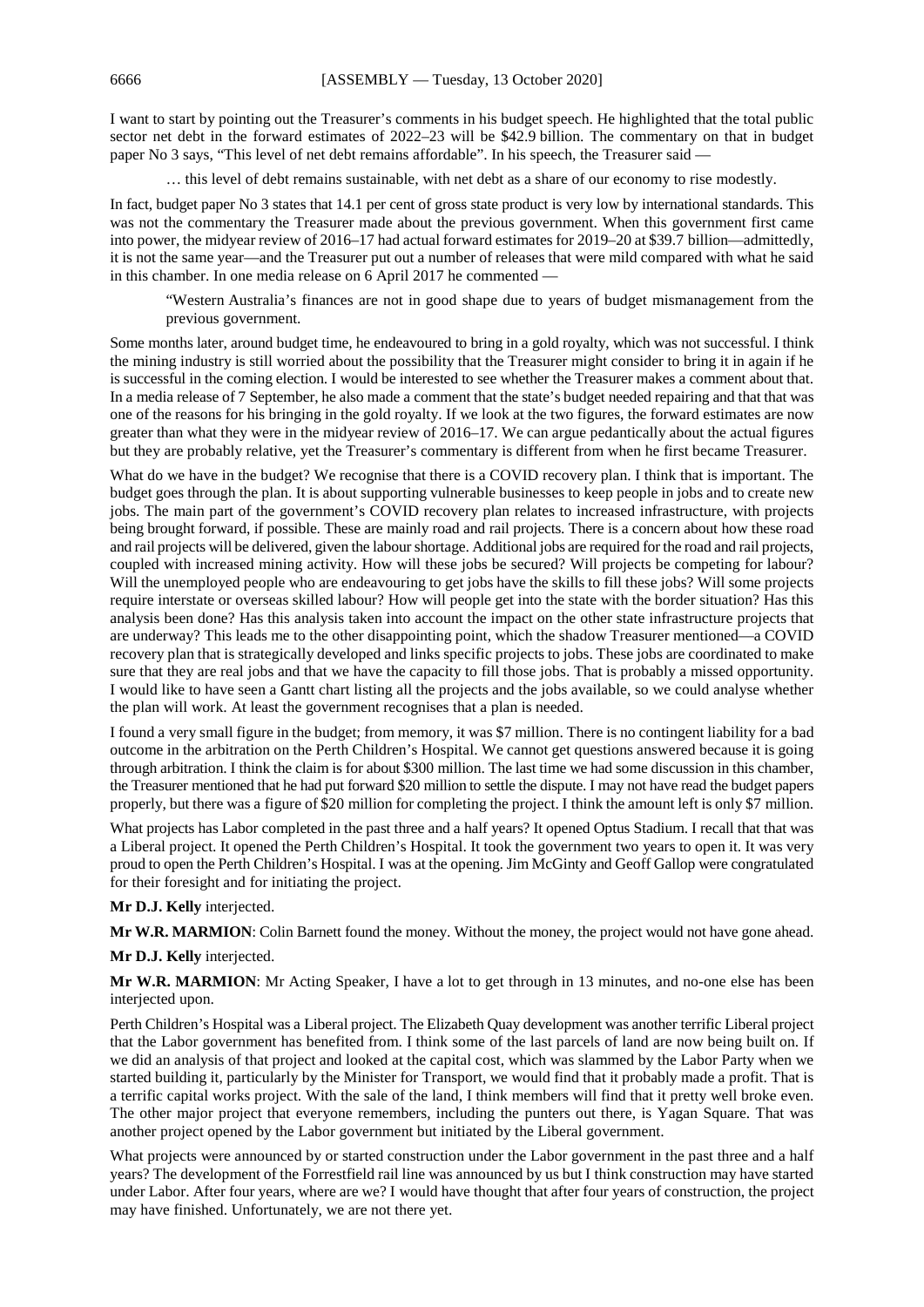I want to start by pointing out the Treasurer's comments in his budget speech. He highlighted that the total public sector net debt in the forward estimates of 2022–23 will be \$42.9 billion. The commentary on that in budget paper No 3 says, "This level of net debt remains affordable". In his speech, the Treasurer said -

… this level of debt remains sustainable, with net debt as a share of our economy to rise modestly.

In fact, budget paper No 3 states that 14.1 per cent of gross state product is very low by international standards. This was not the commentary the Treasurer made about the previous government. When this government first came into power, the midyear review of 2016–17 had actual forward estimates for 2019–20 at \$39.7 billion—admittedly, it is not the same year—and the Treasurer put out a number of releases that were mild compared with what he said in this chamber. In one media release on 6 April 2017 he commented —

"Western Australia's finances are not in good shape due to years of budget mismanagement from the previous government.

Some months later, around budget time, he endeavoured to bring in a gold royalty, which was not successful. I think the mining industry is still worried about the possibility that the Treasurer might consider to bring it in again if he is successful in the coming election. I would be interested to see whether the Treasurer makes a comment about that. In a media release of 7 September, he also made a comment that the state's budget needed repairing and that that was one of the reasons for his bringing in the gold royalty. If we look at the two figures, the forward estimates are now greater than what they were in the midyear review of 2016–17. We can argue pedantically about the actual figures but they are probably relative, yet the Treasurer's commentary is different from when he first became Treasurer.

What do we have in the budget? We recognise that there is a COVID recovery plan. I think that is important. The budget goes through the plan. It is about supporting vulnerable businesses to keep people in jobs and to create new jobs. The main part of the government's COVID recovery plan relates to increased infrastructure, with projects being brought forward, if possible. These are mainly road and rail projects. There is a concern about how these road and rail projects will be delivered, given the labour shortage. Additional jobs are required for the road and rail projects, coupled with increased mining activity. How will these jobs be secured? Will projects be competing for labour? Will the unemployed people who are endeavouring to get jobs have the skills to fill these jobs? Will some projects require interstate or overseas skilled labour? How will people get into the state with the border situation? Has this analysis been done? Has this analysis taken into account the impact on the other state infrastructure projects that are underway? This leads me to the other disappointing point, which the shadow Treasurer mentioned—a COVID recovery plan that is strategically developed and links specific projects to jobs. These jobs are coordinated to make sure that they are real jobs and that we have the capacity to fill those jobs. That is probably a missed opportunity. I would like to have seen a Gantt chart listing all the projects and the jobs available, so we could analyse whether the plan will work. At least the government recognises that a plan is needed.

I found a very small figure in the budget; from memory, it was \$7 million. There is no contingent liability for a bad outcome in the arbitration on the Perth Children's Hospital. We cannot get questions answered because it is going through arbitration. I think the claim is for about \$300 million. The last time we had some discussion in this chamber, the Treasurer mentioned that he had put forward \$20 million to settle the dispute. I may not have read the budget papers properly, but there was a figure of \$20 million for completing the project. I think the amount left is only \$7 million.

What projects has Labor completed in the past three and a half years? It opened Optus Stadium. I recall that that was a Liberal project. It opened the Perth Children's Hospital. It took the government two years to open it. It was very proud to open the Perth Children's Hospital. I was at the opening. Jim McGinty and Geoff Gallop were congratulated for their foresight and for initiating the project.

#### **Mr D.J. Kelly** interjected.

**Mr W.R. MARMION**: Colin Barnett found the money. Without the money, the project would not have gone ahead.

#### **Mr D.J. Kelly** interjected.

**Mr W.R. MARMION**: Mr Acting Speaker, I have a lot to get through in 13 minutes, and no-one else has been interjected upon.

Perth Children's Hospital was a Liberal project. The Elizabeth Quay development was another terrific Liberal project that the Labor government has benefited from. I think some of the last parcels of land are now being built on. If we did an analysis of that project and looked at the capital cost, which was slammed by the Labor Party when we started building it, particularly by the Minister for Transport, we would find that it probably made a profit. That is a terrific capital works project. With the sale of the land, I think members will find that it pretty well broke even. The other major project that everyone remembers, including the punters out there, is Yagan Square. That was another project opened by the Labor government but initiated by the Liberal government.

What projects were announced by or started construction under the Labor government in the past three and a half years? The development of the Forrestfield rail line was announced by us but I think construction may have started under Labor. After four years, where are we? I would have thought that after four years of construction, the project may have finished. Unfortunately, we are not there yet.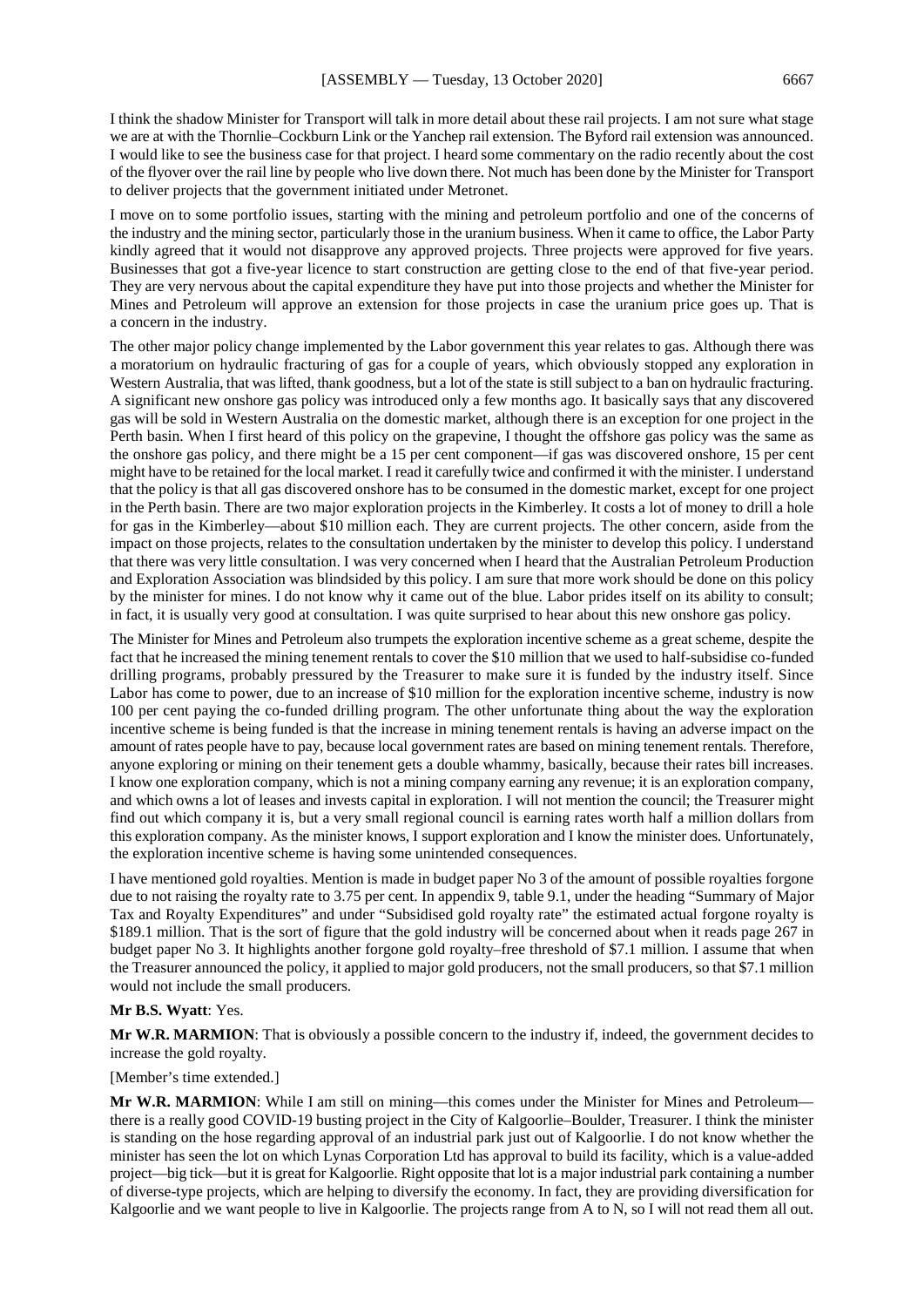I think the shadow Minister for Transport will talk in more detail about these rail projects. I am not sure what stage we are at with the Thornlie–Cockburn Link or the Yanchep rail extension. The Byford rail extension was announced. I would like to see the business case for that project. I heard some commentary on the radio recently about the cost of the flyover over the rail line by people who live down there. Not much has been done by the Minister for Transport to deliver projects that the government initiated under Metronet.

I move on to some portfolio issues, starting with the mining and petroleum portfolio and one of the concerns of the industry and the mining sector, particularly those in the uranium business. When it came to office, the Labor Party kindly agreed that it would not disapprove any approved projects. Three projects were approved for five years. Businesses that got a five-year licence to start construction are getting close to the end of that five-year period. They are very nervous about the capital expenditure they have put into those projects and whether the Minister for Mines and Petroleum will approve an extension for those projects in case the uranium price goes up. That is a concern in the industry.

The other major policy change implemented by the Labor government this year relates to gas. Although there was a moratorium on hydraulic fracturing of gas for a couple of years, which obviously stopped any exploration in Western Australia, that was lifted, thank goodness, but a lot of the state is still subject to a ban on hydraulic fracturing. A significant new onshore gas policy was introduced only a few months ago. It basically says that any discovered gas will be sold in Western Australia on the domestic market, although there is an exception for one project in the Perth basin. When I first heard of this policy on the grapevine, I thought the offshore gas policy was the same as the onshore gas policy, and there might be a 15 per cent component—if gas was discovered onshore, 15 per cent might have to be retained for the local market. I read it carefully twice and confirmed it with the minister. I understand that the policy is that all gas discovered onshore has to be consumed in the domestic market, except for one project in the Perth basin. There are two major exploration projects in the Kimberley. It costs a lot of money to drill a hole for gas in the Kimberley—about \$10 million each. They are current projects. The other concern, aside from the impact on those projects, relates to the consultation undertaken by the minister to develop this policy. I understand that there was very little consultation. I was very concerned when I heard that the Australian Petroleum Production and Exploration Association was blindsided by this policy. I am sure that more work should be done on this policy by the minister for mines. I do not know why it came out of the blue. Labor prides itself on its ability to consult; in fact, it is usually very good at consultation. I was quite surprised to hear about this new onshore gas policy.

The Minister for Mines and Petroleum also trumpets the exploration incentive scheme as a great scheme, despite the fact that he increased the mining tenement rentals to cover the \$10 million that we used to half-subsidise co-funded drilling programs, probably pressured by the Treasurer to make sure it is funded by the industry itself. Since Labor has come to power, due to an increase of \$10 million for the exploration incentive scheme, industry is now 100 per cent paying the co-funded drilling program. The other unfortunate thing about the way the exploration incentive scheme is being funded is that the increase in mining tenement rentals is having an adverse impact on the amount of rates people have to pay, because local government rates are based on mining tenement rentals. Therefore, anyone exploring or mining on their tenement gets a double whammy, basically, because their rates bill increases. I know one exploration company, which is not a mining company earning any revenue; it is an exploration company, and which owns a lot of leases and invests capital in exploration. I will not mention the council; the Treasurer might find out which company it is, but a very small regional council is earning rates worth half a million dollars from this exploration company. As the minister knows, I support exploration and I know the minister does. Unfortunately, the exploration incentive scheme is having some unintended consequences.

I have mentioned gold royalties. Mention is made in budget paper No 3 of the amount of possible royalties forgone due to not raising the royalty rate to 3.75 per cent. In appendix 9, table 9.1, under the heading "Summary of Major Tax and Royalty Expenditures" and under "Subsidised gold royalty rate" the estimated actual forgone royalty is \$189.1 million. That is the sort of figure that the gold industry will be concerned about when it reads page 267 in budget paper No 3. It highlights another forgone gold royalty–free threshold of \$7.1 million. I assume that when the Treasurer announced the policy, it applied to major gold producers, not the small producers, so that \$7.1 million would not include the small producers.

## **Mr B.S. Wyatt**: Yes.

**Mr W.R. MARMION**: That is obviously a possible concern to the industry if, indeed, the government decides to increase the gold royalty.

#### [Member's time extended.]

**Mr W.R. MARMION:** While I am still on mining—this comes under the Minister for Mines and Petroleum there is a really good COVID-19 busting project in the City of Kalgoorlie–Boulder, Treasurer. I think the minister is standing on the hose regarding approval of an industrial park just out of Kalgoorlie. I do not know whether the minister has seen the lot on which Lynas Corporation Ltd has approval to build its facility, which is a value-added project—big tick—but it is great for Kalgoorlie. Right opposite that lot is a major industrial park containing a number of diverse-type projects, which are helping to diversify the economy. In fact, they are providing diversification for Kalgoorlie and we want people to live in Kalgoorlie. The projects range from A to N, so I will not read them all out.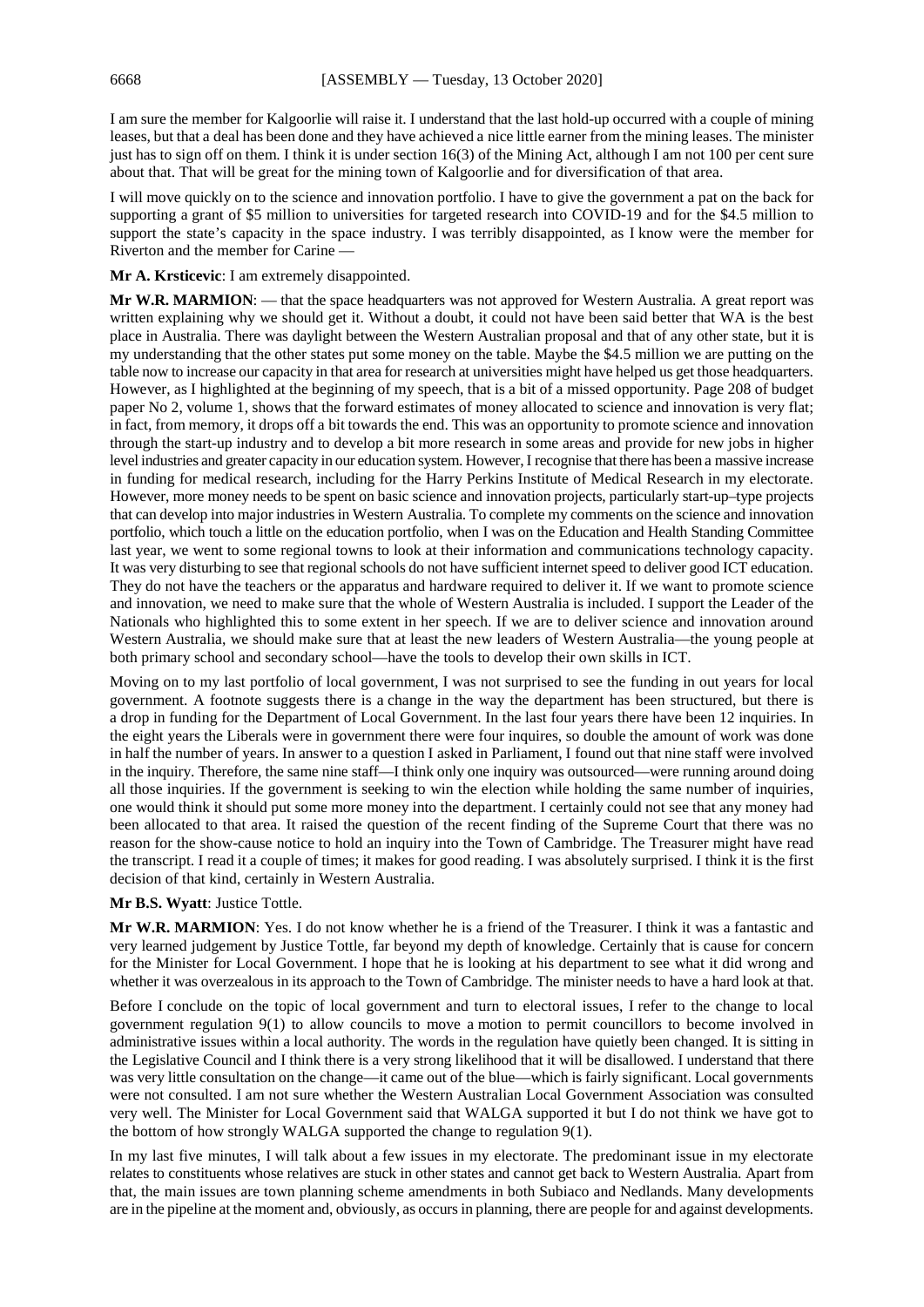I am sure the member for Kalgoorlie will raise it. I understand that the last hold-up occurred with a couple of mining leases, but that a deal has been done and they have achieved a nice little earner from the mining leases. The minister just has to sign off on them. I think it is under section 16(3) of the Mining Act, although I am not 100 per cent sure about that. That will be great for the mining town of Kalgoorlie and for diversification of that area.

I will move quickly on to the science and innovation portfolio. I have to give the government a pat on the back for supporting a grant of \$5 million to universities for targeted research into COVID-19 and for the \$4.5 million to support the state's capacity in the space industry. I was terribly disappointed, as I know were the member for Riverton and the member for Carine —

**Mr A. Krsticevic**: I am extremely disappointed.

**Mr W.R. MARMION**: — that the space headquarters was not approved for Western Australia. A great report was written explaining why we should get it. Without a doubt, it could not have been said better that WA is the best place in Australia. There was daylight between the Western Australian proposal and that of any other state, but it is my understanding that the other states put some money on the table. Maybe the \$4.5 million we are putting on the table now to increase our capacity in that area for research at universities might have helped us get those headquarters. However, as I highlighted at the beginning of my speech, that is a bit of a missed opportunity. Page 208 of budget paper No 2, volume 1, shows that the forward estimates of money allocated to science and innovation is very flat; in fact, from memory, it drops off a bit towards the end. This was an opportunity to promote science and innovation through the start-up industry and to develop a bit more research in some areas and provide for new jobs in higher level industries and greater capacity in our education system. However,I recognise that there has been a massive increase in funding for medical research, including for the Harry Perkins Institute of Medical Research in my electorate. However, more money needs to be spent on basic science and innovation projects, particularly start-up–type projects that can develop into major industries in Western Australia. To complete my comments on the science and innovation portfolio, which touch a little on the education portfolio, when I was on the Education and Health Standing Committee last year, we went to some regional towns to look at their information and communications technology capacity. It was very disturbing to see that regional schools do not have sufficient internet speed to deliver good ICT education. They do not have the teachers or the apparatus and hardware required to deliver it. If we want to promote science and innovation, we need to make sure that the whole of Western Australia is included. I support the Leader of the Nationals who highlighted this to some extent in her speech. If we are to deliver science and innovation around Western Australia, we should make sure that at least the new leaders of Western Australia—the young people at both primary school and secondary school—have the tools to develop their own skills in ICT.

Moving on to my last portfolio of local government, I was not surprised to see the funding in out years for local government. A footnote suggests there is a change in the way the department has been structured, but there is a drop in funding for the Department of Local Government. In the last four years there have been 12 inquiries. In the eight years the Liberals were in government there were four inquires, so double the amount of work was done in half the number of years. In answer to a question I asked in Parliament, I found out that nine staff were involved in the inquiry. Therefore, the same nine staff—I think only one inquiry was outsourced—were running around doing all those inquiries. If the government is seeking to win the election while holding the same number of inquiries, one would think it should put some more money into the department. I certainly could not see that any money had been allocated to that area. It raised the question of the recent finding of the Supreme Court that there was no reason for the show-cause notice to hold an inquiry into the Town of Cambridge. The Treasurer might have read the transcript. I read it a couple of times; it makes for good reading. I was absolutely surprised. I think it is the first decision of that kind, certainly in Western Australia.

#### **Mr B.S. Wyatt**: Justice Tottle.

**Mr W.R. MARMION**: Yes. I do not know whether he is a friend of the Treasurer. I think it was a fantastic and very learned judgement by Justice Tottle, far beyond my depth of knowledge. Certainly that is cause for concern for the Minister for Local Government. I hope that he is looking at his department to see what it did wrong and whether it was overzealous in its approach to the Town of Cambridge. The minister needs to have a hard look at that.

Before I conclude on the topic of local government and turn to electoral issues, I refer to the change to local government regulation 9(1) to allow councils to move a motion to permit councillors to become involved in administrative issues within a local authority. The words in the regulation have quietly been changed. It is sitting in the Legislative Council and I think there is a very strong likelihood that it will be disallowed. I understand that there was very little consultation on the change—it came out of the blue—which is fairly significant. Local governments were not consulted. I am not sure whether the Western Australian Local Government Association was consulted very well. The Minister for Local Government said that WALGA supported it but I do not think we have got to the bottom of how strongly WALGA supported the change to regulation 9(1).

In my last five minutes, I will talk about a few issues in my electorate. The predominant issue in my electorate relates to constituents whose relatives are stuck in other states and cannot get back to Western Australia. Apart from that, the main issues are town planning scheme amendments in both Subiaco and Nedlands. Many developments are in the pipeline at the moment and, obviously, as occurs in planning, there are people for and against developments.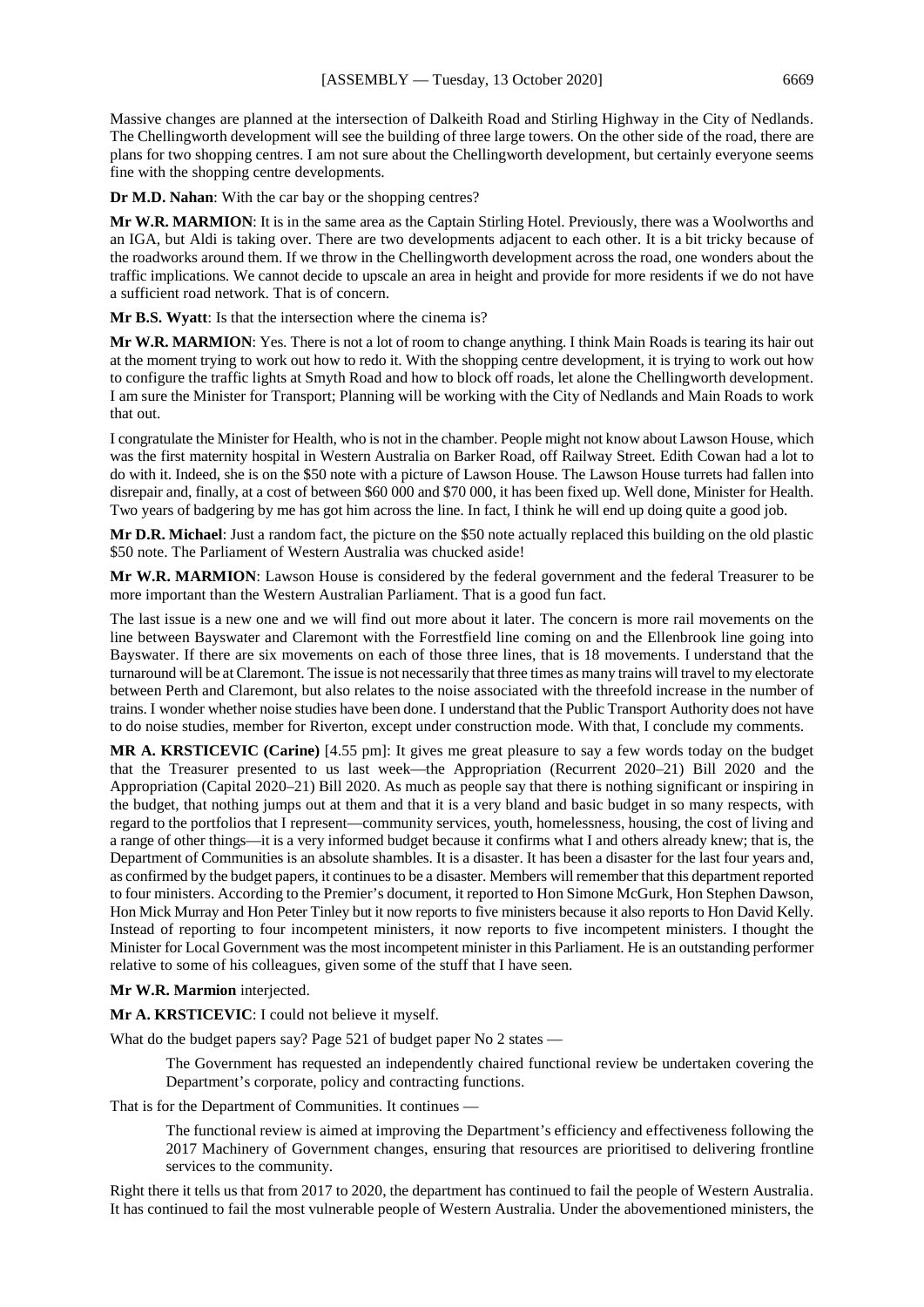Massive changes are planned at the intersection of Dalkeith Road and Stirling Highway in the City of Nedlands. The Chellingworth development will see the building of three large towers. On the other side of the road, there are plans for two shopping centres. I am not sure about the Chellingworth development, but certainly everyone seems fine with the shopping centre developments.

**Dr M.D. Nahan**: With the car bay or the shopping centres?

**Mr W.R. MARMION**: It is in the same area as the Captain Stirling Hotel. Previously, there was a Woolworths and an IGA, but Aldi is taking over. There are two developments adjacent to each other. It is a bit tricky because of the roadworks around them. If we throw in the Chellingworth development across the road, one wonders about the traffic implications. We cannot decide to upscale an area in height and provide for more residents if we do not have a sufficient road network. That is of concern.

**Mr B.S. Wyatt**: Is that the intersection where the cinema is?

**Mr W.R. MARMION**: Yes. There is not a lot of room to change anything. I think Main Roads is tearing its hair out at the moment trying to work out how to redo it. With the shopping centre development, it is trying to work out how to configure the traffic lights at Smyth Road and how to block off roads, let alone the Chellingworth development. I am sure the Minister for Transport; Planning will be working with the City of Nedlands and Main Roads to work that out.

I congratulate the Minister for Health, who is not in the chamber. People might not know about Lawson House, which was the first maternity hospital in Western Australia on Barker Road, off Railway Street. Edith Cowan had a lot to do with it. Indeed, she is on the \$50 note with a picture of Lawson House. The Lawson House turrets had fallen into disrepair and, finally, at a cost of between \$60 000 and \$70 000, it has been fixed up. Well done, Minister for Health. Two years of badgering by me has got him across the line. In fact, I think he will end up doing quite a good job.

**Mr D.R. Michael**: Just a random fact, the picture on the \$50 note actually replaced this building on the old plastic \$50 note. The Parliament of Western Australia was chucked aside!

**Mr W.R. MARMION**: Lawson House is considered by the federal government and the federal Treasurer to be more important than the Western Australian Parliament. That is a good fun fact.

The last issue is a new one and we will find out more about it later. The concern is more rail movements on the line between Bayswater and Claremont with the Forrestfield line coming on and the Ellenbrook line going into Bayswater. If there are six movements on each of those three lines, that is 18 movements. I understand that the turnaround will be at Claremont. The issue is not necessarily that three times as many trains will travel to my electorate between Perth and Claremont, but also relates to the noise associated with the threefold increase in the number of trains. I wonder whether noise studies have been done. I understand that the Public Transport Authority does not have to do noise studies, member for Riverton, except under construction mode. With that, I conclude my comments.

**MR A. KRSTICEVIC (Carine)** [4.55 pm]: It gives me great pleasure to say a few words today on the budget that the Treasurer presented to us last week—the Appropriation (Recurrent 2020–21) Bill 2020 and the Appropriation (Capital 2020–21) Bill 2020. As much as people say that there is nothing significant or inspiring in the budget, that nothing jumps out at them and that it is a very bland and basic budget in so many respects, with regard to the portfolios that I represent—community services, youth, homelessness, housing, the cost of living and a range of other things—it is a very informed budget because it confirms what I and others already knew; that is, the Department of Communities is an absolute shambles. It is a disaster. It has been a disaster for the last four years and, as confirmed by the budget papers, it continues to be a disaster. Members will remember that this department reported to four ministers. According to the Premier's document, it reported to Hon Simone McGurk, Hon Stephen Dawson, Hon Mick Murray and Hon Peter Tinley but it now reports to five ministers because it also reports to Hon David Kelly. Instead of reporting to four incompetent ministers, it now reports to five incompetent ministers. I thought the Minister for Local Government was the most incompetent minister in this Parliament. He is an outstanding performer relative to some of his colleagues, given some of the stuff that I have seen.

## **Mr W.R. Marmion** interjected.

**Mr A. KRSTICEVIC**: I could not believe it myself.

What do the budget papers say? Page 521 of budget paper No 2 states —

The Government has requested an independently chaired functional review be undertaken covering the Department's corporate, policy and contracting functions.

That is for the Department of Communities. It continues —

The functional review is aimed at improving the Department's efficiency and effectiveness following the 2017 Machinery of Government changes, ensuring that resources are prioritised to delivering frontline services to the community.

Right there it tells us that from 2017 to 2020, the department has continued to fail the people of Western Australia. It has continued to fail the most vulnerable people of Western Australia. Under the abovementioned ministers, the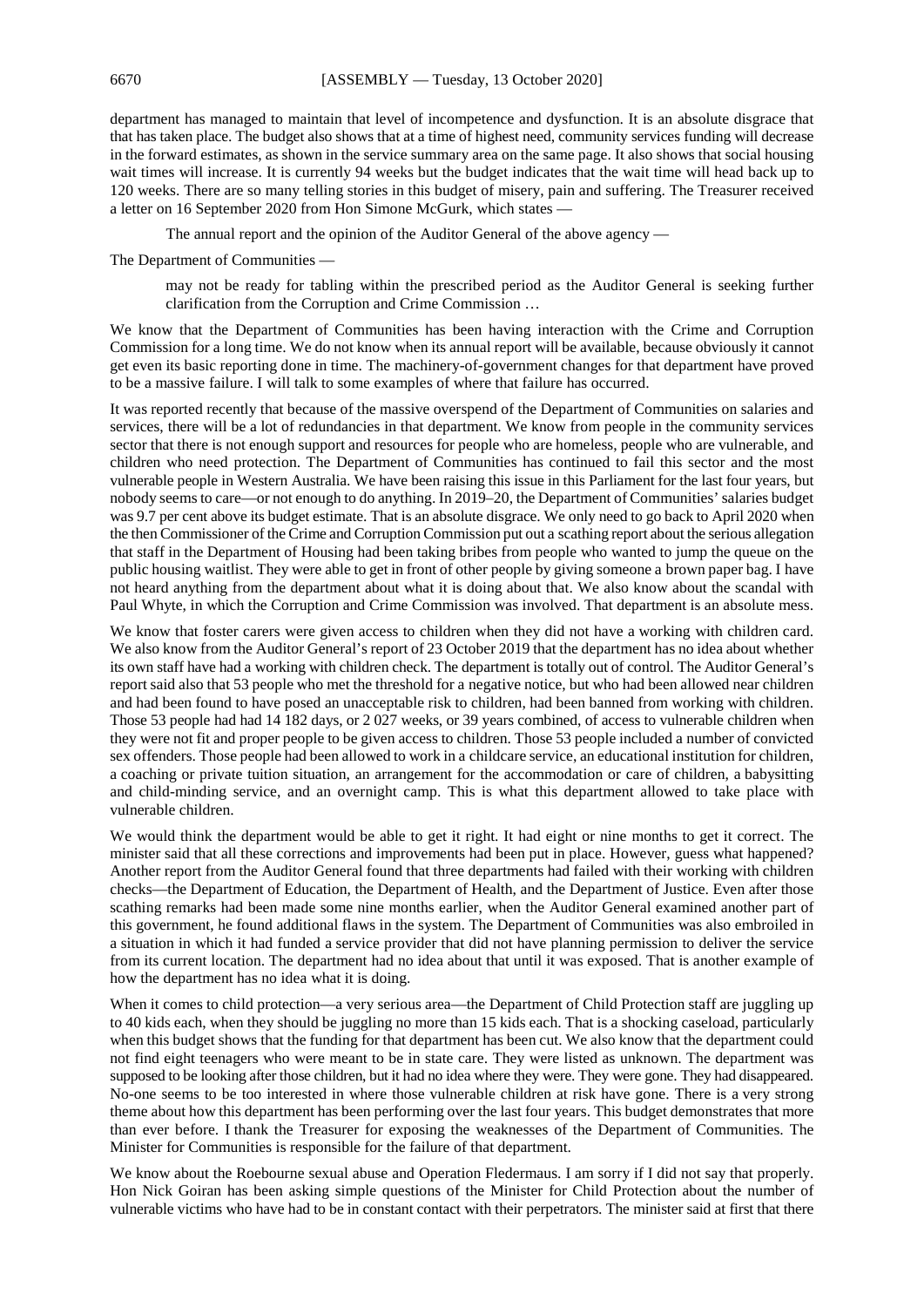department has managed to maintain that level of incompetence and dysfunction. It is an absolute disgrace that that has taken place. The budget also shows that at a time of highest need, community services funding will decrease in the forward estimates, as shown in the service summary area on the same page. It also shows that social housing wait times will increase. It is currently 94 weeks but the budget indicates that the wait time will head back up to 120 weeks. There are so many telling stories in this budget of misery, pain and suffering. The Treasurer received a letter on 16 September 2020 from Hon Simone McGurk, which states —

The annual report and the opinion of the Auditor General of the above agency —

The Department of Communities —

may not be ready for tabling within the prescribed period as the Auditor General is seeking further clarification from the Corruption and Crime Commission …

We know that the Department of Communities has been having interaction with the Crime and Corruption Commission for a long time. We do not know when its annual report will be available, because obviously it cannot get even its basic reporting done in time. The machinery-of-government changes for that department have proved to be a massive failure. I will talk to some examples of where that failure has occurred.

It was reported recently that because of the massive overspend of the Department of Communities on salaries and services, there will be a lot of redundancies in that department. We know from people in the community services sector that there is not enough support and resources for people who are homeless, people who are vulnerable, and children who need protection. The Department of Communities has continued to fail this sector and the most vulnerable people in Western Australia. We have been raising this issue in this Parliament for the last four years, but nobody seems to care—or not enough to do anything. In 2019–20, the Department of Communities' salaries budget was 9.7 per cent above its budget estimate. That is an absolute disgrace. We only need to go back to April 2020 when the then Commissioner of the Crime and Corruption Commission put out a scathing report about the serious allegation that staff in the Department of Housing had been taking bribes from people who wanted to jump the queue on the public housing waitlist. They were able to get in front of other people by giving someone a brown paper bag. I have not heard anything from the department about what it is doing about that. We also know about the scandal with Paul Whyte, in which the Corruption and Crime Commission was involved. That department is an absolute mess.

We know that foster carers were given access to children when they did not have a working with children card. We also know from the Auditor General's report of 23 October 2019 that the department has no idea about whether its own staff have had a working with children check. The department is totally out of control. The Auditor General's report said also that 53 people who met the threshold for a negative notice, but who had been allowed near children and had been found to have posed an unacceptable risk to children, had been banned from working with children. Those 53 people had had 14 182 days, or 2 027 weeks, or 39 years combined, of access to vulnerable children when they were not fit and proper people to be given access to children. Those 53 people included a number of convicted sex offenders. Those people had been allowed to work in a childcare service, an educational institution for children, a coaching or private tuition situation, an arrangement for the accommodation or care of children, a babysitting and child-minding service, and an overnight camp. This is what this department allowed to take place with vulnerable children.

We would think the department would be able to get it right. It had eight or nine months to get it correct. The minister said that all these corrections and improvements had been put in place. However, guess what happened? Another report from the Auditor General found that three departments had failed with their working with children checks—the Department of Education, the Department of Health, and the Department of Justice. Even after those scathing remarks had been made some nine months earlier, when the Auditor General examined another part of this government, he found additional flaws in the system. The Department of Communities was also embroiled in a situation in which it had funded a service provider that did not have planning permission to deliver the service from its current location. The department had no idea about that until it was exposed. That is another example of how the department has no idea what it is doing.

When it comes to child protection—a very serious area—the Department of Child Protection staff are juggling up to 40 kids each, when they should be juggling no more than 15 kids each. That is a shocking caseload, particularly when this budget shows that the funding for that department has been cut. We also know that the department could not find eight teenagers who were meant to be in state care. They were listed as unknown. The department was supposed to be looking after those children, but it had no idea where they were. They were gone. They had disappeared. No-one seems to be too interested in where those vulnerable children at risk have gone. There is a very strong theme about how this department has been performing over the last four years. This budget demonstrates that more than ever before. I thank the Treasurer for exposing the weaknesses of the Department of Communities. The Minister for Communities is responsible for the failure of that department.

We know about the Roebourne sexual abuse and Operation Fledermaus. I am sorry if I did not say that properly. Hon Nick Goiran has been asking simple questions of the Minister for Child Protection about the number of vulnerable victims who have had to be in constant contact with their perpetrators. The minister said at first that there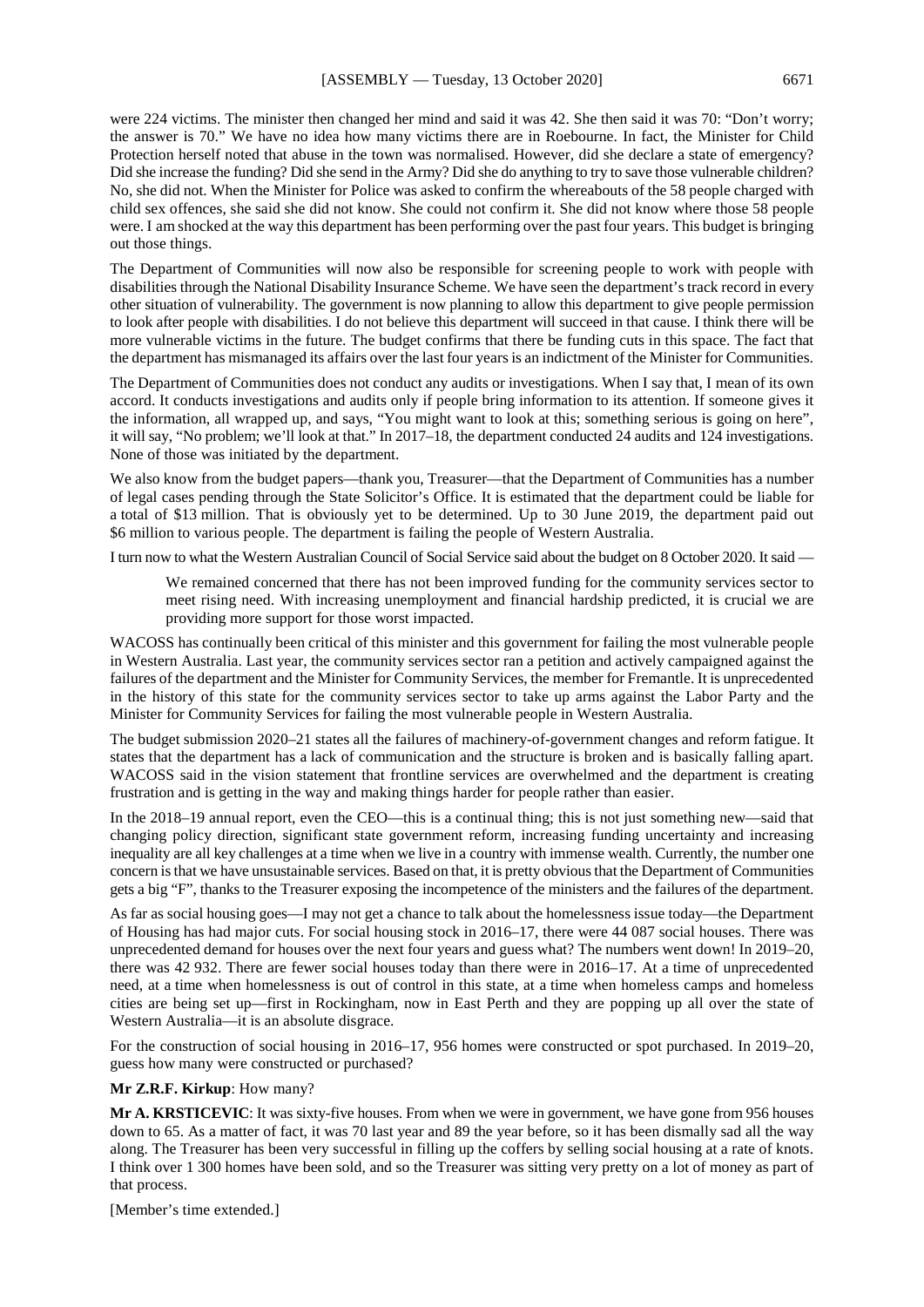were 224 victims. The minister then changed her mind and said it was 42. She then said it was 70: "Don't worry; the answer is 70." We have no idea how many victims there are in Roebourne. In fact, the Minister for Child Protection herself noted that abuse in the town was normalised. However, did she declare a state of emergency? Did she increase the funding? Did she send in the Army? Did she do anything to try to save those vulnerable children? No, she did not. When the Minister for Police was asked to confirm the whereabouts of the 58 people charged with child sex offences, she said she did not know. She could not confirm it. She did not know where those 58 people were. I am shocked at the way this department has been performing over the past four years. This budget is bringing out those things.

The Department of Communities will now also be responsible for screening people to work with people with disabilities through the National Disability Insurance Scheme. We have seen the department's track record in every other situation of vulnerability. The government is now planning to allow this department to give people permission to look after people with disabilities. I do not believe this department will succeed in that cause. I think there will be more vulnerable victims in the future. The budget confirms that there be funding cuts in this space. The fact that the department has mismanaged its affairs over the last four years is an indictment of the Minister for Communities.

The Department of Communities does not conduct any audits or investigations. When I say that, I mean of its own accord. It conducts investigations and audits only if people bring information to its attention. If someone gives it the information, all wrapped up, and says, "You might want to look at this; something serious is going on here", it will say, "No problem; we'll look at that." In 2017–18, the department conducted 24 audits and 124 investigations. None of those was initiated by the department.

We also know from the budget papers—thank you, Treasurer—that the Department of Communities has a number of legal cases pending through the State Solicitor's Office. It is estimated that the department could be liable for a total of \$13 million. That is obviously yet to be determined. Up to 30 June 2019, the department paid out \$6 million to various people. The department is failing the people of Western Australia.

I turn now to what the Western Australian Council of Social Service said about the budget on 8 October 2020. It said —

We remained concerned that there has not been improved funding for the community services sector to meet rising need. With increasing unemployment and financial hardship predicted, it is crucial we are providing more support for those worst impacted.

WACOSS has continually been critical of this minister and this government for failing the most vulnerable people in Western Australia. Last year, the community services sector ran a petition and actively campaigned against the failures of the department and the Minister for Community Services, the member for Fremantle. It is unprecedented in the history of this state for the community services sector to take up arms against the Labor Party and the Minister for Community Services for failing the most vulnerable people in Western Australia.

The budget submission 2020–21 states all the failures of machinery-of-government changes and reform fatigue. It states that the department has a lack of communication and the structure is broken and is basically falling apart. WACOSS said in the vision statement that frontline services are overwhelmed and the department is creating frustration and is getting in the way and making things harder for people rather than easier.

In the 2018–19 annual report, even the CEO—this is a continual thing; this is not just something new—said that changing policy direction, significant state government reform, increasing funding uncertainty and increasing inequality are all key challenges at a time when we live in a country with immense wealth. Currently, the number one concern is that we have unsustainable services. Based on that, it is pretty obvious that the Department of Communities gets a big "F", thanks to the Treasurer exposing the incompetence of the ministers and the failures of the department.

As far as social housing goes—I may not get a chance to talk about the homelessness issue today—the Department of Housing has had major cuts. For social housing stock in 2016–17, there were 44 087 social houses. There was unprecedented demand for houses over the next four years and guess what? The numbers went down! In 2019–20, there was 42 932. There are fewer social houses today than there were in 2016–17. At a time of unprecedented need, at a time when homelessness is out of control in this state, at a time when homeless camps and homeless cities are being set up—first in Rockingham, now in East Perth and they are popping up all over the state of Western Australia—it is an absolute disgrace.

For the construction of social housing in 2016–17, 956 homes were constructed or spot purchased. In 2019–20, guess how many were constructed or purchased?

**Mr Z.R.F. Kirkup**: How many?

**Mr A. KRSTICEVIC**: It was sixty-five houses. From when we were in government, we have gone from 956 houses down to 65. As a matter of fact, it was 70 last year and 89 the year before, so it has been dismally sad all the way along. The Treasurer has been very successful in filling up the coffers by selling social housing at a rate of knots. I think over 1 300 homes have been sold, and so the Treasurer was sitting very pretty on a lot of money as part of that process.

[Member's time extended.]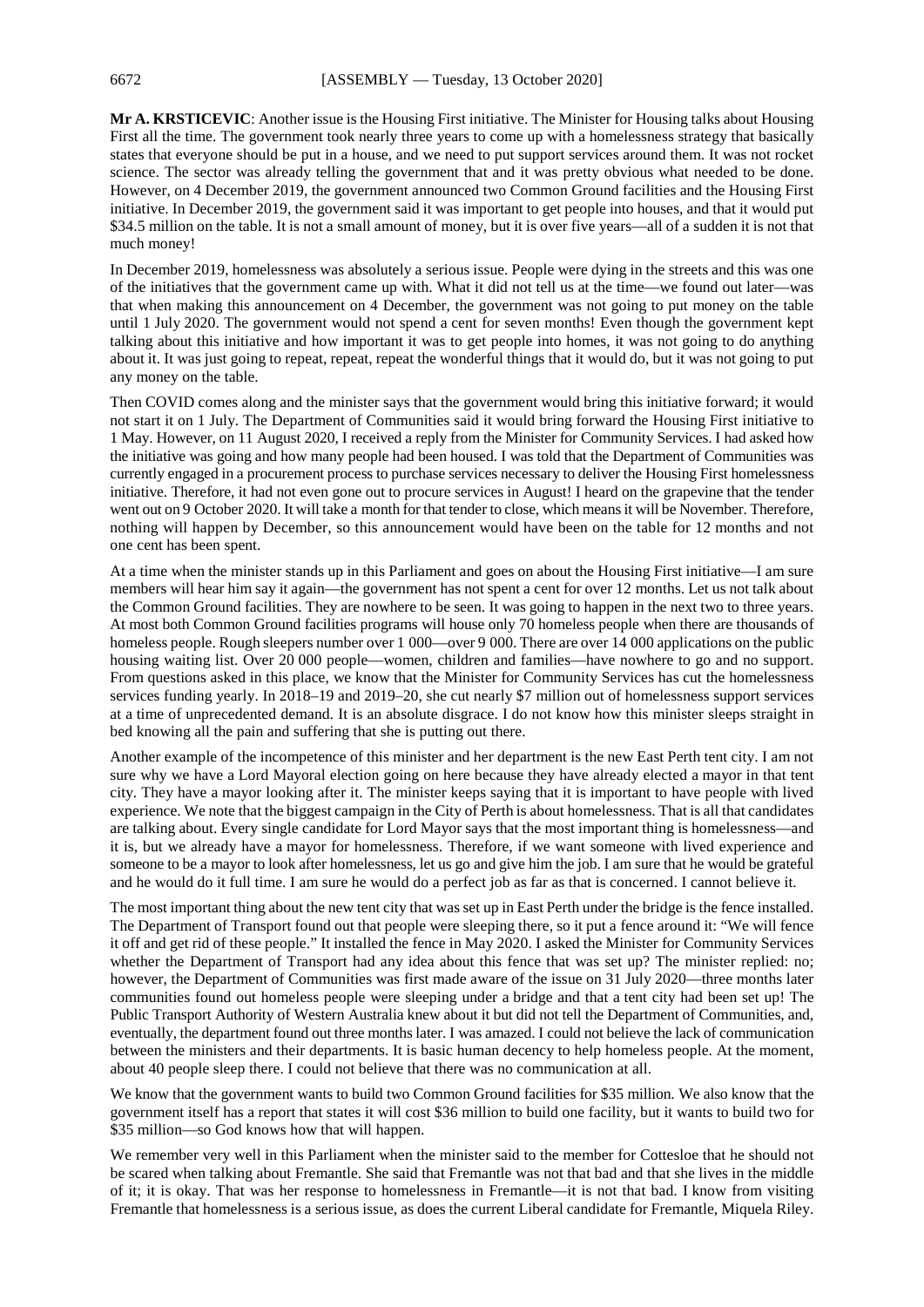**Mr A. KRSTICEVIC**: Another issue is the Housing First initiative. The Minister for Housing talks about Housing First all the time. The government took nearly three years to come up with a homelessness strategy that basically states that everyone should be put in a house, and we need to put support services around them. It was not rocket science. The sector was already telling the government that and it was pretty obvious what needed to be done. However, on 4 December 2019, the government announced two Common Ground facilities and the Housing First initiative. In December 2019, the government said it was important to get people into houses, and that it would put \$34.5 million on the table. It is not a small amount of money, but it is over five years—all of a sudden it is not that much money!

In December 2019, homelessness was absolutely a serious issue. People were dying in the streets and this was one of the initiatives that the government came up with. What it did not tell us at the time—we found out later—was that when making this announcement on 4 December, the government was not going to put money on the table until 1 July 2020. The government would not spend a cent for seven months! Even though the government kept talking about this initiative and how important it was to get people into homes, it was not going to do anything about it. It was just going to repeat, repeat, repeat the wonderful things that it would do, but it was not going to put any money on the table.

Then COVID comes along and the minister says that the government would bring this initiative forward; it would not start it on 1 July. The Department of Communities said it would bring forward the Housing First initiative to 1 May. However, on 11 August 2020, I received a reply from the Minister for Community Services. I had asked how the initiative was going and how many people had been housed. I was told that the Department of Communities was currently engaged in a procurement process to purchase services necessary to deliver the Housing First homelessness initiative. Therefore, it had not even gone out to procure services in August! I heard on the grapevine that the tender went out on 9 October 2020. It will take a month for that tender to close, which means it will be November. Therefore, nothing will happen by December, so this announcement would have been on the table for 12 months and not one cent has been spent.

At a time when the minister stands up in this Parliament and goes on about the Housing First initiative—I am sure members will hear him say it again—the government has not spent a cent for over 12 months. Let us not talk about the Common Ground facilities. They are nowhere to be seen. It was going to happen in the next two to three years. At most both Common Ground facilities programs will house only 70 homeless people when there are thousands of homeless people. Rough sleepers number over 1 000—over 9 000. There are over 14 000 applications on the public housing waiting list. Over 20 000 people—women, children and families—have nowhere to go and no support. From questions asked in this place, we know that the Minister for Community Services has cut the homelessness services funding yearly. In 2018–19 and 2019–20, she cut nearly \$7 million out of homelessness support services at a time of unprecedented demand. It is an absolute disgrace. I do not know how this minister sleeps straight in bed knowing all the pain and suffering that she is putting out there.

Another example of the incompetence of this minister and her department is the new East Perth tent city. I am not sure why we have a Lord Mayoral election going on here because they have already elected a mayor in that tent city. They have a mayor looking after it. The minister keeps saying that it is important to have people with lived experience. We note that the biggest campaign in the City of Perth is about homelessness. That is all that candidates are talking about. Every single candidate for Lord Mayor says that the most important thing is homelessness—and it is, but we already have a mayor for homelessness. Therefore, if we want someone with lived experience and someone to be a mayor to look after homelessness, let us go and give him the job. I am sure that he would be grateful and he would do it full time. I am sure he would do a perfect job as far as that is concerned. I cannot believe it.

The most important thing about the new tent city that was set up in East Perth under the bridge is the fence installed. The Department of Transport found out that people were sleeping there, so it put a fence around it: "We will fence it off and get rid of these people." It installed the fence in May 2020. I asked the Minister for Community Services whether the Department of Transport had any idea about this fence that was set up? The minister replied: no; however, the Department of Communities was first made aware of the issue on 31 July 2020—three months later communities found out homeless people were sleeping under a bridge and that a tent city had been set up! The Public Transport Authority of Western Australia knew about it but did not tell the Department of Communities, and, eventually, the department found out three months later. I was amazed. I could not believe the lack of communication between the ministers and their departments. It is basic human decency to help homeless people. At the moment, about 40 people sleep there. I could not believe that there was no communication at all.

We know that the government wants to build two Common Ground facilities for \$35 million. We also know that the government itself has a report that states it will cost \$36 million to build one facility, but it wants to build two for \$35 million—so God knows how that will happen.

We remember very well in this Parliament when the minister said to the member for Cottesloe that he should not be scared when talking about Fremantle. She said that Fremantle was not that bad and that she lives in the middle of it; it is okay. That was her response to homelessness in Fremantle—it is not that bad. I know from visiting Fremantle that homelessness is a serious issue, as does the current Liberal candidate for Fremantle, Miquela Riley.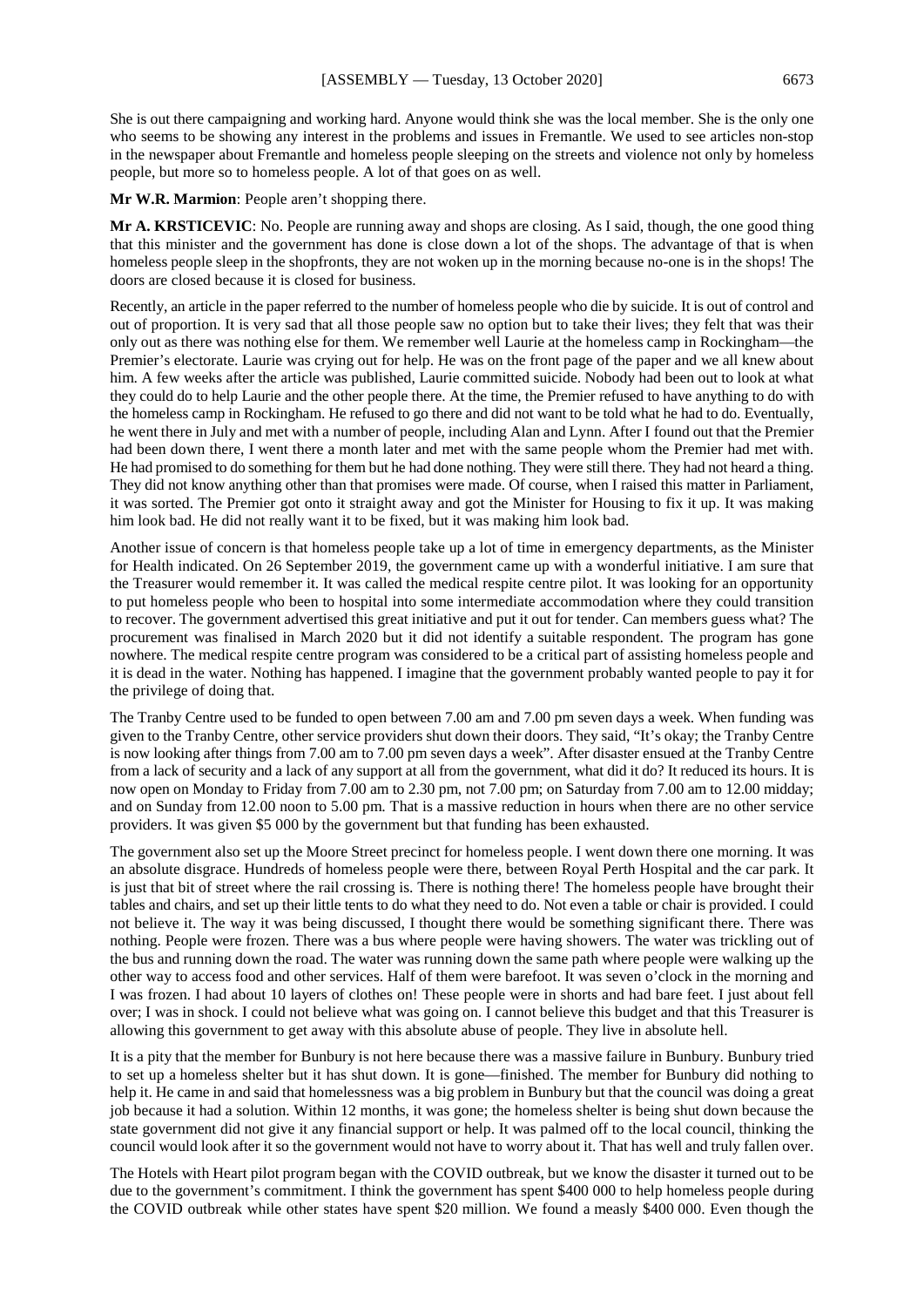She is out there campaigning and working hard. Anyone would think she was the local member. She is the only one who seems to be showing any interest in the problems and issues in Fremantle. We used to see articles non-stop in the newspaper about Fremantle and homeless people sleeping on the streets and violence not only by homeless people, but more so to homeless people. A lot of that goes on as well.

**Mr W.R. Marmion**: People aren't shopping there.

**Mr A. KRSTICEVIC**: No. People are running away and shops are closing. As I said, though, the one good thing that this minister and the government has done is close down a lot of the shops. The advantage of that is when homeless people sleep in the shopfronts, they are not woken up in the morning because no-one is in the shops! The doors are closed because it is closed for business.

Recently, an article in the paper referred to the number of homeless people who die by suicide. It is out of control and out of proportion. It is very sad that all those people saw no option but to take their lives; they felt that was their only out as there was nothing else for them. We remember well Laurie at the homeless camp in Rockingham—the Premier's electorate. Laurie was crying out for help. He was on the front page of the paper and we all knew about him. A few weeks after the article was published, Laurie committed suicide. Nobody had been out to look at what they could do to help Laurie and the other people there. At the time, the Premier refused to have anything to do with the homeless camp in Rockingham. He refused to go there and did not want to be told what he had to do. Eventually, he went there in July and met with a number of people, including Alan and Lynn. After I found out that the Premier had been down there, I went there a month later and met with the same people whom the Premier had met with. He had promised to do something for them but he had done nothing. They were still there. They had not heard a thing. They did not know anything other than that promises were made. Of course, when I raised this matter in Parliament, it was sorted. The Premier got onto it straight away and got the Minister for Housing to fix it up. It was making him look bad. He did not really want it to be fixed, but it was making him look bad.

Another issue of concern is that homeless people take up a lot of time in emergency departments, as the Minister for Health indicated. On 26 September 2019, the government came up with a wonderful initiative. I am sure that the Treasurer would remember it. It was called the medical respite centre pilot. It was looking for an opportunity to put homeless people who been to hospital into some intermediate accommodation where they could transition to recover. The government advertised this great initiative and put it out for tender. Can members guess what? The procurement was finalised in March 2020 but it did not identify a suitable respondent. The program has gone nowhere. The medical respite centre program was considered to be a critical part of assisting homeless people and it is dead in the water. Nothing has happened. I imagine that the government probably wanted people to pay it for the privilege of doing that.

The Tranby Centre used to be funded to open between 7.00 am and 7.00 pm seven days a week. When funding was given to the Tranby Centre, other service providers shut down their doors. They said, "It's okay; the Tranby Centre is now looking after things from 7.00 am to 7.00 pm seven days a week". After disaster ensued at the Tranby Centre from a lack of security and a lack of any support at all from the government, what did it do? It reduced its hours. It is now open on Monday to Friday from 7.00 am to 2.30 pm, not 7.00 pm; on Saturday from 7.00 am to 12.00 midday; and on Sunday from 12.00 noon to 5.00 pm. That is a massive reduction in hours when there are no other service providers. It was given \$5 000 by the government but that funding has been exhausted.

The government also set up the Moore Street precinct for homeless people. I went down there one morning. It was an absolute disgrace. Hundreds of homeless people were there, between Royal Perth Hospital and the car park. It is just that bit of street where the rail crossing is. There is nothing there! The homeless people have brought their tables and chairs, and set up their little tents to do what they need to do. Not even a table or chair is provided. I could not believe it. The way it was being discussed, I thought there would be something significant there. There was nothing. People were frozen. There was a bus where people were having showers. The water was trickling out of the bus and running down the road. The water was running down the same path where people were walking up the other way to access food and other services. Half of them were barefoot. It was seven o'clock in the morning and I was frozen. I had about 10 layers of clothes on! These people were in shorts and had bare feet. I just about fell over; I was in shock. I could not believe what was going on. I cannot believe this budget and that this Treasurer is allowing this government to get away with this absolute abuse of people. They live in absolute hell.

It is a pity that the member for Bunbury is not here because there was a massive failure in Bunbury. Bunbury tried to set up a homeless shelter but it has shut down. It is gone—finished. The member for Bunbury did nothing to help it. He came in and said that homelessness was a big problem in Bunbury but that the council was doing a great job because it had a solution. Within 12 months, it was gone; the homeless shelter is being shut down because the state government did not give it any financial support or help. It was palmed off to the local council, thinking the council would look after it so the government would not have to worry about it. That has well and truly fallen over.

The Hotels with Heart pilot program began with the COVID outbreak, but we know the disaster it turned out to be due to the government's commitment. I think the government has spent \$400 000 to help homeless people during the COVID outbreak while other states have spent \$20 million. We found a measly \$400 000. Even though the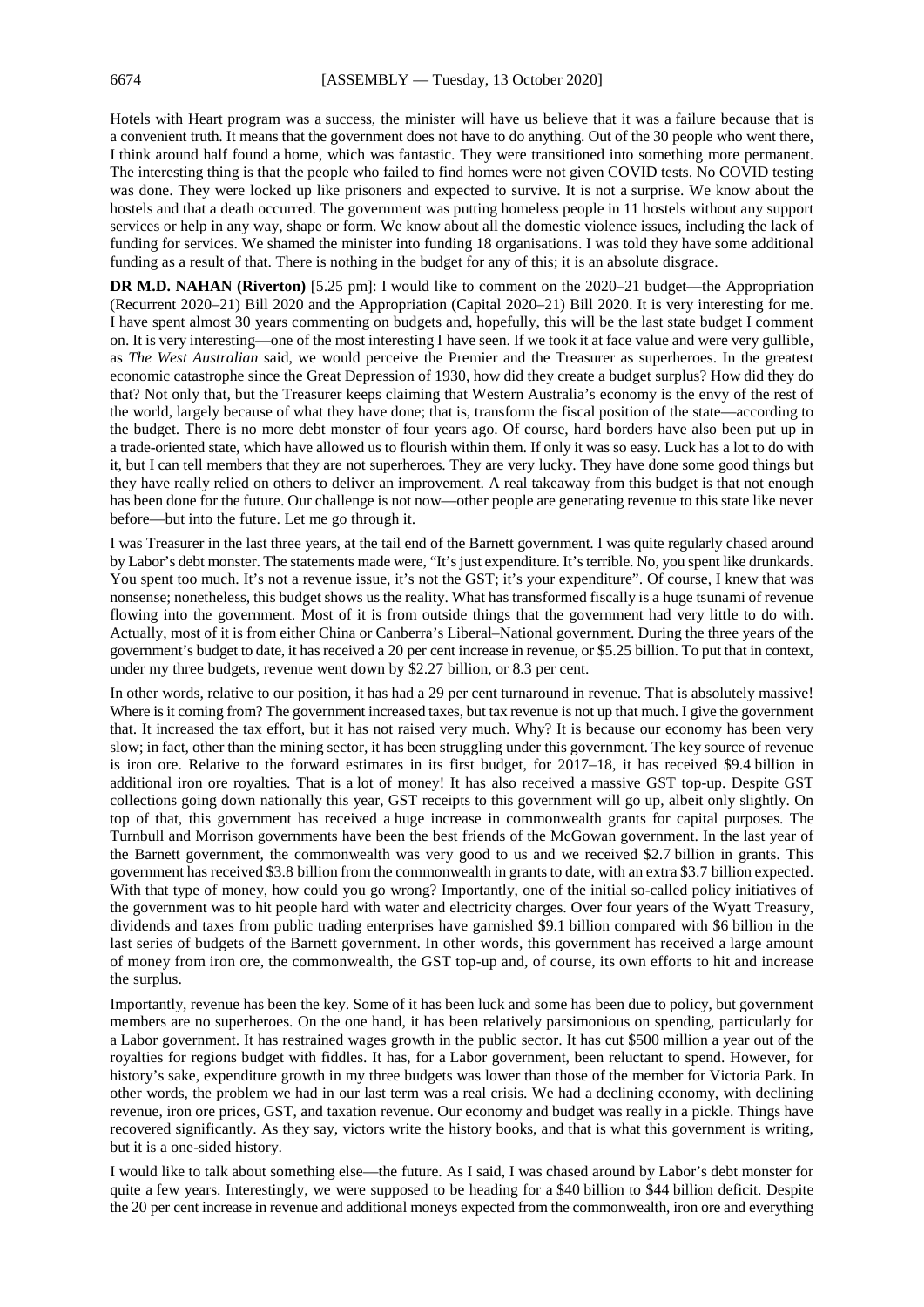Hotels with Heart program was a success, the minister will have us believe that it was a failure because that is a convenient truth. It means that the government does not have to do anything. Out of the 30 people who went there, I think around half found a home, which was fantastic. They were transitioned into something more permanent. The interesting thing is that the people who failed to find homes were not given COVID tests. No COVID testing was done. They were locked up like prisoners and expected to survive. It is not a surprise. We know about the hostels and that a death occurred. The government was putting homeless people in 11 hostels without any support services or help in any way, shape or form. We know about all the domestic violence issues, including the lack of funding for services. We shamed the minister into funding 18 organisations. I was told they have some additional funding as a result of that. There is nothing in the budget for any of this; it is an absolute disgrace.

**DR M.D. NAHAN (Riverton)** [5.25 pm]: I would like to comment on the 2020–21 budget—the Appropriation (Recurrent 2020–21) Bill 2020 and the Appropriation (Capital 2020–21) Bill 2020. It is very interesting for me. I have spent almost 30 years commenting on budgets and, hopefully, this will be the last state budget I comment on. It is very interesting—one of the most interesting I have seen. If we took it at face value and were very gullible, as *The West Australian* said, we would perceive the Premier and the Treasurer as superheroes. In the greatest economic catastrophe since the Great Depression of 1930, how did they create a budget surplus? How did they do that? Not only that, but the Treasurer keeps claiming that Western Australia's economy is the envy of the rest of the world, largely because of what they have done; that is, transform the fiscal position of the state—according to the budget. There is no more debt monster of four years ago. Of course, hard borders have also been put up in a trade-oriented state, which have allowed us to flourish within them. If only it was so easy. Luck has a lot to do with it, but I can tell members that they are not superheroes. They are very lucky. They have done some good things but they have really relied on others to deliver an improvement. A real takeaway from this budget is that not enough has been done for the future. Our challenge is not now—other people are generating revenue to this state like never before—but into the future. Let me go through it.

I was Treasurer in the last three years, at the tail end of the Barnett government. I was quite regularly chased around by Labor's debt monster. The statements made were, "It's just expenditure. It's terrible. No, you spent like drunkards. You spent too much. It's not a revenue issue, it's not the GST; it's your expenditure". Of course, I knew that was nonsense; nonetheless, this budget shows us the reality. What has transformed fiscally is a huge tsunami of revenue flowing into the government. Most of it is from outside things that the government had very little to do with. Actually, most of it is from either China or Canberra's Liberal–National government. During the three years of the government's budget to date, it has received a 20 per cent increase in revenue, or \$5.25 billion. To put that in context, under my three budgets, revenue went down by \$2.27 billion, or 8.3 per cent.

In other words, relative to our position, it has had a 29 per cent turnaround in revenue. That is absolutely massive! Where is it coming from? The government increased taxes, but tax revenue is not up that much. I give the government that. It increased the tax effort, but it has not raised very much. Why? It is because our economy has been very slow; in fact, other than the mining sector, it has been struggling under this government. The key source of revenue is iron ore. Relative to the forward estimates in its first budget, for 2017–18, it has received \$9.4 billion in additional iron ore royalties. That is a lot of money! It has also received a massive GST top-up. Despite GST collections going down nationally this year, GST receipts to this government will go up, albeit only slightly. On top of that, this government has received a huge increase in commonwealth grants for capital purposes. The Turnbull and Morrison governments have been the best friends of the McGowan government. In the last year of the Barnett government, the commonwealth was very good to us and we received \$2.7 billion in grants. This government has received \$3.8 billion from the commonwealth in grants to date, with an extra \$3.7 billion expected. With that type of money, how could you go wrong? Importantly, one of the initial so-called policy initiatives of the government was to hit people hard with water and electricity charges. Over four years of the Wyatt Treasury, dividends and taxes from public trading enterprises have garnished \$9.1 billion compared with \$6 billion in the last series of budgets of the Barnett government. In other words, this government has received a large amount of money from iron ore, the commonwealth, the GST top-up and, of course, its own efforts to hit and increase the surplus.

Importantly, revenue has been the key. Some of it has been luck and some has been due to policy, but government members are no superheroes. On the one hand, it has been relatively parsimonious on spending, particularly for a Labor government. It has restrained wages growth in the public sector. It has cut \$500 million a year out of the royalties for regions budget with fiddles. It has, for a Labor government, been reluctant to spend. However, for history's sake, expenditure growth in my three budgets was lower than those of the member for Victoria Park. In other words, the problem we had in our last term was a real crisis. We had a declining economy, with declining revenue, iron ore prices, GST, and taxation revenue. Our economy and budget was really in a pickle. Things have recovered significantly. As they say, victors write the history books, and that is what this government is writing, but it is a one-sided history.

I would like to talk about something else—the future. As I said, I was chased around by Labor's debt monster for quite a few years. Interestingly, we were supposed to be heading for a \$40 billion to \$44 billion deficit. Despite the 20 per cent increase in revenue and additional moneys expected from the commonwealth, iron ore and everything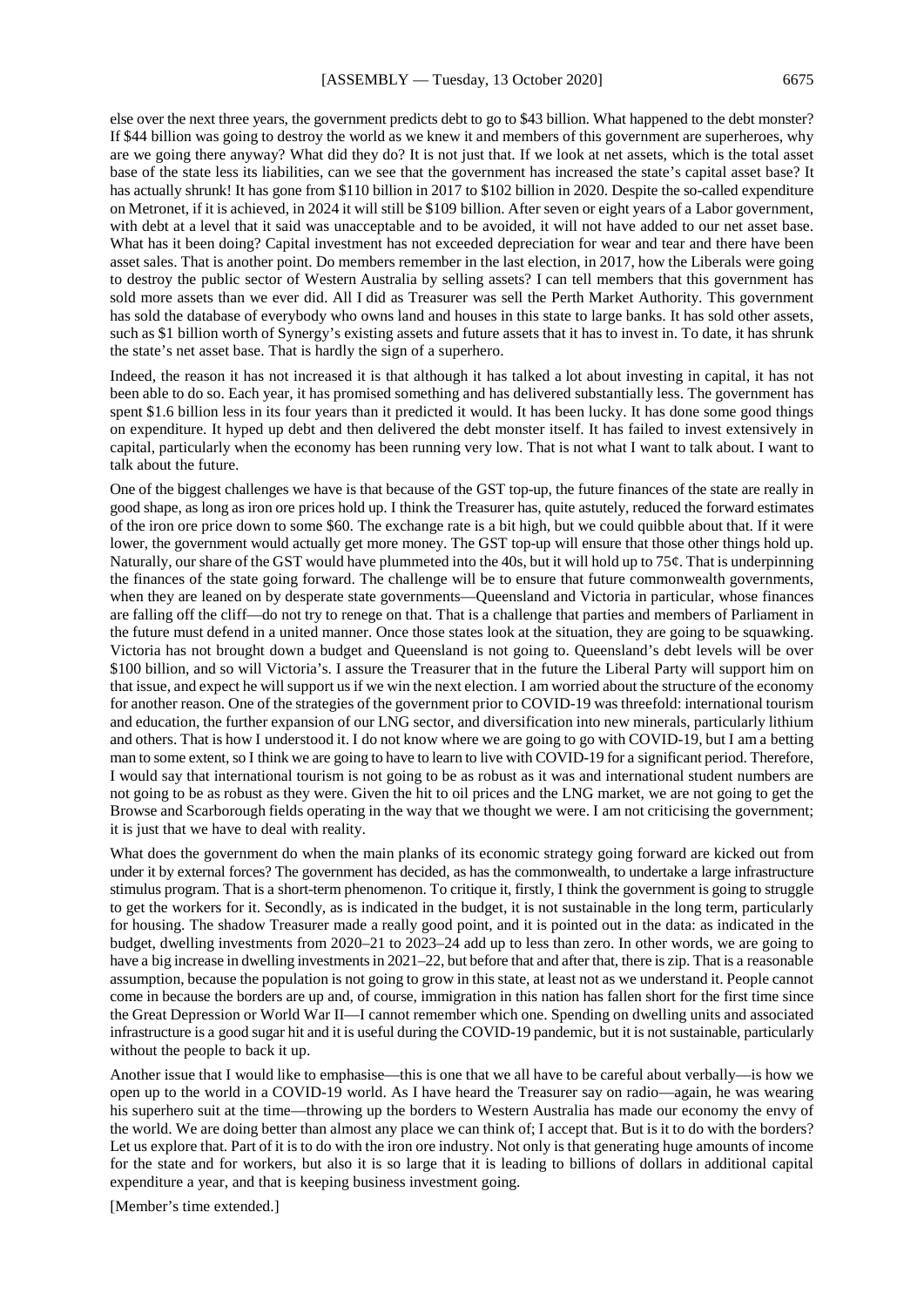else over the next three years, the government predicts debt to go to \$43 billion. What happened to the debt monster? If \$44 billion was going to destroy the world as we knew it and members of this government are superheroes, why are we going there anyway? What did they do? It is not just that. If we look at net assets, which is the total asset base of the state less its liabilities, can we see that the government has increased the state's capital asset base? It has actually shrunk! It has gone from \$110 billion in 2017 to \$102 billion in 2020. Despite the so-called expenditure on Metronet, if it is achieved, in 2024 it will still be \$109 billion. After seven or eight years of a Labor government, with debt at a level that it said was unacceptable and to be avoided, it will not have added to our net asset base. What has it been doing? Capital investment has not exceeded depreciation for wear and tear and there have been asset sales. That is another point. Do members remember in the last election, in 2017, how the Liberals were going to destroy the public sector of Western Australia by selling assets? I can tell members that this government has sold more assets than we ever did. All I did as Treasurer was sell the Perth Market Authority. This government has sold the database of everybody who owns land and houses in this state to large banks. It has sold other assets, such as \$1 billion worth of Synergy's existing assets and future assets that it has to invest in. To date, it has shrunk the state's net asset base. That is hardly the sign of a superhero.

Indeed, the reason it has not increased it is that although it has talked a lot about investing in capital, it has not been able to do so. Each year, it has promised something and has delivered substantially less. The government has spent \$1.6 billion less in its four years than it predicted it would. It has been lucky. It has done some good things on expenditure. It hyped up debt and then delivered the debt monster itself. It has failed to invest extensively in capital, particularly when the economy has been running very low. That is not what I want to talk about. I want to talk about the future.

One of the biggest challenges we have is that because of the GST top-up, the future finances of the state are really in good shape, as long as iron ore prices hold up. I think the Treasurer has, quite astutely, reduced the forward estimates of the iron ore price down to some \$60. The exchange rate is a bit high, but we could quibble about that. If it were lower, the government would actually get more money. The GST top-up will ensure that those other things hold up. Naturally, our share of the GST would have plummeted into the 40s, but it will hold up to 75¢. That is underpinning the finances of the state going forward. The challenge will be to ensure that future commonwealth governments, when they are leaned on by desperate state governments—Queensland and Victoria in particular, whose finances are falling off the cliff—do not try to renege on that. That is a challenge that parties and members of Parliament in the future must defend in a united manner. Once those states look at the situation, they are going to be squawking. Victoria has not brought down a budget and Queensland is not going to. Queensland's debt levels will be over \$100 billion, and so will Victoria's. I assure the Treasurer that in the future the Liberal Party will support him on that issue, and expect he will support us if we win the next election. I am worried about the structure of the economy for another reason. One of the strategies of the government prior to COVID-19 was threefold: international tourism and education, the further expansion of our LNG sector, and diversification into new minerals, particularly lithium and others. That is how I understood it. I do not know where we are going to go with COVID-19, but I am a betting man to some extent, so I think we are going to have to learn to live with COVID-19 for a significant period. Therefore, I would say that international tourism is not going to be as robust as it was and international student numbers are not going to be as robust as they were. Given the hit to oil prices and the LNG market, we are not going to get the Browse and Scarborough fields operating in the way that we thought we were. I am not criticising the government; it is just that we have to deal with reality.

What does the government do when the main planks of its economic strategy going forward are kicked out from under it by external forces? The government has decided, as has the commonwealth, to undertake a large infrastructure stimulus program. That is a short-term phenomenon. To critique it, firstly, I think the government is going to struggle to get the workers for it. Secondly, as is indicated in the budget, it is not sustainable in the long term, particularly for housing. The shadow Treasurer made a really good point, and it is pointed out in the data: as indicated in the budget, dwelling investments from 2020–21 to 2023–24 add up to less than zero. In other words, we are going to have a big increase in dwelling investments in 2021–22, but before that and after that, there is zip. That is a reasonable assumption, because the population is not going to grow in this state, at least not as we understand it. People cannot come in because the borders are up and, of course, immigration in this nation has fallen short for the first time since the Great Depression or World War II—I cannot remember which one. Spending on dwelling units and associated infrastructure is a good sugar hit and it is useful during the COVID-19 pandemic, but it is not sustainable, particularly without the people to back it up.

Another issue that I would like to emphasise—this is one that we all have to be careful about verbally—is how we open up to the world in a COVID-19 world. As I have heard the Treasurer say on radio—again, he was wearing his superhero suit at the time—throwing up the borders to Western Australia has made our economy the envy of the world. We are doing better than almost any place we can think of; I accept that. But is it to do with the borders? Let us explore that. Part of it is to do with the iron ore industry. Not only is that generating huge amounts of income for the state and for workers, but also it is so large that it is leading to billions of dollars in additional capital expenditure a year, and that is keeping business investment going.

[Member's time extended.]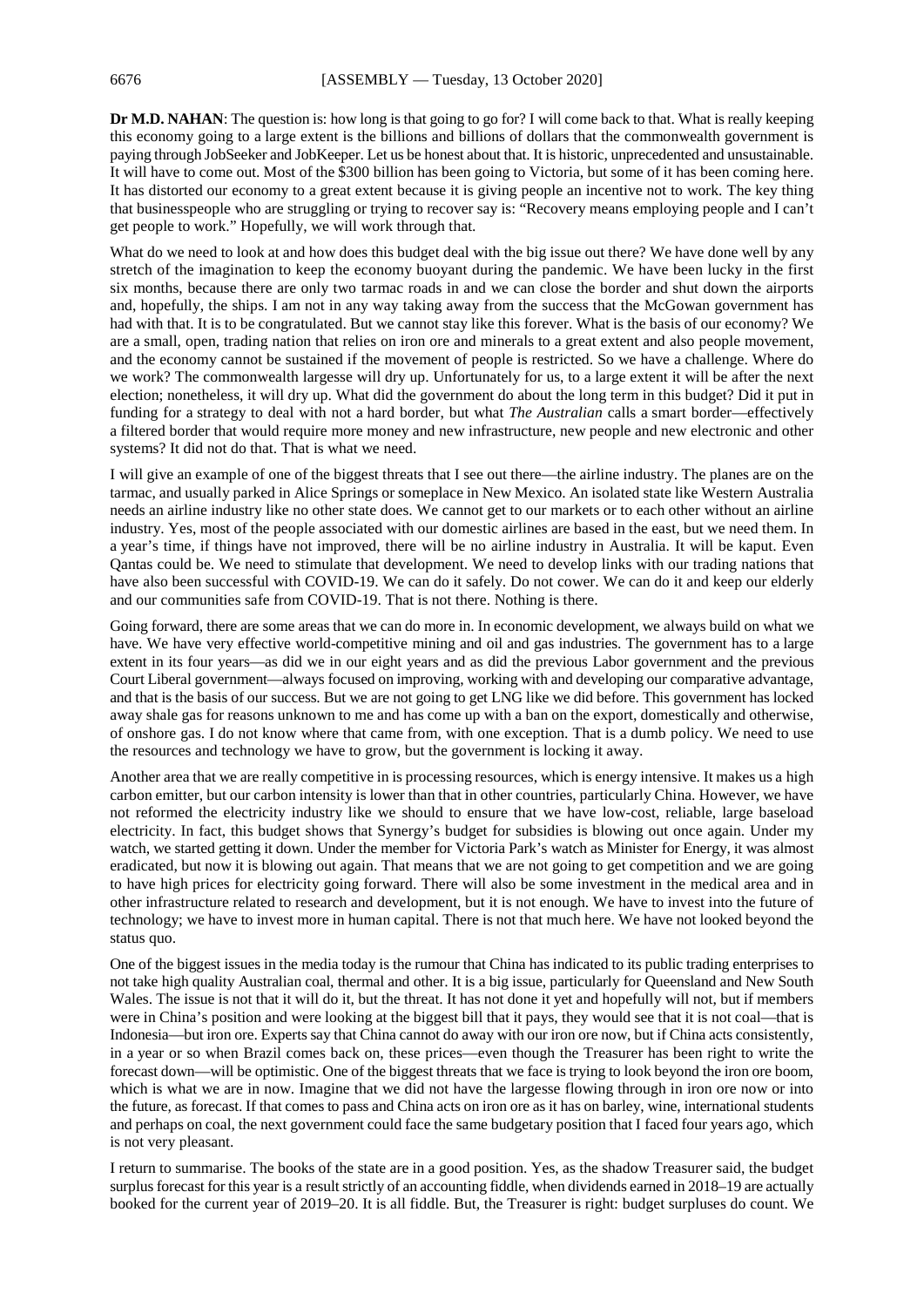**Dr M.D. NAHAN**: The question is: how long is that going to go for? I will come back to that. What is really keeping this economy going to a large extent is the billions and billions of dollars that the commonwealth government is paying through JobSeeker and JobKeeper. Let us be honest about that. It is historic, unprecedented and unsustainable. It will have to come out. Most of the \$300 billion has been going to Victoria, but some of it has been coming here. It has distorted our economy to a great extent because it is giving people an incentive not to work. The key thing that businesspeople who are struggling or trying to recover say is: "Recovery means employing people and I can't get people to work." Hopefully, we will work through that.

What do we need to look at and how does this budget deal with the big issue out there? We have done well by any stretch of the imagination to keep the economy buoyant during the pandemic. We have been lucky in the first six months, because there are only two tarmac roads in and we can close the border and shut down the airports and, hopefully, the ships. I am not in any way taking away from the success that the McGowan government has had with that. It is to be congratulated. But we cannot stay like this forever. What is the basis of our economy? We are a small, open, trading nation that relies on iron ore and minerals to a great extent and also people movement, and the economy cannot be sustained if the movement of people is restricted. So we have a challenge. Where do we work? The commonwealth largesse will dry up. Unfortunately for us, to a large extent it will be after the next election; nonetheless, it will dry up. What did the government do about the long term in this budget? Did it put in funding for a strategy to deal with not a hard border, but what *The Australian* calls a smart border—effectively a filtered border that would require more money and new infrastructure, new people and new electronic and other systems? It did not do that. That is what we need.

I will give an example of one of the biggest threats that I see out there—the airline industry. The planes are on the tarmac, and usually parked in Alice Springs or someplace in New Mexico. An isolated state like Western Australia needs an airline industry like no other state does. We cannot get to our markets or to each other without an airline industry. Yes, most of the people associated with our domestic airlines are based in the east, but we need them. In a year's time, if things have not improved, there will be no airline industry in Australia. It will be kaput. Even Qantas could be. We need to stimulate that development. We need to develop links with our trading nations that have also been successful with COVID-19. We can do it safely. Do not cower. We can do it and keep our elderly and our communities safe from COVID-19. That is not there. Nothing is there.

Going forward, there are some areas that we can do more in. In economic development, we always build on what we have. We have very effective world-competitive mining and oil and gas industries. The government has to a large extent in its four years—as did we in our eight years and as did the previous Labor government and the previous Court Liberal government—always focused on improving, working with and developing our comparative advantage, and that is the basis of our success. But we are not going to get LNG like we did before. This government has locked away shale gas for reasons unknown to me and has come up with a ban on the export, domestically and otherwise, of onshore gas. I do not know where that came from, with one exception. That is a dumb policy. We need to use the resources and technology we have to grow, but the government is locking it away.

Another area that we are really competitive in is processing resources, which is energy intensive. It makes us a high carbon emitter, but our carbon intensity is lower than that in other countries, particularly China. However, we have not reformed the electricity industry like we should to ensure that we have low-cost, reliable, large baseload electricity. In fact, this budget shows that Synergy's budget for subsidies is blowing out once again. Under my watch, we started getting it down. Under the member for Victoria Park's watch as Minister for Energy, it was almost eradicated, but now it is blowing out again. That means that we are not going to get competition and we are going to have high prices for electricity going forward. There will also be some investment in the medical area and in other infrastructure related to research and development, but it is not enough. We have to invest into the future of technology; we have to invest more in human capital. There is not that much here. We have not looked beyond the status quo.

One of the biggest issues in the media today is the rumour that China has indicated to its public trading enterprises to not take high quality Australian coal, thermal and other. It is a big issue, particularly for Queensland and New South Wales. The issue is not that it will do it, but the threat. It has not done it yet and hopefully will not, but if members were in China's position and were looking at the biggest bill that it pays, they would see that it is not coal—that is Indonesia—but iron ore. Experts say that China cannot do away with our iron ore now, but if China acts consistently, in a year or so when Brazil comes back on, these prices—even though the Treasurer has been right to write the forecast down—will be optimistic. One of the biggest threats that we face is trying to look beyond the iron ore boom, which is what we are in now. Imagine that we did not have the largesse flowing through in iron ore now or into the future, as forecast. If that comes to pass and China acts on iron ore as it has on barley, wine, international students and perhaps on coal, the next government could face the same budgetary position that I faced four years ago, which is not very pleasant.

I return to summarise. The books of the state are in a good position. Yes, as the shadow Treasurer said, the budget surplus forecast for this year is a result strictly of an accounting fiddle, when dividends earned in 2018–19 are actually booked for the current year of 2019–20. It is all fiddle. But, the Treasurer is right: budget surpluses do count. We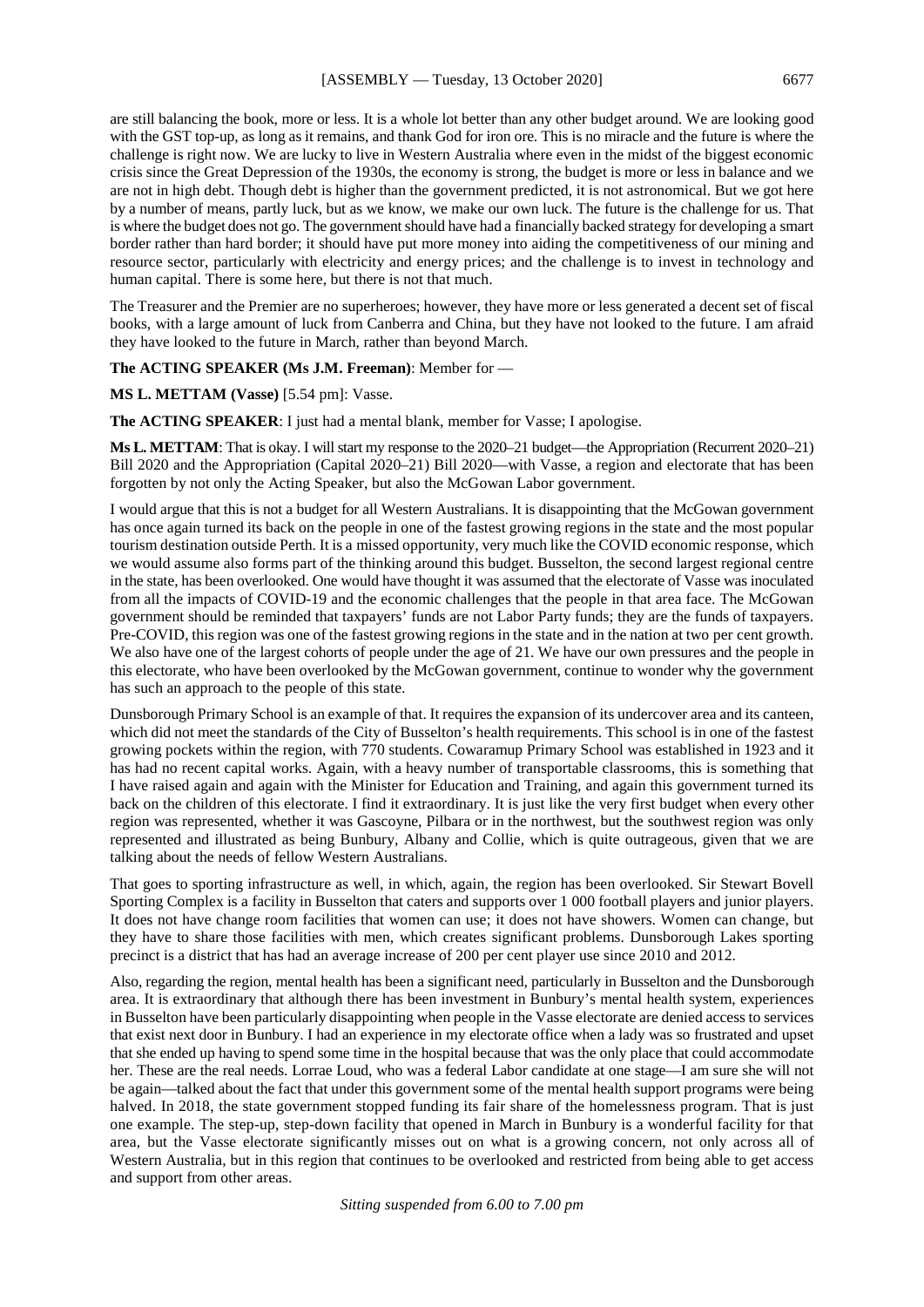are still balancing the book, more or less. It is a whole lot better than any other budget around. We are looking good with the GST top-up, as long as it remains, and thank God for iron ore. This is no miracle and the future is where the challenge is right now. We are lucky to live in Western Australia where even in the midst of the biggest economic crisis since the Great Depression of the 1930s, the economy is strong, the budget is more or less in balance and we are not in high debt. Though debt is higher than the government predicted, it is not astronomical. But we got here by a number of means, partly luck, but as we know, we make our own luck. The future is the challenge for us. That is where the budget does not go. The government should have had a financially backed strategy for developing a smart border rather than hard border; it should have put more money into aiding the competitiveness of our mining and resource sector, particularly with electricity and energy prices; and the challenge is to invest in technology and human capital. There is some here, but there is not that much.

The Treasurer and the Premier are no superheroes; however, they have more or less generated a decent set of fiscal books, with a large amount of luck from Canberra and China, but they have not looked to the future. I am afraid they have looked to the future in March, rather than beyond March.

**The ACTING SPEAKER (Ms J.M. Freeman)**: Member for —

**MS L. METTAM (Vasse)** [5.54 pm]: Vasse.

**The ACTING SPEAKER**: I just had a mental blank, member for Vasse; I apologise.

**Ms L. METTAM**: That is okay. I will start my response to the 2020–21 budget—the Appropriation (Recurrent 2020–21) Bill 2020 and the Appropriation (Capital 2020–21) Bill 2020—with Vasse, a region and electorate that has been forgotten by not only the Acting Speaker, but also the McGowan Labor government.

I would argue that this is not a budget for all Western Australians. It is disappointing that the McGowan government has once again turned its back on the people in one of the fastest growing regions in the state and the most popular tourism destination outside Perth. It is a missed opportunity, very much like the COVID economic response, which we would assume also forms part of the thinking around this budget. Busselton, the second largest regional centre in the state, has been overlooked. One would have thought it was assumed that the electorate of Vasse was inoculated from all the impacts of COVID-19 and the economic challenges that the people in that area face. The McGowan government should be reminded that taxpayers' funds are not Labor Party funds; they are the funds of taxpayers. Pre-COVID, this region was one of the fastest growing regions in the state and in the nation at two per cent growth. We also have one of the largest cohorts of people under the age of 21. We have our own pressures and the people in this electorate, who have been overlooked by the McGowan government, continue to wonder why the government has such an approach to the people of this state.

Dunsborough Primary School is an example of that. It requires the expansion of its undercover area and its canteen, which did not meet the standards of the City of Busselton's health requirements. This school is in one of the fastest growing pockets within the region, with 770 students. Cowaramup Primary School was established in 1923 and it has had no recent capital works. Again, with a heavy number of transportable classrooms, this is something that I have raised again and again with the Minister for Education and Training, and again this government turned its back on the children of this electorate. I find it extraordinary. It is just like the very first budget when every other region was represented, whether it was Gascoyne, Pilbara or in the northwest, but the southwest region was only represented and illustrated as being Bunbury, Albany and Collie, which is quite outrageous, given that we are talking about the needs of fellow Western Australians.

That goes to sporting infrastructure as well, in which, again, the region has been overlooked. Sir Stewart Bovell Sporting Complex is a facility in Busselton that caters and supports over 1 000 football players and junior players. It does not have change room facilities that women can use; it does not have showers. Women can change, but they have to share those facilities with men, which creates significant problems. Dunsborough Lakes sporting precinct is a district that has had an average increase of 200 per cent player use since 2010 and 2012.

Also, regarding the region, mental health has been a significant need, particularly in Busselton and the Dunsborough area. It is extraordinary that although there has been investment in Bunbury's mental health system, experiences in Busselton have been particularly disappointing when people in the Vasse electorate are denied access to services that exist next door in Bunbury. I had an experience in my electorate office when a lady was so frustrated and upset that she ended up having to spend some time in the hospital because that was the only place that could accommodate her. These are the real needs. Lorrae Loud, who was a federal Labor candidate at one stage—I am sure she will not be again—talked about the fact that under this government some of the mental health support programs were being halved. In 2018, the state government stopped funding its fair share of the homelessness program. That is just one example. The step-up, step-down facility that opened in March in Bunbury is a wonderful facility for that area, but the Vasse electorate significantly misses out on what is a growing concern, not only across all of Western Australia, but in this region that continues to be overlooked and restricted from being able to get access and support from other areas.

*Sitting suspended from 6.00 to 7.00 pm*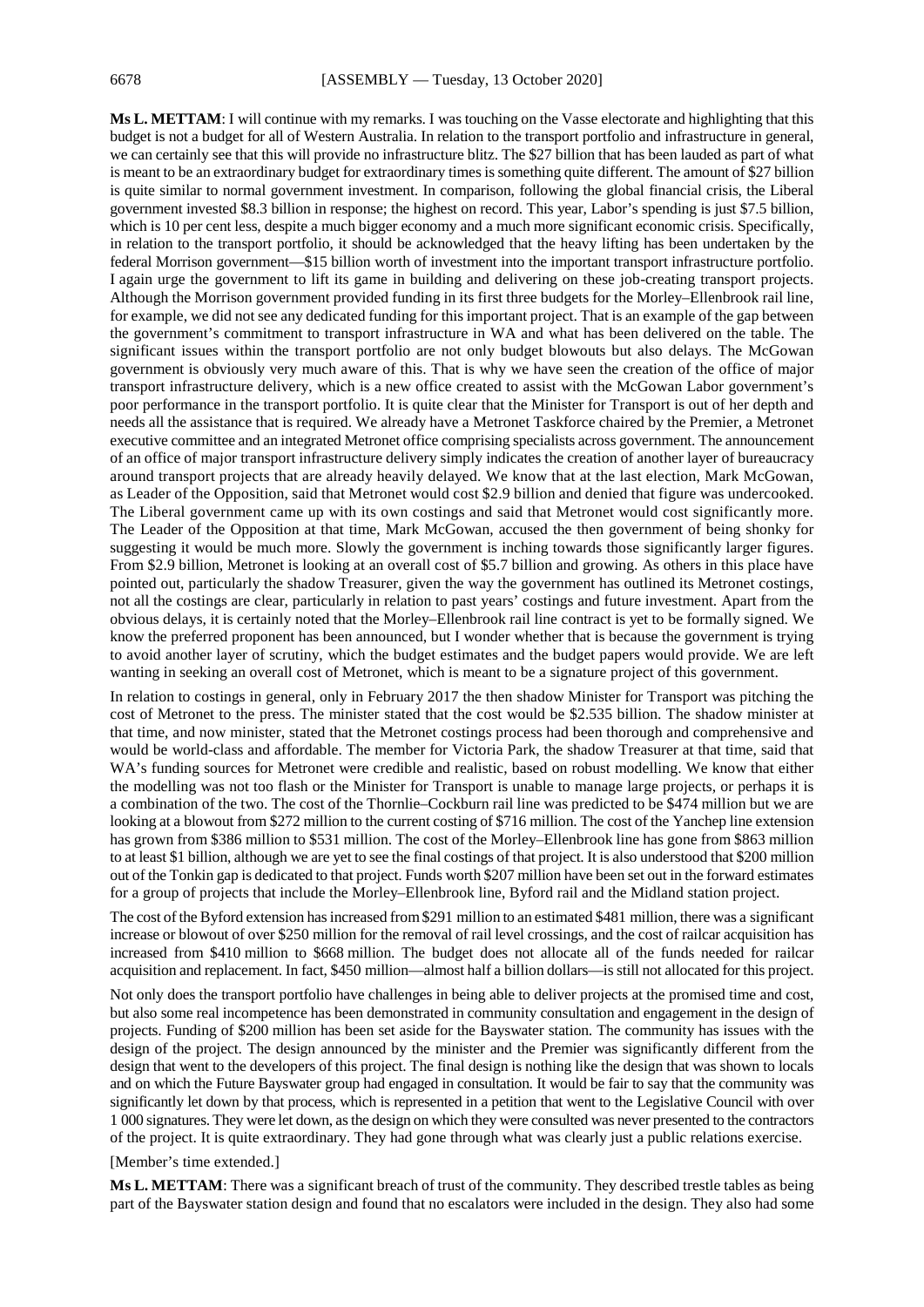**Ms L. METTAM**: I will continue with my remarks. I was touching on the Vasse electorate and highlighting that this budget is not a budget for all of Western Australia. In relation to the transport portfolio and infrastructure in general, we can certainly see that this will provide no infrastructure blitz. The \$27 billion that has been lauded as part of what is meant to be an extraordinary budget for extraordinary times is something quite different. The amount of \$27 billion is quite similar to normal government investment. In comparison, following the global financial crisis, the Liberal government invested \$8.3 billion in response; the highest on record. This year, Labor's spending is just \$7.5 billion, which is 10 per cent less, despite a much bigger economy and a much more significant economic crisis. Specifically, in relation to the transport portfolio, it should be acknowledged that the heavy lifting has been undertaken by the federal Morrison government—\$15 billion worth of investment into the important transport infrastructure portfolio. I again urge the government to lift its game in building and delivering on these job-creating transport projects. Although the Morrison government provided funding in its first three budgets for the Morley–Ellenbrook rail line, for example, we did not see any dedicated funding for this important project. That is an example of the gap between the government's commitment to transport infrastructure in WA and what has been delivered on the table. The significant issues within the transport portfolio are not only budget blowouts but also delays. The McGowan government is obviously very much aware of this. That is why we have seen the creation of the office of major transport infrastructure delivery, which is a new office created to assist with the McGowan Labor government's poor performance in the transport portfolio. It is quite clear that the Minister for Transport is out of her depth and needs all the assistance that is required. We already have a Metronet Taskforce chaired by the Premier, a Metronet executive committee and an integrated Metronet office comprising specialists across government. The announcement of an office of major transport infrastructure delivery simply indicates the creation of another layer of bureaucracy around transport projects that are already heavily delayed. We know that at the last election, Mark McGowan, as Leader of the Opposition, said that Metronet would cost \$2.9 billion and denied that figure was undercooked. The Liberal government came up with its own costings and said that Metronet would cost significantly more. The Leader of the Opposition at that time, Mark McGowan, accused the then government of being shonky for suggesting it would be much more. Slowly the government is inching towards those significantly larger figures. From \$2.9 billion, Metronet is looking at an overall cost of \$5.7 billion and growing. As others in this place have pointed out, particularly the shadow Treasurer, given the way the government has outlined its Metronet costings, not all the costings are clear, particularly in relation to past years' costings and future investment. Apart from the obvious delays, it is certainly noted that the Morley–Ellenbrook rail line contract is yet to be formally signed. We know the preferred proponent has been announced, but I wonder whether that is because the government is trying to avoid another layer of scrutiny, which the budget estimates and the budget papers would provide. We are left wanting in seeking an overall cost of Metronet, which is meant to be a signature project of this government.

In relation to costings in general, only in February 2017 the then shadow Minister for Transport was pitching the cost of Metronet to the press. The minister stated that the cost would be \$2.535 billion. The shadow minister at that time, and now minister, stated that the Metronet costings process had been thorough and comprehensive and would be world-class and affordable. The member for Victoria Park, the shadow Treasurer at that time, said that WA's funding sources for Metronet were credible and realistic, based on robust modelling. We know that either the modelling was not too flash or the Minister for Transport is unable to manage large projects, or perhaps it is a combination of the two. The cost of the Thornlie–Cockburn rail line was predicted to be \$474 million but we are looking at a blowout from \$272 million to the current costing of \$716 million. The cost of the Yanchep line extension has grown from \$386 million to \$531 million. The cost of the Morley–Ellenbrook line has gone from \$863 million to at least \$1 billion, although we are yet to see the final costings of that project. It is also understood that \$200 million out of the Tonkin gap is dedicated to that project. Funds worth \$207 million have been set out in the forward estimates for a group of projects that include the Morley–Ellenbrook line, Byford rail and the Midland station project.

The cost of the Byford extension has increased from \$291 million to an estimated \$481 million, there was a significant increase or blowout of over \$250 million for the removal of rail level crossings, and the cost of railcar acquisition has increased from \$410 million to \$668 million. The budget does not allocate all of the funds needed for railcar acquisition and replacement. In fact, \$450 million—almost half a billion dollars—is still not allocated for this project.

Not only does the transport portfolio have challenges in being able to deliver projects at the promised time and cost, but also some real incompetence has been demonstrated in community consultation and engagement in the design of projects. Funding of \$200 million has been set aside for the Bayswater station. The community has issues with the design of the project. The design announced by the minister and the Premier was significantly different from the design that went to the developers of this project. The final design is nothing like the design that was shown to locals and on which the Future Bayswater group had engaged in consultation. It would be fair to say that the community was significantly let down by that process, which is represented in a petition that went to the Legislative Council with over 1 000 signatures. They were let down, as the design on which they were consulted was never presented to the contractors of the project. It is quite extraordinary. They had gone through what was clearly just a public relations exercise.

[Member's time extended.]

**Ms L. METTAM**: There was a significant breach of trust of the community. They described trestle tables as being part of the Bayswater station design and found that no escalators were included in the design. They also had some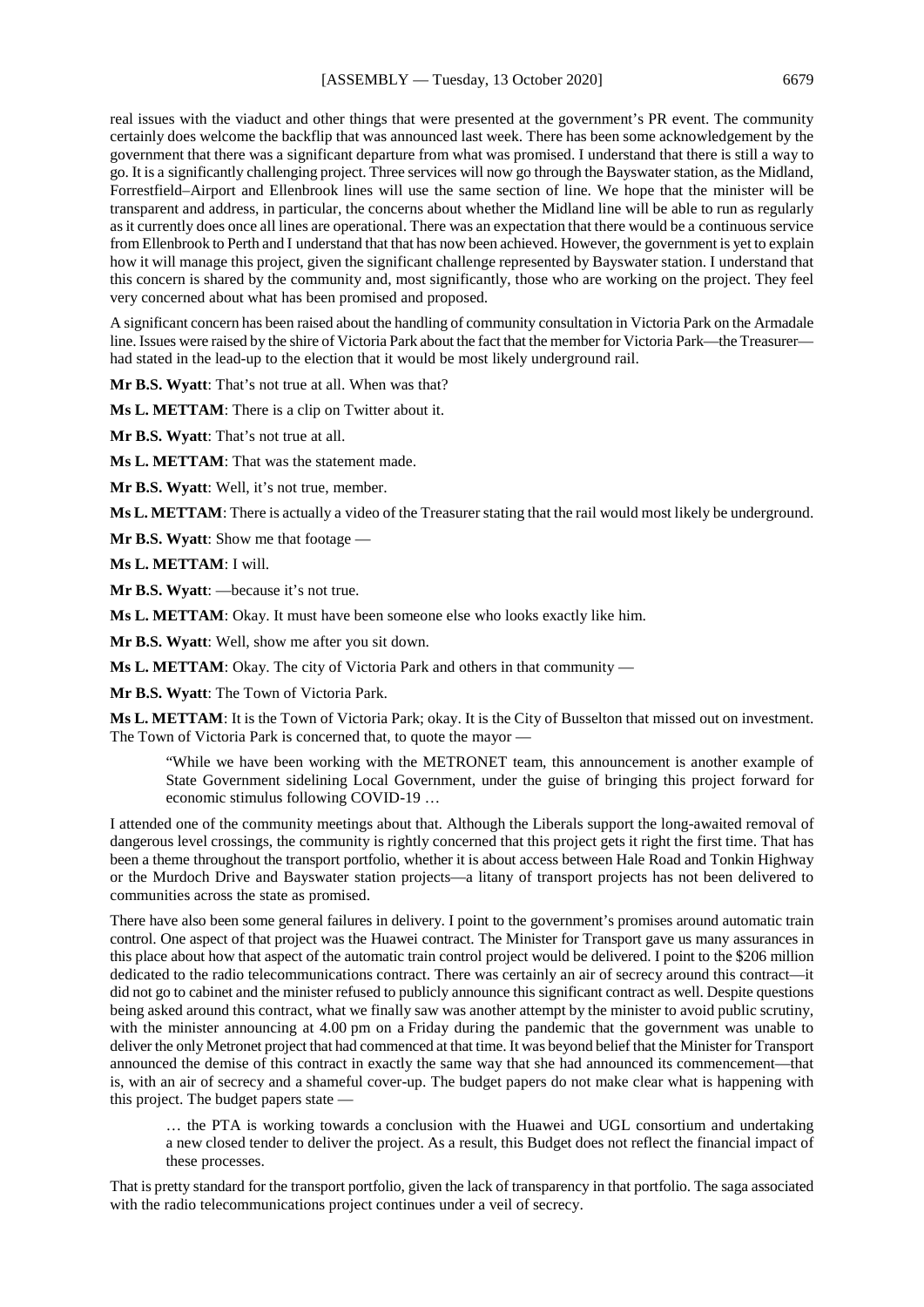real issues with the viaduct and other things that were presented at the government's PR event. The community certainly does welcome the backflip that was announced last week. There has been some acknowledgement by the government that there was a significant departure from what was promised. I understand that there is still a way to go. It is a significantly challenging project. Three services will now go through the Bayswater station, as the Midland, Forrestfield–Airport and Ellenbrook lines will use the same section of line. We hope that the minister will be transparent and address, in particular, the concerns about whether the Midland line will be able to run as regularly as it currently does once all lines are operational. There was an expectation that there would be a continuous service from Ellenbrook to Perth and I understand that that has now been achieved. However, the government is yet to explain how it will manage this project, given the significant challenge represented by Bayswater station. I understand that this concern is shared by the community and, most significantly, those who are working on the project. They feel very concerned about what has been promised and proposed.

A significant concern has been raised about the handling of community consultation in Victoria Park on the Armadale line. Issues were raised by the shire of Victoria Park about the fact that the member for Victoria Park—the Treasurer had stated in the lead-up to the election that it would be most likely underground rail.

**Mr B.S. Wyatt**: That's not true at all. When was that?

**Ms L. METTAM**: There is a clip on Twitter about it.

**Mr B.S. Wyatt**: That's not true at all.

**Ms L. METTAM**: That was the statement made.

**Mr B.S. Wyatt**: Well, it's not true, member.

**Ms L. METTAM**: There is actually a video of the Treasurer stating that the rail would most likely be underground.

**Mr B.S. Wyatt**: Show me that footage —

**Ms L. METTAM**: I will.

**Mr B.S. Wyatt**: —because it's not true.

**Ms L. METTAM**: Okay. It must have been someone else who looks exactly like him.

**Mr B.S. Wyatt**: Well, show me after you sit down.

**Ms L. METTAM**: Okay. The city of Victoria Park and others in that community —

**Mr B.S. Wyatt**: The Town of Victoria Park.

**Ms L. METTAM**: It is the Town of Victoria Park; okay. It is the City of Busselton that missed out on investment. The Town of Victoria Park is concerned that, to quote the mayor —

"While we have been working with the METRONET team, this announcement is another example of State Government sidelining Local Government, under the guise of bringing this project forward for economic stimulus following COVID-19 …

I attended one of the community meetings about that. Although the Liberals support the long-awaited removal of dangerous level crossings, the community is rightly concerned that this project gets it right the first time. That has been a theme throughout the transport portfolio, whether it is about access between Hale Road and Tonkin Highway or the Murdoch Drive and Bayswater station projects—a litany of transport projects has not been delivered to communities across the state as promised.

There have also been some general failures in delivery. I point to the government's promises around automatic train control. One aspect of that project was the Huawei contract. The Minister for Transport gave us many assurances in this place about how that aspect of the automatic train control project would be delivered. I point to the \$206 million dedicated to the radio telecommunications contract. There was certainly an air of secrecy around this contract—it did not go to cabinet and the minister refused to publicly announce this significant contract as well. Despite questions being asked around this contract, what we finally saw was another attempt by the minister to avoid public scrutiny, with the minister announcing at 4.00 pm on a Friday during the pandemic that the government was unable to deliver the only Metronet project that had commenced at that time. It was beyond belief that the Minister for Transport announced the demise of this contract in exactly the same way that she had announced its commencement—that is, with an air of secrecy and a shameful cover-up. The budget papers do not make clear what is happening with this project. The budget papers state —

… the PTA is working towards a conclusion with the Huawei and UGL consortium and undertaking a new closed tender to deliver the project. As a result, this Budget does not reflect the financial impact of these processes.

That is pretty standard for the transport portfolio, given the lack of transparency in that portfolio. The saga associated with the radio telecommunications project continues under a veil of secrecy.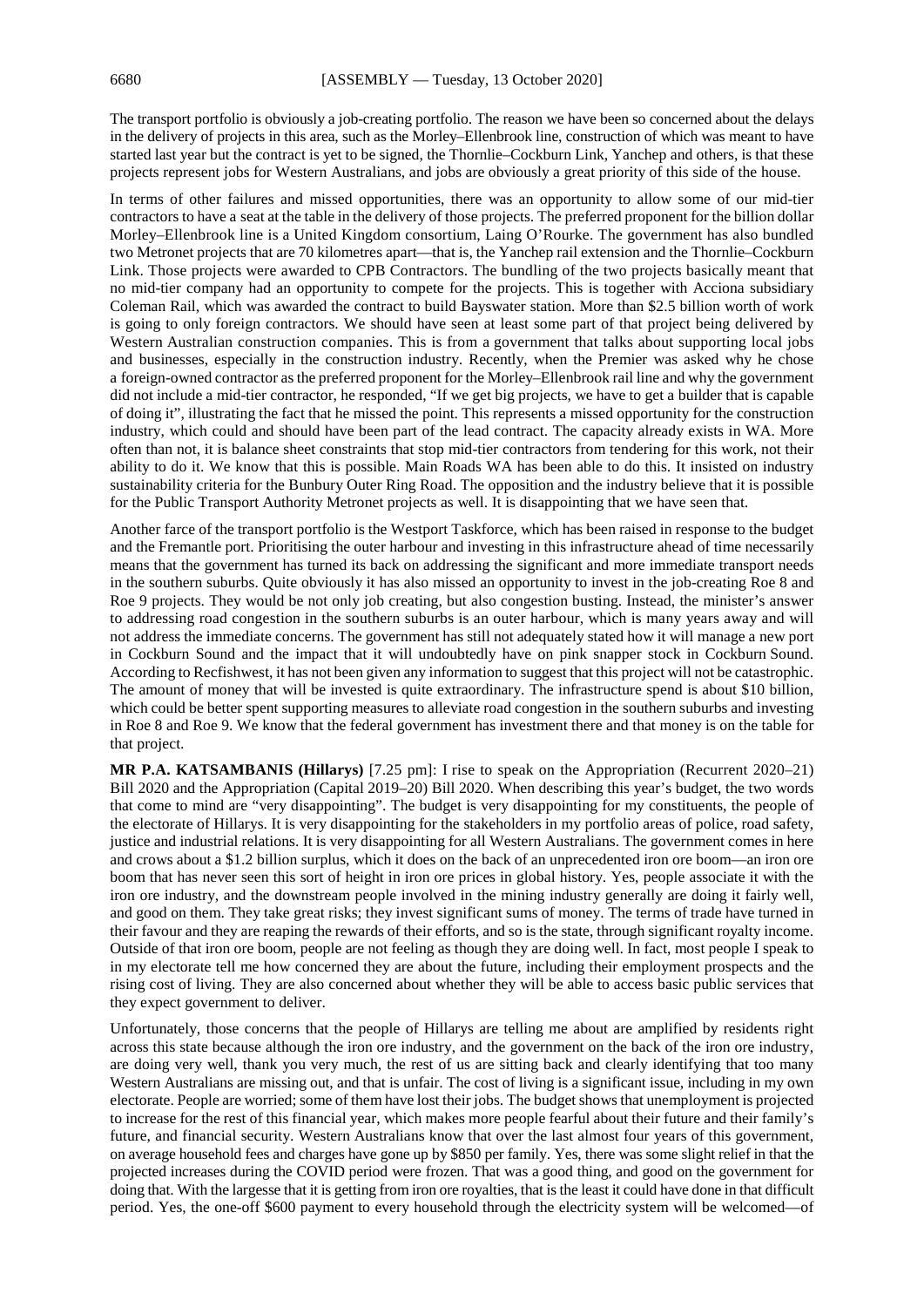The transport portfolio is obviously a job-creating portfolio. The reason we have been so concerned about the delays in the delivery of projects in this area, such as the Morley–Ellenbrook line, construction of which was meant to have started last year but the contract is yet to be signed, the Thornlie–Cockburn Link, Yanchep and others, is that these projects represent jobs for Western Australians, and jobs are obviously a great priority of this side of the house.

In terms of other failures and missed opportunities, there was an opportunity to allow some of our mid-tier contractors to have a seat at the table in the delivery of those projects. The preferred proponent for the billion dollar Morley–Ellenbrook line is a United Kingdom consortium, Laing O'Rourke. The government has also bundled two Metronet projects that are 70 kilometres apart—that is, the Yanchep rail extension and the Thornlie–Cockburn Link. Those projects were awarded to CPB Contractors. The bundling of the two projects basically meant that no mid-tier company had an opportunity to compete for the projects. This is together with Acciona subsidiary Coleman Rail, which was awarded the contract to build Bayswater station. More than \$2.5 billion worth of work is going to only foreign contractors. We should have seen at least some part of that project being delivered by Western Australian construction companies. This is from a government that talks about supporting local jobs and businesses, especially in the construction industry. Recently, when the Premier was asked why he chose a foreign-owned contractor as the preferred proponent for the Morley–Ellenbrook rail line and why the government did not include a mid-tier contractor, he responded, "If we get big projects, we have to get a builder that is capable of doing it", illustrating the fact that he missed the point. This represents a missed opportunity for the construction industry, which could and should have been part of the lead contract. The capacity already exists in WA. More often than not, it is balance sheet constraints that stop mid-tier contractors from tendering for this work, not their ability to do it. We know that this is possible. Main Roads WA has been able to do this. It insisted on industry sustainability criteria for the Bunbury Outer Ring Road. The opposition and the industry believe that it is possible for the Public Transport Authority Metronet projects as well. It is disappointing that we have seen that.

Another farce of the transport portfolio is the Westport Taskforce, which has been raised in response to the budget and the Fremantle port. Prioritising the outer harbour and investing in this infrastructure ahead of time necessarily means that the government has turned its back on addressing the significant and more immediate transport needs in the southern suburbs. Quite obviously it has also missed an opportunity to invest in the job-creating Roe 8 and Roe 9 projects. They would be not only job creating, but also congestion busting. Instead, the minister's answer to addressing road congestion in the southern suburbs is an outer harbour, which is many years away and will not address the immediate concerns. The government has still not adequately stated how it will manage a new port in Cockburn Sound and the impact that it will undoubtedly have on pink snapper stock in Cockburn Sound. According to Recfishwest, it has not been given any information to suggest that this project will not be catastrophic. The amount of money that will be invested is quite extraordinary. The infrastructure spend is about \$10 billion, which could be better spent supporting measures to alleviate road congestion in the southern suburbs and investing in Roe 8 and Roe 9. We know that the federal government has investment there and that money is on the table for that project.

**MR P.A. KATSAMBANIS (Hillarys)** [7.25 pm]: I rise to speak on the Appropriation (Recurrent 2020–21) Bill 2020 and the Appropriation (Capital 2019–20) Bill 2020. When describing this year's budget, the two words that come to mind are "very disappointing". The budget is very disappointing for my constituents, the people of the electorate of Hillarys. It is very disappointing for the stakeholders in my portfolio areas of police, road safety, justice and industrial relations. It is very disappointing for all Western Australians. The government comes in here and crows about a \$1.2 billion surplus, which it does on the back of an unprecedented iron ore boom—an iron ore boom that has never seen this sort of height in iron ore prices in global history. Yes, people associate it with the iron ore industry, and the downstream people involved in the mining industry generally are doing it fairly well, and good on them. They take great risks; they invest significant sums of money. The terms of trade have turned in their favour and they are reaping the rewards of their efforts, and so is the state, through significant royalty income. Outside of that iron ore boom, people are not feeling as though they are doing well. In fact, most people I speak to in my electorate tell me how concerned they are about the future, including their employment prospects and the rising cost of living. They are also concerned about whether they will be able to access basic public services that they expect government to deliver.

Unfortunately, those concerns that the people of Hillarys are telling me about are amplified by residents right across this state because although the iron ore industry, and the government on the back of the iron ore industry, are doing very well, thank you very much, the rest of us are sitting back and clearly identifying that too many Western Australians are missing out, and that is unfair. The cost of living is a significant issue, including in my own electorate. People are worried; some of them have lost their jobs. The budget shows that unemployment is projected to increase for the rest of this financial year, which makes more people fearful about their future and their family's future, and financial security. Western Australians know that over the last almost four years of this government, on average household fees and charges have gone up by \$850 per family. Yes, there was some slight relief in that the projected increases during the COVID period were frozen. That was a good thing, and good on the government for doing that. With the largesse that it is getting from iron ore royalties, that is the least it could have done in that difficult period. Yes, the one-off \$600 payment to every household through the electricity system will be welcomed—of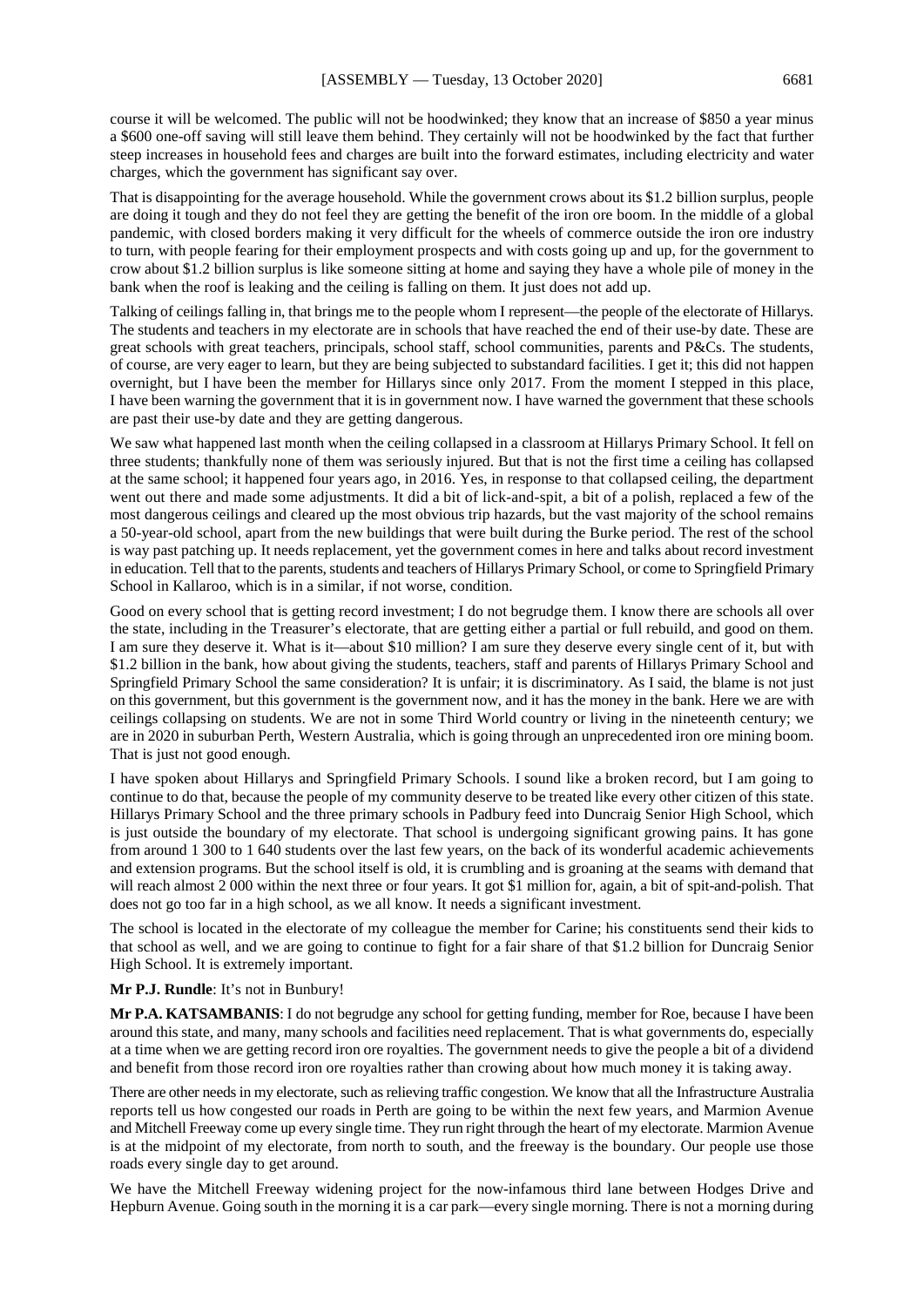course it will be welcomed. The public will not be hoodwinked; they know that an increase of \$850 a year minus a \$600 one-off saving will still leave them behind. They certainly will not be hoodwinked by the fact that further steep increases in household fees and charges are built into the forward estimates, including electricity and water charges, which the government has significant say over.

That is disappointing for the average household. While the government crows about its \$1.2 billion surplus, people are doing it tough and they do not feel they are getting the benefit of the iron ore boom. In the middle of a global pandemic, with closed borders making it very difficult for the wheels of commerce outside the iron ore industry to turn, with people fearing for their employment prospects and with costs going up and up, for the government to crow about \$1.2 billion surplus is like someone sitting at home and saying they have a whole pile of money in the bank when the roof is leaking and the ceiling is falling on them. It just does not add up.

Talking of ceilings falling in, that brings me to the people whom I represent—the people of the electorate of Hillarys. The students and teachers in my electorate are in schools that have reached the end of their use-by date. These are great schools with great teachers, principals, school staff, school communities, parents and P&Cs. The students, of course, are very eager to learn, but they are being subjected to substandard facilities. I get it; this did not happen overnight, but I have been the member for Hillarys since only 2017. From the moment I stepped in this place, I have been warning the government that it is in government now. I have warned the government that these schools are past their use-by date and they are getting dangerous.

We saw what happened last month when the ceiling collapsed in a classroom at Hillarys Primary School. It fell on three students; thankfully none of them was seriously injured. But that is not the first time a ceiling has collapsed at the same school; it happened four years ago, in 2016. Yes, in response to that collapsed ceiling, the department went out there and made some adjustments. It did a bit of lick-and-spit, a bit of a polish, replaced a few of the most dangerous ceilings and cleared up the most obvious trip hazards, but the vast majority of the school remains a 50-year-old school, apart from the new buildings that were built during the Burke period. The rest of the school is way past patching up. It needs replacement, yet the government comes in here and talks about record investment in education. Tell that to the parents, students and teachers of Hillarys Primary School, or come to Springfield Primary School in Kallaroo, which is in a similar, if not worse, condition.

Good on every school that is getting record investment; I do not begrudge them. I know there are schools all over the state, including in the Treasurer's electorate, that are getting either a partial or full rebuild, and good on them. I am sure they deserve it. What is it—about \$10 million? I am sure they deserve every single cent of it, but with \$1.2 billion in the bank, how about giving the students, teachers, staff and parents of Hillarys Primary School and Springfield Primary School the same consideration? It is unfair; it is discriminatory. As I said, the blame is not just on this government, but this government is the government now, and it has the money in the bank. Here we are with ceilings collapsing on students. We are not in some Third World country or living in the nineteenth century; we are in 2020 in suburban Perth, Western Australia, which is going through an unprecedented iron ore mining boom. That is just not good enough.

I have spoken about Hillarys and Springfield Primary Schools. I sound like a broken record, but I am going to continue to do that, because the people of my community deserve to be treated like every other citizen of this state. Hillarys Primary School and the three primary schools in Padbury feed into Duncraig Senior High School, which is just outside the boundary of my electorate. That school is undergoing significant growing pains. It has gone from around 1 300 to 1 640 students over the last few years, on the back of its wonderful academic achievements and extension programs. But the school itself is old, it is crumbling and is groaning at the seams with demand that will reach almost 2 000 within the next three or four years. It got \$1 million for, again, a bit of spit-and-polish. That does not go too far in a high school, as we all know. It needs a significant investment.

The school is located in the electorate of my colleague the member for Carine; his constituents send their kids to that school as well, and we are going to continue to fight for a fair share of that \$1.2 billion for Duncraig Senior High School. It is extremely important.

#### **Mr P.J. Rundle**: It's not in Bunbury!

**Mr P.A. KATSAMBANIS**: I do not begrudge any school for getting funding, member for Roe, because I have been around this state, and many, many schools and facilities need replacement. That is what governments do, especially at a time when we are getting record iron ore royalties. The government needs to give the people a bit of a dividend and benefit from those record iron ore royalties rather than crowing about how much money it is taking away.

There are other needs in my electorate, such as relieving traffic congestion. We know that all the Infrastructure Australia reports tell us how congested our roads in Perth are going to be within the next few years, and Marmion Avenue and Mitchell Freeway come up every single time. They run right through the heart of my electorate. Marmion Avenue is at the midpoint of my electorate, from north to south, and the freeway is the boundary. Our people use those roads every single day to get around.

We have the Mitchell Freeway widening project for the now-infamous third lane between Hodges Drive and Hepburn Avenue. Going south in the morning it is a car park—every single morning. There is not a morning during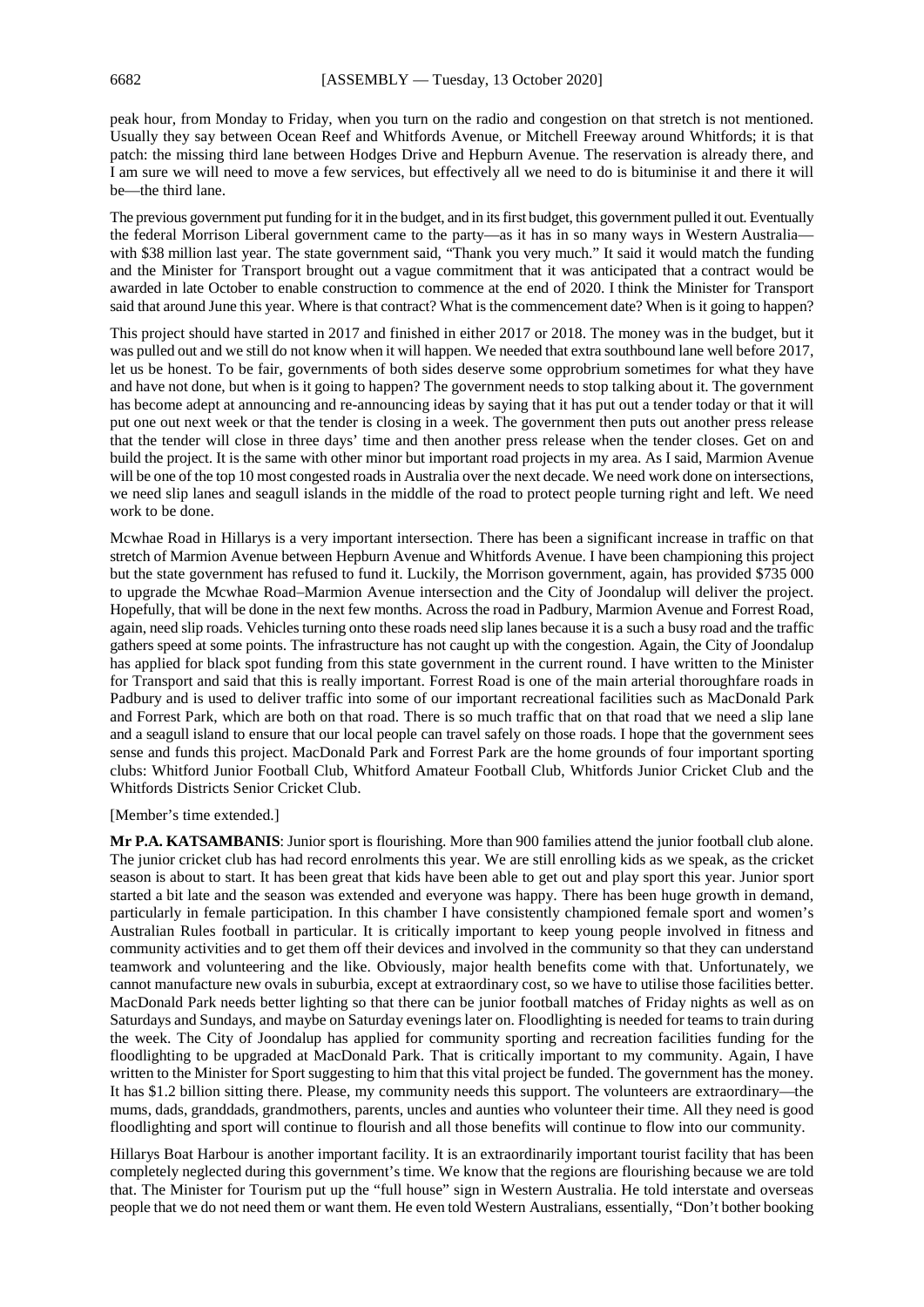peak hour, from Monday to Friday, when you turn on the radio and congestion on that stretch is not mentioned. Usually they say between Ocean Reef and Whitfords Avenue, or Mitchell Freeway around Whitfords; it is that patch: the missing third lane between Hodges Drive and Hepburn Avenue. The reservation is already there, and I am sure we will need to move a few services, but effectively all we need to do is bituminise it and there it will be—the third lane.

The previous government put funding for it in the budget, and in its first budget, this government pulled it out. Eventually the federal Morrison Liberal government came to the party—as it has in so many ways in Western Australia with \$38 million last year. The state government said, "Thank you very much." It said it would match the funding and the Minister for Transport brought out a vague commitment that it was anticipated that a contract would be awarded in late October to enable construction to commence at the end of 2020. I think the Minister for Transport said that around June this year. Where is that contract? What is the commencement date? When is it going to happen?

This project should have started in 2017 and finished in either 2017 or 2018. The money was in the budget, but it was pulled out and we still do not know when it will happen. We needed that extra southbound lane well before 2017, let us be honest. To be fair, governments of both sides deserve some opprobrium sometimes for what they have and have not done, but when is it going to happen? The government needs to stop talking about it. The government has become adept at announcing and re-announcing ideas by saying that it has put out a tender today or that it will put one out next week or that the tender is closing in a week. The government then puts out another press release that the tender will close in three days' time and then another press release when the tender closes. Get on and build the project. It is the same with other minor but important road projects in my area. As I said, Marmion Avenue will be one of the top 10 most congested roads in Australia over the next decade. We need work done on intersections, we need slip lanes and seagull islands in the middle of the road to protect people turning right and left. We need work to be done.

Mcwhae Road in Hillarys is a very important intersection. There has been a significant increase in traffic on that stretch of Marmion Avenue between Hepburn Avenue and Whitfords Avenue. I have been championing this project but the state government has refused to fund it. Luckily, the Morrison government, again, has provided \$735 000 to upgrade the Mcwhae Road–Marmion Avenue intersection and the City of Joondalup will deliver the project. Hopefully, that will be done in the next few months. Across the road in Padbury, Marmion Avenue and Forrest Road, again, need slip roads. Vehicles turning onto these roads need slip lanes because it is a such a busy road and the traffic gathers speed at some points. The infrastructure has not caught up with the congestion. Again, the City of Joondalup has applied for black spot funding from this state government in the current round. I have written to the Minister for Transport and said that this is really important. Forrest Road is one of the main arterial thoroughfare roads in Padbury and is used to deliver traffic into some of our important recreational facilities such as MacDonald Park and Forrest Park, which are both on that road. There is so much traffic that on that road that we need a slip lane and a seagull island to ensure that our local people can travel safely on those roads. I hope that the government sees sense and funds this project. MacDonald Park and Forrest Park are the home grounds of four important sporting clubs: Whitford Junior Football Club, Whitford Amateur Football Club, Whitfords Junior Cricket Club and the Whitfords Districts Senior Cricket Club.

[Member's time extended.]

**Mr P.A. KATSAMBANIS**: Junior sport is flourishing. More than 900 families attend the junior football club alone. The junior cricket club has had record enrolments this year. We are still enrolling kids as we speak, as the cricket season is about to start. It has been great that kids have been able to get out and play sport this year. Junior sport started a bit late and the season was extended and everyone was happy. There has been huge growth in demand, particularly in female participation. In this chamber I have consistently championed female sport and women's Australian Rules football in particular. It is critically important to keep young people involved in fitness and community activities and to get them off their devices and involved in the community so that they can understand teamwork and volunteering and the like. Obviously, major health benefits come with that. Unfortunately, we cannot manufacture new ovals in suburbia, except at extraordinary cost, so we have to utilise those facilities better. MacDonald Park needs better lighting so that there can be junior football matches of Friday nights as well as on Saturdays and Sundays, and maybe on Saturday evenings later on. Floodlighting is needed for teams to train during the week. The City of Joondalup has applied for community sporting and recreation facilities funding for the floodlighting to be upgraded at MacDonald Park. That is critically important to my community. Again, I have written to the Minister for Sport suggesting to him that this vital project be funded. The government has the money. It has \$1.2 billion sitting there. Please, my community needs this support. The volunteers are extraordinary—the mums, dads, granddads, grandmothers, parents, uncles and aunties who volunteer their time. All they need is good floodlighting and sport will continue to flourish and all those benefits will continue to flow into our community.

Hillarys Boat Harbour is another important facility. It is an extraordinarily important tourist facility that has been completely neglected during this government's time. We know that the regions are flourishing because we are told that. The Minister for Tourism put up the "full house" sign in Western Australia. He told interstate and overseas people that we do not need them or want them. He even told Western Australians, essentially, "Don't bother booking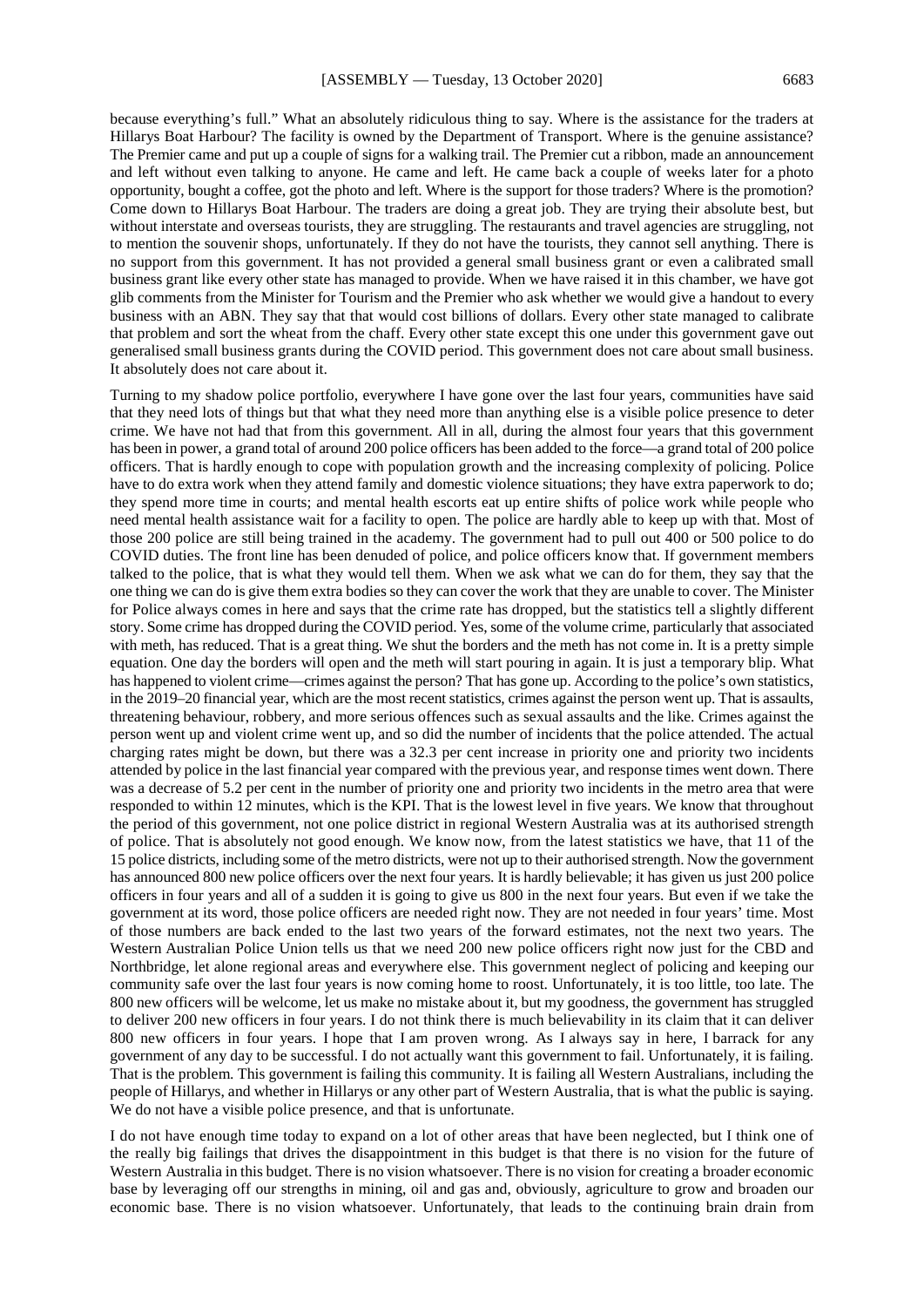because everything's full." What an absolutely ridiculous thing to say. Where is the assistance for the traders at Hillarys Boat Harbour? The facility is owned by the Department of Transport. Where is the genuine assistance? The Premier came and put up a couple of signs for a walking trail. The Premier cut a ribbon, made an announcement and left without even talking to anyone. He came and left. He came back a couple of weeks later for a photo opportunity, bought a coffee, got the photo and left. Where is the support for those traders? Where is the promotion? Come down to Hillarys Boat Harbour. The traders are doing a great job. They are trying their absolute best, but without interstate and overseas tourists, they are struggling. The restaurants and travel agencies are struggling, not to mention the souvenir shops, unfortunately. If they do not have the tourists, they cannot sell anything. There is no support from this government. It has not provided a general small business grant or even a calibrated small business grant like every other state has managed to provide. When we have raised it in this chamber, we have got glib comments from the Minister for Tourism and the Premier who ask whether we would give a handout to every business with an ABN. They say that that would cost billions of dollars. Every other state managed to calibrate that problem and sort the wheat from the chaff. Every other state except this one under this government gave out generalised small business grants during the COVID period. This government does not care about small business. It absolutely does not care about it.

Turning to my shadow police portfolio, everywhere I have gone over the last four years, communities have said that they need lots of things but that what they need more than anything else is a visible police presence to deter crime. We have not had that from this government. All in all, during the almost four years that this government has been in power, a grand total of around 200 police officers has been added to the force—a grand total of 200 police officers. That is hardly enough to cope with population growth and the increasing complexity of policing. Police have to do extra work when they attend family and domestic violence situations; they have extra paperwork to do; they spend more time in courts; and mental health escorts eat up entire shifts of police work while people who need mental health assistance wait for a facility to open. The police are hardly able to keep up with that. Most of those 200 police are still being trained in the academy. The government had to pull out 400 or 500 police to do COVID duties. The front line has been denuded of police, and police officers know that. If government members talked to the police, that is what they would tell them. When we ask what we can do for them, they say that the one thing we can do is give them extra bodies so they can cover the work that they are unable to cover. The Minister for Police always comes in here and says that the crime rate has dropped, but the statistics tell a slightly different story. Some crime has dropped during the COVID period. Yes, some of the volume crime, particularly that associated with meth, has reduced. That is a great thing. We shut the borders and the meth has not come in. It is a pretty simple equation. One day the borders will open and the meth will start pouring in again. It is just a temporary blip. What has happened to violent crime—crimes against the person? That has gone up. According to the police's own statistics, in the 2019–20 financial year, which are the most recent statistics, crimes against the person went up. That is assaults, threatening behaviour, robbery, and more serious offences such as sexual assaults and the like. Crimes against the person went up and violent crime went up, and so did the number of incidents that the police attended. The actual charging rates might be down, but there was a 32.3 per cent increase in priority one and priority two incidents attended by police in the last financial year compared with the previous year, and response times went down. There was a decrease of 5.2 per cent in the number of priority one and priority two incidents in the metro area that were responded to within 12 minutes, which is the KPI. That is the lowest level in five years. We know that throughout the period of this government, not one police district in regional Western Australia was at its authorised strength of police. That is absolutely not good enough. We know now, from the latest statistics we have, that 11 of the 15 police districts, including some of the metro districts, were not up to their authorised strength. Now the government has announced 800 new police officers over the next four years. It is hardly believable; it has given us just 200 police officers in four years and all of a sudden it is going to give us 800 in the next four years. But even if we take the government at its word, those police officers are needed right now. They are not needed in four years' time. Most of those numbers are back ended to the last two years of the forward estimates, not the next two years. The Western Australian Police Union tells us that we need 200 new police officers right now just for the CBD and Northbridge, let alone regional areas and everywhere else. This government neglect of policing and keeping our community safe over the last four years is now coming home to roost. Unfortunately, it is too little, too late. The 800 new officers will be welcome, let us make no mistake about it, but my goodness, the government has struggled to deliver 200 new officers in four years. I do not think there is much believability in its claim that it can deliver 800 new officers in four years. I hope that I am proven wrong. As I always say in here, I barrack for any government of any day to be successful. I do not actually want this government to fail. Unfortunately, it is failing. That is the problem. This government is failing this community. It is failing all Western Australians, including the people of Hillarys, and whether in Hillarys or any other part of Western Australia, that is what the public is saying. We do not have a visible police presence, and that is unfortunate.

I do not have enough time today to expand on a lot of other areas that have been neglected, but I think one of the really big failings that drives the disappointment in this budget is that there is no vision for the future of Western Australia in this budget. There is no vision whatsoever. There is no vision for creating a broader economic base by leveraging off our strengths in mining, oil and gas and, obviously, agriculture to grow and broaden our economic base. There is no vision whatsoever. Unfortunately, that leads to the continuing brain drain from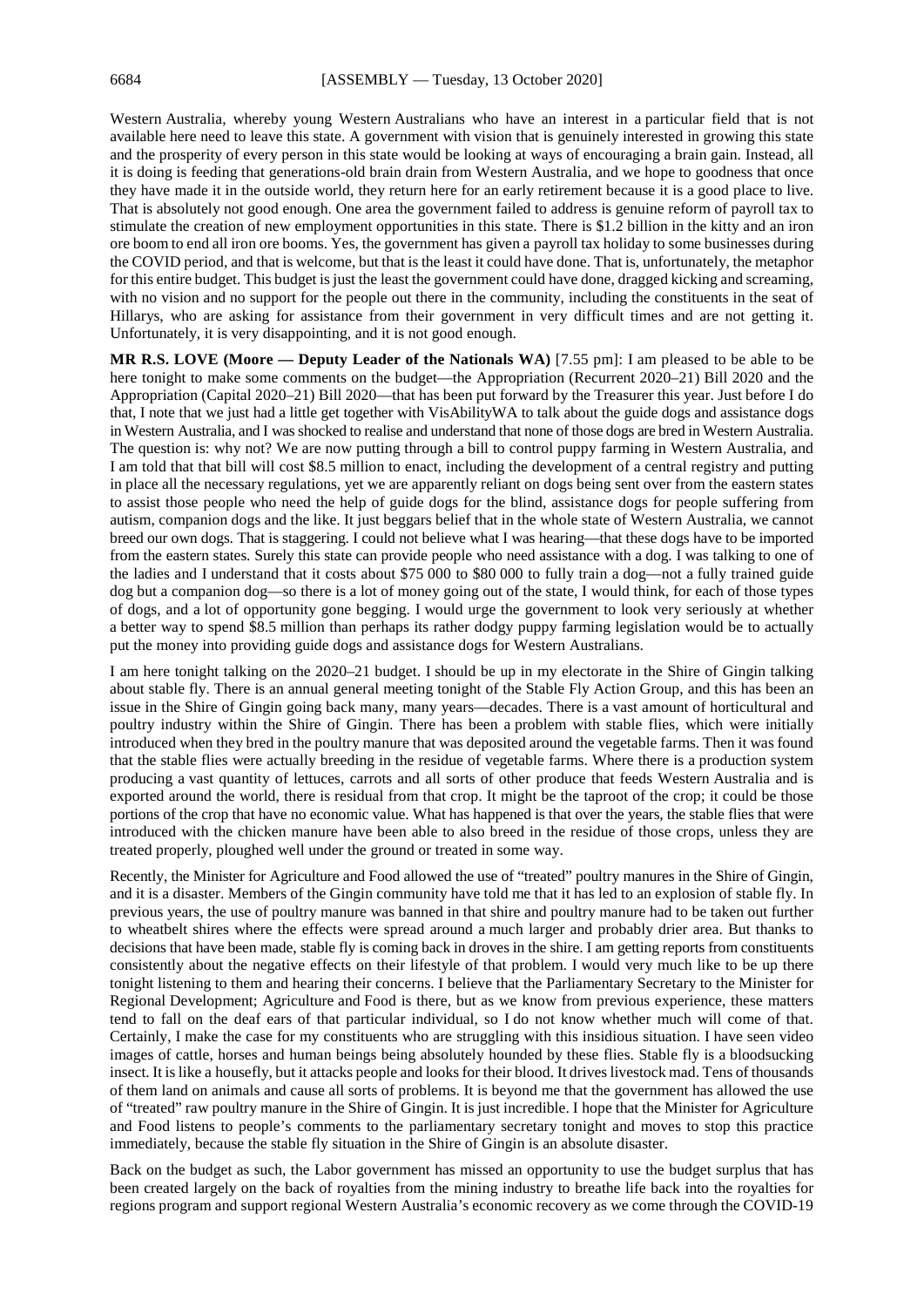Western Australia, whereby young Western Australians who have an interest in a particular field that is not available here need to leave this state. A government with vision that is genuinely interested in growing this state and the prosperity of every person in this state would be looking at ways of encouraging a brain gain. Instead, all it is doing is feeding that generations-old brain drain from Western Australia, and we hope to goodness that once they have made it in the outside world, they return here for an early retirement because it is a good place to live. That is absolutely not good enough. One area the government failed to address is genuine reform of payroll tax to stimulate the creation of new employment opportunities in this state. There is \$1.2 billion in the kitty and an iron ore boom to end all iron ore booms. Yes, the government has given a payroll tax holiday to some businesses during the COVID period, and that is welcome, but that is the least it could have done. That is, unfortunately, the metaphor for this entire budget. This budget is just the least the government could have done, dragged kicking and screaming, with no vision and no support for the people out there in the community, including the constituents in the seat of Hillarys, who are asking for assistance from their government in very difficult times and are not getting it. Unfortunately, it is very disappointing, and it is not good enough.

**MR R.S. LOVE (Moore — Deputy Leader of the Nationals WA)** [7.55 pm]: I am pleased to be able to be here tonight to make some comments on the budget—the Appropriation (Recurrent 2020–21) Bill 2020 and the Appropriation (Capital 2020–21) Bill 2020—that has been put forward by the Treasurer this year. Just before I do that, I note that we just had a little get together with VisAbilityWA to talk about the guide dogs and assistance dogs in Western Australia, and I was shocked to realise and understand that none of those dogs are bred in Western Australia. The question is: why not? We are now putting through a bill to control puppy farming in Western Australia, and I am told that that bill will cost \$8.5 million to enact, including the development of a central registry and putting in place all the necessary regulations, yet we are apparently reliant on dogs being sent over from the eastern states to assist those people who need the help of guide dogs for the blind, assistance dogs for people suffering from autism, companion dogs and the like. It just beggars belief that in the whole state of Western Australia, we cannot breed our own dogs. That is staggering. I could not believe what I was hearing—that these dogs have to be imported from the eastern states. Surely this state can provide people who need assistance with a dog. I was talking to one of the ladies and I understand that it costs about \$75 000 to \$80 000 to fully train a dog—not a fully trained guide dog but a companion dog—so there is a lot of money going out of the state, I would think, for each of those types of dogs, and a lot of opportunity gone begging. I would urge the government to look very seriously at whether a better way to spend \$8.5 million than perhaps its rather dodgy puppy farming legislation would be to actually put the money into providing guide dogs and assistance dogs for Western Australians.

I am here tonight talking on the 2020–21 budget. I should be up in my electorate in the Shire of Gingin talking about stable fly. There is an annual general meeting tonight of the Stable Fly Action Group, and this has been an issue in the Shire of Gingin going back many, many years—decades. There is a vast amount of horticultural and poultry industry within the Shire of Gingin. There has been a problem with stable flies, which were initially introduced when they bred in the poultry manure that was deposited around the vegetable farms. Then it was found that the stable flies were actually breeding in the residue of vegetable farms. Where there is a production system producing a vast quantity of lettuces, carrots and all sorts of other produce that feeds Western Australia and is exported around the world, there is residual from that crop. It might be the taproot of the crop; it could be those portions of the crop that have no economic value. What has happened is that over the years, the stable flies that were introduced with the chicken manure have been able to also breed in the residue of those crops, unless they are treated properly, ploughed well under the ground or treated in some way.

Recently, the Minister for Agriculture and Food allowed the use of "treated" poultry manures in the Shire of Gingin, and it is a disaster. Members of the Gingin community have told me that it has led to an explosion of stable fly. In previous years, the use of poultry manure was banned in that shire and poultry manure had to be taken out further to wheatbelt shires where the effects were spread around a much larger and probably drier area. But thanks to decisions that have been made, stable fly is coming back in droves in the shire. I am getting reports from constituents consistently about the negative effects on their lifestyle of that problem. I would very much like to be up there tonight listening to them and hearing their concerns. I believe that the Parliamentary Secretary to the Minister for Regional Development; Agriculture and Food is there, but as we know from previous experience, these matters tend to fall on the deaf ears of that particular individual, so I do not know whether much will come of that. Certainly, I make the case for my constituents who are struggling with this insidious situation. I have seen video images of cattle, horses and human beings being absolutely hounded by these flies. Stable fly is a bloodsucking insect. It is like a housefly, but it attacks people and looks for their blood. It drives livestock mad. Tens of thousands of them land on animals and cause all sorts of problems. It is beyond me that the government has allowed the use of "treated" raw poultry manure in the Shire of Gingin. It is just incredible. I hope that the Minister for Agriculture and Food listens to people's comments to the parliamentary secretary tonight and moves to stop this practice immediately, because the stable fly situation in the Shire of Gingin is an absolute disaster.

Back on the budget as such, the Labor government has missed an opportunity to use the budget surplus that has been created largely on the back of royalties from the mining industry to breathe life back into the royalties for regions program and support regional Western Australia's economic recovery as we come through the COVID-19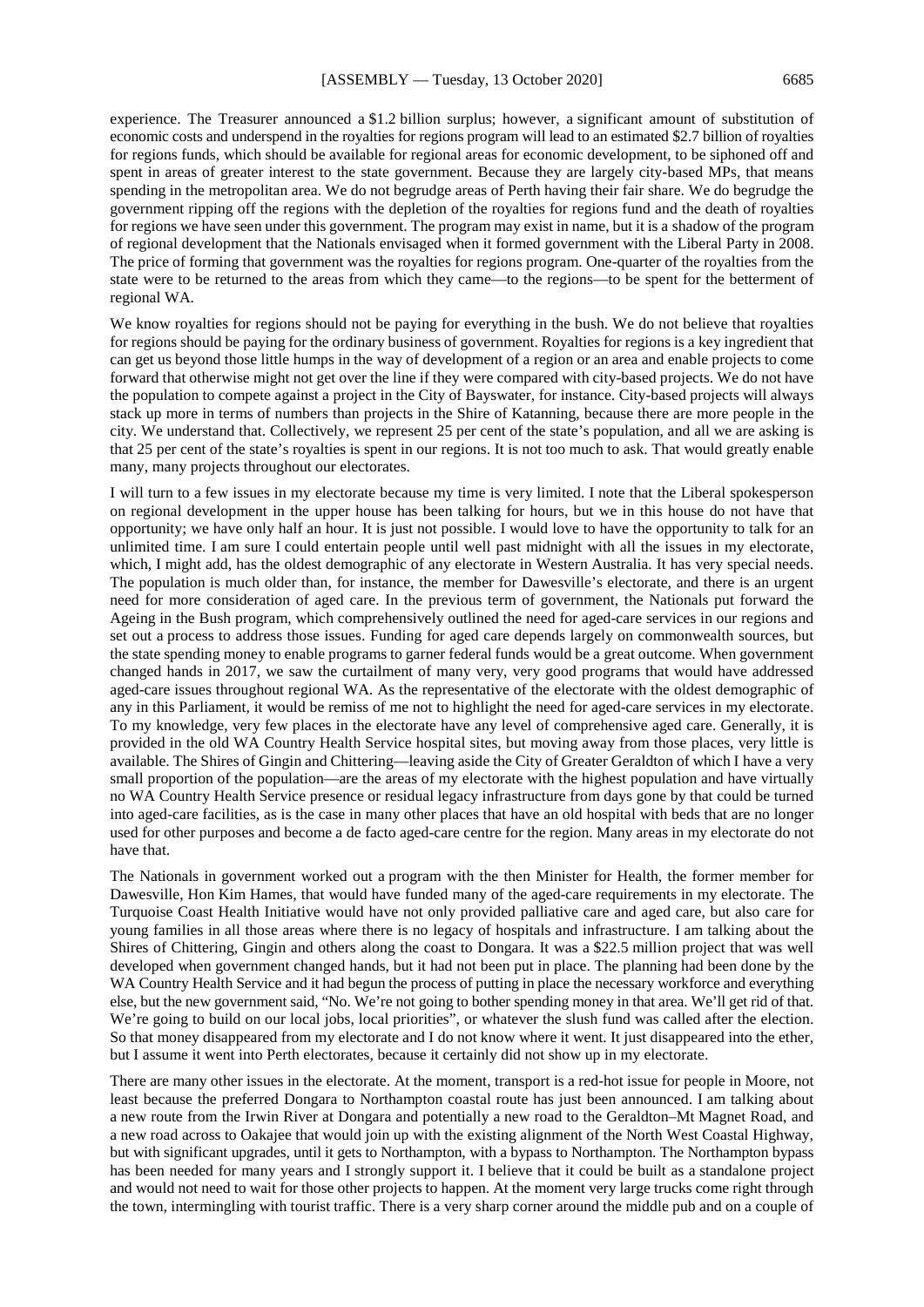experience. The Treasurer announced a \$1.2 billion surplus; however, a significant amount of substitution of economic costs and underspend in the royalties for regions program will lead to an estimated \$2.7 billion of royalties for regions funds, which should be available for regional areas for economic development, to be siphoned off and spent in areas of greater interest to the state government. Because they are largely city-based MPs, that means spending in the metropolitan area. We do not begrudge areas of Perth having their fair share. We do begrudge the government ripping off the regions with the depletion of the royalties for regions fund and the death of royalties for regions we have seen under this government. The program may exist in name, but it is a shadow of the program of regional development that the Nationals envisaged when it formed government with the Liberal Party in 2008. The price of forming that government was the royalties for regions program. One-quarter of the royalties from the state were to be returned to the areas from which they came—to the regions—to be spent for the betterment of regional WA.

We know royalties for regions should not be paying for everything in the bush. We do not believe that royalties for regions should be paying for the ordinary business of government. Royalties for regions is a key ingredient that can get us beyond those little humps in the way of development of a region or an area and enable projects to come forward that otherwise might not get over the line if they were compared with city-based projects. We do not have the population to compete against a project in the City of Bayswater, for instance. City-based projects will always stack up more in terms of numbers than projects in the Shire of Katanning, because there are more people in the city. We understand that. Collectively, we represent 25 per cent of the state's population, and all we are asking is that 25 per cent of the state's royalties is spent in our regions. It is not too much to ask. That would greatly enable many, many projects throughout our electorates.

I will turn to a few issues in my electorate because my time is very limited. I note that the Liberal spokesperson on regional development in the upper house has been talking for hours, but we in this house do not have that opportunity; we have only half an hour. It is just not possible. I would love to have the opportunity to talk for an unlimited time. I am sure I could entertain people until well past midnight with all the issues in my electorate, which, I might add, has the oldest demographic of any electorate in Western Australia. It has very special needs. The population is much older than, for instance, the member for Dawesville's electorate, and there is an urgent need for more consideration of aged care. In the previous term of government, the Nationals put forward the Ageing in the Bush program, which comprehensively outlined the need for aged-care services in our regions and set out a process to address those issues. Funding for aged care depends largely on commonwealth sources, but the state spending money to enable programs to garner federal funds would be a great outcome. When government changed hands in 2017, we saw the curtailment of many very, very good programs that would have addressed aged-care issues throughout regional WA. As the representative of the electorate with the oldest demographic of any in this Parliament, it would be remiss of me not to highlight the need for aged-care services in my electorate. To my knowledge, very few places in the electorate have any level of comprehensive aged care. Generally, it is provided in the old WA Country Health Service hospital sites, but moving away from those places, very little is available. The Shires of Gingin and Chittering—leaving aside the City of Greater Geraldton of which I have a very small proportion of the population—are the areas of my electorate with the highest population and have virtually no WA Country Health Service presence or residual legacy infrastructure from days gone by that could be turned into aged-care facilities, as is the case in many other places that have an old hospital with beds that are no longer used for other purposes and become a de facto aged-care centre for the region. Many areas in my electorate do not have that.

The Nationals in government worked out a program with the then Minister for Health, the former member for Dawesville, Hon Kim Hames, that would have funded many of the aged-care requirements in my electorate. The Turquoise Coast Health Initiative would have not only provided palliative care and aged care, but also care for young families in all those areas where there is no legacy of hospitals and infrastructure. I am talking about the Shires of Chittering, Gingin and others along the coast to Dongara. It was a \$22.5 million project that was well developed when government changed hands, but it had not been put in place. The planning had been done by the WA Country Health Service and it had begun the process of putting in place the necessary workforce and everything else, but the new government said, "No. We're not going to bother spending money in that area. We'll get rid of that. We're going to build on our local jobs, local priorities", or whatever the slush fund was called after the election. So that money disappeared from my electorate and I do not know where it went. It just disappeared into the ether, but I assume it went into Perth electorates, because it certainly did not show up in my electorate.

There are many other issues in the electorate. At the moment, transport is a red-hot issue for people in Moore, not least because the preferred Dongara to Northampton coastal route has just been announced. I am talking about a new route from the Irwin River at Dongara and potentially a new road to the Geraldton–Mt Magnet Road, and a new road across to Oakajee that would join up with the existing alignment of the North West Coastal Highway, but with significant upgrades, until it gets to Northampton, with a bypass to Northampton. The Northampton bypass has been needed for many years and I strongly support it. I believe that it could be built as a standalone project and would not need to wait for those other projects to happen. At the moment very large trucks come right through the town, intermingling with tourist traffic. There is a very sharp corner around the middle pub and on a couple of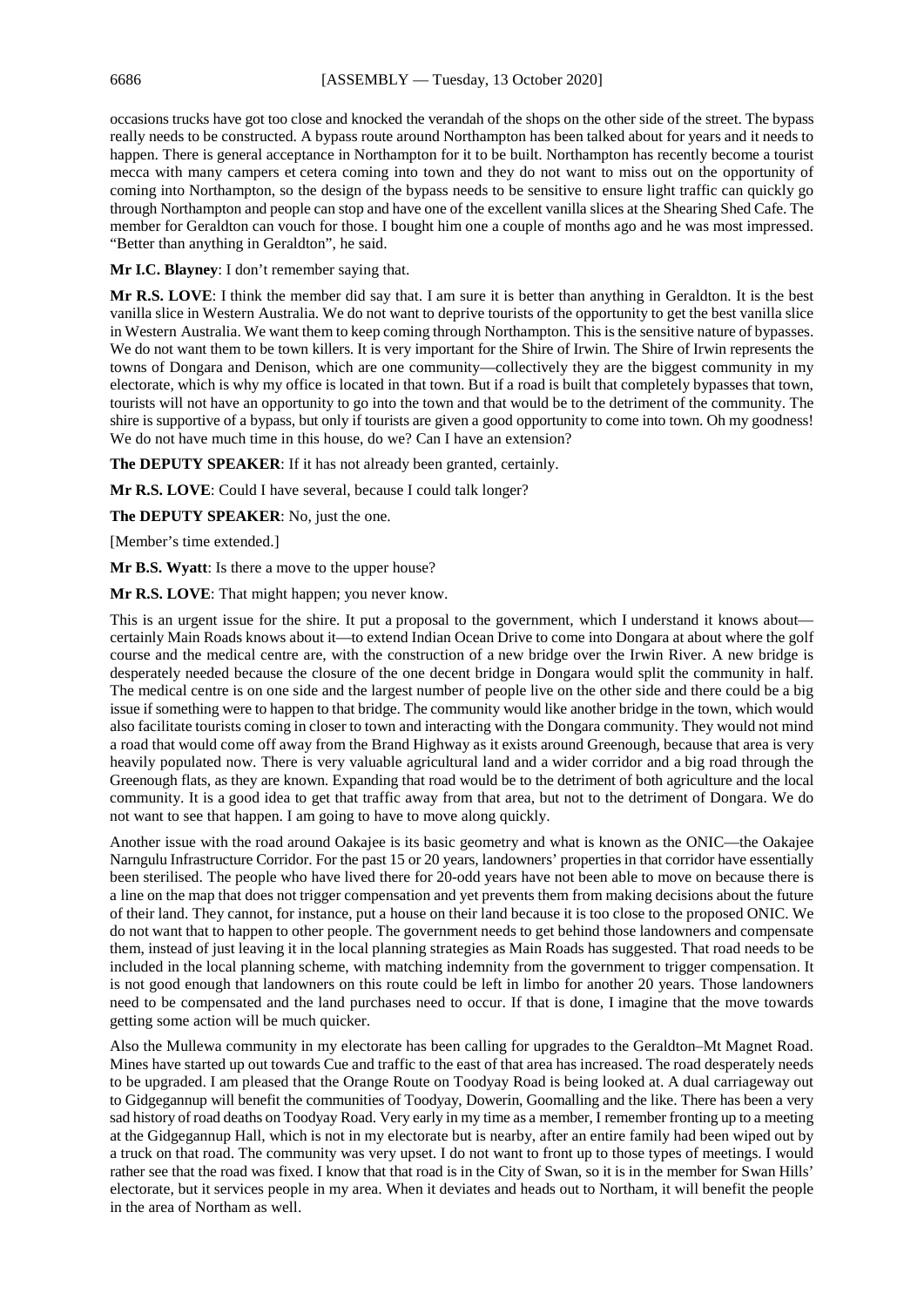occasions trucks have got too close and knocked the verandah of the shops on the other side of the street. The bypass really needs to be constructed. A bypass route around Northampton has been talked about for years and it needs to happen. There is general acceptance in Northampton for it to be built. Northampton has recently become a tourist mecca with many campers et cetera coming into town and they do not want to miss out on the opportunity of coming into Northampton, so the design of the bypass needs to be sensitive to ensure light traffic can quickly go through Northampton and people can stop and have one of the excellent vanilla slices at the Shearing Shed Cafe. The member for Geraldton can vouch for those. I bought him one a couple of months ago and he was most impressed. "Better than anything in Geraldton", he said.

**Mr I.C. Blayney**: I don't remember saying that.

**Mr R.S. LOVE**: I think the member did say that. I am sure it is better than anything in Geraldton. It is the best vanilla slice in Western Australia. We do not want to deprive tourists of the opportunity to get the best vanilla slice in Western Australia. We want them to keep coming through Northampton. This is the sensitive nature of bypasses. We do not want them to be town killers. It is very important for the Shire of Irwin. The Shire of Irwin represents the towns of Dongara and Denison, which are one community—collectively they are the biggest community in my electorate, which is why my office is located in that town. But if a road is built that completely bypasses that town, tourists will not have an opportunity to go into the town and that would be to the detriment of the community. The shire is supportive of a bypass, but only if tourists are given a good opportunity to come into town. Oh my goodness! We do not have much time in this house, do we? Can I have an extension?

**The DEPUTY SPEAKER**: If it has not already been granted, certainly.

**Mr R.S. LOVE**: Could I have several, because I could talk longer?

**The DEPUTY SPEAKER**: No, just the one.

[Member's time extended.]

**Mr B.S. Wyatt**: Is there a move to the upper house?

**Mr R.S. LOVE**: That might happen; you never know.

This is an urgent issue for the shire. It put a proposal to the government, which I understand it knows about certainly Main Roads knows about it—to extend Indian Ocean Drive to come into Dongara at about where the golf course and the medical centre are, with the construction of a new bridge over the Irwin River. A new bridge is desperately needed because the closure of the one decent bridge in Dongara would split the community in half. The medical centre is on one side and the largest number of people live on the other side and there could be a big issue if something were to happen to that bridge. The community would like another bridge in the town, which would also facilitate tourists coming in closer to town and interacting with the Dongara community. They would not mind a road that would come off away from the Brand Highway as it exists around Greenough, because that area is very heavily populated now. There is very valuable agricultural land and a wider corridor and a big road through the Greenough flats, as they are known. Expanding that road would be to the detriment of both agriculture and the local community. It is a good idea to get that traffic away from that area, but not to the detriment of Dongara. We do not want to see that happen. I am going to have to move along quickly.

Another issue with the road around Oakajee is its basic geometry and what is known as the ONIC—the Oakajee Narngulu Infrastructure Corridor. For the past 15 or 20 years, landowners' properties in that corridor have essentially been sterilised. The people who have lived there for 20-odd years have not been able to move on because there is a line on the map that does not trigger compensation and yet prevents them from making decisions about the future of their land. They cannot, for instance, put a house on their land because it is too close to the proposed ONIC. We do not want that to happen to other people. The government needs to get behind those landowners and compensate them, instead of just leaving it in the local planning strategies as Main Roads has suggested. That road needs to be included in the local planning scheme, with matching indemnity from the government to trigger compensation. It is not good enough that landowners on this route could be left in limbo for another 20 years. Those landowners need to be compensated and the land purchases need to occur. If that is done, I imagine that the move towards getting some action will be much quicker.

Also the Mullewa community in my electorate has been calling for upgrades to the Geraldton–Mt Magnet Road. Mines have started up out towards Cue and traffic to the east of that area has increased. The road desperately needs to be upgraded. I am pleased that the Orange Route on Toodyay Road is being looked at. A dual carriageway out to Gidgegannup will benefit the communities of Toodyay, Dowerin, Goomalling and the like. There has been a very sad history of road deaths on Toodyay Road. Very early in my time as a member, I remember fronting up to a meeting at the Gidgegannup Hall, which is not in my electorate but is nearby, after an entire family had been wiped out by a truck on that road. The community was very upset. I do not want to front up to those types of meetings. I would rather see that the road was fixed. I know that that road is in the City of Swan, so it is in the member for Swan Hills' electorate, but it services people in my area. When it deviates and heads out to Northam, it will benefit the people in the area of Northam as well.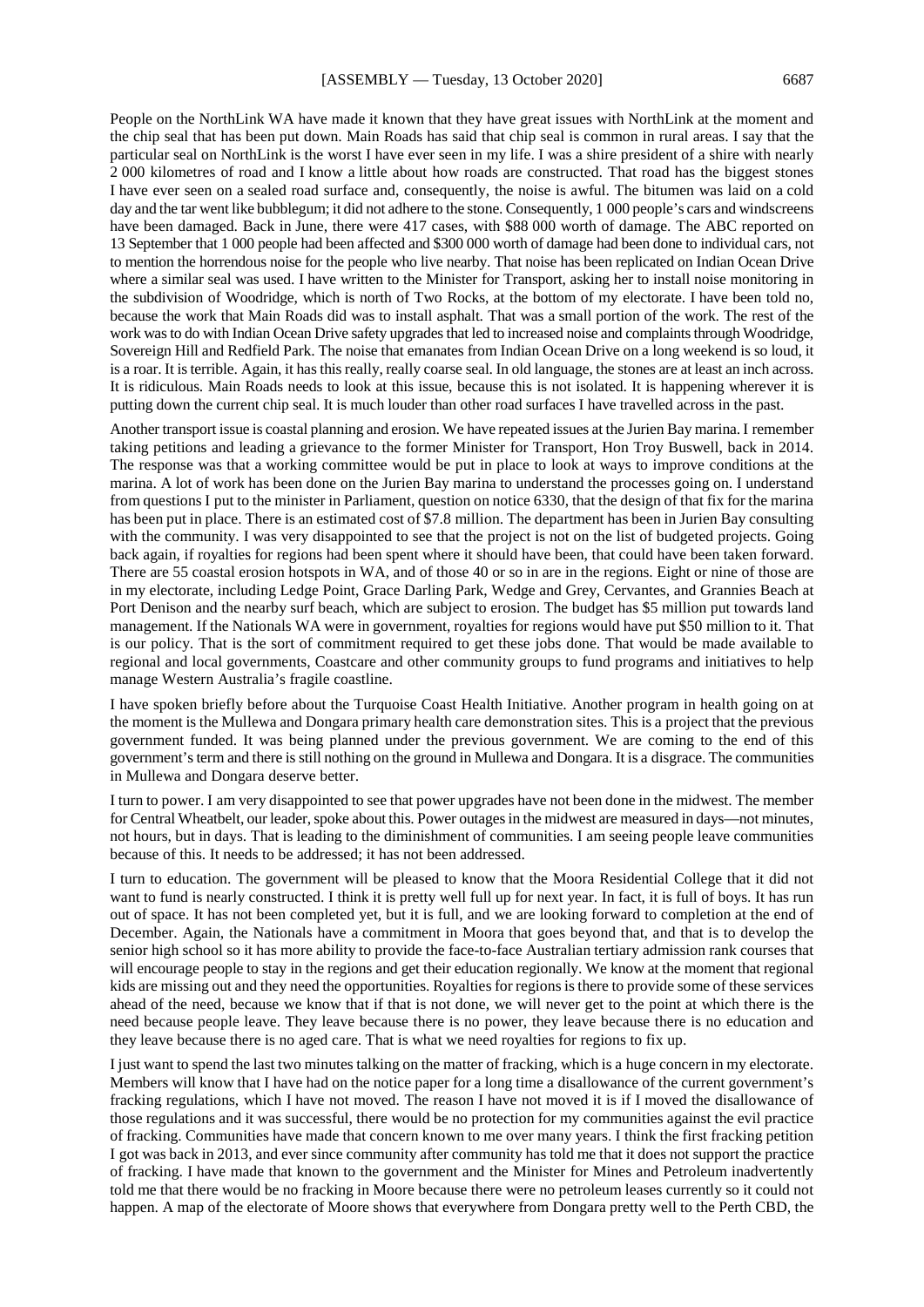People on the NorthLink WA have made it known that they have great issues with NorthLink at the moment and the chip seal that has been put down. Main Roads has said that chip seal is common in rural areas. I say that the particular seal on NorthLink is the worst I have ever seen in my life. I was a shire president of a shire with nearly 2 000 kilometres of road and I know a little about how roads are constructed. That road has the biggest stones I have ever seen on a sealed road surface and, consequently, the noise is awful. The bitumen was laid on a cold day and the tar went like bubblegum; it did not adhere to the stone. Consequently, 1 000 people's cars and windscreens have been damaged. Back in June, there were 417 cases, with \$88 000 worth of damage. The ABC reported on 13 September that 1 000 people had been affected and \$300 000 worth of damage had been done to individual cars, not to mention the horrendous noise for the people who live nearby. That noise has been replicated on Indian Ocean Drive where a similar seal was used. I have written to the Minister for Transport, asking her to install noise monitoring in the subdivision of Woodridge, which is north of Two Rocks, at the bottom of my electorate. I have been told no, because the work that Main Roads did was to install asphalt. That was a small portion of the work. The rest of the work was to do with Indian Ocean Drive safety upgrades that led to increased noise and complaints through Woodridge, Sovereign Hill and Redfield Park. The noise that emanates from Indian Ocean Drive on a long weekend is so loud, it is a roar. It is terrible. Again, it has this really, really coarse seal. In old language, the stones are at least an inch across. It is ridiculous. Main Roads needs to look at this issue, because this is not isolated. It is happening wherever it is putting down the current chip seal. It is much louder than other road surfaces I have travelled across in the past.

Another transport issue is coastal planning and erosion. We have repeated issues at the Jurien Bay marina. I remember taking petitions and leading a grievance to the former Minister for Transport, Hon Troy Buswell, back in 2014. The response was that a working committee would be put in place to look at ways to improve conditions at the marina. A lot of work has been done on the Jurien Bay marina to understand the processes going on. I understand from questions I put to the minister in Parliament, question on notice 6330, that the design of that fix for the marina has been put in place. There is an estimated cost of \$7.8 million. The department has been in Jurien Bay consulting with the community. I was very disappointed to see that the project is not on the list of budgeted projects. Going back again, if royalties for regions had been spent where it should have been, that could have been taken forward. There are 55 coastal erosion hotspots in WA, and of those 40 or so in are in the regions. Eight or nine of those are in my electorate, including Ledge Point, Grace Darling Park, Wedge and Grey, Cervantes, and Grannies Beach at Port Denison and the nearby surf beach, which are subject to erosion. The budget has \$5 million put towards land management. If the Nationals WA were in government, royalties for regions would have put \$50 million to it. That is our policy. That is the sort of commitment required to get these jobs done. That would be made available to regional and local governments, Coastcare and other community groups to fund programs and initiatives to help manage Western Australia's fragile coastline.

I have spoken briefly before about the Turquoise Coast Health Initiative. Another program in health going on at the moment is the Mullewa and Dongara primary health care demonstration sites. This is a project that the previous government funded. It was being planned under the previous government. We are coming to the end of this government's term and there is still nothing on the ground in Mullewa and Dongara. It is a disgrace. The communities in Mullewa and Dongara deserve better.

I turn to power. I am very disappointed to see that power upgrades have not been done in the midwest. The member for Central Wheatbelt, our leader, spoke about this. Power outages in the midwest are measured in days—not minutes, not hours, but in days. That is leading to the diminishment of communities. I am seeing people leave communities because of this. It needs to be addressed; it has not been addressed.

I turn to education. The government will be pleased to know that the Moora Residential College that it did not want to fund is nearly constructed. I think it is pretty well full up for next year. In fact, it is full of boys. It has run out of space. It has not been completed yet, but it is full, and we are looking forward to completion at the end of December. Again, the Nationals have a commitment in Moora that goes beyond that, and that is to develop the senior high school so it has more ability to provide the face-to-face Australian tertiary admission rank courses that will encourage people to stay in the regions and get their education regionally. We know at the moment that regional kids are missing out and they need the opportunities. Royalties for regions is there to provide some of these services ahead of the need, because we know that if that is not done, we will never get to the point at which there is the need because people leave. They leave because there is no power, they leave because there is no education and they leave because there is no aged care. That is what we need royalties for regions to fix up.

I just want to spend the last two minutes talking on the matter of fracking, which is a huge concern in my electorate. Members will know that I have had on the notice paper for a long time a disallowance of the current government's fracking regulations, which I have not moved. The reason I have not moved it is if I moved the disallowance of those regulations and it was successful, there would be no protection for my communities against the evil practice of fracking. Communities have made that concern known to me over many years. I think the first fracking petition I got was back in 2013, and ever since community after community has told me that it does not support the practice of fracking. I have made that known to the government and the Minister for Mines and Petroleum inadvertently told me that there would be no fracking in Moore because there were no petroleum leases currently so it could not happen. A map of the electorate of Moore shows that everywhere from Dongara pretty well to the Perth CBD, the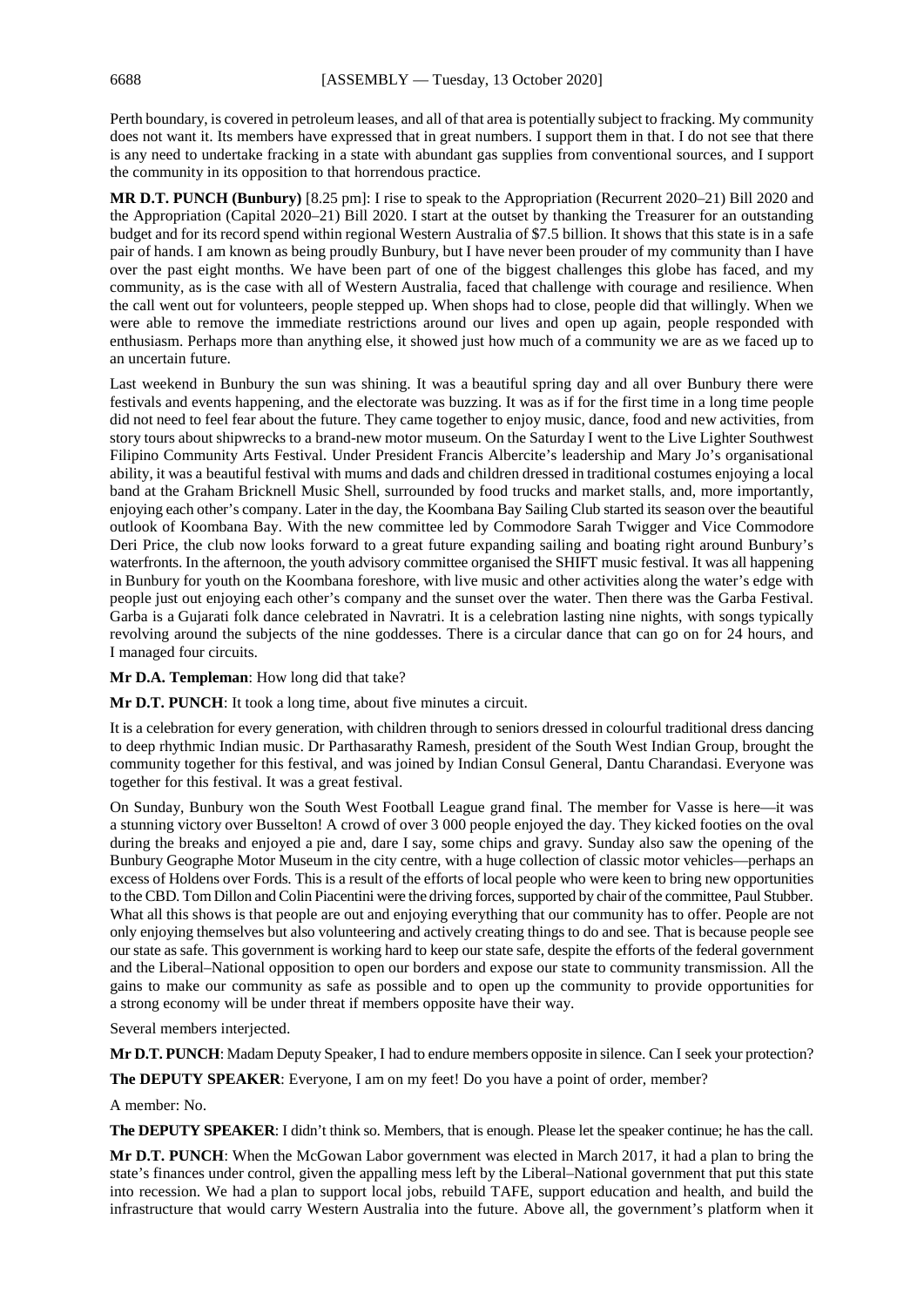Perth boundary, is covered in petroleum leases, and all of that area is potentially subject to fracking. My community does not want it. Its members have expressed that in great numbers. I support them in that. I do not see that there is any need to undertake fracking in a state with abundant gas supplies from conventional sources, and I support the community in its opposition to that horrendous practice.

**MR D.T. PUNCH (Bunbury)** [8.25 pm]: I rise to speak to the Appropriation (Recurrent 2020–21) Bill 2020 and the Appropriation (Capital 2020–21) Bill 2020. I start at the outset by thanking the Treasurer for an outstanding budget and for its record spend within regional Western Australia of \$7.5 billion. It shows that this state is in a safe pair of hands. I am known as being proudly Bunbury, but I have never been prouder of my community than I have over the past eight months. We have been part of one of the biggest challenges this globe has faced, and my community, as is the case with all of Western Australia, faced that challenge with courage and resilience. When the call went out for volunteers, people stepped up. When shops had to close, people did that willingly. When we were able to remove the immediate restrictions around our lives and open up again, people responded with enthusiasm. Perhaps more than anything else, it showed just how much of a community we are as we faced up to an uncertain future.

Last weekend in Bunbury the sun was shining. It was a beautiful spring day and all over Bunbury there were festivals and events happening, and the electorate was buzzing. It was as if for the first time in a long time people did not need to feel fear about the future. They came together to enjoy music, dance, food and new activities, from story tours about shipwrecks to a brand-new motor museum. On the Saturday I went to the Live Lighter Southwest Filipino Community Arts Festival. Under President Francis Albercite's leadership and Mary Jo's organisational ability, it was a beautiful festival with mums and dads and children dressed in traditional costumes enjoying a local band at the Graham Bricknell Music Shell, surrounded by food trucks and market stalls, and, more importantly, enjoying each other's company. Later in the day, the Koombana Bay Sailing Club started its season over the beautiful outlook of Koombana Bay. With the new committee led by Commodore Sarah Twigger and Vice Commodore Deri Price, the club now looks forward to a great future expanding sailing and boating right around Bunbury's waterfronts. In the afternoon, the youth advisory committee organised the SHIFT music festival. It was all happening in Bunbury for youth on the Koombana foreshore, with live music and other activities along the water's edge with people just out enjoying each other's company and the sunset over the water. Then there was the Garba Festival. Garba is a Gujarati folk dance celebrated in Navratri. It is a celebration lasting nine nights, with songs typically revolving around the subjects of the nine goddesses. There is a circular dance that can go on for 24 hours, and I managed four circuits.

**Mr D.A. Templeman**: How long did that take?

**Mr D.T. PUNCH**: It took a long time, about five minutes a circuit.

It is a celebration for every generation, with children through to seniors dressed in colourful traditional dress dancing to deep rhythmic Indian music. Dr Parthasarathy Ramesh, president of the South West Indian Group, brought the community together for this festival, and was joined by Indian Consul General, Dantu Charandasi. Everyone was together for this festival. It was a great festival.

On Sunday, Bunbury won the South West Football League grand final. The member for Vasse is here—it was a stunning victory over Busselton! A crowd of over 3 000 people enjoyed the day. They kicked footies on the oval during the breaks and enjoyed a pie and, dare I say, some chips and gravy. Sunday also saw the opening of the Bunbury Geographe Motor Museum in the city centre, with a huge collection of classic motor vehicles—perhaps an excess of Holdens over Fords. This is a result of the efforts of local people who were keen to bring new opportunities to the CBD. Tom Dillon and Colin Piacentini were the driving forces, supported by chair of the committee, Paul Stubber. What all this shows is that people are out and enjoying everything that our community has to offer. People are not only enjoying themselves but also volunteering and actively creating things to do and see. That is because people see our state as safe. This government is working hard to keep our state safe, despite the efforts of the federal government and the Liberal–National opposition to open our borders and expose our state to community transmission. All the gains to make our community as safe as possible and to open up the community to provide opportunities for a strong economy will be under threat if members opposite have their way.

Several members interjected.

**Mr D.T. PUNCH**: Madam Deputy Speaker, I had to endure members opposite in silence. Can I seek your protection?

**The DEPUTY SPEAKER:** Everyone, I am on my feet! Do you have a point of order, member?

#### A member: No.

**The DEPUTY SPEAKER**: I didn't think so. Members, that is enough. Please let the speaker continue; he has the call.

**Mr D.T. PUNCH**: When the McGowan Labor government was elected in March 2017, it had a plan to bring the state's finances under control, given the appalling mess left by the Liberal–National government that put this state into recession. We had a plan to support local jobs, rebuild TAFE, support education and health, and build the infrastructure that would carry Western Australia into the future. Above all, the government's platform when it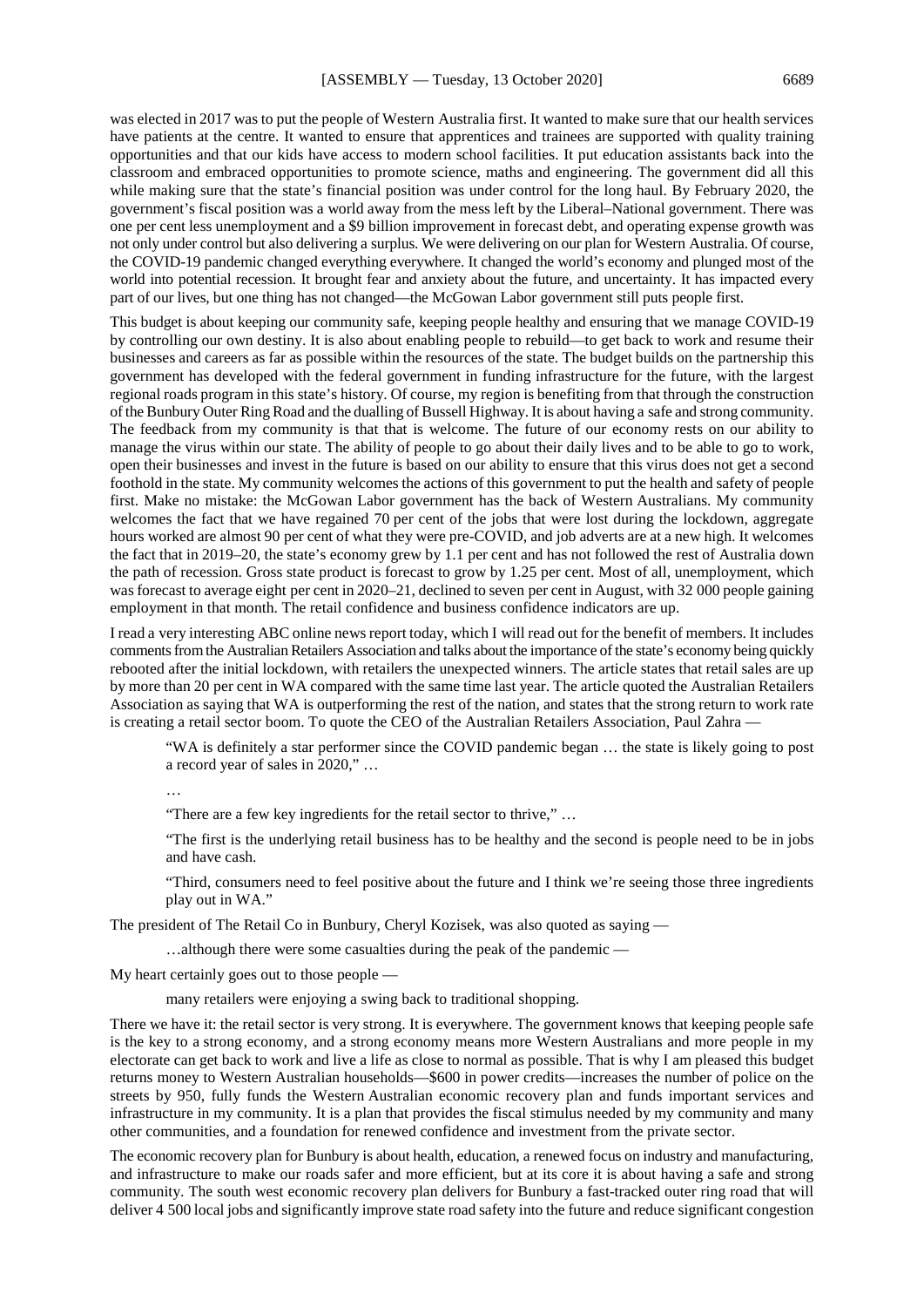was elected in 2017 was to put the people of Western Australia first. It wanted to make sure that our health services have patients at the centre. It wanted to ensure that apprentices and trainees are supported with quality training opportunities and that our kids have access to modern school facilities. It put education assistants back into the classroom and embraced opportunities to promote science, maths and engineering. The government did all this while making sure that the state's financial position was under control for the long haul. By February 2020, the government's fiscal position was a world away from the mess left by the Liberal–National government. There was one per cent less unemployment and a \$9 billion improvement in forecast debt, and operating expense growth was not only under control but also delivering a surplus. We were delivering on our plan for Western Australia. Of course, the COVID-19 pandemic changed everything everywhere. It changed the world's economy and plunged most of the world into potential recession. It brought fear and anxiety about the future, and uncertainty. It has impacted every part of our lives, but one thing has not changed—the McGowan Labor government still puts people first.

This budget is about keeping our community safe, keeping people healthy and ensuring that we manage COVID-19 by controlling our own destiny. It is also about enabling people to rebuild—to get back to work and resume their businesses and careers as far as possible within the resources of the state. The budget builds on the partnership this government has developed with the federal government in funding infrastructure for the future, with the largest regional roads program in this state's history. Of course, my region is benefiting from that through the construction of the Bunbury Outer Ring Road and the dualling of Bussell Highway. It is about having a safe and strong community. The feedback from my community is that that is welcome. The future of our economy rests on our ability to manage the virus within our state. The ability of people to go about their daily lives and to be able to go to work, open their businesses and invest in the future is based on our ability to ensure that this virus does not get a second foothold in the state. My community welcomes the actions of this government to put the health and safety of people first. Make no mistake: the McGowan Labor government has the back of Western Australians. My community welcomes the fact that we have regained 70 per cent of the jobs that were lost during the lockdown, aggregate hours worked are almost 90 per cent of what they were pre-COVID, and job adverts are at a new high. It welcomes the fact that in 2019–20, the state's economy grew by 1.1 per cent and has not followed the rest of Australia down the path of recession. Gross state product is forecast to grow by 1.25 per cent. Most of all, unemployment, which was forecast to average eight per cent in 2020–21, declined to seven per cent in August, with 32 000 people gaining employment in that month. The retail confidence and business confidence indicators are up.

I read a very interesting ABC online news report today, which I will read out for the benefit of members. It includes comments from the Australian Retailers Association and talks about the importance of the state's economy being quickly rebooted after the initial lockdown, with retailers the unexpected winners. The article states that retail sales are up by more than 20 per cent in WA compared with the same time last year. The article quoted the Australian Retailers Association as saying that WA is outperforming the rest of the nation, and states that the strong return to work rate is creating a retail sector boom. To quote the CEO of the Australian Retailers Association, Paul Zahra —

"WA is definitely a star performer since the COVID pandemic began … the state is likely going to post a record year of sales in 2020," …

…

"There are a few key ingredients for the retail sector to thrive," …

"The first is the underlying retail business has to be healthy and the second is people need to be in jobs and have cash.

"Third, consumers need to feel positive about the future and I think we're seeing those three ingredients play out in WA."

The president of The Retail Co in Bunbury, Cheryl Kozisek, was also quoted as saying —

…although there were some casualties during the peak of the pandemic —

My heart certainly goes out to those people —

many retailers were enjoying a swing back to traditional shopping.

There we have it: the retail sector is very strong. It is everywhere. The government knows that keeping people safe is the key to a strong economy, and a strong economy means more Western Australians and more people in my electorate can get back to work and live a life as close to normal as possible. That is why I am pleased this budget returns money to Western Australian households—\$600 in power credits—increases the number of police on the streets by 950, fully funds the Western Australian economic recovery plan and funds important services and infrastructure in my community. It is a plan that provides the fiscal stimulus needed by my community and many other communities, and a foundation for renewed confidence and investment from the private sector.

The economic recovery plan for Bunbury is about health, education, a renewed focus on industry and manufacturing, and infrastructure to make our roads safer and more efficient, but at its core it is about having a safe and strong community. The south west economic recovery plan delivers for Bunbury a fast-tracked outer ring road that will deliver 4 500 local jobs and significantly improve state road safety into the future and reduce significant congestion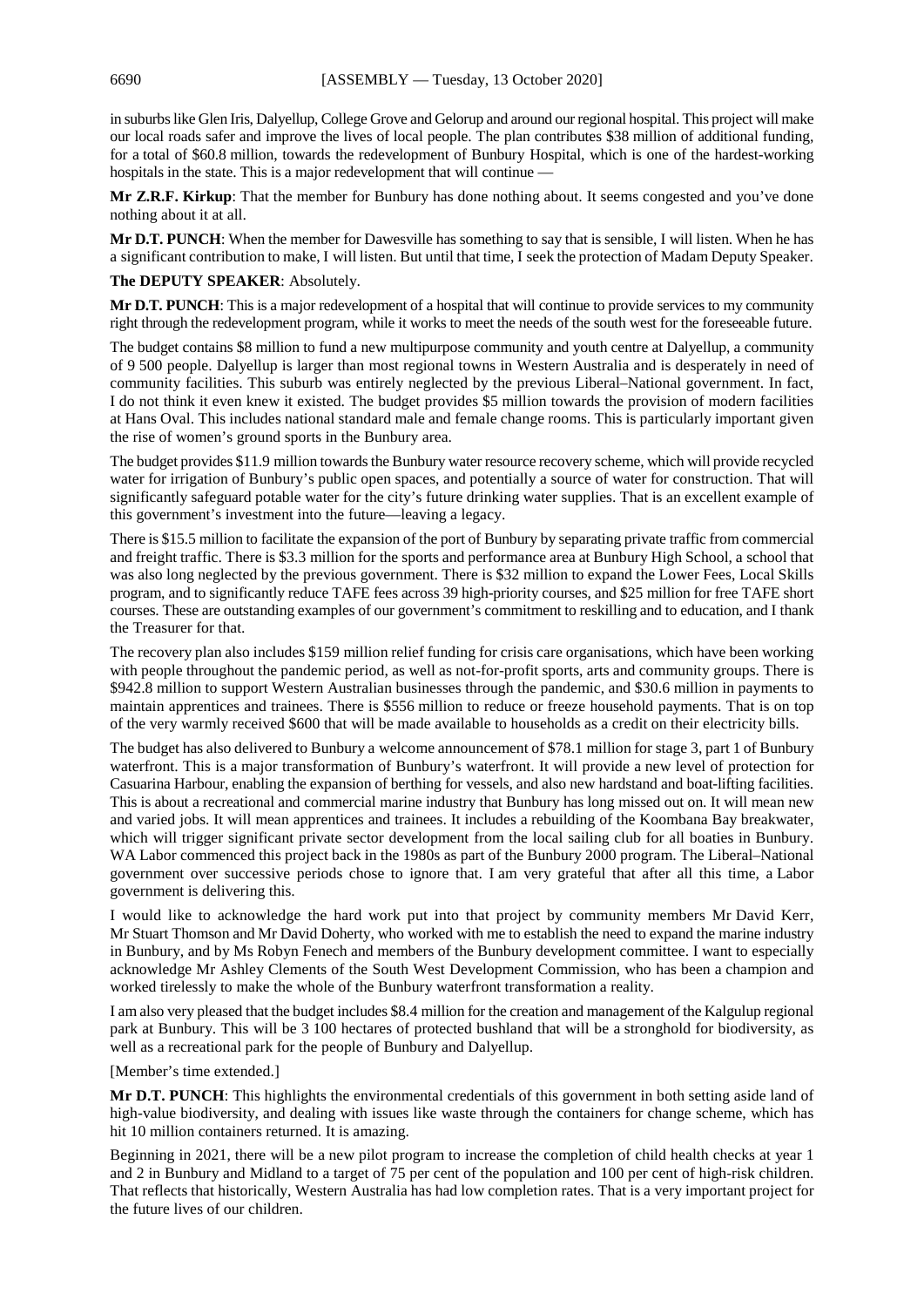in suburbs like Glen Iris, Dalyellup, College Grove and Gelorup and around our regional hospital. This project will make our local roads safer and improve the lives of local people. The plan contributes \$38 million of additional funding, for a total of \$60.8 million, towards the redevelopment of Bunbury Hospital, which is one of the hardest-working hospitals in the state. This is a major redevelopment that will continue -

**Mr Z.R.F. Kirkup**: That the member for Bunbury has done nothing about. It seems congested and you've done nothing about it at all.

**Mr D.T. PUNCH**: When the member for Dawesville has something to say that is sensible, I will listen. When he has a significant contribution to make, I will listen. But until that time, I seek the protection of Madam Deputy Speaker.

**The DEPUTY SPEAKER**: Absolutely.

**Mr D.T. PUNCH**: This is a major redevelopment of a hospital that will continue to provide services to my community right through the redevelopment program, while it works to meet the needs of the south west for the foreseeable future.

The budget contains \$8 million to fund a new multipurpose community and youth centre at Dalyellup, a community of 9 500 people. Dalyellup is larger than most regional towns in Western Australia and is desperately in need of community facilities. This suburb was entirely neglected by the previous Liberal–National government. In fact, I do not think it even knew it existed. The budget provides \$5 million towards the provision of modern facilities at Hans Oval. This includes national standard male and female change rooms. This is particularly important given the rise of women's ground sports in the Bunbury area.

The budget provides \$11.9 million towards the Bunbury water resource recovery scheme, which will provide recycled water for irrigation of Bunbury's public open spaces, and potentially a source of water for construction. That will significantly safeguard potable water for the city's future drinking water supplies. That is an excellent example of this government's investment into the future—leaving a legacy.

There is \$15.5 million to facilitate the expansion of the port of Bunbury by separating private traffic from commercial and freight traffic. There is \$3.3 million for the sports and performance area at Bunbury High School, a school that was also long neglected by the previous government. There is \$32 million to expand the Lower Fees, Local Skills program, and to significantly reduce TAFE fees across 39 high-priority courses, and \$25 million for free TAFE short courses. These are outstanding examples of our government's commitment to reskilling and to education, and I thank the Treasurer for that.

The recovery plan also includes \$159 million relief funding for crisis care organisations, which have been working with people throughout the pandemic period, as well as not-for-profit sports, arts and community groups. There is \$942.8 million to support Western Australian businesses through the pandemic, and \$30.6 million in payments to maintain apprentices and trainees. There is \$556 million to reduce or freeze household payments. That is on top of the very warmly received \$600 that will be made available to households as a credit on their electricity bills.

The budget has also delivered to Bunbury a welcome announcement of \$78.1 million for stage 3, part 1 of Bunbury waterfront. This is a major transformation of Bunbury's waterfront. It will provide a new level of protection for Casuarina Harbour, enabling the expansion of berthing for vessels, and also new hardstand and boat-lifting facilities. This is about a recreational and commercial marine industry that Bunbury has long missed out on. It will mean new and varied jobs. It will mean apprentices and trainees. It includes a rebuilding of the Koombana Bay breakwater, which will trigger significant private sector development from the local sailing club for all boaties in Bunbury. WA Labor commenced this project back in the 1980s as part of the Bunbury 2000 program. The Liberal–National government over successive periods chose to ignore that. I am very grateful that after all this time, a Labor government is delivering this.

I would like to acknowledge the hard work put into that project by community members Mr David Kerr, Mr Stuart Thomson and Mr David Doherty, who worked with me to establish the need to expand the marine industry in Bunbury, and by Ms Robyn Fenech and members of the Bunbury development committee. I want to especially acknowledge Mr Ashley Clements of the South West Development Commission, who has been a champion and worked tirelessly to make the whole of the Bunbury waterfront transformation a reality.

I am also very pleased that the budget includes \$8.4 million for the creation and management of the Kalgulup regional park at Bunbury. This will be 3 100 hectares of protected bushland that will be a stronghold for biodiversity, as well as a recreational park for the people of Bunbury and Dalyellup.

[Member's time extended.]

**Mr D.T. PUNCH**: This highlights the environmental credentials of this government in both setting aside land of high-value biodiversity, and dealing with issues like waste through the containers for change scheme, which has hit 10 million containers returned. It is amazing.

Beginning in 2021, there will be a new pilot program to increase the completion of child health checks at year 1 and 2 in Bunbury and Midland to a target of 75 per cent of the population and 100 per cent of high-risk children. That reflects that historically, Western Australia has had low completion rates. That is a very important project for the future lives of our children.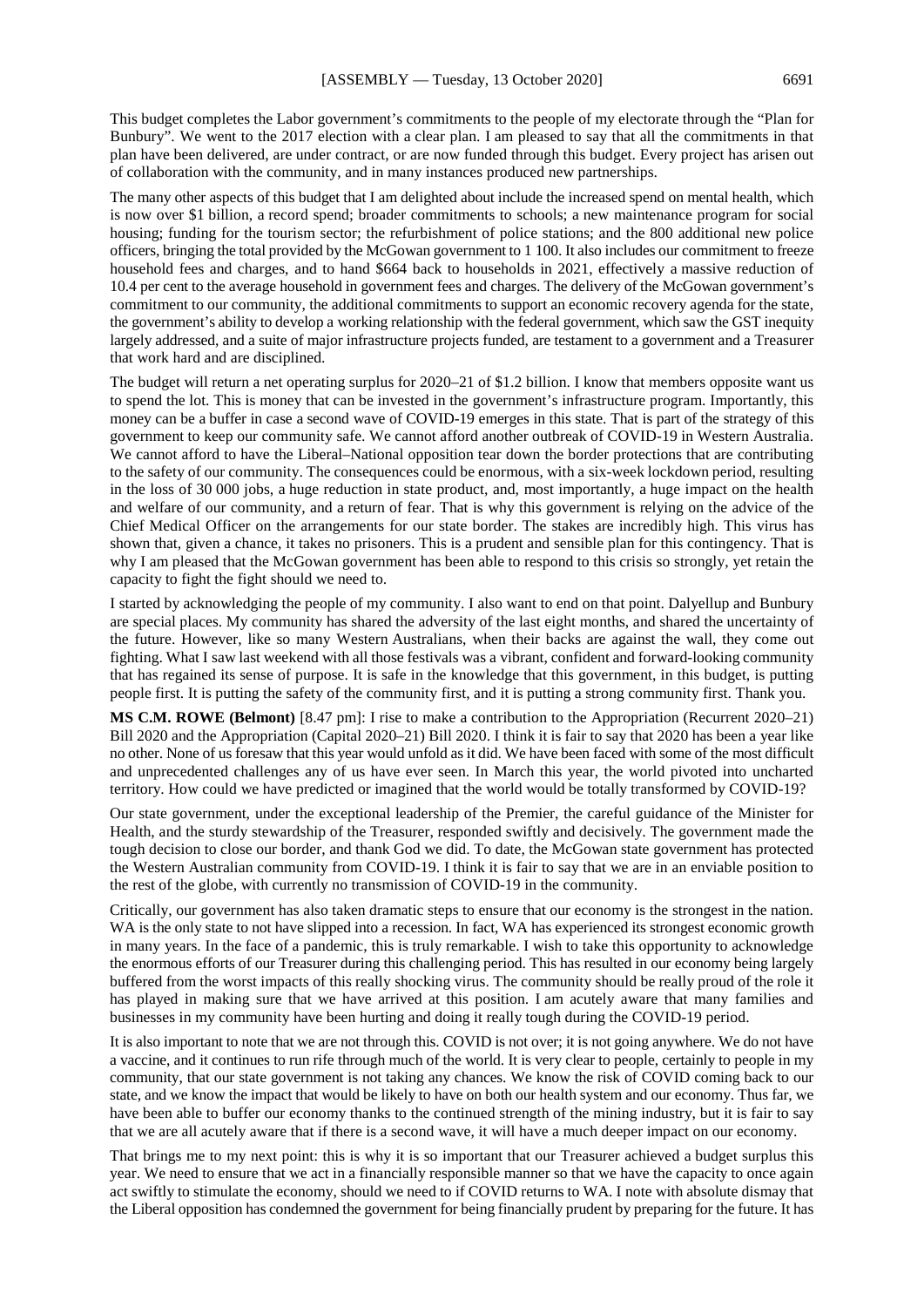This budget completes the Labor government's commitments to the people of my electorate through the "Plan for Bunbury". We went to the 2017 election with a clear plan. I am pleased to say that all the commitments in that plan have been delivered, are under contract, or are now funded through this budget. Every project has arisen out of collaboration with the community, and in many instances produced new partnerships.

The many other aspects of this budget that I am delighted about include the increased spend on mental health, which is now over \$1 billion, a record spend; broader commitments to schools; a new maintenance program for social housing; funding for the tourism sector; the refurbishment of police stations; and the 800 additional new police officers, bringing the total provided by the McGowan government to 1 100. It also includes our commitment to freeze household fees and charges, and to hand \$664 back to households in 2021, effectively a massive reduction of 10.4 per cent to the average household in government fees and charges. The delivery of the McGowan government's commitment to our community, the additional commitments to support an economic recovery agenda for the state, the government's ability to develop a working relationship with the federal government, which saw the GST inequity largely addressed, and a suite of major infrastructure projects funded, are testament to a government and a Treasurer that work hard and are disciplined.

The budget will return a net operating surplus for 2020–21 of \$1.2 billion. I know that members opposite want us to spend the lot. This is money that can be invested in the government's infrastructure program. Importantly, this money can be a buffer in case a second wave of COVID-19 emerges in this state. That is part of the strategy of this government to keep our community safe. We cannot afford another outbreak of COVID-19 in Western Australia. We cannot afford to have the Liberal–National opposition tear down the border protections that are contributing to the safety of our community. The consequences could be enormous, with a six-week lockdown period, resulting in the loss of 30 000 jobs, a huge reduction in state product, and, most importantly, a huge impact on the health and welfare of our community, and a return of fear. That is why this government is relying on the advice of the Chief Medical Officer on the arrangements for our state border. The stakes are incredibly high. This virus has shown that, given a chance, it takes no prisoners. This is a prudent and sensible plan for this contingency. That is why I am pleased that the McGowan government has been able to respond to this crisis so strongly, yet retain the capacity to fight the fight should we need to.

I started by acknowledging the people of my community. I also want to end on that point. Dalyellup and Bunbury are special places. My community has shared the adversity of the last eight months, and shared the uncertainty of the future. However, like so many Western Australians, when their backs are against the wall, they come out fighting. What I saw last weekend with all those festivals was a vibrant, confident and forward-looking community that has regained its sense of purpose. It is safe in the knowledge that this government, in this budget, is putting people first. It is putting the safety of the community first, and it is putting a strong community first. Thank you.

**MS C.M. ROWE (Belmont)** [8.47 pm]: I rise to make a contribution to the Appropriation (Recurrent 2020–21) Bill 2020 and the Appropriation (Capital 2020–21) Bill 2020. I think it is fair to say that 2020 has been a year like no other. None of us foresaw that this year would unfold as it did. We have been faced with some of the most difficult and unprecedented challenges any of us have ever seen. In March this year, the world pivoted into uncharted territory. How could we have predicted or imagined that the world would be totally transformed by COVID-19?

Our state government, under the exceptional leadership of the Premier, the careful guidance of the Minister for Health, and the sturdy stewardship of the Treasurer, responded swiftly and decisively. The government made the tough decision to close our border, and thank God we did. To date, the McGowan state government has protected the Western Australian community from COVID-19. I think it is fair to say that we are in an enviable position to the rest of the globe, with currently no transmission of COVID-19 in the community.

Critically, our government has also taken dramatic steps to ensure that our economy is the strongest in the nation. WA is the only state to not have slipped into a recession. In fact, WA has experienced its strongest economic growth in many years. In the face of a pandemic, this is truly remarkable. I wish to take this opportunity to acknowledge the enormous efforts of our Treasurer during this challenging period. This has resulted in our economy being largely buffered from the worst impacts of this really shocking virus. The community should be really proud of the role it has played in making sure that we have arrived at this position. I am acutely aware that many families and businesses in my community have been hurting and doing it really tough during the COVID-19 period.

It is also important to note that we are not through this. COVID is not over; it is not going anywhere. We do not have a vaccine, and it continues to run rife through much of the world. It is very clear to people, certainly to people in my community, that our state government is not taking any chances. We know the risk of COVID coming back to our state, and we know the impact that would be likely to have on both our health system and our economy. Thus far, we have been able to buffer our economy thanks to the continued strength of the mining industry, but it is fair to say that we are all acutely aware that if there is a second wave, it will have a much deeper impact on our economy.

That brings me to my next point: this is why it is so important that our Treasurer achieved a budget surplus this year. We need to ensure that we act in a financially responsible manner so that we have the capacity to once again act swiftly to stimulate the economy, should we need to if COVID returns to WA. I note with absolute dismay that the Liberal opposition has condemned the government for being financially prudent by preparing for the future. It has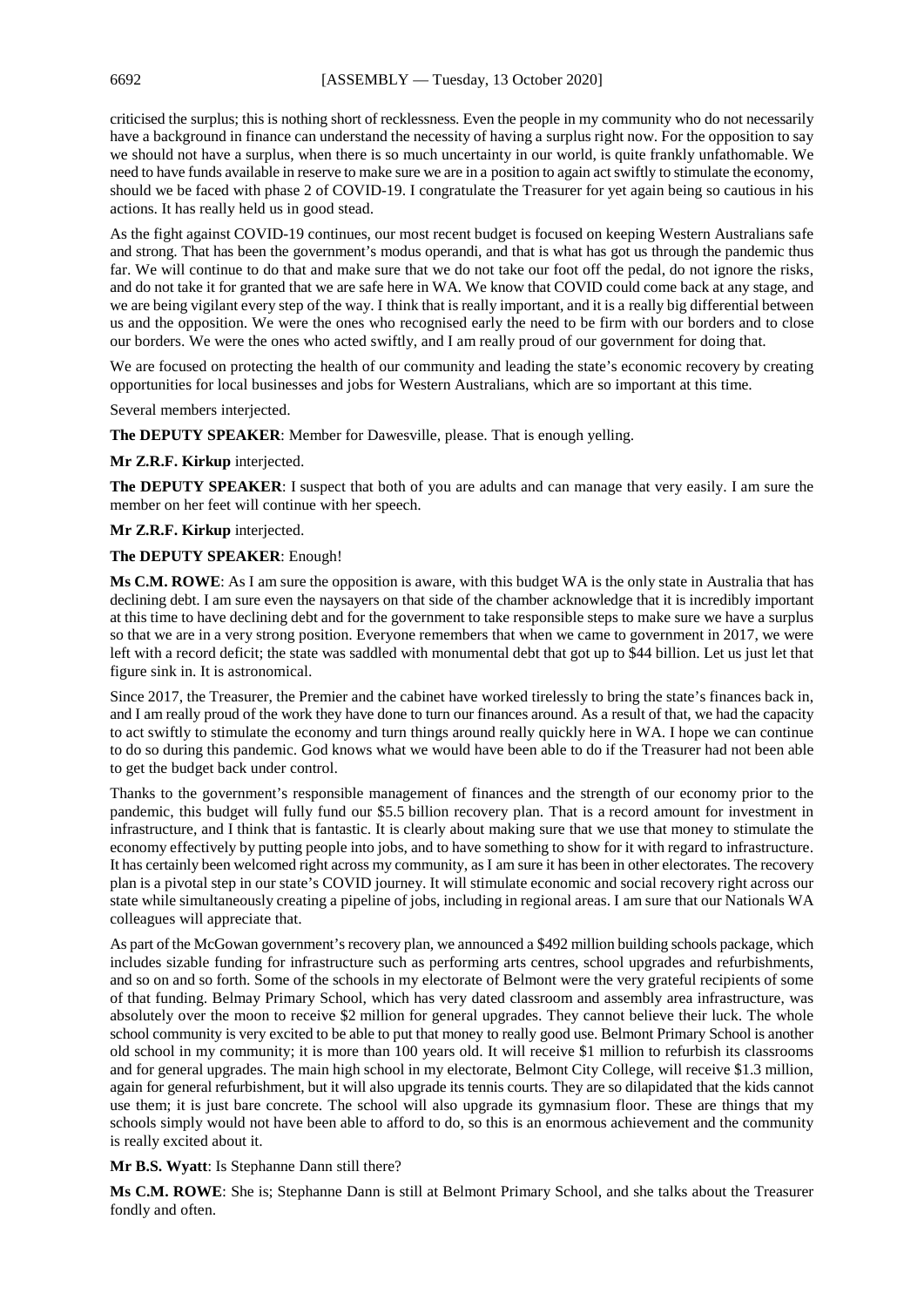criticised the surplus; this is nothing short of recklessness. Even the people in my community who do not necessarily have a background in finance can understand the necessity of having a surplus right now. For the opposition to say we should not have a surplus, when there is so much uncertainty in our world, is quite frankly unfathomable. We need to have funds available in reserve to make sure we are in a position to again act swiftly to stimulate the economy, should we be faced with phase 2 of COVID-19. I congratulate the Treasurer for yet again being so cautious in his actions. It has really held us in good stead.

As the fight against COVID-19 continues, our most recent budget is focused on keeping Western Australians safe and strong. That has been the government's modus operandi, and that is what has got us through the pandemic thus far. We will continue to do that and make sure that we do not take our foot off the pedal, do not ignore the risks, and do not take it for granted that we are safe here in WA. We know that COVID could come back at any stage, and we are being vigilant every step of the way. I think that is really important, and it is a really big differential between us and the opposition. We were the ones who recognised early the need to be firm with our borders and to close our borders. We were the ones who acted swiftly, and I am really proud of our government for doing that.

We are focused on protecting the health of our community and leading the state's economic recovery by creating opportunities for local businesses and jobs for Western Australians, which are so important at this time.

Several members interjected.

**The DEPUTY SPEAKER**: Member for Dawesville, please. That is enough yelling.

**Mr Z.R.F. Kirkup** interjected.

**The DEPUTY SPEAKER**: I suspect that both of you are adults and can manage that very easily. I am sure the member on her feet will continue with her speech.

**Mr Z.R.F. Kirkup** interjected.

## **The DEPUTY SPEAKER**: Enough!

**Ms C.M. ROWE**: As I am sure the opposition is aware, with this budget WA is the only state in Australia that has declining debt. I am sure even the naysayers on that side of the chamber acknowledge that it is incredibly important at this time to have declining debt and for the government to take responsible steps to make sure we have a surplus so that we are in a very strong position. Everyone remembers that when we came to government in 2017, we were left with a record deficit; the state was saddled with monumental debt that got up to \$44 billion. Let us just let that figure sink in. It is astronomical.

Since 2017, the Treasurer, the Premier and the cabinet have worked tirelessly to bring the state's finances back in, and I am really proud of the work they have done to turn our finances around. As a result of that, we had the capacity to act swiftly to stimulate the economy and turn things around really quickly here in WA. I hope we can continue to do so during this pandemic. God knows what we would have been able to do if the Treasurer had not been able to get the budget back under control.

Thanks to the government's responsible management of finances and the strength of our economy prior to the pandemic, this budget will fully fund our \$5.5 billion recovery plan. That is a record amount for investment in infrastructure, and I think that is fantastic. It is clearly about making sure that we use that money to stimulate the economy effectively by putting people into jobs, and to have something to show for it with regard to infrastructure. It has certainly been welcomed right across my community, as I am sure it has been in other electorates. The recovery plan is a pivotal step in our state's COVID journey. It will stimulate economic and social recovery right across our state while simultaneously creating a pipeline of jobs, including in regional areas. I am sure that our Nationals WA colleagues will appreciate that.

As part of the McGowan government's recovery plan, we announced a \$492 million building schools package, which includes sizable funding for infrastructure such as performing arts centres, school upgrades and refurbishments, and so on and so forth. Some of the schools in my electorate of Belmont were the very grateful recipients of some of that funding. Belmay Primary School, which has very dated classroom and assembly area infrastructure, was absolutely over the moon to receive \$2 million for general upgrades. They cannot believe their luck. The whole school community is very excited to be able to put that money to really good use. Belmont Primary School is another old school in my community; it is more than 100 years old. It will receive \$1 million to refurbish its classrooms and for general upgrades. The main high school in my electorate, Belmont City College, will receive \$1.3 million, again for general refurbishment, but it will also upgrade its tennis courts. They are so dilapidated that the kids cannot use them; it is just bare concrete. The school will also upgrade its gymnasium floor. These are things that my schools simply would not have been able to afford to do, so this is an enormous achievement and the community is really excited about it.

**Mr B.S. Wyatt**: Is Stephanne Dann still there?

**Ms C.M. ROWE**: She is; Stephanne Dann is still at Belmont Primary School, and she talks about the Treasurer fondly and often.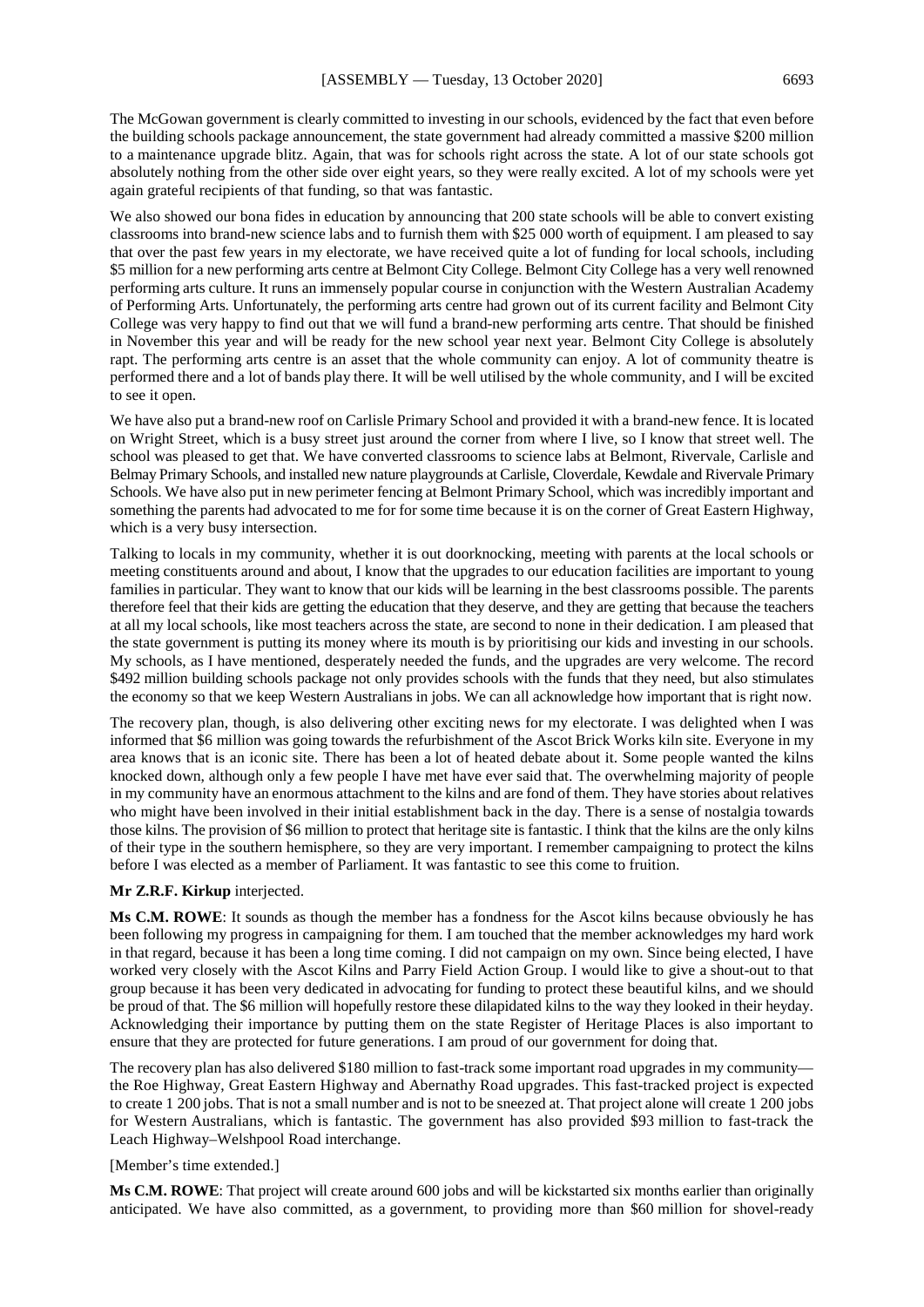The McGowan government is clearly committed to investing in our schools, evidenced by the fact that even before the building schools package announcement, the state government had already committed a massive \$200 million to a maintenance upgrade blitz. Again, that was for schools right across the state. A lot of our state schools got absolutely nothing from the other side over eight years, so they were really excited. A lot of my schools were yet again grateful recipients of that funding, so that was fantastic.

We also showed our bona fides in education by announcing that 200 state schools will be able to convert existing classrooms into brand-new science labs and to furnish them with \$25 000 worth of equipment. I am pleased to say that over the past few years in my electorate, we have received quite a lot of funding for local schools, including \$5 million for a new performing arts centre at Belmont City College. Belmont City College has a very well renowned performing arts culture. It runs an immensely popular course in conjunction with the Western Australian Academy of Performing Arts. Unfortunately, the performing arts centre had grown out of its current facility and Belmont City College was very happy to find out that we will fund a brand-new performing arts centre. That should be finished in November this year and will be ready for the new school year next year. Belmont City College is absolutely rapt. The performing arts centre is an asset that the whole community can enjoy. A lot of community theatre is performed there and a lot of bands play there. It will be well utilised by the whole community, and I will be excited to see it open.

We have also put a brand-new roof on Carlisle Primary School and provided it with a brand-new fence. It is located on Wright Street, which is a busy street just around the corner from where I live, so I know that street well. The school was pleased to get that. We have converted classrooms to science labs at Belmont, Rivervale, Carlisle and Belmay Primary Schools, and installed new nature playgrounds at Carlisle, Cloverdale, Kewdale and Rivervale Primary Schools. We have also put in new perimeter fencing at Belmont Primary School, which was incredibly important and something the parents had advocated to me for for some time because it is on the corner of Great Eastern Highway, which is a very busy intersection.

Talking to locals in my community, whether it is out doorknocking, meeting with parents at the local schools or meeting constituents around and about, I know that the upgrades to our education facilities are important to young families in particular. They want to know that our kids will be learning in the best classrooms possible. The parents therefore feel that their kids are getting the education that they deserve, and they are getting that because the teachers at all my local schools, like most teachers across the state, are second to none in their dedication. I am pleased that the state government is putting its money where its mouth is by prioritising our kids and investing in our schools. My schools, as I have mentioned, desperately needed the funds, and the upgrades are very welcome. The record \$492 million building schools package not only provides schools with the funds that they need, but also stimulates the economy so that we keep Western Australians in jobs. We can all acknowledge how important that is right now.

The recovery plan, though, is also delivering other exciting news for my electorate. I was delighted when I was informed that \$6 million was going towards the refurbishment of the Ascot Brick Works kiln site. Everyone in my area knows that is an iconic site. There has been a lot of heated debate about it. Some people wanted the kilns knocked down, although only a few people I have met have ever said that. The overwhelming majority of people in my community have an enormous attachment to the kilns and are fond of them. They have stories about relatives who might have been involved in their initial establishment back in the day. There is a sense of nostalgia towards those kilns. The provision of \$6 million to protect that heritage site is fantastic. I think that the kilns are the only kilns of their type in the southern hemisphere, so they are very important. I remember campaigning to protect the kilns before I was elected as a member of Parliament. It was fantastic to see this come to fruition.

#### **Mr Z.R.F. Kirkup** interjected.

**Ms C.M. ROWE**: It sounds as though the member has a fondness for the Ascot kilns because obviously he has been following my progress in campaigning for them. I am touched that the member acknowledges my hard work in that regard, because it has been a long time coming. I did not campaign on my own. Since being elected, I have worked very closely with the Ascot Kilns and Parry Field Action Group. I would like to give a shout-out to that group because it has been very dedicated in advocating for funding to protect these beautiful kilns, and we should be proud of that. The \$6 million will hopefully restore these dilapidated kilns to the way they looked in their heyday. Acknowledging their importance by putting them on the state Register of Heritage Places is also important to ensure that they are protected for future generations. I am proud of our government for doing that.

The recovery plan has also delivered \$180 million to fast-track some important road upgrades in my community the Roe Highway, Great Eastern Highway and Abernathy Road upgrades. This fast-tracked project is expected to create 1 200 jobs. That is not a small number and is not to be sneezed at. That project alone will create 1 200 jobs for Western Australians, which is fantastic. The government has also provided \$93 million to fast-track the Leach Highway–Welshpool Road interchange.

#### [Member's time extended.]

**Ms C.M. ROWE**: That project will create around 600 jobs and will be kickstarted six months earlier than originally anticipated. We have also committed, as a government, to providing more than \$60 million for shovel-ready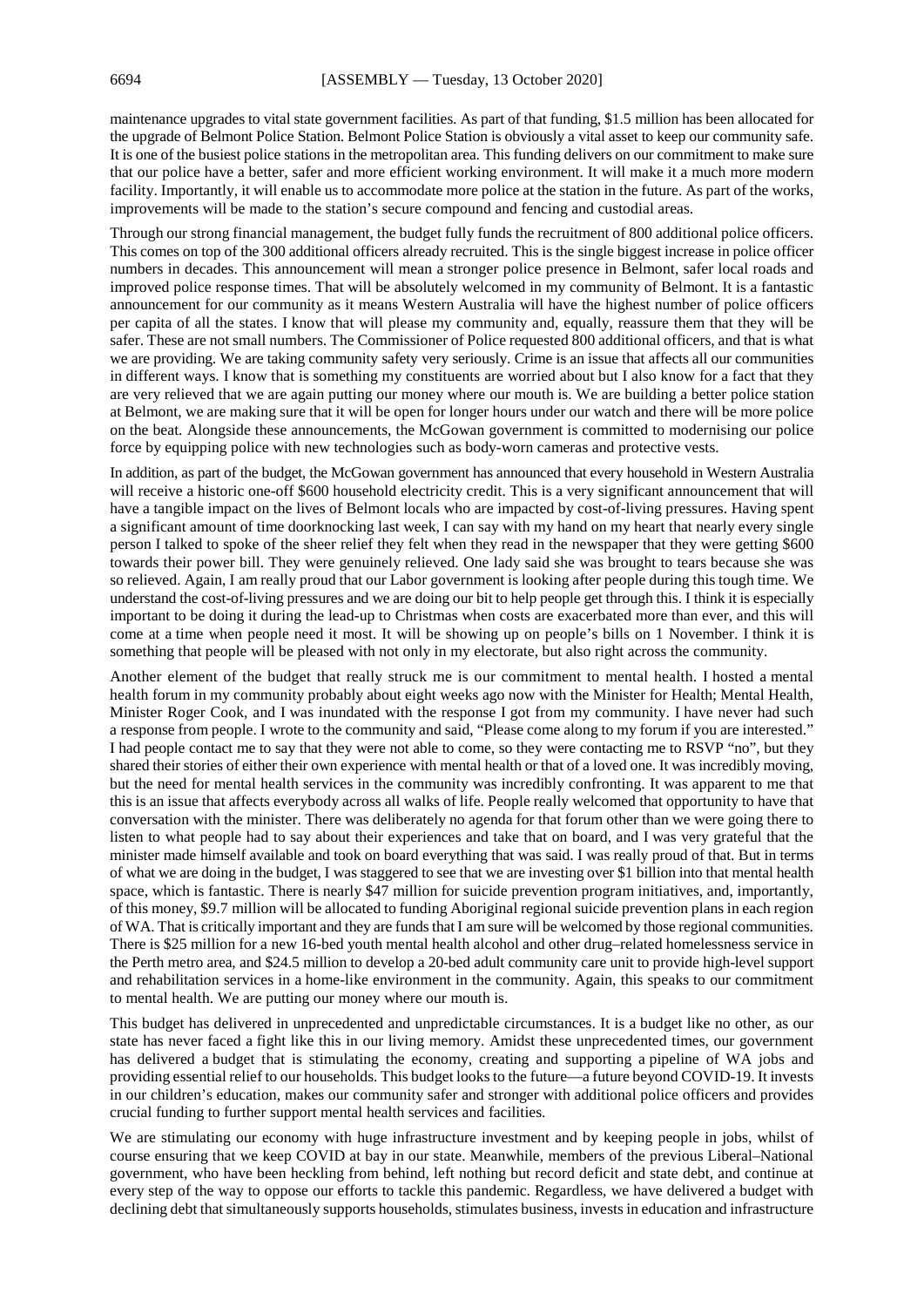maintenance upgrades to vital state government facilities. As part of that funding, \$1.5 million has been allocated for the upgrade of Belmont Police Station. Belmont Police Station is obviously a vital asset to keep our community safe. It is one of the busiest police stations in the metropolitan area. This funding delivers on our commitment to make sure that our police have a better, safer and more efficient working environment. It will make it a much more modern facility. Importantly, it will enable us to accommodate more police at the station in the future. As part of the works, improvements will be made to the station's secure compound and fencing and custodial areas.

Through our strong financial management, the budget fully funds the recruitment of 800 additional police officers. This comes on top of the 300 additional officers already recruited. This is the single biggest increase in police officer numbers in decades. This announcement will mean a stronger police presence in Belmont, safer local roads and improved police response times. That will be absolutely welcomed in my community of Belmont. It is a fantastic announcement for our community as it means Western Australia will have the highest number of police officers per capita of all the states. I know that will please my community and, equally, reassure them that they will be safer. These are not small numbers. The Commissioner of Police requested 800 additional officers, and that is what we are providing. We are taking community safety very seriously. Crime is an issue that affects all our communities in different ways. I know that is something my constituents are worried about but I also know for a fact that they are very relieved that we are again putting our money where our mouth is. We are building a better police station at Belmont, we are making sure that it will be open for longer hours under our watch and there will be more police on the beat. Alongside these announcements, the McGowan government is committed to modernising our police force by equipping police with new technologies such as body-worn cameras and protective vests.

In addition, as part of the budget, the McGowan government has announced that every household in Western Australia will receive a historic one-off \$600 household electricity credit. This is a very significant announcement that will have a tangible impact on the lives of Belmont locals who are impacted by cost-of-living pressures. Having spent a significant amount of time doorknocking last week, I can say with my hand on my heart that nearly every single person I talked to spoke of the sheer relief they felt when they read in the newspaper that they were getting \$600 towards their power bill. They were genuinely relieved. One lady said she was brought to tears because she was so relieved. Again, I am really proud that our Labor government is looking after people during this tough time. We understand the cost-of-living pressures and we are doing our bit to help people get through this. I think it is especially important to be doing it during the lead-up to Christmas when costs are exacerbated more than ever, and this will come at a time when people need it most. It will be showing up on people's bills on 1 November. I think it is something that people will be pleased with not only in my electorate, but also right across the community.

Another element of the budget that really struck me is our commitment to mental health. I hosted a mental health forum in my community probably about eight weeks ago now with the Minister for Health; Mental Health, Minister Roger Cook, and I was inundated with the response I got from my community. I have never had such a response from people. I wrote to the community and said, "Please come along to my forum if you are interested." I had people contact me to say that they were not able to come, so they were contacting me to RSVP "no", but they shared their stories of either their own experience with mental health or that of a loved one. It was incredibly moving, but the need for mental health services in the community was incredibly confronting. It was apparent to me that this is an issue that affects everybody across all walks of life. People really welcomed that opportunity to have that conversation with the minister. There was deliberately no agenda for that forum other than we were going there to listen to what people had to say about their experiences and take that on board, and I was very grateful that the minister made himself available and took on board everything that was said. I was really proud of that. But in terms of what we are doing in the budget, I was staggered to see that we are investing over \$1 billion into that mental health space, which is fantastic. There is nearly \$47 million for suicide prevention program initiatives, and, importantly, of this money, \$9.7 million will be allocated to funding Aboriginal regional suicide prevention plans in each region of WA. That is critically important and they are funds that I am sure will be welcomed by those regional communities. There is \$25 million for a new 16-bed youth mental health alcohol and other drug–related homelessness service in the Perth metro area, and \$24.5 million to develop a 20-bed adult community care unit to provide high-level support and rehabilitation services in a home-like environment in the community. Again, this speaks to our commitment to mental health. We are putting our money where our mouth is.

This budget has delivered in unprecedented and unpredictable circumstances. It is a budget like no other, as our state has never faced a fight like this in our living memory. Amidst these unprecedented times, our government has delivered a budget that is stimulating the economy, creating and supporting a pipeline of WA jobs and providing essential relief to our households. This budget looks to the future—a future beyond COVID-19. It invests in our children's education, makes our community safer and stronger with additional police officers and provides crucial funding to further support mental health services and facilities.

We are stimulating our economy with huge infrastructure investment and by keeping people in jobs, whilst of course ensuring that we keep COVID at bay in our state. Meanwhile, members of the previous Liberal–National government, who have been heckling from behind, left nothing but record deficit and state debt, and continue at every step of the way to oppose our efforts to tackle this pandemic. Regardless, we have delivered a budget with declining debt that simultaneously supports households, stimulates business, invests in education and infrastructure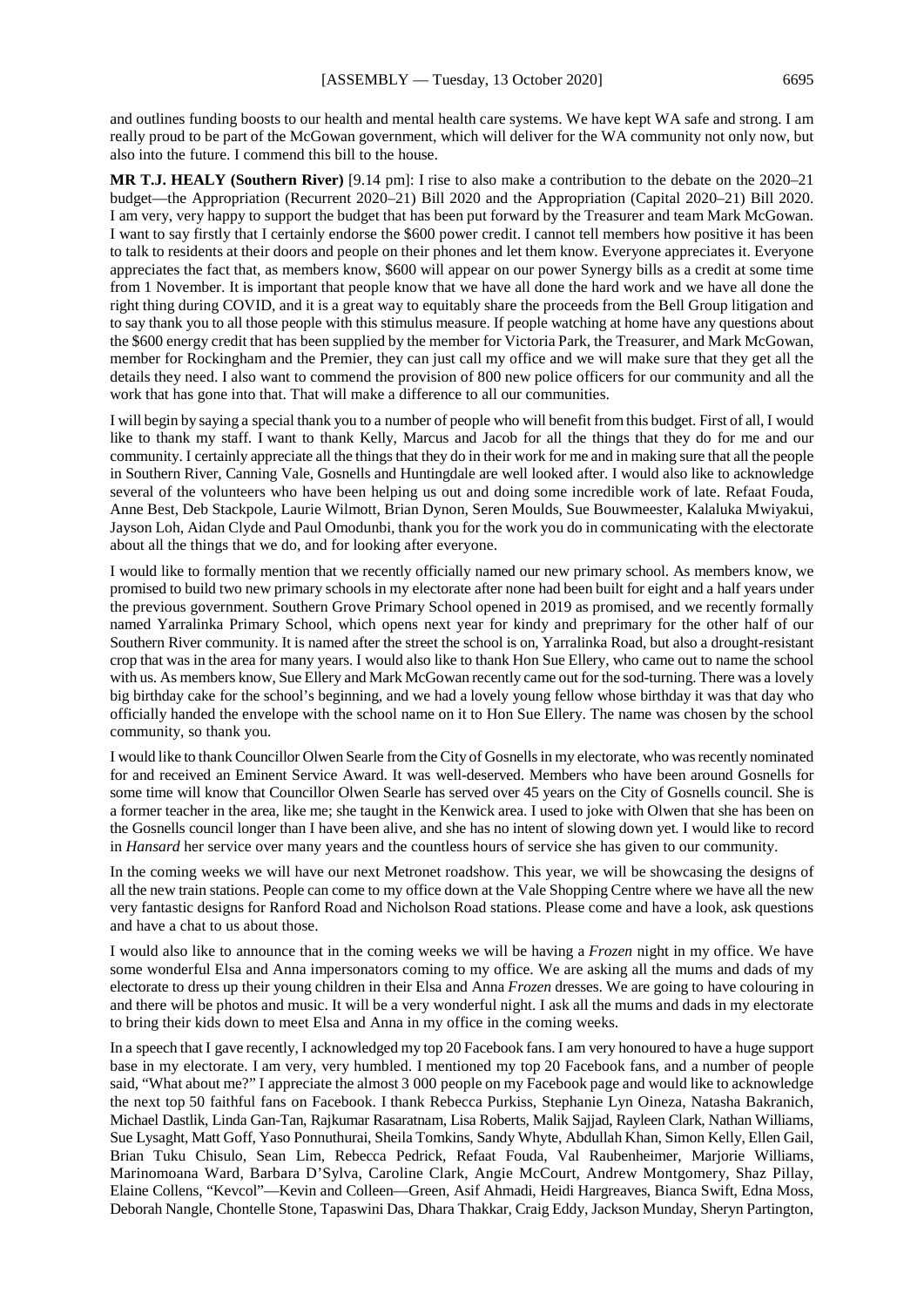and outlines funding boosts to our health and mental health care systems. We have kept WA safe and strong. I am really proud to be part of the McGowan government, which will deliver for the WA community not only now, but also into the future. I commend this bill to the house.

**MR T.J. HEALY (Southern River)** [9.14 pm]: I rise to also make a contribution to the debate on the 2020–21 budget—the Appropriation (Recurrent 2020–21) Bill 2020 and the Appropriation (Capital 2020–21) Bill 2020. I am very, very happy to support the budget that has been put forward by the Treasurer and team Mark McGowan. I want to say firstly that I certainly endorse the \$600 power credit. I cannot tell members how positive it has been to talk to residents at their doors and people on their phones and let them know. Everyone appreciates it. Everyone appreciates the fact that, as members know, \$600 will appear on our power Synergy bills as a credit at some time from 1 November. It is important that people know that we have all done the hard work and we have all done the right thing during COVID, and it is a great way to equitably share the proceeds from the Bell Group litigation and to say thank you to all those people with this stimulus measure. If people watching at home have any questions about the \$600 energy credit that has been supplied by the member for Victoria Park, the Treasurer, and Mark McGowan, member for Rockingham and the Premier, they can just call my office and we will make sure that they get all the details they need. I also want to commend the provision of 800 new police officers for our community and all the work that has gone into that. That will make a difference to all our communities.

I will begin by saying a special thank you to a number of people who will benefit from this budget. First of all, I would like to thank my staff. I want to thank Kelly, Marcus and Jacob for all the things that they do for me and our community. I certainly appreciate all the things that they do in their work for me and in making sure that all the people in Southern River, Canning Vale, Gosnells and Huntingdale are well looked after. I would also like to acknowledge several of the volunteers who have been helping us out and doing some incredible work of late. Refaat Fouda, Anne Best, Deb Stackpole, Laurie Wilmott, Brian Dynon, Seren Moulds, Sue Bouwmeester, Kalaluka Mwiyakui, Jayson Loh, Aidan Clyde and Paul Omodunbi, thank you for the work you do in communicating with the electorate about all the things that we do, and for looking after everyone.

I would like to formally mention that we recently officially named our new primary school. As members know, we promised to build two new primary schools in my electorate after none had been built for eight and a half years under the previous government. Southern Grove Primary School opened in 2019 as promised, and we recently formally named Yarralinka Primary School, which opens next year for kindy and preprimary for the other half of our Southern River community. It is named after the street the school is on, Yarralinka Road, but also a drought-resistant crop that was in the area for many years. I would also like to thank Hon Sue Ellery, who came out to name the school with us. As members know, Sue Ellery and Mark McGowan recently came out for the sod-turning. There was a lovely big birthday cake for the school's beginning, and we had a lovely young fellow whose birthday it was that day who officially handed the envelope with the school name on it to Hon Sue Ellery. The name was chosen by the school community, so thank you.

I would like to thank Councillor Olwen Searle from the City of Gosnells in my electorate, who was recently nominated for and received an Eminent Service Award. It was well-deserved. Members who have been around Gosnells for some time will know that Councillor Olwen Searle has served over 45 years on the City of Gosnells council. She is a former teacher in the area, like me; she taught in the Kenwick area. I used to joke with Olwen that she has been on the Gosnells council longer than I have been alive, and she has no intent of slowing down yet. I would like to record in *Hansard* her service over many years and the countless hours of service she has given to our community.

In the coming weeks we will have our next Metronet roadshow. This year, we will be showcasing the designs of all the new train stations. People can come to my office down at the Vale Shopping Centre where we have all the new very fantastic designs for Ranford Road and Nicholson Road stations. Please come and have a look, ask questions and have a chat to us about those.

I would also like to announce that in the coming weeks we will be having a *Frozen* night in my office. We have some wonderful Elsa and Anna impersonators coming to my office. We are asking all the mums and dads of my electorate to dress up their young children in their Elsa and Anna *Frozen* dresses. We are going to have colouring in and there will be photos and music. It will be a very wonderful night. I ask all the mums and dads in my electorate to bring their kids down to meet Elsa and Anna in my office in the coming weeks.

In a speech that I gave recently, I acknowledged my top 20 Facebook fans. I am very honoured to have a huge support base in my electorate. I am very, very humbled. I mentioned my top 20 Facebook fans, and a number of people said, "What about me?" I appreciate the almost 3 000 people on my Facebook page and would like to acknowledge the next top 50 faithful fans on Facebook. I thank Rebecca Purkiss, Stephanie Lyn Oineza, Natasha Bakranich, Michael Dastlik, Linda Gan-Tan, Rajkumar Rasaratnam, Lisa Roberts, Malik Sajjad, Rayleen Clark, Nathan Williams, Sue Lysaght, Matt Goff, Yaso Ponnuthurai, Sheila Tomkins, Sandy Whyte, Abdullah Khan, Simon Kelly, Ellen Gail, Brian Tuku Chisulo, Sean Lim, Rebecca Pedrick, Refaat Fouda, Val Raubenheimer, Marjorie Williams, Marinomoana Ward, Barbara D'Sylva, Caroline Clark, Angie McCourt, Andrew Montgomery, Shaz Pillay, Elaine Collens, "Kevcol"—Kevin and Colleen—Green, Asif Ahmadi, Heidi Hargreaves, Bianca Swift, Edna Moss, Deborah Nangle, Chontelle Stone, Tapaswini Das, Dhara Thakkar, Craig Eddy, Jackson Munday, Sheryn Partington,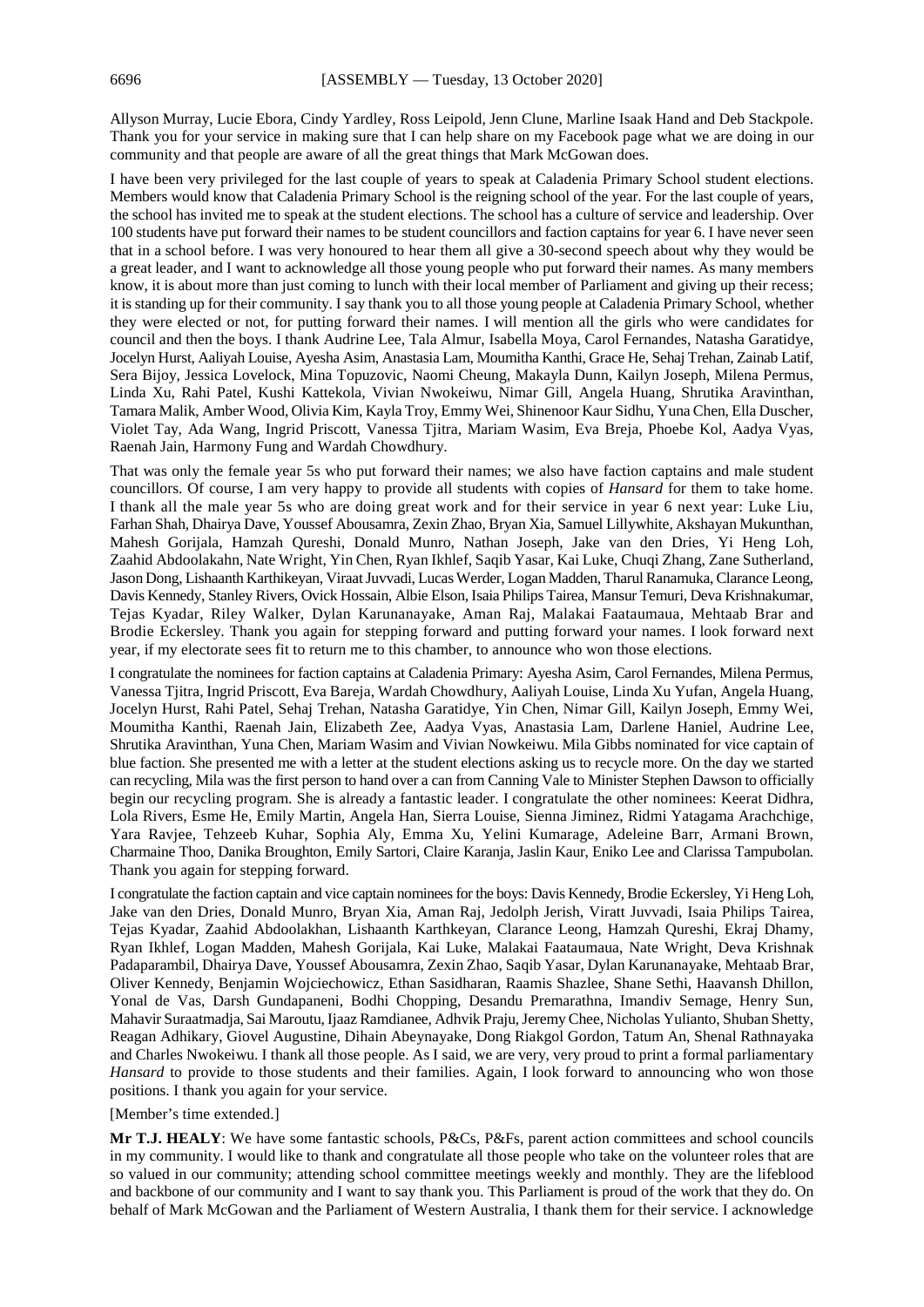Allyson Murray, Lucie Ebora, Cindy Yardley, Ross Leipold, Jenn Clune, Marline Isaak Hand and Deb Stackpole. Thank you for your service in making sure that I can help share on my Facebook page what we are doing in our community and that people are aware of all the great things that Mark McGowan does.

I have been very privileged for the last couple of years to speak at Caladenia Primary School student elections. Members would know that Caladenia Primary School is the reigning school of the year. For the last couple of years, the school has invited me to speak at the student elections. The school has a culture of service and leadership. Over 100 students have put forward their names to be student councillors and faction captains for year 6. I have never seen that in a school before. I was very honoured to hear them all give a 30-second speech about why they would be a great leader, and I want to acknowledge all those young people who put forward their names. As many members know, it is about more than just coming to lunch with their local member of Parliament and giving up their recess; it is standing up for their community. I say thank you to all those young people at Caladenia Primary School, whether they were elected or not, for putting forward their names. I will mention all the girls who were candidates for council and then the boys. I thank Audrine Lee, Tala Almur, Isabella Moya, Carol Fernandes, Natasha Garatidye, Jocelyn Hurst, Aaliyah Louise, Ayesha Asim, Anastasia Lam, Moumitha Kanthi, Grace He, Sehaj Trehan, Zainab Latif, Sera Bijoy, Jessica Lovelock, Mina Topuzovic, Naomi Cheung, Makayla Dunn, Kailyn Joseph, Milena Permus, Linda Xu, Rahi Patel, Kushi Kattekola, Vivian Nwokeiwu, Nimar Gill, Angela Huang, Shrutika Aravinthan, Tamara Malik, Amber Wood, Olivia Kim, Kayla Troy, Emmy Wei, Shinenoor Kaur Sidhu, Yuna Chen, Ella Duscher, Violet Tay, Ada Wang, Ingrid Priscott, Vanessa Tjitra, Mariam Wasim, Eva Breja, Phoebe Kol, Aadya Vyas, Raenah Jain, Harmony Fung and Wardah Chowdhury.

That was only the female year 5s who put forward their names; we also have faction captains and male student councillors. Of course, I am very happy to provide all students with copies of *Hansard* for them to take home. I thank all the male year 5s who are doing great work and for their service in year 6 next year: Luke Liu, Farhan Shah, Dhairya Dave, Youssef Abousamra, Zexin Zhao, Bryan Xia, Samuel Lillywhite, Akshayan Mukunthan, Mahesh Gorijala, Hamzah Qureshi, Donald Munro, Nathan Joseph, Jake van den Dries, Yi Heng Loh, Zaahid Abdoolakahn, Nate Wright, Yin Chen, Ryan Ikhlef, Saqib Yasar, Kai Luke, Chuqi Zhang, Zane Sutherland, Jason Dong, Lishaanth Karthikeyan, Viraat Juvvadi, Lucas Werder, Logan Madden, Tharul Ranamuka, Clarance Leong, Davis Kennedy, Stanley Rivers, Ovick Hossain, Albie Elson, Isaia Philips Tairea, Mansur Temuri, Deva Krishnakumar, Tejas Kyadar, Riley Walker, Dylan Karunanayake, Aman Raj, Malakai Faataumaua, Mehtaab Brar and Brodie Eckersley. Thank you again for stepping forward and putting forward your names. I look forward next year, if my electorate sees fit to return me to this chamber, to announce who won those elections.

I congratulate the nominees for faction captains at Caladenia Primary: Ayesha Asim, Carol Fernandes, Milena Permus, Vanessa Tjitra, Ingrid Priscott, Eva Bareja, Wardah Chowdhury, Aaliyah Louise, Linda Xu Yufan, Angela Huang, Jocelyn Hurst, Rahi Patel, Sehaj Trehan, Natasha Garatidye, Yin Chen, Nimar Gill, Kailyn Joseph, Emmy Wei, Moumitha Kanthi, Raenah Jain, Elizabeth Zee, Aadya Vyas, Anastasia Lam, Darlene Haniel, Audrine Lee, Shrutika Aravinthan, Yuna Chen, Mariam Wasim and Vivian Nowkeiwu. Mila Gibbs nominated for vice captain of blue faction. She presented me with a letter at the student elections asking us to recycle more. On the day we started can recycling, Mila was the first person to hand over a can from Canning Vale to Minister Stephen Dawson to officially begin our recycling program. She is already a fantastic leader. I congratulate the other nominees: Keerat Didhra, Lola Rivers, Esme He, Emily Martin, Angela Han, Sierra Louise, Sienna Jiminez, Ridmi Yatagama Arachchige, Yara Ravjee, Tehzeeb Kuhar, Sophia Aly, Emma Xu, Yelini Kumarage, Adeleine Barr, Armani Brown, Charmaine Thoo, Danika Broughton, Emily Sartori, Claire Karanja, Jaslin Kaur, Eniko Lee and Clarissa Tampubolan. Thank you again for stepping forward.

I congratulate the faction captain and vice captain nominees for the boys: Davis Kennedy, Brodie Eckersley, Yi Heng Loh, Jake van den Dries, Donald Munro, Bryan Xia, Aman Raj, Jedolph Jerish, Viratt Juvvadi, Isaia Philips Tairea, Tejas Kyadar, Zaahid Abdoolakhan, Lishaanth Karthkeyan, Clarance Leong, Hamzah Qureshi, Ekraj Dhamy, Ryan Ikhlef, Logan Madden, Mahesh Gorijala, Kai Luke, Malakai Faataumaua, Nate Wright, Deva Krishnak Padaparambil, Dhairya Dave, Youssef Abousamra, Zexin Zhao, Saqib Yasar, Dylan Karunanayake, Mehtaab Brar, Oliver Kennedy, Benjamin Wojciechowicz, Ethan Sasidharan, Raamis Shazlee, Shane Sethi, Haavansh Dhillon, Yonal de Vas, Darsh Gundapaneni, Bodhi Chopping, Desandu Premarathna, Imandiv Semage, Henry Sun, Mahavir Suraatmadja, Sai Maroutu, Ijaaz Ramdianee, Adhvik Praju, Jeremy Chee, Nicholas Yulianto, Shuban Shetty, Reagan Adhikary, Giovel Augustine, Dihain Abeynayake, Dong Riakgol Gordon, Tatum An, Shenal Rathnayaka and Charles Nwokeiwu. I thank all those people. As I said, we are very, very proud to print a formal parliamentary *Hansard* to provide to those students and their families. Again, I look forward to announcing who won those positions. I thank you again for your service.

#### [Member's time extended.]

**Mr T.J. HEALY**: We have some fantastic schools, P&Cs, P&Fs, parent action committees and school councils in my community. I would like to thank and congratulate all those people who take on the volunteer roles that are so valued in our community; attending school committee meetings weekly and monthly. They are the lifeblood and backbone of our community and I want to say thank you. This Parliament is proud of the work that they do. On behalf of Mark McGowan and the Parliament of Western Australia, I thank them for their service. I acknowledge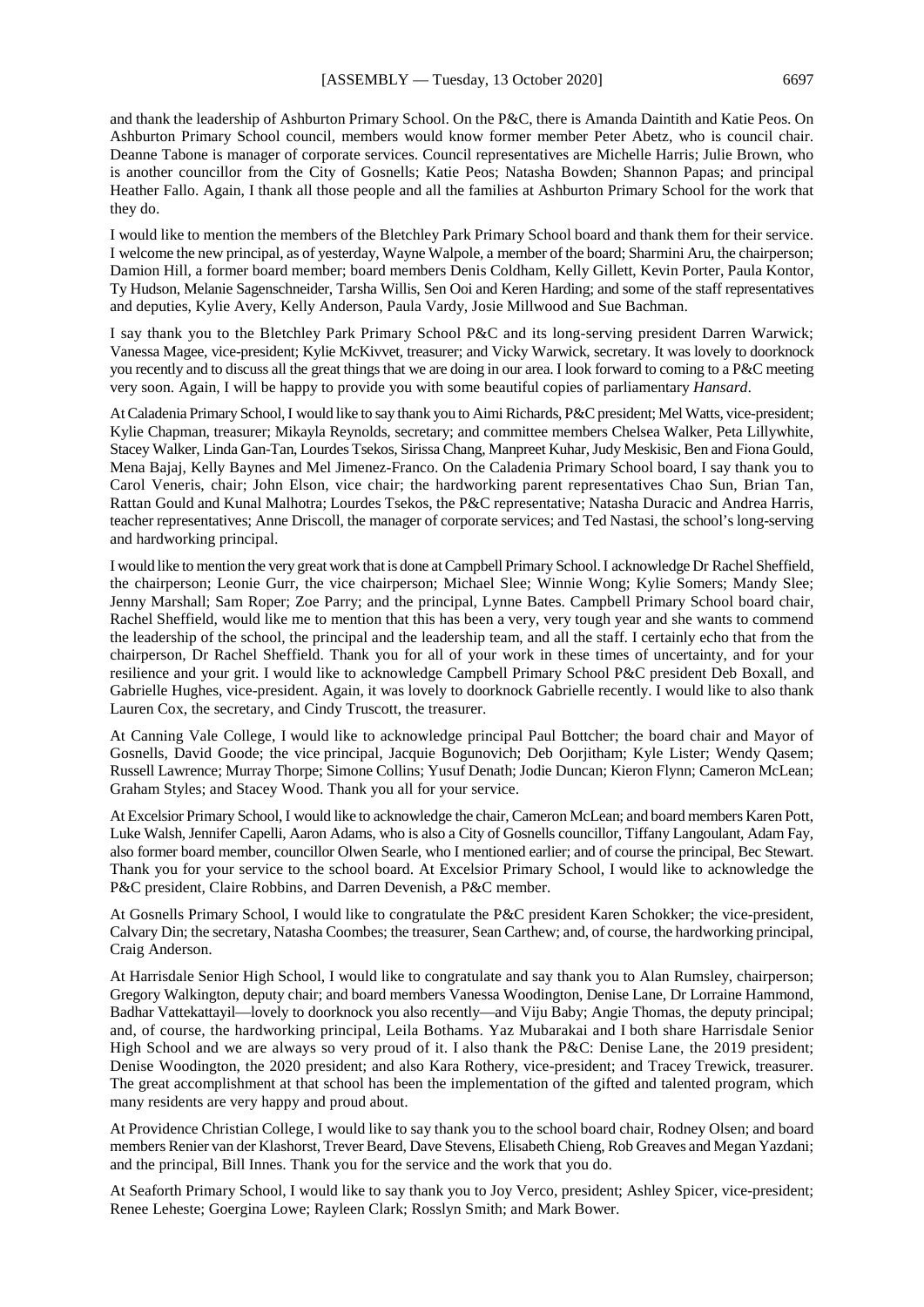and thank the leadership of Ashburton Primary School. On the P&C, there is Amanda Daintith and Katie Peos. On Ashburton Primary School council, members would know former member Peter Abetz, who is council chair. Deanne Tabone is manager of corporate services. Council representatives are Michelle Harris; Julie Brown, who is another councillor from the City of Gosnells; Katie Peos; Natasha Bowden; Shannon Papas; and principal Heather Fallo. Again, I thank all those people and all the families at Ashburton Primary School for the work that they do.

I would like to mention the members of the Bletchley Park Primary School board and thank them for their service. I welcome the new principal, as of yesterday, Wayne Walpole, a member of the board; Sharmini Aru, the chairperson; Damion Hill, a former board member; board members Denis Coldham, Kelly Gillett, Kevin Porter, Paula Kontor, Ty Hudson, Melanie Sagenschneider, Tarsha Willis, Sen Ooi and Keren Harding; and some of the staff representatives and deputies, Kylie Avery, Kelly Anderson, Paula Vardy, Josie Millwood and Sue Bachman.

I say thank you to the Bletchley Park Primary School P&C and its long-serving president Darren Warwick; Vanessa Magee, vice-president; Kylie McKivvet, treasurer; and Vicky Warwick, secretary. It was lovely to doorknock you recently and to discuss all the great things that we are doing in our area. I look forward to coming to a P&C meeting very soon. Again, I will be happy to provide you with some beautiful copies of parliamentary *Hansard*.

At Caladenia Primary School,I would like to say thank you to Aimi Richards, P&C president; Mel Watts, vice-president; Kylie Chapman, treasurer; Mikayla Reynolds, secretary; and committee members Chelsea Walker, Peta Lillywhite, Stacey Walker, Linda Gan-Tan, Lourdes Tsekos, Sirissa Chang, Manpreet Kuhar, Judy Meskisic, Ben and Fiona Gould, Mena Bajaj, Kelly Baynes and Mel Jimenez-Franco. On the Caladenia Primary School board, I say thank you to Carol Veneris, chair; John Elson, vice chair; the hardworking parent representatives Chao Sun, Brian Tan, Rattan Gould and Kunal Malhotra; Lourdes Tsekos, the P&C representative; Natasha Duracic and Andrea Harris, teacher representatives; Anne Driscoll, the manager of corporate services; and Ted Nastasi, the school's long-serving and hardworking principal.

I would like to mention the very great work that is done at Campbell Primary School.I acknowledge Dr Rachel Sheffield, the chairperson; Leonie Gurr, the vice chairperson; Michael Slee; Winnie Wong; Kylie Somers; Mandy Slee; Jenny Marshall; Sam Roper; Zoe Parry; and the principal, Lynne Bates. Campbell Primary School board chair, Rachel Sheffield, would like me to mention that this has been a very, very tough year and she wants to commend the leadership of the school, the principal and the leadership team, and all the staff. I certainly echo that from the chairperson, Dr Rachel Sheffield. Thank you for all of your work in these times of uncertainty, and for your resilience and your grit. I would like to acknowledge Campbell Primary School P&C president Deb Boxall, and Gabrielle Hughes, vice-president. Again, it was lovely to doorknock Gabrielle recently. I would like to also thank Lauren Cox, the secretary, and Cindy Truscott, the treasurer.

At Canning Vale College, I would like to acknowledge principal Paul Bottcher; the board chair and Mayor of Gosnells, David Goode; the vice principal, Jacquie Bogunovich; Deb Oorjitham; Kyle Lister; Wendy Qasem; Russell Lawrence; Murray Thorpe; Simone Collins; Yusuf Denath; Jodie Duncan; Kieron Flynn; Cameron McLean; Graham Styles; and Stacey Wood. Thank you all for your service.

At Excelsior Primary School, I would like to acknowledge the chair, Cameron McLean; and board members Karen Pott, Luke Walsh, Jennifer Capelli, Aaron Adams, who is also a City of Gosnells councillor, Tiffany Langoulant, Adam Fay, also former board member, councillor Olwen Searle, who I mentioned earlier; and of course the principal, Bec Stewart. Thank you for your service to the school board. At Excelsior Primary School, I would like to acknowledge the P&C president, Claire Robbins, and Darren Devenish, a P&C member.

At Gosnells Primary School, I would like to congratulate the P&C president Karen Schokker; the vice-president, Calvary Din; the secretary, Natasha Coombes; the treasurer, Sean Carthew; and, of course, the hardworking principal, Craig Anderson.

At Harrisdale Senior High School, I would like to congratulate and say thank you to Alan Rumsley, chairperson; Gregory Walkington, deputy chair; and board members Vanessa Woodington, Denise Lane, Dr Lorraine Hammond, Badhar Vattekattayil—lovely to doorknock you also recently—and Viju Baby; Angie Thomas, the deputy principal; and, of course, the hardworking principal, Leila Bothams. Yaz Mubarakai and I both share Harrisdale Senior High School and we are always so very proud of it. I also thank the P&C: Denise Lane, the 2019 president; Denise Woodington, the 2020 president; and also Kara Rothery, vice-president; and Tracey Trewick, treasurer. The great accomplishment at that school has been the implementation of the gifted and talented program, which many residents are very happy and proud about.

At Providence Christian College, I would like to say thank you to the school board chair, Rodney Olsen; and board members Renier van der Klashorst, Trever Beard, Dave Stevens, Elisabeth Chieng, Rob Greaves and Megan Yazdani; and the principal, Bill Innes. Thank you for the service and the work that you do.

At Seaforth Primary School, I would like to say thank you to Joy Verco, president; Ashley Spicer, vice-president; Renee Leheste; Goergina Lowe; Rayleen Clark; Rosslyn Smith; and Mark Bower.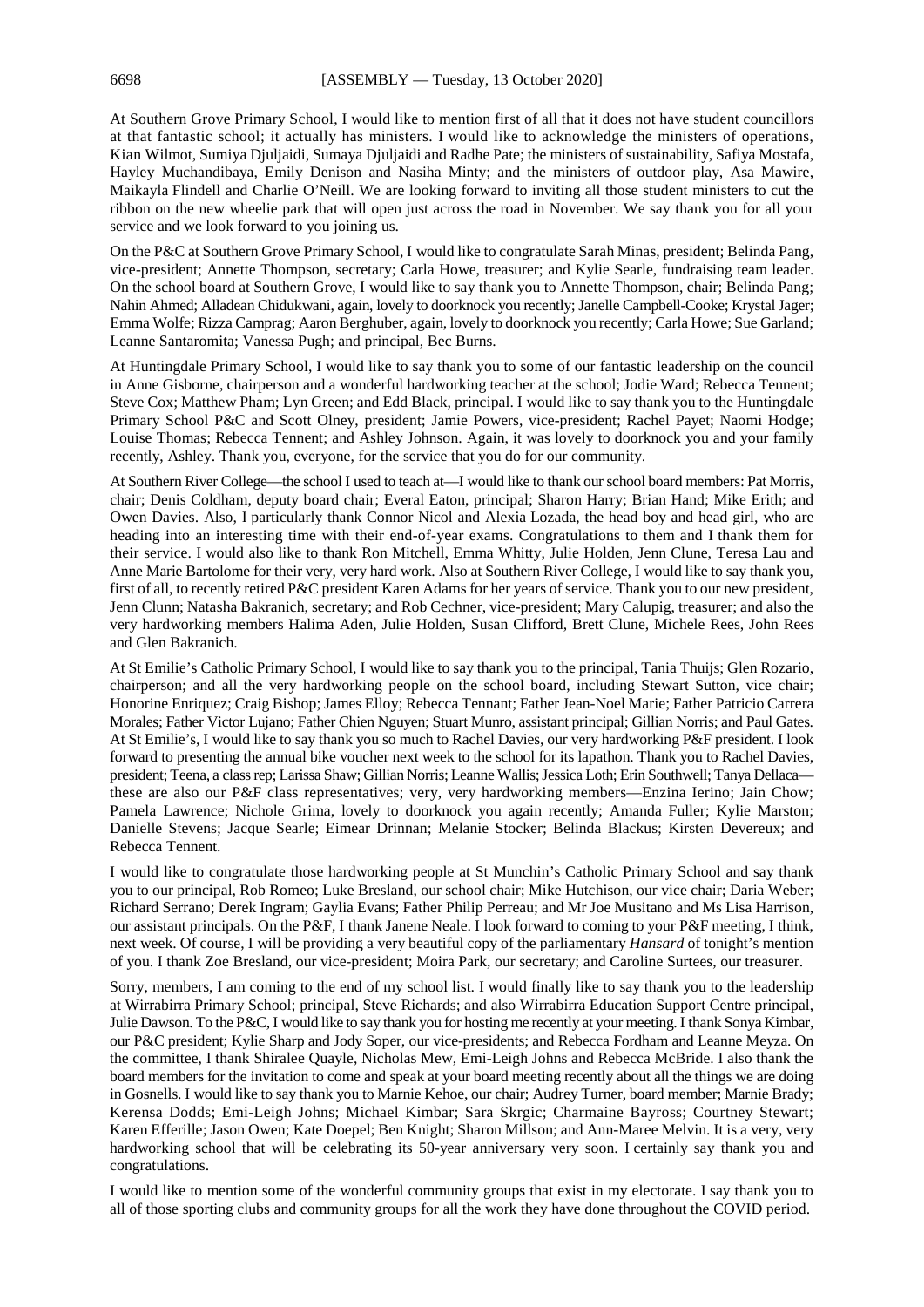At Southern Grove Primary School, I would like to mention first of all that it does not have student councillors at that fantastic school; it actually has ministers. I would like to acknowledge the ministers of operations, Kian Wilmot, Sumiya Djuljaidi, Sumaya Djuljaidi and Radhe Pate; the ministers of sustainability, Safiya Mostafa, Hayley Muchandibaya, Emily Denison and Nasiha Minty; and the ministers of outdoor play, Asa Mawire, Maikayla Flindell and Charlie O'Neill. We are looking forward to inviting all those student ministers to cut the ribbon on the new wheelie park that will open just across the road in November. We say thank you for all your service and we look forward to you joining us.

On the P&C at Southern Grove Primary School, I would like to congratulate Sarah Minas, president; Belinda Pang, vice-president; Annette Thompson, secretary; Carla Howe, treasurer; and Kylie Searle, fundraising team leader. On the school board at Southern Grove, I would like to say thank you to Annette Thompson, chair; Belinda Pang; Nahin Ahmed; Alladean Chidukwani, again, lovely to doorknock you recently; Janelle Campbell-Cooke; Krystal Jager; Emma Wolfe; Rizza Camprag; Aaron Berghuber, again, lovely to doorknock you recently; Carla Howe; Sue Garland; Leanne Santaromita; Vanessa Pugh; and principal, Bec Burns.

At Huntingdale Primary School, I would like to say thank you to some of our fantastic leadership on the council in Anne Gisborne, chairperson and a wonderful hardworking teacher at the school; Jodie Ward; Rebecca Tennent; Steve Cox; Matthew Pham; Lyn Green; and Edd Black, principal. I would like to say thank you to the Huntingdale Primary School P&C and Scott Olney, president; Jamie Powers, vice-president; Rachel Payet; Naomi Hodge; Louise Thomas; Rebecca Tennent; and Ashley Johnson. Again, it was lovely to doorknock you and your family recently, Ashley. Thank you, everyone, for the service that you do for our community.

At Southern River College—the school I used to teach at—I would like to thank our school board members: Pat Morris, chair; Denis Coldham, deputy board chair; Everal Eaton, principal; Sharon Harry; Brian Hand; Mike Erith; and Owen Davies. Also, I particularly thank Connor Nicol and Alexia Lozada, the head boy and head girl, who are heading into an interesting time with their end-of-year exams. Congratulations to them and I thank them for their service. I would also like to thank Ron Mitchell, Emma Whitty, Julie Holden, Jenn Clune, Teresa Lau and Anne Marie Bartolome for their very, very hard work. Also at Southern River College, I would like to say thank you, first of all, to recently retired P&C president Karen Adams for her years of service. Thank you to our new president, Jenn Clunn; Natasha Bakranich, secretary; and Rob Cechner, vice-president; Mary Calupig, treasurer; and also the very hardworking members Halima Aden, Julie Holden, Susan Clifford, Brett Clune, Michele Rees, John Rees and Glen Bakranich.

At St Emilie's Catholic Primary School, I would like to say thank you to the principal, Tania Thuijs; Glen Rozario, chairperson; and all the very hardworking people on the school board, including Stewart Sutton, vice chair; Honorine Enriquez; Craig Bishop; James Elloy; Rebecca Tennant; Father Jean-Noel Marie; Father Patricio Carrera Morales; Father Victor Lujano; Father Chien Nguyen; Stuart Munro, assistant principal; Gillian Norris; and Paul Gates. At St Emilie's, I would like to say thank you so much to Rachel Davies, our very hardworking P&F president. I look forward to presenting the annual bike voucher next week to the school for its lapathon. Thank you to Rachel Davies, president; Teena, a class rep; Larissa Shaw; Gillian Norris; Leanne Wallis; Jessica Loth; Erin Southwell; Tanya Dellaca these are also our P&F class representatives; very, very hardworking members—Enzina Ierino; Jain Chow; Pamela Lawrence; Nichole Grima, lovely to doorknock you again recently; Amanda Fuller; Kylie Marston; Danielle Stevens; Jacque Searle; Eimear Drinnan; Melanie Stocker; Belinda Blackus; Kirsten Devereux; and Rebecca Tennent.

I would like to congratulate those hardworking people at St Munchin's Catholic Primary School and say thank you to our principal, Rob Romeo; Luke Bresland, our school chair; Mike Hutchison, our vice chair; Daria Weber; Richard Serrano; Derek Ingram; Gaylia Evans; Father Philip Perreau; and Mr Joe Musitano and Ms Lisa Harrison, our assistant principals. On the P&F, I thank Janene Neale. I look forward to coming to your P&F meeting, I think, next week. Of course, I will be providing a very beautiful copy of the parliamentary *Hansard* of tonight's mention of you. I thank Zoe Bresland, our vice-president; Moira Park, our secretary; and Caroline Surtees, our treasurer.

Sorry, members, I am coming to the end of my school list. I would finally like to say thank you to the leadership at Wirrabirra Primary School; principal, Steve Richards; and also Wirrabirra Education Support Centre principal, Julie Dawson. To the P&C, I would like to say thank you for hosting me recently at your meeting. I thank Sonya Kimbar, our P&C president; Kylie Sharp and Jody Soper, our vice-presidents; and Rebecca Fordham and Leanne Meyza. On the committee, I thank Shiralee Quayle, Nicholas Mew, Emi-Leigh Johns and Rebecca McBride. I also thank the board members for the invitation to come and speak at your board meeting recently about all the things we are doing in Gosnells. I would like to say thank you to Marnie Kehoe, our chair; Audrey Turner, board member; Marnie Brady; Kerensa Dodds; Emi-Leigh Johns; Michael Kimbar; Sara Skrgic; Charmaine Bayross; Courtney Stewart; Karen Efferille; Jason Owen; Kate Doepel; Ben Knight; Sharon Millson; and Ann-Maree Melvin. It is a very, very hardworking school that will be celebrating its 50-year anniversary very soon. I certainly say thank you and congratulations.

I would like to mention some of the wonderful community groups that exist in my electorate. I say thank you to all of those sporting clubs and community groups for all the work they have done throughout the COVID period.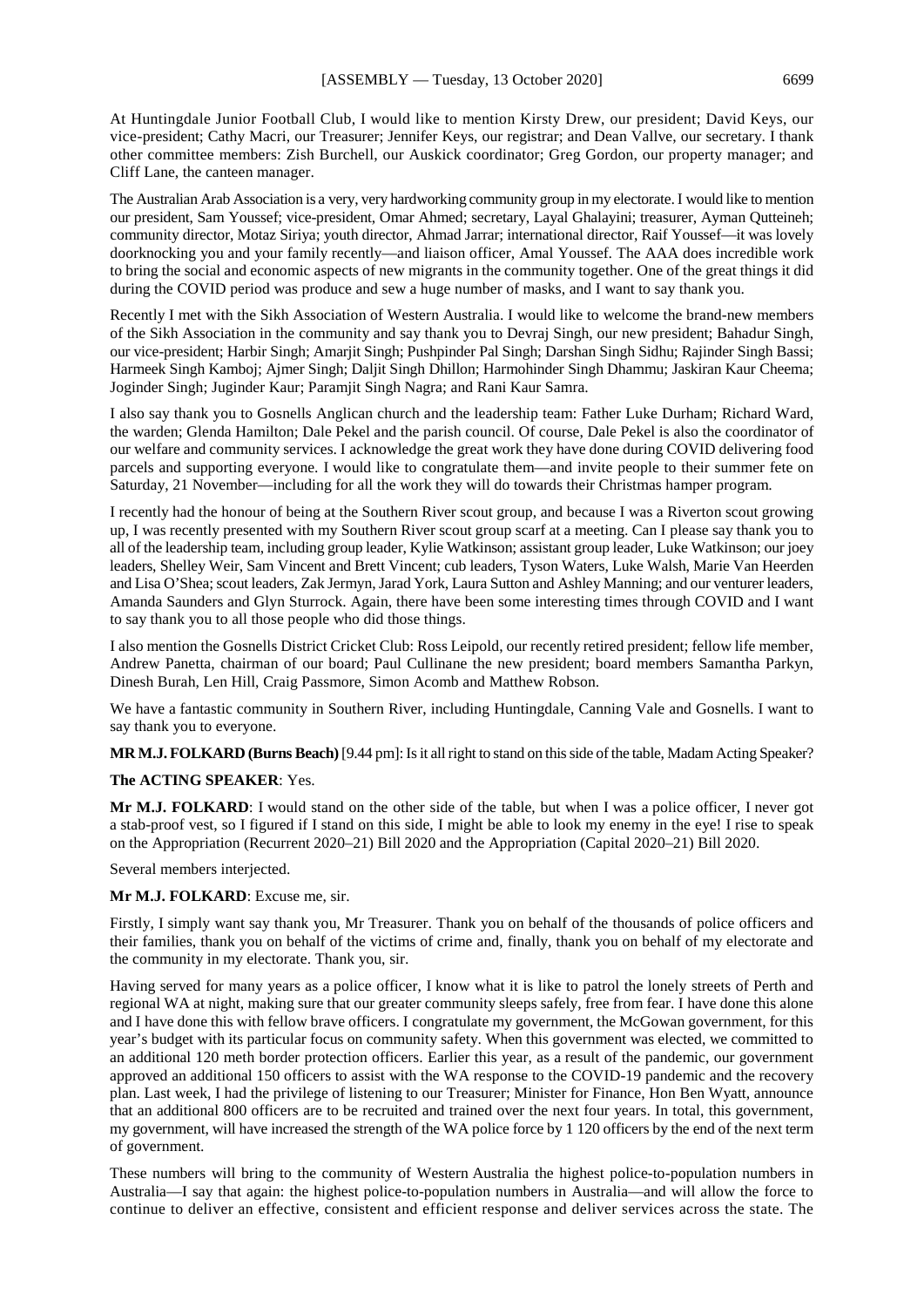At Huntingdale Junior Football Club, I would like to mention Kirsty Drew, our president; David Keys, our vice-president; Cathy Macri, our Treasurer; Jennifer Keys, our registrar; and Dean Vallve, our secretary. I thank other committee members: Zish Burchell, our Auskick coordinator; Greg Gordon, our property manager; and Cliff Lane, the canteen manager.

The Australian Arab Association is a very, very hardworking community group in my electorate.I would like to mention our president, Sam Youssef; vice-president, Omar Ahmed; secretary, Layal Ghalayini; treasurer, Ayman Qutteineh; community director, Motaz Siriya; youth director, Ahmad Jarrar; international director, Raif Youssef—it was lovely doorknocking you and your family recently—and liaison officer, Amal Youssef. The AAA does incredible work to bring the social and economic aspects of new migrants in the community together. One of the great things it did during the COVID period was produce and sew a huge number of masks, and I want to say thank you.

Recently I met with the Sikh Association of Western Australia. I would like to welcome the brand-new members of the Sikh Association in the community and say thank you to Devraj Singh, our new president; Bahadur Singh, our vice-president; Harbir Singh; Amarjit Singh; Pushpinder Pal Singh; Darshan Singh Sidhu; Rajinder Singh Bassi; Harmeek Singh Kamboj; Ajmer Singh; Daljit Singh Dhillon; Harmohinder Singh Dhammu; Jaskiran Kaur Cheema; Joginder Singh; Juginder Kaur; Paramjit Singh Nagra; and Rani Kaur Samra.

I also say thank you to Gosnells Anglican church and the leadership team: Father Luke Durham; Richard Ward, the warden; Glenda Hamilton; Dale Pekel and the parish council. Of course, Dale Pekel is also the coordinator of our welfare and community services. I acknowledge the great work they have done during COVID delivering food parcels and supporting everyone. I would like to congratulate them—and invite people to their summer fete on Saturday, 21 November—including for all the work they will do towards their Christmas hamper program.

I recently had the honour of being at the Southern River scout group, and because I was a Riverton scout growing up, I was recently presented with my Southern River scout group scarf at a meeting. Can I please say thank you to all of the leadership team, including group leader, Kylie Watkinson; assistant group leader, Luke Watkinson; our joey leaders, Shelley Weir, Sam Vincent and Brett Vincent; cub leaders, Tyson Waters, Luke Walsh, Marie Van Heerden and Lisa O'Shea; scout leaders, Zak Jermyn, Jarad York, Laura Sutton and Ashley Manning; and our venturer leaders, Amanda Saunders and Glyn Sturrock. Again, there have been some interesting times through COVID and I want to say thank you to all those people who did those things.

I also mention the Gosnells District Cricket Club: Ross Leipold, our recently retired president; fellow life member, Andrew Panetta, chairman of our board; Paul Cullinane the new president; board members Samantha Parkyn, Dinesh Burah, Len Hill, Craig Passmore, Simon Acomb and Matthew Robson.

We have a fantastic community in Southern River, including Huntingdale, Canning Vale and Gosnells. I want to say thank you to everyone.

**MR M.J. FOLKARD (Burns Beach)** [9.44 pm]: Is it all right to stand on this side of the table, Madam Acting Speaker?

#### **The ACTING SPEAKER**: Yes.

**Mr M.J. FOLKARD**: I would stand on the other side of the table, but when I was a police officer, I never got a stab-proof vest, so I figured if I stand on this side, I might be able to look my enemy in the eye! I rise to speak on the Appropriation (Recurrent 2020–21) Bill 2020 and the Appropriation (Capital 2020–21) Bill 2020.

Several members interjected.

#### **Mr M.J. FOLKARD**: Excuse me, sir.

Firstly, I simply want say thank you, Mr Treasurer. Thank you on behalf of the thousands of police officers and their families, thank you on behalf of the victims of crime and, finally, thank you on behalf of my electorate and the community in my electorate. Thank you, sir.

Having served for many years as a police officer, I know what it is like to patrol the lonely streets of Perth and regional WA at night, making sure that our greater community sleeps safely, free from fear. I have done this alone and I have done this with fellow brave officers. I congratulate my government, the McGowan government, for this year's budget with its particular focus on community safety. When this government was elected, we committed to an additional 120 meth border protection officers. Earlier this year, as a result of the pandemic, our government approved an additional 150 officers to assist with the WA response to the COVID-19 pandemic and the recovery plan. Last week, I had the privilege of listening to our Treasurer; Minister for Finance, Hon Ben Wyatt, announce that an additional 800 officers are to be recruited and trained over the next four years. In total, this government, my government, will have increased the strength of the WA police force by 1 120 officers by the end of the next term of government.

These numbers will bring to the community of Western Australia the highest police-to-population numbers in Australia—I say that again: the highest police-to-population numbers in Australia—and will allow the force to continue to deliver an effective, consistent and efficient response and deliver services across the state. The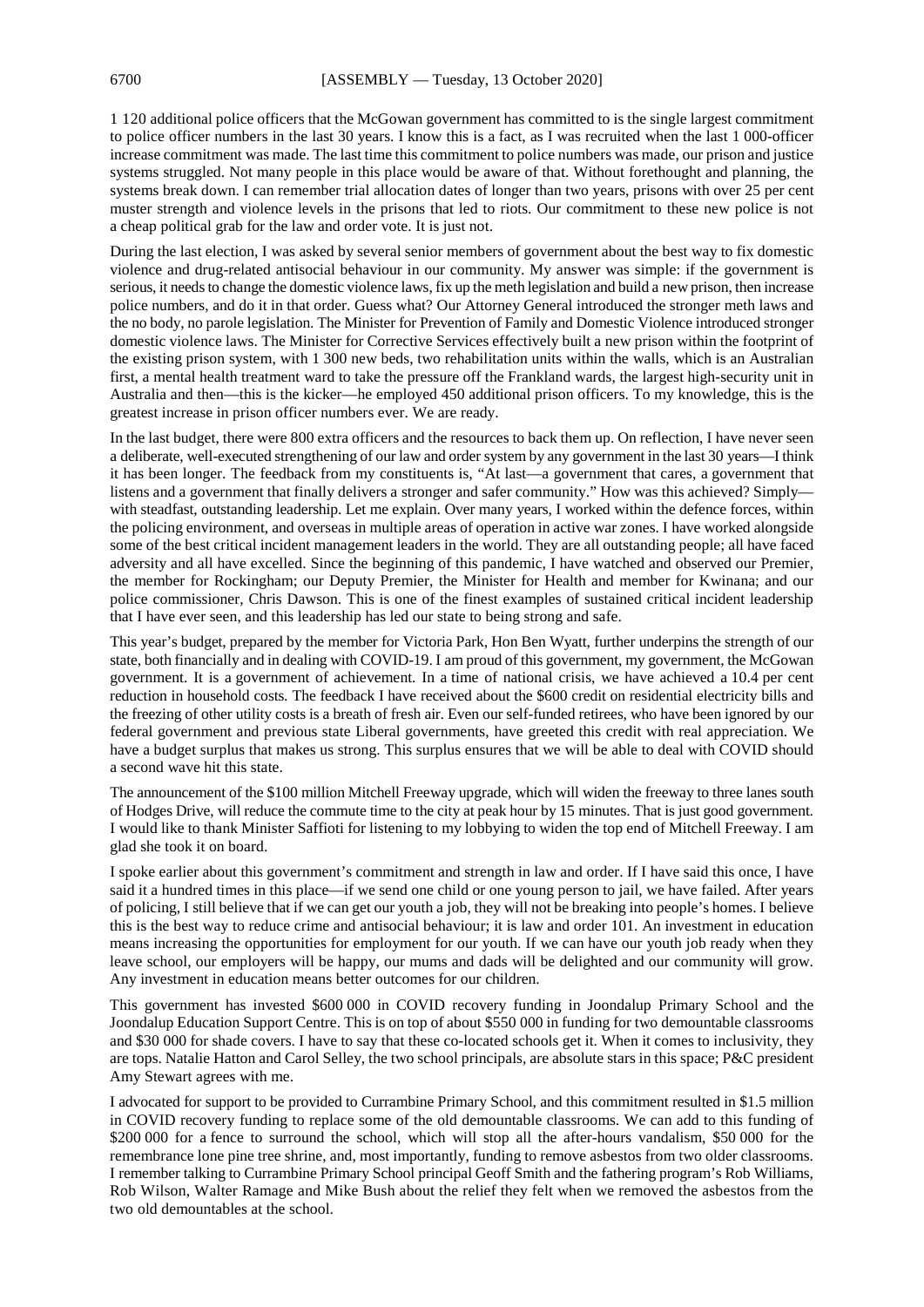1 120 additional police officers that the McGowan government has committed to is the single largest commitment to police officer numbers in the last 30 years. I know this is a fact, as I was recruited when the last 1 000-officer increase commitment was made. The last time this commitment to police numbers was made, our prison and justice systems struggled. Not many people in this place would be aware of that. Without forethought and planning, the systems break down. I can remember trial allocation dates of longer than two years, prisons with over 25 per cent muster strength and violence levels in the prisons that led to riots. Our commitment to these new police is not a cheap political grab for the law and order vote. It is just not.

During the last election, I was asked by several senior members of government about the best way to fix domestic violence and drug-related antisocial behaviour in our community. My answer was simple: if the government is serious, it needs to change the domestic violence laws, fix up the meth legislation and build a new prison, then increase police numbers, and do it in that order. Guess what? Our Attorney General introduced the stronger meth laws and the no body, no parole legislation. The Minister for Prevention of Family and Domestic Violence introduced stronger domestic violence laws. The Minister for Corrective Services effectively built a new prison within the footprint of the existing prison system, with 1 300 new beds, two rehabilitation units within the walls, which is an Australian first, a mental health treatment ward to take the pressure off the Frankland wards, the largest high-security unit in Australia and then—this is the kicker—he employed 450 additional prison officers. To my knowledge, this is the greatest increase in prison officer numbers ever. We are ready.

In the last budget, there were 800 extra officers and the resources to back them up. On reflection, I have never seen a deliberate, well-executed strengthening of our law and order system by any government in the last 30 years—I think it has been longer. The feedback from my constituents is, "At last—a government that cares, a government that listens and a government that finally delivers a stronger and safer community." How was this achieved? Simply with steadfast, outstanding leadership. Let me explain. Over many years, I worked within the defence forces, within the policing environment, and overseas in multiple areas of operation in active war zones. I have worked alongside some of the best critical incident management leaders in the world. They are all outstanding people; all have faced adversity and all have excelled. Since the beginning of this pandemic, I have watched and observed our Premier, the member for Rockingham; our Deputy Premier, the Minister for Health and member for Kwinana; and our police commissioner, Chris Dawson. This is one of the finest examples of sustained critical incident leadership that I have ever seen, and this leadership has led our state to being strong and safe.

This year's budget, prepared by the member for Victoria Park, Hon Ben Wyatt, further underpins the strength of our state, both financially and in dealing with COVID-19. I am proud of this government, my government, the McGowan government. It is a government of achievement. In a time of national crisis, we have achieved a 10.4 per cent reduction in household costs. The feedback I have received about the \$600 credit on residential electricity bills and the freezing of other utility costs is a breath of fresh air. Even our self-funded retirees, who have been ignored by our federal government and previous state Liberal governments, have greeted this credit with real appreciation. We have a budget surplus that makes us strong. This surplus ensures that we will be able to deal with COVID should a second wave hit this state.

The announcement of the \$100 million Mitchell Freeway upgrade, which will widen the freeway to three lanes south of Hodges Drive, will reduce the commute time to the city at peak hour by 15 minutes. That is just good government. I would like to thank Minister Saffioti for listening to my lobbying to widen the top end of Mitchell Freeway. I am glad she took it on board.

I spoke earlier about this government's commitment and strength in law and order. If I have said this once, I have said it a hundred times in this place—if we send one child or one young person to jail, we have failed. After years of policing, I still believe that if we can get our youth a job, they will not be breaking into people's homes. I believe this is the best way to reduce crime and antisocial behaviour; it is law and order 101. An investment in education means increasing the opportunities for employment for our youth. If we can have our youth job ready when they leave school, our employers will be happy, our mums and dads will be delighted and our community will grow. Any investment in education means better outcomes for our children.

This government has invested \$600 000 in COVID recovery funding in Joondalup Primary School and the Joondalup Education Support Centre. This is on top of about \$550 000 in funding for two demountable classrooms and \$30 000 for shade covers. I have to say that these co-located schools get it. When it comes to inclusivity, they are tops. Natalie Hatton and Carol Selley, the two school principals, are absolute stars in this space; P&C president Amy Stewart agrees with me.

I advocated for support to be provided to Currambine Primary School, and this commitment resulted in \$1.5 million in COVID recovery funding to replace some of the old demountable classrooms. We can add to this funding of \$200 000 for a fence to surround the school, which will stop all the after-hours vandalism, \$50 000 for the remembrance lone pine tree shrine, and, most importantly, funding to remove asbestos from two older classrooms. I remember talking to Currambine Primary School principal Geoff Smith and the fathering program's Rob Williams, Rob Wilson, Walter Ramage and Mike Bush about the relief they felt when we removed the asbestos from the two old demountables at the school.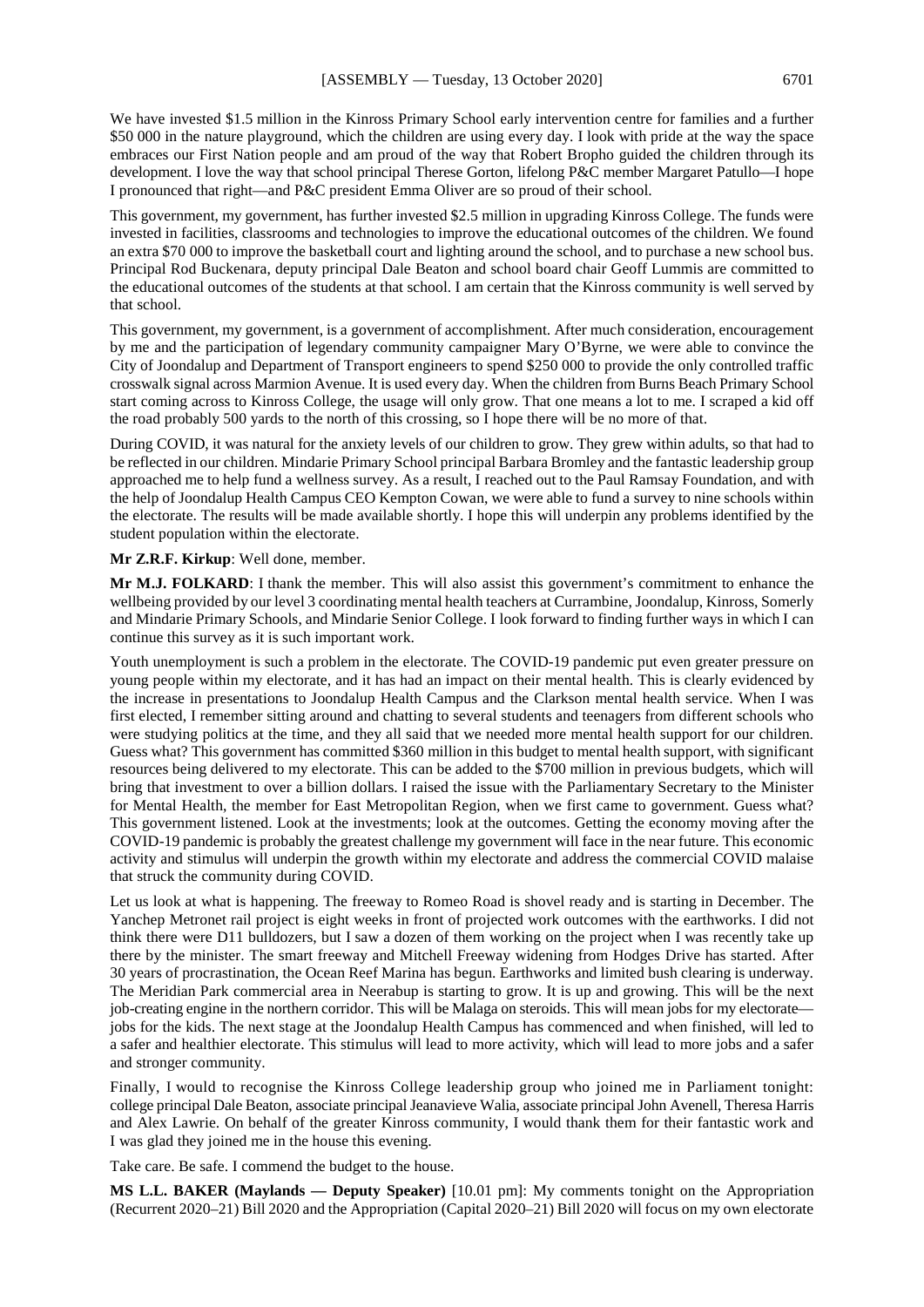We have invested \$1.5 million in the Kinross Primary School early intervention centre for families and a further \$50 000 in the nature playground, which the children are using every day. I look with pride at the way the space embraces our First Nation people and am proud of the way that Robert Bropho guided the children through its development. I love the way that school principal Therese Gorton, lifelong P&C member Margaret Patullo—I hope I pronounced that right—and P&C president Emma Oliver are so proud of their school.

This government, my government, has further invested \$2.5 million in upgrading Kinross College. The funds were invested in facilities, classrooms and technologies to improve the educational outcomes of the children. We found an extra \$70 000 to improve the basketball court and lighting around the school, and to purchase a new school bus. Principal Rod Buckenara, deputy principal Dale Beaton and school board chair Geoff Lummis are committed to the educational outcomes of the students at that school. I am certain that the Kinross community is well served by that school.

This government, my government, is a government of accomplishment. After much consideration, encouragement by me and the participation of legendary community campaigner Mary O'Byrne, we were able to convince the City of Joondalup and Department of Transport engineers to spend \$250 000 to provide the only controlled traffic crosswalk signal across Marmion Avenue. It is used every day. When the children from Burns Beach Primary School start coming across to Kinross College, the usage will only grow. That one means a lot to me. I scraped a kid off the road probably 500 yards to the north of this crossing, so I hope there will be no more of that.

During COVID, it was natural for the anxiety levels of our children to grow. They grew within adults, so that had to be reflected in our children. Mindarie Primary School principal Barbara Bromley and the fantastic leadership group approached me to help fund a wellness survey. As a result, I reached out to the Paul Ramsay Foundation, and with the help of Joondalup Health Campus CEO Kempton Cowan, we were able to fund a survey to nine schools within the electorate. The results will be made available shortly. I hope this will underpin any problems identified by the student population within the electorate.

#### **Mr Z.R.F. Kirkup**: Well done, member.

**Mr M.J. FOLKARD**: I thank the member. This will also assist this government's commitment to enhance the wellbeing provided by our level 3 coordinating mental health teachers at Currambine, Joondalup, Kinross, Somerly and Mindarie Primary Schools, and Mindarie Senior College. I look forward to finding further ways in which I can continue this survey as it is such important work.

Youth unemployment is such a problem in the electorate. The COVID-19 pandemic put even greater pressure on young people within my electorate, and it has had an impact on their mental health. This is clearly evidenced by the increase in presentations to Joondalup Health Campus and the Clarkson mental health service. When I was first elected, I remember sitting around and chatting to several students and teenagers from different schools who were studying politics at the time, and they all said that we needed more mental health support for our children. Guess what? This government has committed \$360 million in this budget to mental health support, with significant resources being delivered to my electorate. This can be added to the \$700 million in previous budgets, which will bring that investment to over a billion dollars. I raised the issue with the Parliamentary Secretary to the Minister for Mental Health, the member for East Metropolitan Region, when we first came to government. Guess what? This government listened. Look at the investments; look at the outcomes. Getting the economy moving after the COVID-19 pandemic is probably the greatest challenge my government will face in the near future. This economic activity and stimulus will underpin the growth within my electorate and address the commercial COVID malaise that struck the community during COVID.

Let us look at what is happening. The freeway to Romeo Road is shovel ready and is starting in December. The Yanchep Metronet rail project is eight weeks in front of projected work outcomes with the earthworks. I did not think there were D11 bulldozers, but I saw a dozen of them working on the project when I was recently take up there by the minister. The smart freeway and Mitchell Freeway widening from Hodges Drive has started. After 30 years of procrastination, the Ocean Reef Marina has begun. Earthworks and limited bush clearing is underway. The Meridian Park commercial area in Neerabup is starting to grow. It is up and growing. This will be the next job-creating engine in the northern corridor. This will be Malaga on steroids. This will mean jobs for my electorate jobs for the kids. The next stage at the Joondalup Health Campus has commenced and when finished, will led to a safer and healthier electorate. This stimulus will lead to more activity, which will lead to more jobs and a safer and stronger community.

Finally, I would to recognise the Kinross College leadership group who joined me in Parliament tonight: college principal Dale Beaton, associate principal Jeanavieve Walia, associate principal John Avenell, Theresa Harris and Alex Lawrie. On behalf of the greater Kinross community, I would thank them for their fantastic work and I was glad they joined me in the house this evening.

Take care. Be safe. I commend the budget to the house.

**MS L.L. BAKER (Maylands — Deputy Speaker)** [10.01 pm]: My comments tonight on the Appropriation (Recurrent 2020–21) Bill 2020 and the Appropriation (Capital 2020–21) Bill 2020 will focus on my own electorate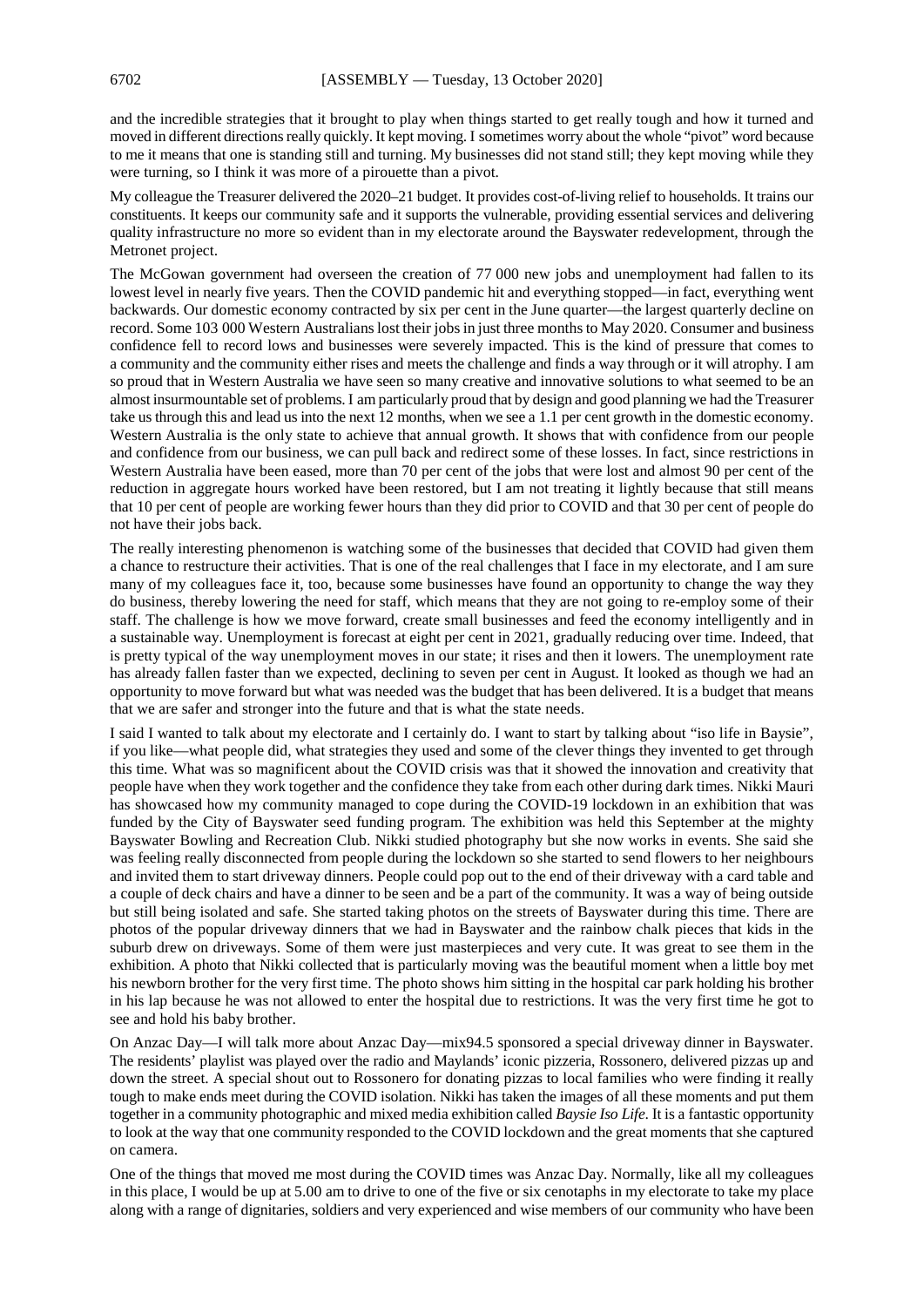and the incredible strategies that it brought to play when things started to get really tough and how it turned and moved in different directions really quickly. It kept moving. I sometimes worry about the whole "pivot" word because to me it means that one is standing still and turning. My businesses did not stand still; they kept moving while they were turning, so I think it was more of a pirouette than a pivot.

My colleague the Treasurer delivered the 2020–21 budget. It provides cost-of-living relief to households. It trains our constituents. It keeps our community safe and it supports the vulnerable, providing essential services and delivering quality infrastructure no more so evident than in my electorate around the Bayswater redevelopment, through the Metronet project.

The McGowan government had overseen the creation of 77 000 new jobs and unemployment had fallen to its lowest level in nearly five years. Then the COVID pandemic hit and everything stopped—in fact, everything went backwards. Our domestic economy contracted by six per cent in the June quarter—the largest quarterly decline on record. Some 103 000 Western Australians lost their jobs in just three months to May 2020. Consumer and business confidence fell to record lows and businesses were severely impacted. This is the kind of pressure that comes to a community and the community either rises and meets the challenge and finds a way through or it will atrophy. I am so proud that in Western Australia we have seen so many creative and innovative solutions to what seemed to be an almost insurmountable set of problems. I am particularly proud that by design and good planning we had the Treasurer take us through this and lead us into the next 12 months, when we see a 1.1 per cent growth in the domestic economy. Western Australia is the only state to achieve that annual growth. It shows that with confidence from our people and confidence from our business, we can pull back and redirect some of these losses. In fact, since restrictions in Western Australia have been eased, more than 70 per cent of the jobs that were lost and almost 90 per cent of the reduction in aggregate hours worked have been restored, but I am not treating it lightly because that still means that 10 per cent of people are working fewer hours than they did prior to COVID and that 30 per cent of people do not have their jobs back.

The really interesting phenomenon is watching some of the businesses that decided that COVID had given them a chance to restructure their activities. That is one of the real challenges that I face in my electorate, and I am sure many of my colleagues face it, too, because some businesses have found an opportunity to change the way they do business, thereby lowering the need for staff, which means that they are not going to re-employ some of their staff. The challenge is how we move forward, create small businesses and feed the economy intelligently and in a sustainable way. Unemployment is forecast at eight per cent in 2021, gradually reducing over time. Indeed, that is pretty typical of the way unemployment moves in our state; it rises and then it lowers. The unemployment rate has already fallen faster than we expected, declining to seven per cent in August. It looked as though we had an opportunity to move forward but what was needed was the budget that has been delivered. It is a budget that means that we are safer and stronger into the future and that is what the state needs.

I said I wanted to talk about my electorate and I certainly do. I want to start by talking about "iso life in Baysie", if you like—what people did, what strategies they used and some of the clever things they invented to get through this time. What was so magnificent about the COVID crisis was that it showed the innovation and creativity that people have when they work together and the confidence they take from each other during dark times. Nikki Mauri has showcased how my community managed to cope during the COVID-19 lockdown in an exhibition that was funded by the City of Bayswater seed funding program. The exhibition was held this September at the mighty Bayswater Bowling and Recreation Club. Nikki studied photography but she now works in events. She said she was feeling really disconnected from people during the lockdown so she started to send flowers to her neighbours and invited them to start driveway dinners. People could pop out to the end of their driveway with a card table and a couple of deck chairs and have a dinner to be seen and be a part of the community. It was a way of being outside but still being isolated and safe. She started taking photos on the streets of Bayswater during this time. There are photos of the popular driveway dinners that we had in Bayswater and the rainbow chalk pieces that kids in the suburb drew on driveways. Some of them were just masterpieces and very cute. It was great to see them in the exhibition. A photo that Nikki collected that is particularly moving was the beautiful moment when a little boy met his newborn brother for the very first time. The photo shows him sitting in the hospital car park holding his brother in his lap because he was not allowed to enter the hospital due to restrictions. It was the very first time he got to see and hold his baby brother.

On Anzac Day—I will talk more about Anzac Day—mix94.5 sponsored a special driveway dinner in Bayswater. The residents' playlist was played over the radio and Maylands' iconic pizzeria, Rossonero, delivered pizzas up and down the street. A special shout out to Rossonero for donating pizzas to local families who were finding it really tough to make ends meet during the COVID isolation. Nikki has taken the images of all these moments and put them together in a community photographic and mixed media exhibition called *Baysie Iso Life*. It is a fantastic opportunity to look at the way that one community responded to the COVID lockdown and the great moments that she captured on camera.

One of the things that moved me most during the COVID times was Anzac Day. Normally, like all my colleagues in this place, I would be up at 5.00 am to drive to one of the five or six cenotaphs in my electorate to take my place along with a range of dignitaries, soldiers and very experienced and wise members of our community who have been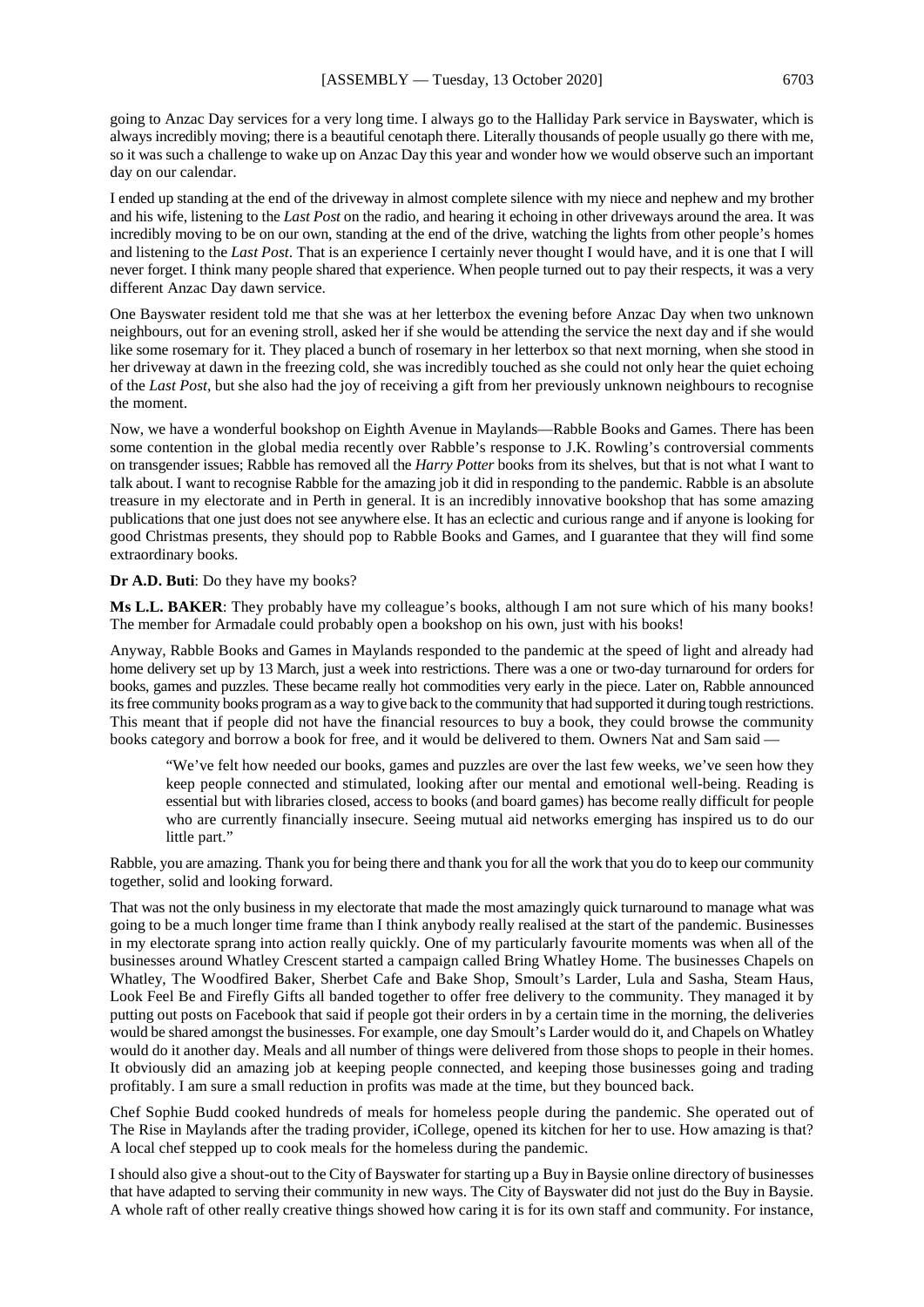going to Anzac Day services for a very long time. I always go to the Halliday Park service in Bayswater, which is always incredibly moving; there is a beautiful cenotaph there. Literally thousands of people usually go there with me, so it was such a challenge to wake up on Anzac Day this year and wonder how we would observe such an important day on our calendar.

I ended up standing at the end of the driveway in almost complete silence with my niece and nephew and my brother and his wife, listening to the *Last Post* on the radio, and hearing it echoing in other driveways around the area. It was incredibly moving to be on our own, standing at the end of the drive, watching the lights from other people's homes and listening to the *Last Post*. That is an experience I certainly never thought I would have, and it is one that I will never forget. I think many people shared that experience. When people turned out to pay their respects, it was a very different Anzac Day dawn service.

One Bayswater resident told me that she was at her letterbox the evening before Anzac Day when two unknown neighbours, out for an evening stroll, asked her if she would be attending the service the next day and if she would like some rosemary for it. They placed a bunch of rosemary in her letterbox so that next morning, when she stood in her driveway at dawn in the freezing cold, she was incredibly touched as she could not only hear the quiet echoing of the *Last Post*, but she also had the joy of receiving a gift from her previously unknown neighbours to recognise the moment.

Now, we have a wonderful bookshop on Eighth Avenue in Maylands—Rabble Books and Games. There has been some contention in the global media recently over Rabble's response to J.K. Rowling's controversial comments on transgender issues; Rabble has removed all the *Harry Potter* books from its shelves, but that is not what I want to talk about. I want to recognise Rabble for the amazing job it did in responding to the pandemic. Rabble is an absolute treasure in my electorate and in Perth in general. It is an incredibly innovative bookshop that has some amazing publications that one just does not see anywhere else. It has an eclectic and curious range and if anyone is looking for good Christmas presents, they should pop to Rabble Books and Games, and I guarantee that they will find some extraordinary books.

#### **Dr A.D. Buti**: Do they have my books?

**Ms L.L. BAKER**: They probably have my colleague's books, although I am not sure which of his many books! The member for Armadale could probably open a bookshop on his own, just with his books!

Anyway, Rabble Books and Games in Maylands responded to the pandemic at the speed of light and already had home delivery set up by 13 March, just a week into restrictions. There was a one or two-day turnaround for orders for books, games and puzzles. These became really hot commodities very early in the piece. Later on, Rabble announced its free community books program as a way to give back to the community that had supported it during tough restrictions. This meant that if people did not have the financial resources to buy a book, they could browse the community books category and borrow a book for free, and it would be delivered to them. Owners Nat and Sam said —

"We've felt how needed our books, games and puzzles are over the last few weeks, we've seen how they keep people connected and stimulated, looking after our mental and emotional well-being. Reading is essential but with libraries closed, access to books (and board games) has become really difficult for people who are currently financially insecure. Seeing mutual aid networks emerging has inspired us to do our little part."

Rabble, you are amazing. Thank you for being there and thank you for all the work that you do to keep our community together, solid and looking forward.

That was not the only business in my electorate that made the most amazingly quick turnaround to manage what was going to be a much longer time frame than I think anybody really realised at the start of the pandemic. Businesses in my electorate sprang into action really quickly. One of my particularly favourite moments was when all of the businesses around Whatley Crescent started a campaign called Bring Whatley Home. The businesses Chapels on Whatley, The Woodfired Baker, Sherbet Cafe and Bake Shop, Smoult's Larder, Lula and Sasha, Steam Haus, Look Feel Be and Firefly Gifts all banded together to offer free delivery to the community. They managed it by putting out posts on Facebook that said if people got their orders in by a certain time in the morning, the deliveries would be shared amongst the businesses. For example, one day Smoult's Larder would do it, and Chapels on Whatley would do it another day. Meals and all number of things were delivered from those shops to people in their homes. It obviously did an amazing job at keeping people connected, and keeping those businesses going and trading profitably. I am sure a small reduction in profits was made at the time, but they bounced back.

Chef Sophie Budd cooked hundreds of meals for homeless people during the pandemic. She operated out of The Rise in Maylands after the trading provider, iCollege, opened its kitchen for her to use. How amazing is that? A local chef stepped up to cook meals for the homeless during the pandemic.

I should also give a shout-out to the City of Bayswater for starting up a Buy in Baysie online directory of businesses that have adapted to serving their community in new ways. The City of Bayswater did not just do the Buy in Baysie. A whole raft of other really creative things showed how caring it is for its own staff and community. For instance,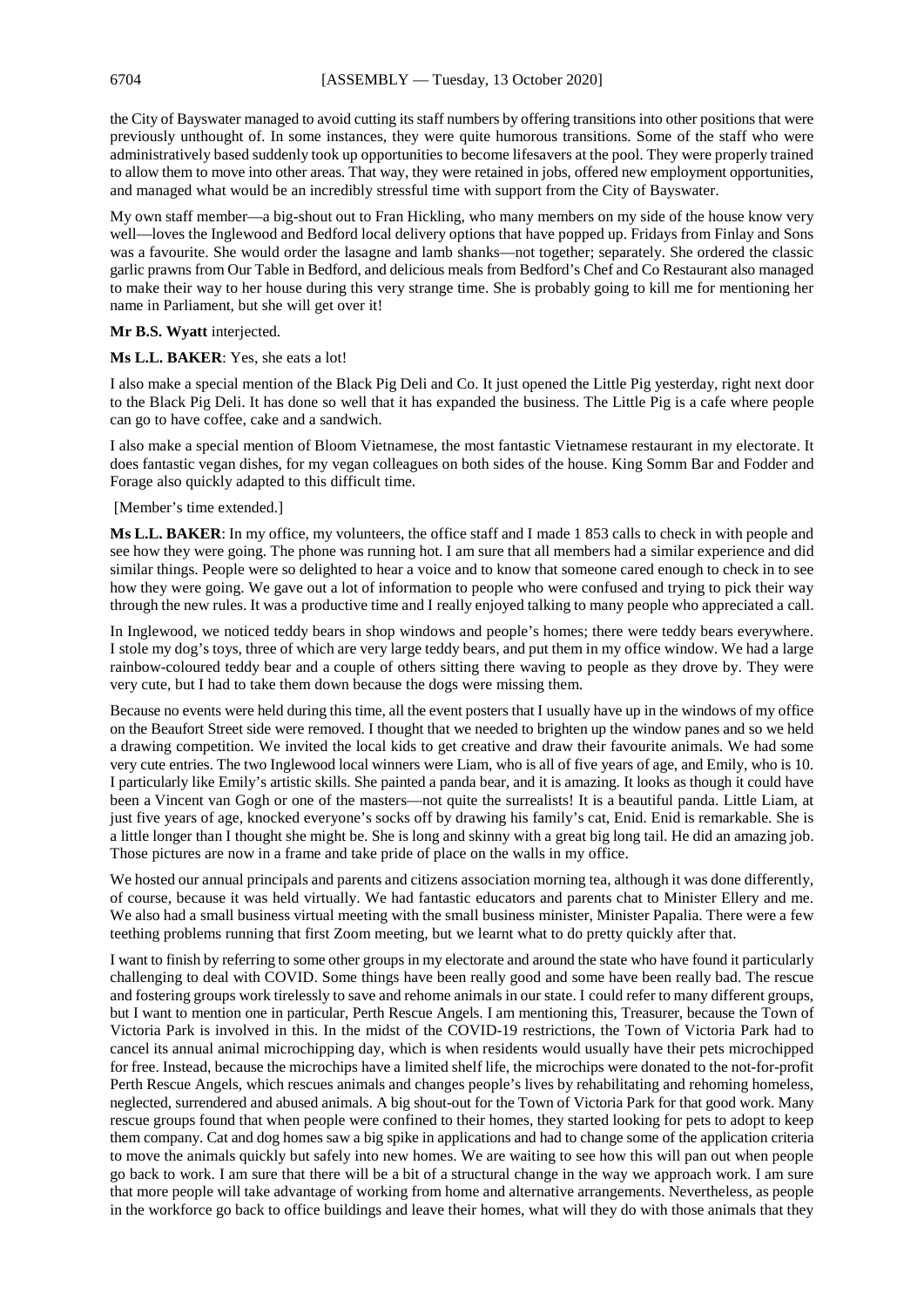the City of Bayswater managed to avoid cutting its staff numbers by offering transitions into other positions that were previously unthought of. In some instances, they were quite humorous transitions. Some of the staff who were administratively based suddenly took up opportunities to become lifesavers at the pool. They were properly trained to allow them to move into other areas. That way, they were retained in jobs, offered new employment opportunities, and managed what would be an incredibly stressful time with support from the City of Bayswater.

My own staff member—a big-shout out to Fran Hickling, who many members on my side of the house know very well—loves the Inglewood and Bedford local delivery options that have popped up. Fridays from Finlay and Sons was a favourite. She would order the lasagne and lamb shanks—not together; separately. She ordered the classic garlic prawns from Our Table in Bedford, and delicious meals from Bedford's Chef and Co Restaurant also managed to make their way to her house during this very strange time. She is probably going to kill me for mentioning her name in Parliament, but she will get over it!

### **Mr B.S. Wyatt** interjected.

#### **Ms L.L. BAKER**: Yes, she eats a lot!

I also make a special mention of the Black Pig Deli and Co. It just opened the Little Pig yesterday, right next door to the Black Pig Deli. It has done so well that it has expanded the business. The Little Pig is a cafe where people can go to have coffee, cake and a sandwich.

I also make a special mention of Bloom Vietnamese, the most fantastic Vietnamese restaurant in my electorate. It does fantastic vegan dishes, for my vegan colleagues on both sides of the house. King Somm Bar and Fodder and Forage also quickly adapted to this difficult time.

#### [Member's time extended.]

**Ms L.L. BAKER**: In my office, my volunteers, the office staff and I made 1 853 calls to check in with people and see how they were going. The phone was running hot. I am sure that all members had a similar experience and did similar things. People were so delighted to hear a voice and to know that someone cared enough to check in to see how they were going. We gave out a lot of information to people who were confused and trying to pick their way through the new rules. It was a productive time and I really enjoyed talking to many people who appreciated a call.

In Inglewood, we noticed teddy bears in shop windows and people's homes; there were teddy bears everywhere. I stole my dog's toys, three of which are very large teddy bears, and put them in my office window. We had a large rainbow-coloured teddy bear and a couple of others sitting there waving to people as they drove by. They were very cute, but I had to take them down because the dogs were missing them.

Because no events were held during this time, all the event posters that I usually have up in the windows of my office on the Beaufort Street side were removed. I thought that we needed to brighten up the window panes and so we held a drawing competition. We invited the local kids to get creative and draw their favourite animals. We had some very cute entries. The two Inglewood local winners were Liam, who is all of five years of age, and Emily, who is 10. I particularly like Emily's artistic skills. She painted a panda bear, and it is amazing. It looks as though it could have been a Vincent van Gogh or one of the masters—not quite the surrealists! It is a beautiful panda. Little Liam, at just five years of age, knocked everyone's socks off by drawing his family's cat, Enid. Enid is remarkable. She is a little longer than I thought she might be. She is long and skinny with a great big long tail. He did an amazing job. Those pictures are now in a frame and take pride of place on the walls in my office.

We hosted our annual principals and parents and citizens association morning tea, although it was done differently, of course, because it was held virtually. We had fantastic educators and parents chat to Minister Ellery and me. We also had a small business virtual meeting with the small business minister, Minister Papalia. There were a few teething problems running that first Zoom meeting, but we learnt what to do pretty quickly after that.

I want to finish by referring to some other groups in my electorate and around the state who have found it particularly challenging to deal with COVID. Some things have been really good and some have been really bad. The rescue and fostering groups work tirelessly to save and rehome animals in our state. I could refer to many different groups, but I want to mention one in particular, Perth Rescue Angels. I am mentioning this, Treasurer, because the Town of Victoria Park is involved in this. In the midst of the COVID-19 restrictions, the Town of Victoria Park had to cancel its annual animal microchipping day, which is when residents would usually have their pets microchipped for free. Instead, because the microchips have a limited shelf life, the microchips were donated to the not-for-profit Perth Rescue Angels, which rescues animals and changes people's lives by rehabilitating and rehoming homeless, neglected, surrendered and abused animals. A big shout-out for the Town of Victoria Park for that good work. Many rescue groups found that when people were confined to their homes, they started looking for pets to adopt to keep them company. Cat and dog homes saw a big spike in applications and had to change some of the application criteria to move the animals quickly but safely into new homes. We are waiting to see how this will pan out when people go back to work. I am sure that there will be a bit of a structural change in the way we approach work. I am sure that more people will take advantage of working from home and alternative arrangements. Nevertheless, as people in the workforce go back to office buildings and leave their homes, what will they do with those animals that they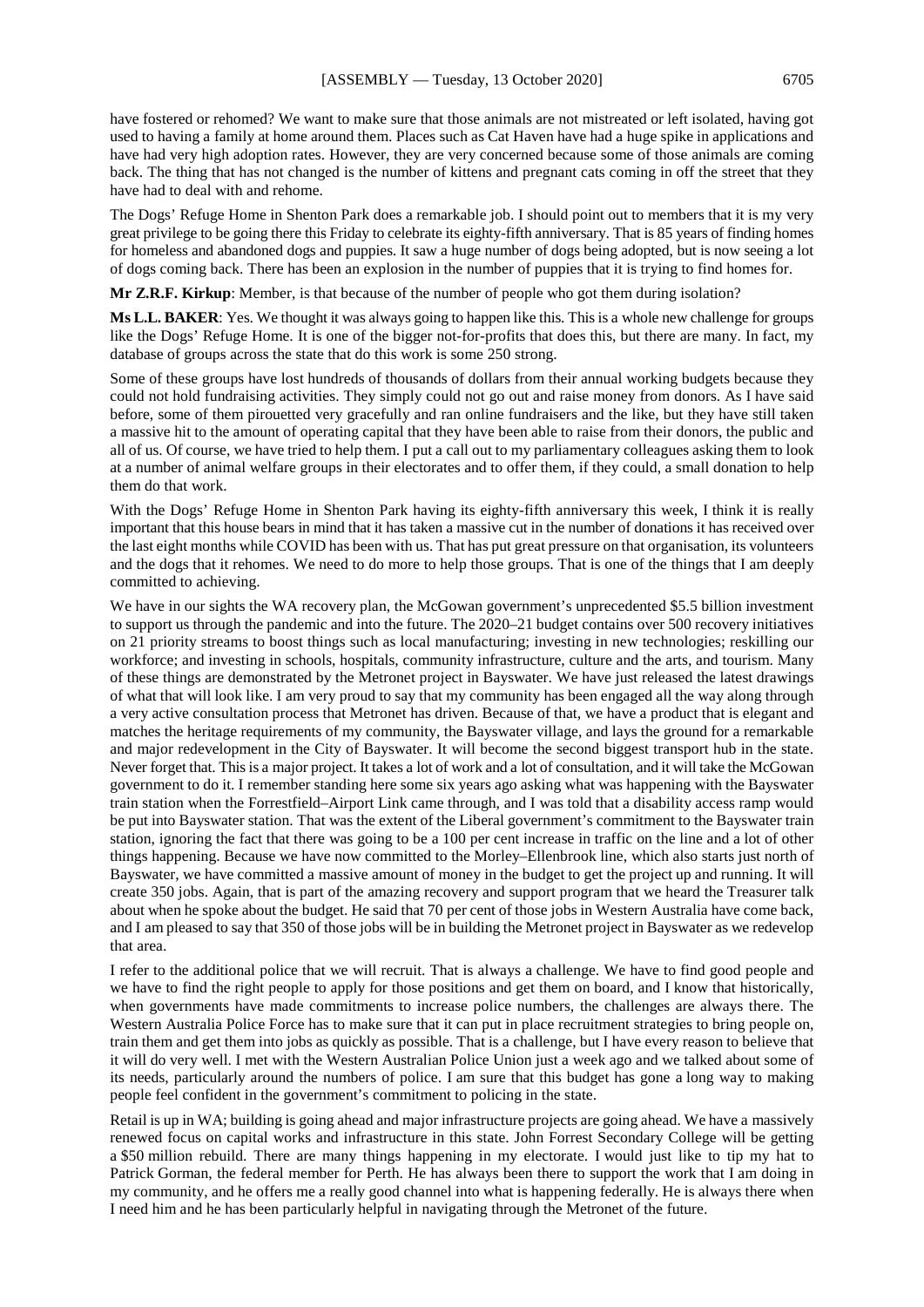have fostered or rehomed? We want to make sure that those animals are not mistreated or left isolated, having got used to having a family at home around them. Places such as Cat Haven have had a huge spike in applications and have had very high adoption rates. However, they are very concerned because some of those animals are coming back. The thing that has not changed is the number of kittens and pregnant cats coming in off the street that they have had to deal with and rehome.

The Dogs' Refuge Home in Shenton Park does a remarkable job. I should point out to members that it is my very great privilege to be going there this Friday to celebrate its eighty-fifth anniversary. That is 85 years of finding homes for homeless and abandoned dogs and puppies. It saw a huge number of dogs being adopted, but is now seeing a lot of dogs coming back. There has been an explosion in the number of puppies that it is trying to find homes for.

**Mr Z.R.F. Kirkup**: Member, is that because of the number of people who got them during isolation?

**Ms L.L. BAKER**: Yes. We thought it was always going to happen like this. This is a whole new challenge for groups like the Dogs' Refuge Home. It is one of the bigger not-for-profits that does this, but there are many. In fact, my database of groups across the state that do this work is some 250 strong.

Some of these groups have lost hundreds of thousands of dollars from their annual working budgets because they could not hold fundraising activities. They simply could not go out and raise money from donors. As I have said before, some of them pirouetted very gracefully and ran online fundraisers and the like, but they have still taken a massive hit to the amount of operating capital that they have been able to raise from their donors, the public and all of us. Of course, we have tried to help them. I put a call out to my parliamentary colleagues asking them to look at a number of animal welfare groups in their electorates and to offer them, if they could, a small donation to help them do that work.

With the Dogs' Refuge Home in Shenton Park having its eighty-fifth anniversary this week, I think it is really important that this house bears in mind that it has taken a massive cut in the number of donations it has received over the last eight months while COVID has been with us. That has put great pressure on that organisation, its volunteers and the dogs that it rehomes. We need to do more to help those groups. That is one of the things that I am deeply committed to achieving.

We have in our sights the WA recovery plan, the McGowan government's unprecedented \$5.5 billion investment to support us through the pandemic and into the future. The 2020–21 budget contains over 500 recovery initiatives on 21 priority streams to boost things such as local manufacturing; investing in new technologies; reskilling our workforce; and investing in schools, hospitals, community infrastructure, culture and the arts, and tourism. Many of these things are demonstrated by the Metronet project in Bayswater. We have just released the latest drawings of what that will look like. I am very proud to say that my community has been engaged all the way along through a very active consultation process that Metronet has driven. Because of that, we have a product that is elegant and matches the heritage requirements of my community, the Bayswater village, and lays the ground for a remarkable and major redevelopment in the City of Bayswater. It will become the second biggest transport hub in the state. Never forget that. This is a major project. It takes a lot of work and a lot of consultation, and it will take the McGowan government to do it. I remember standing here some six years ago asking what was happening with the Bayswater train station when the Forrestfield–Airport Link came through, and I was told that a disability access ramp would be put into Bayswater station. That was the extent of the Liberal government's commitment to the Bayswater train station, ignoring the fact that there was going to be a 100 per cent increase in traffic on the line and a lot of other things happening. Because we have now committed to the Morley–Ellenbrook line, which also starts just north of Bayswater, we have committed a massive amount of money in the budget to get the project up and running. It will create 350 jobs. Again, that is part of the amazing recovery and support program that we heard the Treasurer talk about when he spoke about the budget. He said that 70 per cent of those jobs in Western Australia have come back, and I am pleased to say that 350 of those jobs will be in building the Metronet project in Bayswater as we redevelop that area.

I refer to the additional police that we will recruit. That is always a challenge. We have to find good people and we have to find the right people to apply for those positions and get them on board, and I know that historically, when governments have made commitments to increase police numbers, the challenges are always there. The Western Australia Police Force has to make sure that it can put in place recruitment strategies to bring people on, train them and get them into jobs as quickly as possible. That is a challenge, but I have every reason to believe that it will do very well. I met with the Western Australian Police Union just a week ago and we talked about some of its needs, particularly around the numbers of police. I am sure that this budget has gone a long way to making people feel confident in the government's commitment to policing in the state.

Retail is up in WA; building is going ahead and major infrastructure projects are going ahead. We have a massively renewed focus on capital works and infrastructure in this state. John Forrest Secondary College will be getting a \$50 million rebuild. There are many things happening in my electorate. I would just like to tip my hat to Patrick Gorman, the federal member for Perth. He has always been there to support the work that I am doing in my community, and he offers me a really good channel into what is happening federally. He is always there when I need him and he has been particularly helpful in navigating through the Metronet of the future.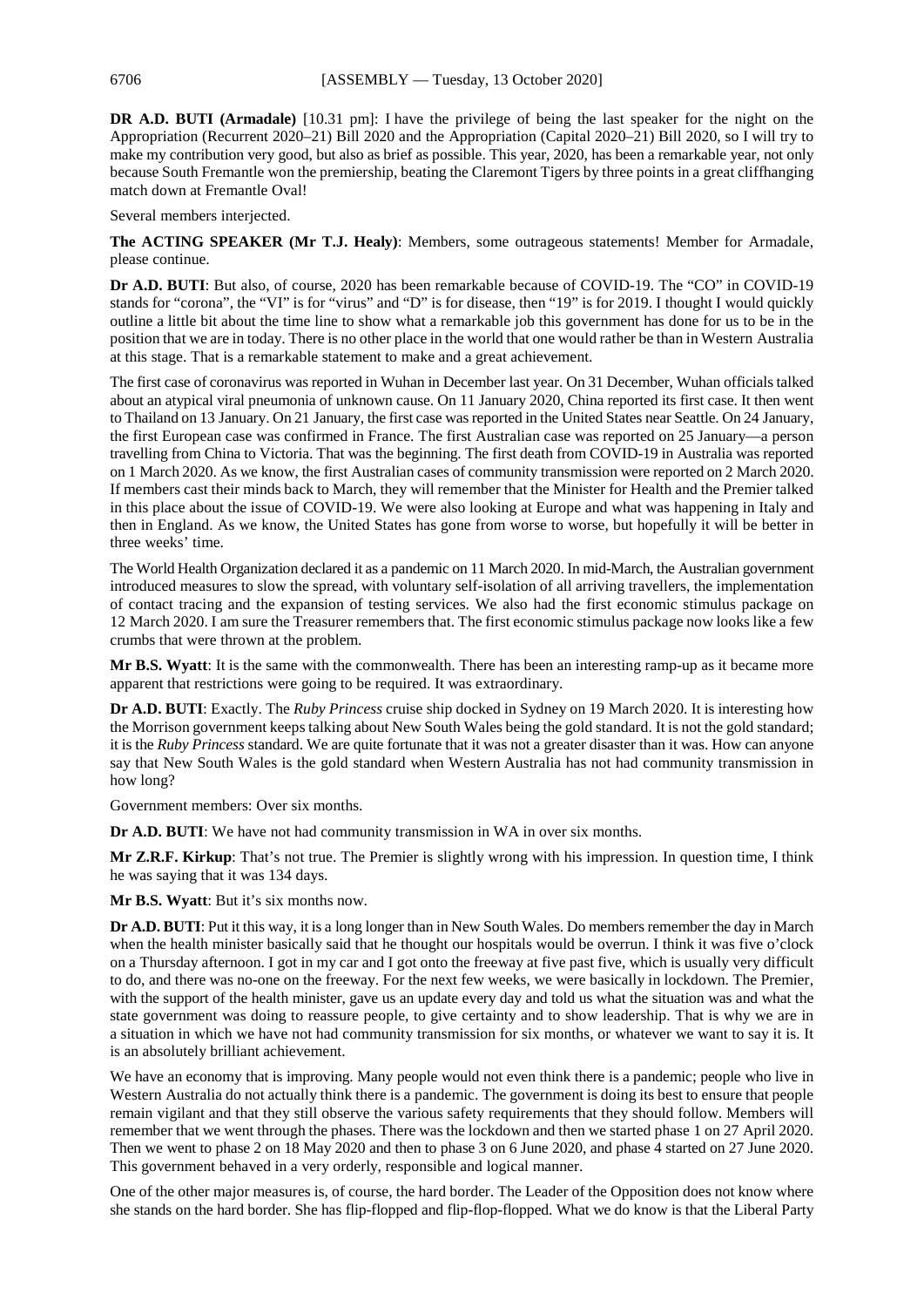**DR A.D. BUTI (Armadale)** [10.31 pm]: I have the privilege of being the last speaker for the night on the Appropriation (Recurrent 2020–21) Bill 2020 and the Appropriation (Capital 2020–21) Bill 2020, so I will try to make my contribution very good, but also as brief as possible. This year, 2020, has been a remarkable year, not only because South Fremantle won the premiership, beating the Claremont Tigers by three points in a great cliffhanging match down at Fremantle Oval!

Several members interjected.

**The ACTING SPEAKER (Mr T.J. Healy)**: Members, some outrageous statements! Member for Armadale, please continue.

**Dr A.D. BUTI**: But also, of course, 2020 has been remarkable because of COVID-19. The "CO" in COVID-19 stands for "corona", the "VI" is for "virus" and "D" is for disease, then "19" is for 2019. I thought I would quickly outline a little bit about the time line to show what a remarkable job this government has done for us to be in the position that we are in today. There is no other place in the world that one would rather be than in Western Australia at this stage. That is a remarkable statement to make and a great achievement.

The first case of coronavirus was reported in Wuhan in December last year. On 31 December, Wuhan officials talked about an atypical viral pneumonia of unknown cause. On 11 January 2020, China reported its first case. It then went to Thailand on 13 January. On 21 January, the first case was reported in the United States near Seattle. On 24 January, the first European case was confirmed in France. The first Australian case was reported on 25 January—a person travelling from China to Victoria. That was the beginning. The first death from COVID-19 in Australia was reported on 1 March 2020. As we know, the first Australian cases of community transmission were reported on 2 March 2020. If members cast their minds back to March, they will remember that the Minister for Health and the Premier talked in this place about the issue of COVID-19. We were also looking at Europe and what was happening in Italy and then in England. As we know, the United States has gone from worse to worse, but hopefully it will be better in three weeks' time.

The World Health Organization declared it as a pandemic on 11 March 2020. In mid-March, the Australian government introduced measures to slow the spread, with voluntary self-isolation of all arriving travellers, the implementation of contact tracing and the expansion of testing services. We also had the first economic stimulus package on 12 March 2020. I am sure the Treasurer remembers that. The first economic stimulus package now looks like a few crumbs that were thrown at the problem.

**Mr B.S. Wyatt**: It is the same with the commonwealth. There has been an interesting ramp-up as it became more apparent that restrictions were going to be required. It was extraordinary.

**Dr A.D. BUTI**: Exactly. The *Ruby Princess* cruise ship docked in Sydney on 19 March 2020. It is interesting how the Morrison government keeps talking about New South Wales being the gold standard. It is not the gold standard; it is the *Ruby Princess* standard. We are quite fortunate that it was not a greater disaster than it was. How can anyone say that New South Wales is the gold standard when Western Australia has not had community transmission in how long?

Government members: Over six months.

**Dr A.D. BUTI:** We have not had community transmission in WA in over six months.

**Mr Z.R.F. Kirkup**: That's not true. The Premier is slightly wrong with his impression. In question time, I think he was saying that it was 134 days.

**Mr B.S. Wyatt**: But it's six months now.

**Dr A.D. BUTI**: Put it this way, it is a long longer than in New South Wales. Do members remember the day in March when the health minister basically said that he thought our hospitals would be overrun. I think it was five o'clock on a Thursday afternoon. I got in my car and I got onto the freeway at five past five, which is usually very difficult to do, and there was no-one on the freeway. For the next few weeks, we were basically in lockdown. The Premier, with the support of the health minister, gave us an update every day and told us what the situation was and what the state government was doing to reassure people, to give certainty and to show leadership. That is why we are in a situation in which we have not had community transmission for six months, or whatever we want to say it is. It is an absolutely brilliant achievement.

We have an economy that is improving. Many people would not even think there is a pandemic; people who live in Western Australia do not actually think there is a pandemic. The government is doing its best to ensure that people remain vigilant and that they still observe the various safety requirements that they should follow. Members will remember that we went through the phases. There was the lockdown and then we started phase 1 on 27 April 2020. Then we went to phase 2 on 18 May 2020 and then to phase 3 on 6 June 2020, and phase 4 started on 27 June 2020. This government behaved in a very orderly, responsible and logical manner.

One of the other major measures is, of course, the hard border. The Leader of the Opposition does not know where she stands on the hard border. She has flip-flopped and flip-flop-flopped. What we do know is that the Liberal Party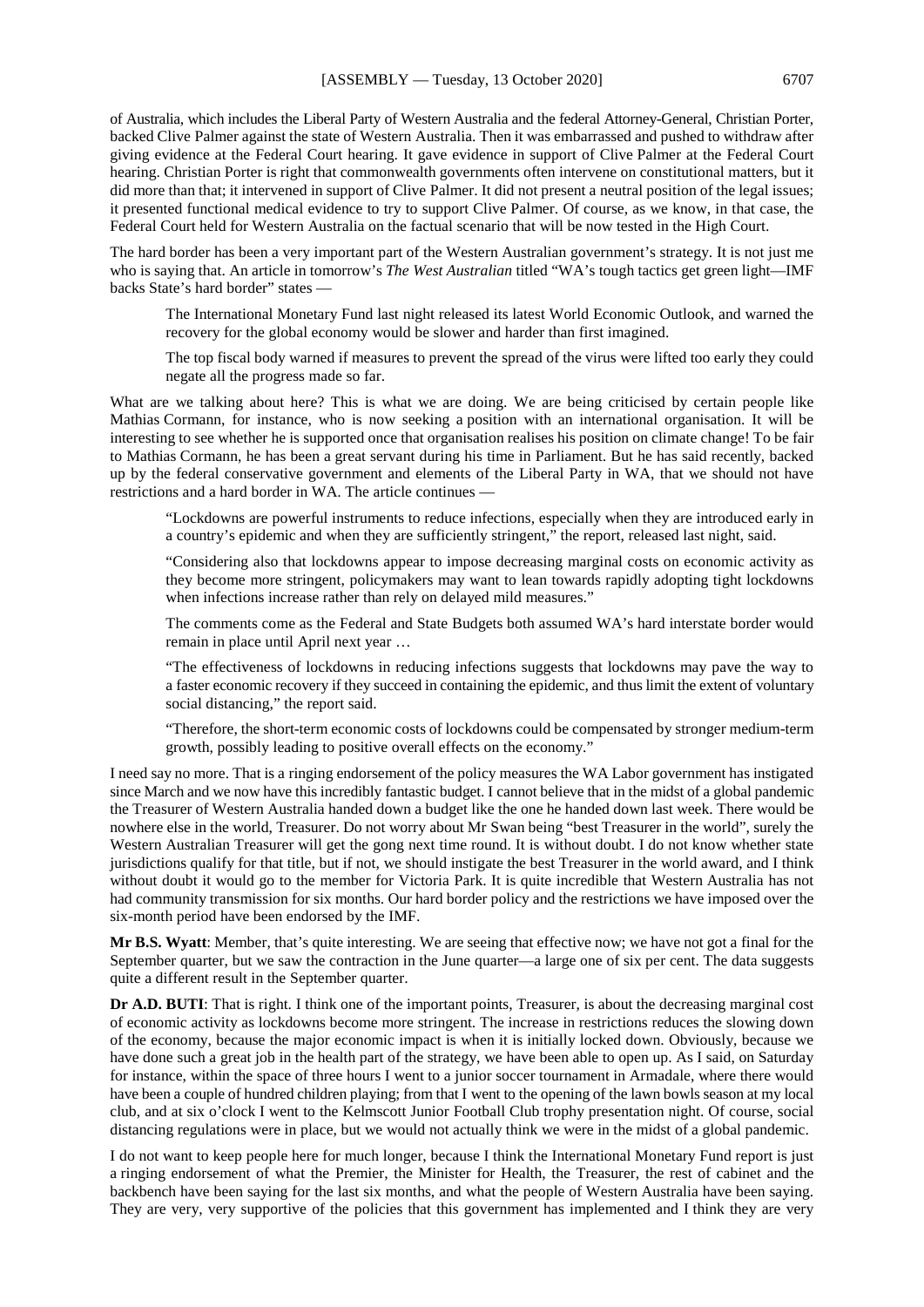of Australia, which includes the Liberal Party of Western Australia and the federal Attorney-General, Christian Porter, backed Clive Palmer against the state of Western Australia. Then it was embarrassed and pushed to withdraw after giving evidence at the Federal Court hearing. It gave evidence in support of Clive Palmer at the Federal Court hearing. Christian Porter is right that commonwealth governments often intervene on constitutional matters, but it did more than that; it intervened in support of Clive Palmer. It did not present a neutral position of the legal issues; it presented functional medical evidence to try to support Clive Palmer. Of course, as we know, in that case, the Federal Court held for Western Australia on the factual scenario that will be now tested in the High Court.

The hard border has been a very important part of the Western Australian government's strategy. It is not just me who is saying that. An article in tomorrow's *The West Australian* titled "WA's tough tactics get green light—IMF backs State's hard border" states —

The International Monetary Fund last night released its latest World Economic Outlook, and warned the recovery for the global economy would be slower and harder than first imagined.

The top fiscal body warned if measures to prevent the spread of the virus were lifted too early they could negate all the progress made so far.

What are we talking about here? This is what we are doing. We are being criticised by certain people like Mathias Cormann, for instance, who is now seeking a position with an international organisation. It will be interesting to see whether he is supported once that organisation realises his position on climate change! To be fair to Mathias Cormann, he has been a great servant during his time in Parliament. But he has said recently, backed up by the federal conservative government and elements of the Liberal Party in WA, that we should not have restrictions and a hard border in WA. The article continues —

"Lockdowns are powerful instruments to reduce infections, especially when they are introduced early in a country's epidemic and when they are sufficiently stringent," the report, released last night, said.

"Considering also that lockdowns appear to impose decreasing marginal costs on economic activity as they become more stringent, policymakers may want to lean towards rapidly adopting tight lockdowns when infections increase rather than rely on delayed mild measures."

The comments come as the Federal and State Budgets both assumed WA's hard interstate border would remain in place until April next year …

"The effectiveness of lockdowns in reducing infections suggests that lockdowns may pave the way to a faster economic recovery if they succeed in containing the epidemic, and thus limit the extent of voluntary social distancing," the report said.

"Therefore, the short-term economic costs of lockdowns could be compensated by stronger medium-term growth, possibly leading to positive overall effects on the economy."

I need say no more. That is a ringing endorsement of the policy measures the WA Labor government has instigated since March and we now have this incredibly fantastic budget. I cannot believe that in the midst of a global pandemic the Treasurer of Western Australia handed down a budget like the one he handed down last week. There would be nowhere else in the world, Treasurer. Do not worry about Mr Swan being "best Treasurer in the world", surely the Western Australian Treasurer will get the gong next time round. It is without doubt. I do not know whether state jurisdictions qualify for that title, but if not, we should instigate the best Treasurer in the world award, and I think without doubt it would go to the member for Victoria Park. It is quite incredible that Western Australia has not had community transmission for six months. Our hard border policy and the restrictions we have imposed over the six-month period have been endorsed by the IMF.

**Mr B.S. Wyatt**: Member, that's quite interesting. We are seeing that effective now; we have not got a final for the September quarter, but we saw the contraction in the June quarter—a large one of six per cent. The data suggests quite a different result in the September quarter.

**Dr A.D. BUTI**: That is right. I think one of the important points, Treasurer, is about the decreasing marginal cost of economic activity as lockdowns become more stringent. The increase in restrictions reduces the slowing down of the economy, because the major economic impact is when it is initially locked down. Obviously, because we have done such a great job in the health part of the strategy, we have been able to open up. As I said, on Saturday for instance, within the space of three hours I went to a junior soccer tournament in Armadale, where there would have been a couple of hundred children playing; from that I went to the opening of the lawn bowls season at my local club, and at six o'clock I went to the Kelmscott Junior Football Club trophy presentation night. Of course, social distancing regulations were in place, but we would not actually think we were in the midst of a global pandemic.

I do not want to keep people here for much longer, because I think the International Monetary Fund report is just a ringing endorsement of what the Premier, the Minister for Health, the Treasurer, the rest of cabinet and the backbench have been saying for the last six months, and what the people of Western Australia have been saying. They are very, very supportive of the policies that this government has implemented and I think they are very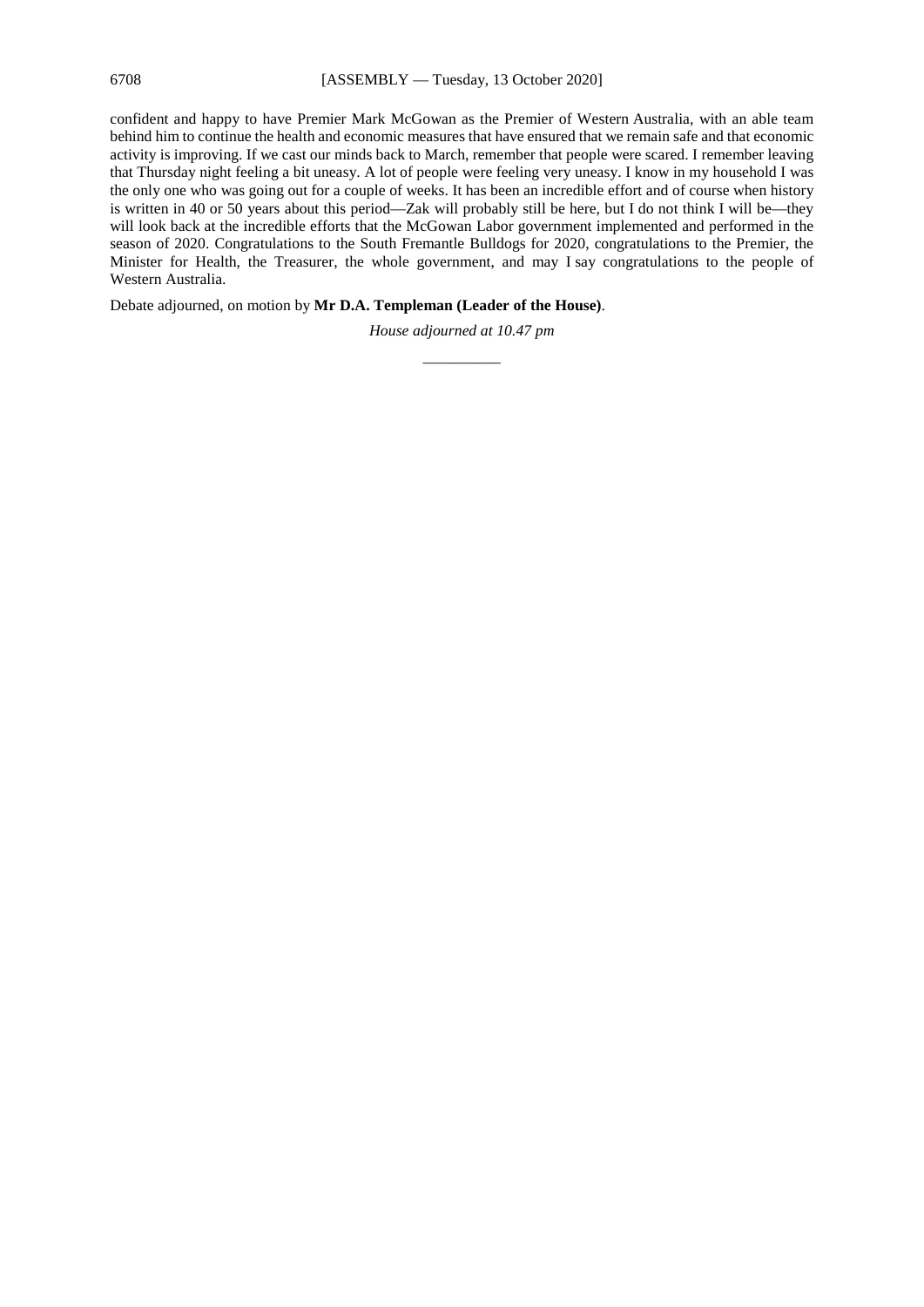confident and happy to have Premier Mark McGowan as the Premier of Western Australia, with an able team behind him to continue the health and economic measures that have ensured that we remain safe and that economic activity is improving. If we cast our minds back to March, remember that people were scared. I remember leaving that Thursday night feeling a bit uneasy. A lot of people were feeling very uneasy. I know in my household I was the only one who was going out for a couple of weeks. It has been an incredible effort and of course when history is written in 40 or 50 years about this period—Zak will probably still be here, but I do not think I will be—they will look back at the incredible efforts that the McGowan Labor government implemented and performed in the season of 2020. Congratulations to the South Fremantle Bulldogs for 2020, congratulations to the Premier, the Minister for Health, the Treasurer, the whole government, and may I say congratulations to the people of Western Australia.

Debate adjourned, on motion by **Mr D.A. Templeman (Leader of the House)**.

*House adjourned at 10.47 pm \_\_\_\_\_\_\_\_\_\_*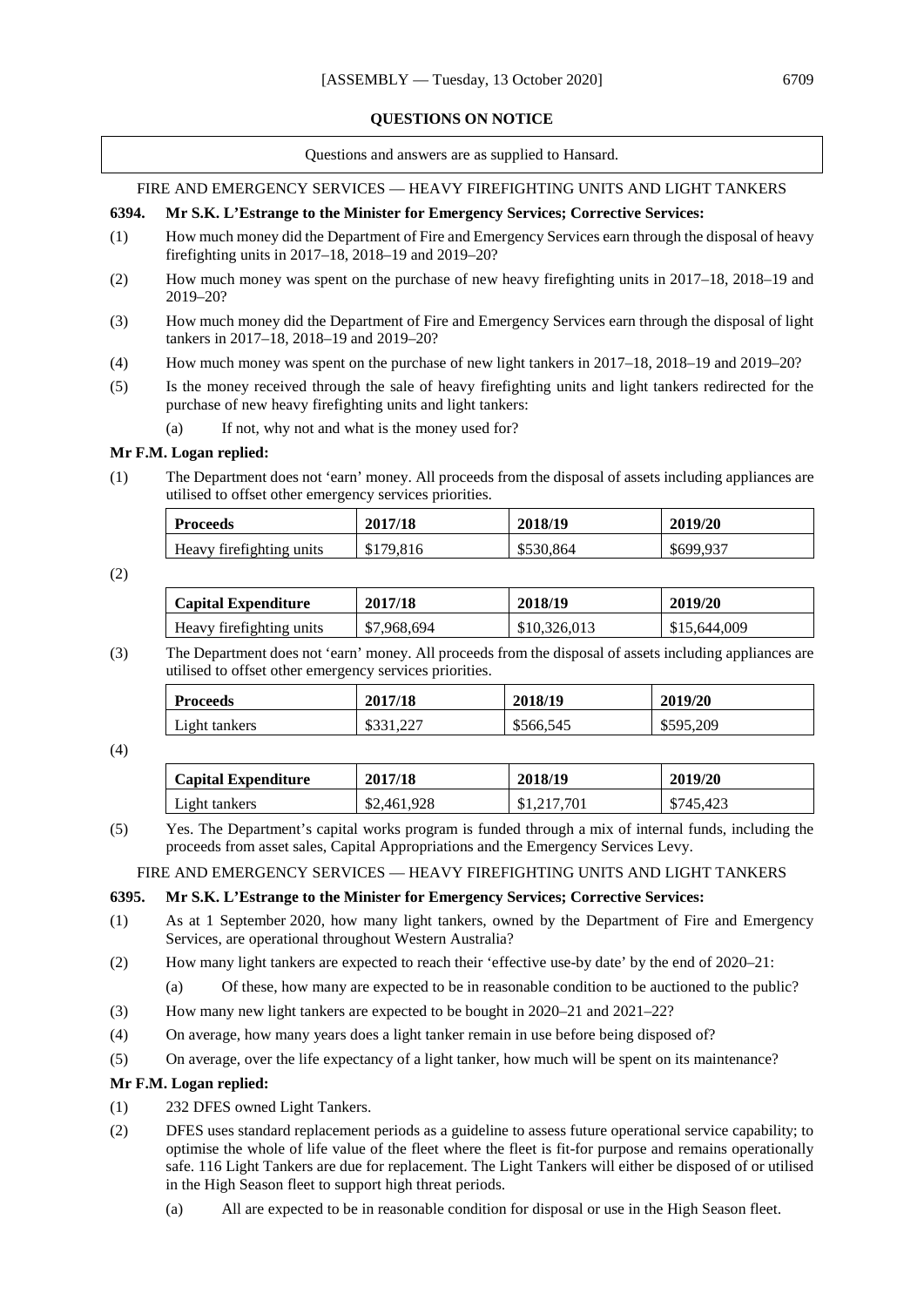### **QUESTIONS ON NOTICE**

Questions and answers are as supplied to Hansard.

## FIRE AND EMERGENCY SERVICES — HEAVY FIREFIGHTING UNITS AND LIGHT TANKERS

## **6394. Mr S.K. L'Estrange to the Minister for Emergency Services; Corrective Services:**

- (1) How much money did the Department of Fire and Emergency Services earn through the disposal of heavy firefighting units in 2017–18, 2018–19 and 2019–20?
- (2) How much money was spent on the purchase of new heavy firefighting units in 2017–18, 2018–19 and 2019–20?
- (3) How much money did the Department of Fire and Emergency Services earn through the disposal of light tankers in 2017–18, 2018–19 and 2019–20?
- (4) How much money was spent on the purchase of new light tankers in 2017–18, 2018–19 and 2019–20?
- (5) Is the money received through the sale of heavy firefighting units and light tankers redirected for the purchase of new heavy firefighting units and light tankers:
	- (a) If not, why not and what is the money used for?

### **Mr F.M. Logan replied:**

(1) The Department does not 'earn' money. All proceeds from the disposal of assets including appliances are utilised to offset other emergency services priorities.

| <b>Proceeds</b>           | 2017/18   | 2018/19   | 2019/20   |
|---------------------------|-----------|-----------|-----------|
| Heavy fire fighting units | \$179,816 | \$530.864 | \$699,937 |

(2)

| <b>Capital Expenditure</b> | 2017/18     | 2018/19      | 2019/20      |
|----------------------------|-------------|--------------|--------------|
| Heavy firefighting units   | \$7,968,694 | \$10,326,013 | \$15,644,009 |

(3) The Department does not 'earn' money. All proceeds from the disposal of assets including appliances are utilised to offset other emergency services priorities.

| <b>Proceeds</b> | 2017/18   | 2018/19   | 2019/20   |
|-----------------|-----------|-----------|-----------|
| Light tankers   | \$331,227 | \$566,545 | \$595,209 |

### (4)

| <b>Capital Expenditure</b> | 2017/18     | 2018/19 | 2019/20   |
|----------------------------|-------------|---------|-----------|
| Light tankers              | \$2,461,928 | .701    | \$745,423 |

(5) Yes. The Department's capital works program is funded through a mix of internal funds, including the proceeds from asset sales, Capital Appropriations and the Emergency Services Levy.

FIRE AND EMERGENCY SERVICES — HEAVY FIREFIGHTING UNITS AND LIGHT TANKERS

## **6395. Mr S.K. L'Estrange to the Minister for Emergency Services; Corrective Services:**

- (1) As at 1 September 2020, how many light tankers, owned by the Department of Fire and Emergency Services, are operational throughout Western Australia?
- (2) How many light tankers are expected to reach their 'effective use-by date' by the end of 2020–21:
	- (a) Of these, how many are expected to be in reasonable condition to be auctioned to the public?
- (3) How many new light tankers are expected to be bought in 2020–21 and 2021–22?
- (4) On average, how many years does a light tanker remain in use before being disposed of?
- (5) On average, over the life expectancy of a light tanker, how much will be spent on its maintenance?

### **Mr F.M. Logan replied:**

- (1) 232 DFES owned Light Tankers.
- (2) DFES uses standard replacement periods as a guideline to assess future operational service capability; to optimise the whole of life value of the fleet where the fleet is fit-for purpose and remains operationally safe. 116 Light Tankers are due for replacement. The Light Tankers will either be disposed of or utilised in the High Season fleet to support high threat periods.
	- (a) All are expected to be in reasonable condition for disposal or use in the High Season fleet.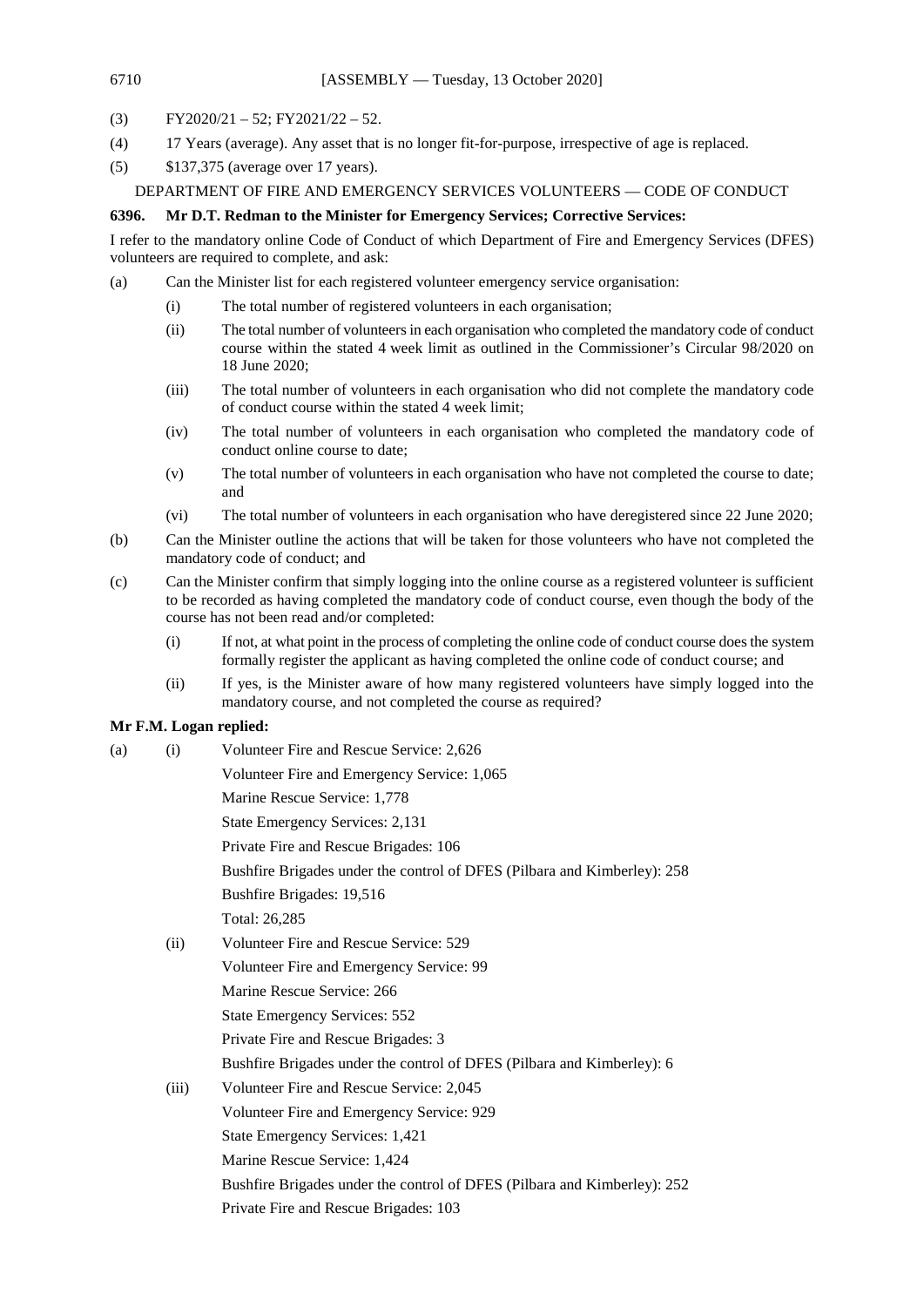- (3)  $FY2020/21 52$ ;  $FY2021/22 52$ .
- (4) 17 Years (average). Any asset that is no longer fit-for-purpose, irrespective of age is replaced.
- (5) \$137,375 (average over 17 years).

## DEPARTMENT OF FIRE AND EMERGENCY SERVICES VOLUNTEERS — CODE OF CONDUCT

## **6396. Mr D.T. Redman to the Minister for Emergency Services; Corrective Services:**

I refer to the mandatory online Code of Conduct of which Department of Fire and Emergency Services (DFES) volunteers are required to complete, and ask:

(a) Can the Minister list for each registered volunteer emergency service organisation:

- (i) The total number of registered volunteers in each organisation;
- (ii) The total number of volunteers in each organisation who completed the mandatory code of conduct course within the stated 4 week limit as outlined in the Commissioner's Circular 98/2020 on 18 June 2020;
- (iii) The total number of volunteers in each organisation who did not complete the mandatory code of conduct course within the stated 4 week limit;
- (iv) The total number of volunteers in each organisation who completed the mandatory code of conduct online course to date;
- (v) The total number of volunteers in each organisation who have not completed the course to date; and
- (vi) The total number of volunteers in each organisation who have deregistered since 22 June 2020;
- (b) Can the Minister outline the actions that will be taken for those volunteers who have not completed the mandatory code of conduct; and
- (c) Can the Minister confirm that simply logging into the online course as a registered volunteer is sufficient to be recorded as having completed the mandatory code of conduct course, even though the body of the course has not been read and/or completed:
	- (i) If not, at what point in the process of completing the online code of conduct course does the system formally register the applicant as having completed the online code of conduct course; and
	- (ii) If yes, is the Minister aware of how many registered volunteers have simply logged into the mandatory course, and not completed the course as required?

## **Mr F.M. Logan replied:**

(a) (i) Volunteer Fire and Rescue Service: 2,626 Volunteer Fire and Emergency Service: 1,065 Marine Rescue Service: 1,778 State Emergency Services: 2,131 Private Fire and Rescue Brigades: 106 Bushfire Brigades under the control of DFES (Pilbara and Kimberley): 258 Bushfire Brigades: 19,516 Total: 26,285 (ii) Volunteer Fire and Rescue Service: 529 Volunteer Fire and Emergency Service: 99 Marine Rescue Service: 266 State Emergency Services: 552 Private Fire and Rescue Brigades: 3 Bushfire Brigades under the control of DFES (Pilbara and Kimberley): 6 (iii) Volunteer Fire and Rescue Service: 2,045 Volunteer Fire and Emergency Service: 929 State Emergency Services: 1,421 Marine Rescue Service: 1,424 Bushfire Brigades under the control of DFES (Pilbara and Kimberley): 252 Private Fire and Rescue Brigades: 103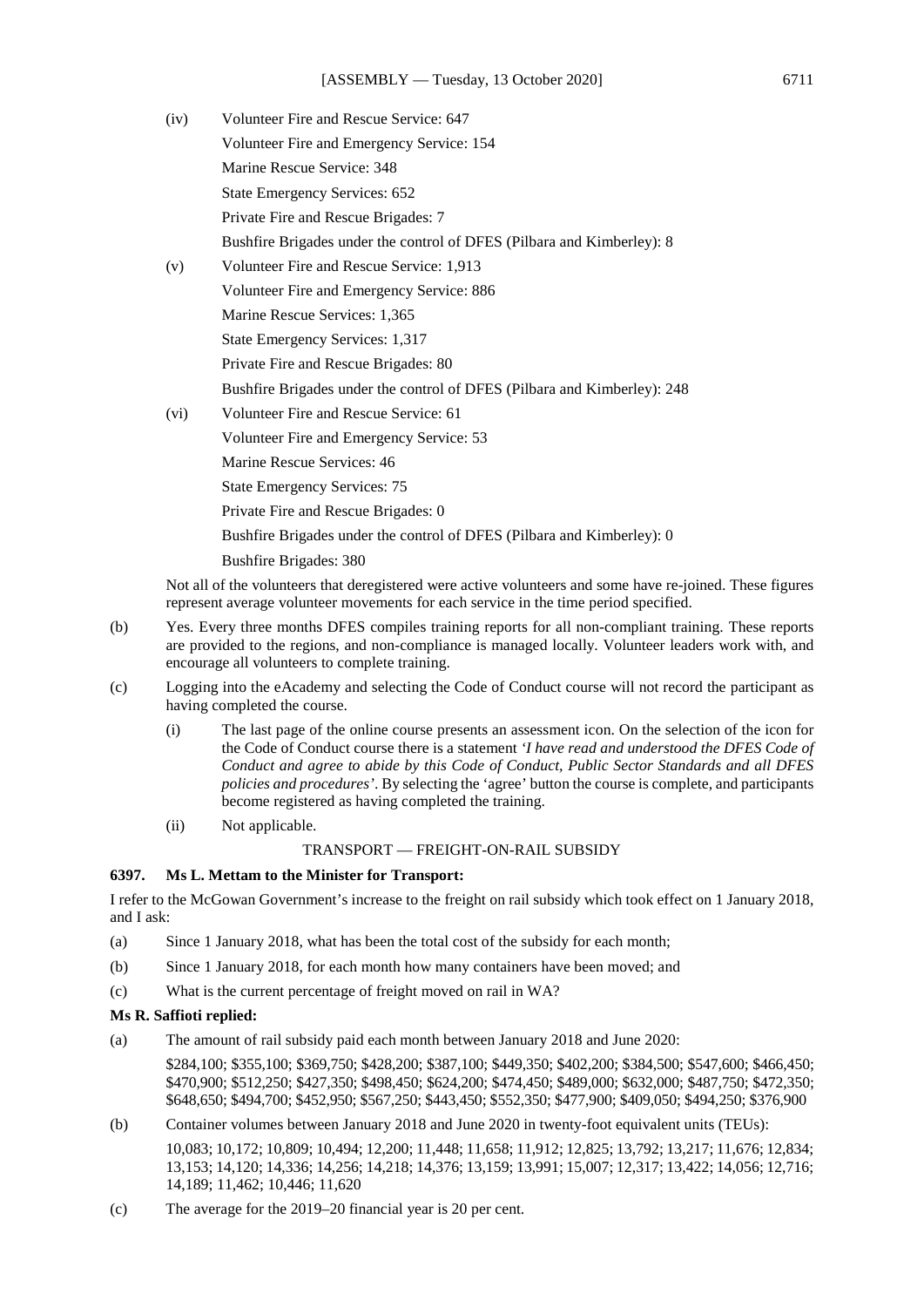| (iv) | Volunteer Fire and Rescue Service: 647                                                     |
|------|--------------------------------------------------------------------------------------------|
|      | Volunteer Fire and Emergency Service: 154                                                  |
|      | Marine Rescue Service: 348                                                                 |
|      | State Emergency Services: 652                                                              |
|      | Private Fire and Rescue Brigades: 7                                                        |
|      | Bushfire Brigades under the control of DFES (Pilbara and Kimberley): 8                     |
| (v)  | Volunteer Fire and Rescue Service: 1,913                                                   |
|      | Volunteer Fire and Emergency Service: 886                                                  |
|      | Marine Rescue Services: 1,365                                                              |
|      | State Emergency Services: 1,317                                                            |
|      | Private Fire and Rescue Brigades: 80                                                       |
|      | Bushfire Brigades under the control of DFES (Pilbara and Kimberley): 248                   |
| (vi) | Volunteer Fire and Rescue Service: 61                                                      |
|      | Volunteer Fire and Emergency Service: 53                                                   |
|      | Marine Rescue Services: 46                                                                 |
|      | <b>State Emergency Services: 75</b>                                                        |
|      | Private Fire and Rescue Brigades: 0                                                        |
|      | Bushfire Brigades under the control of DFES (Pilbara and Kimberley): 0                     |
|      | <b>Bushfire Brigades: 380</b>                                                              |
|      | Not all of the volunteers that deregistered were active volunteers and some have re-joined |

he volunteers that deregistered were active volunteers and some have re-joined. These figures represent average volunteer movements for each service in the time period specified.

- (b) Yes. Every three months DFES compiles training reports for all non-compliant training. These reports are provided to the regions, and non-compliance is managed locally. Volunteer leaders work with, and encourage all volunteers to complete training.
- (c) Logging into the eAcademy and selecting the Code of Conduct course will not record the participant as having completed the course.
	- (i) The last page of the online course presents an assessment icon. On the selection of the icon for the Code of Conduct course there is a statement *'I have read and understood the DFES Code of Conduct and agree to abide by this Code of Conduct, Public Sector Standards and all DFES policies and procedures'*. By selecting the 'agree' button the course is complete, and participants become registered as having completed the training.
	- (ii) Not applicable.

# TRANSPORT — FREIGHT-ON-RAIL SUBSIDY

# **6397. Ms L. Mettam to the Minister for Transport:**

I refer to the McGowan Government's increase to the freight on rail subsidy which took effect on 1 January 2018, and I ask:

- (a) Since 1 January 2018, what has been the total cost of the subsidy for each month;
- (b) Since 1 January 2018, for each month how many containers have been moved; and
- (c) What is the current percentage of freight moved on rail in WA?

# **Ms R. Saffioti replied:**

(a) The amount of rail subsidy paid each month between January 2018 and June 2020:

\$284,100; \$355,100; \$369,750; \$428,200; \$387,100; \$449,350; \$402,200; \$384,500; \$547,600; \$466,450; \$470,900; \$512,250; \$427,350; \$498,450; \$624,200; \$474,450; \$489,000; \$632,000; \$487,750; \$472,350; \$648,650; \$494,700; \$452,950; \$567,250; \$443,450; \$552,350; \$477,900; \$409,050; \$494,250; \$376,900

(b) Container volumes between January 2018 and June 2020 in twenty-foot equivalent units (TEUs):

10,083; 10,172; 10,809; 10,494; 12,200; 11,448; 11,658; 11,912; 12,825; 13,792; 13,217; 11,676; 12,834; 13,153; 14,120; 14,336; 14,256; 14,218; 14,376; 13,159; 13,991; 15,007; 12,317; 13,422; 14,056; 12,716; 14,189; 11,462; 10,446; 11,620

(c) The average for the 2019–20 financial year is 20 per cent.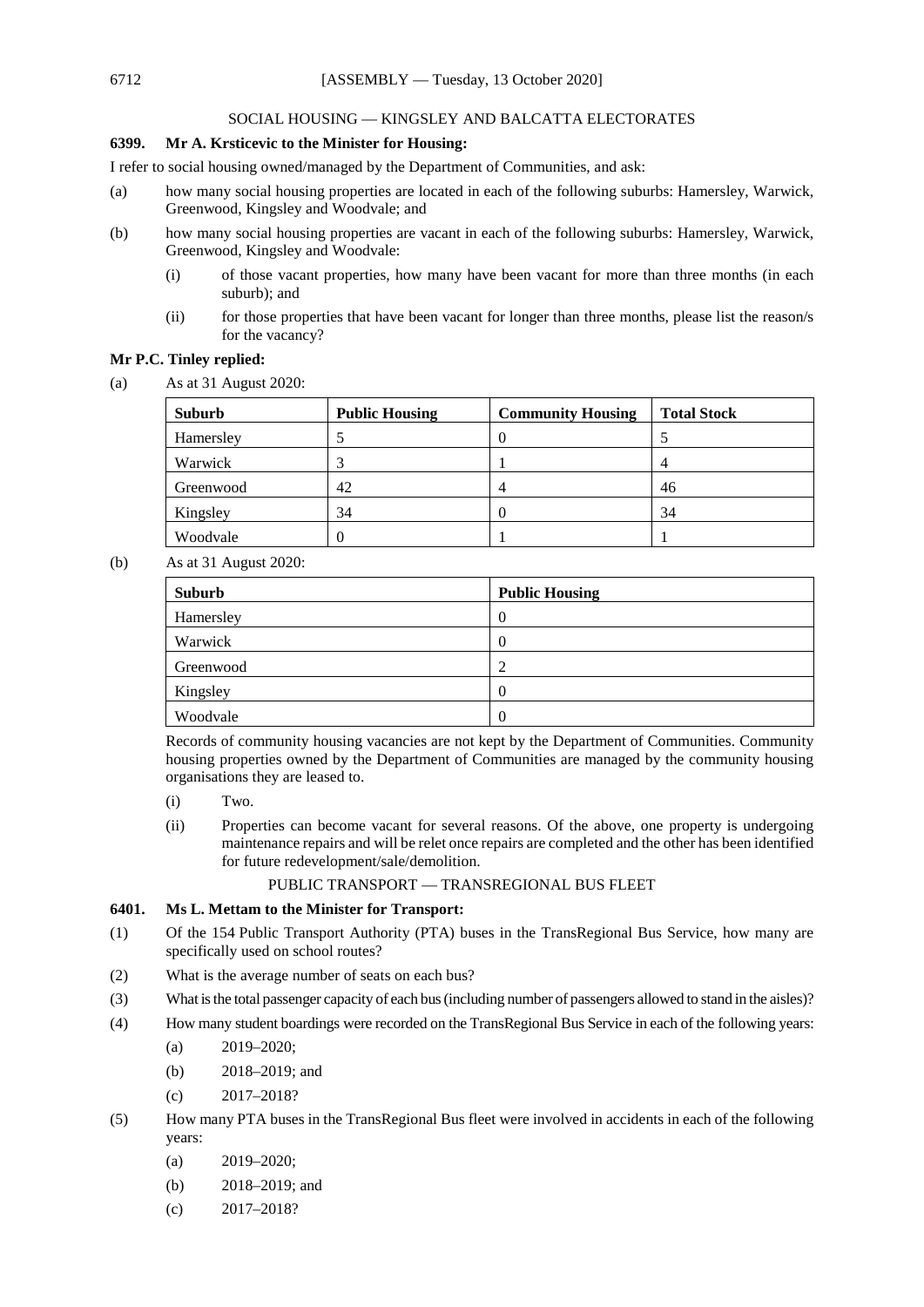### SOCIAL HOUSING — KINGSLEY AND BALCATTA ELECTORATES

## **6399. Mr A. Krsticevic to the Minister for Housing:**

I refer to social housing owned/managed by the Department of Communities, and ask:

- (a) how many social housing properties are located in each of the following suburbs: Hamersley, Warwick, Greenwood, Kingsley and Woodvale; and
- (b) how many social housing properties are vacant in each of the following suburbs: Hamersley, Warwick, Greenwood, Kingsley and Woodvale:
	- (i) of those vacant properties, how many have been vacant for more than three months (in each suburb); and
	- (ii) for those properties that have been vacant for longer than three months, please list the reason/s for the vacancy?

## **Mr P.C. Tinley replied:**

(a) As at 31 August 2020:

| Suburb    | <b>Public Housing</b> | <b>Community Housing</b> | <b>Total Stock</b> |
|-----------|-----------------------|--------------------------|--------------------|
| Hamersley |                       |                          |                    |
| Warwick   | 3                     |                          |                    |
| Greenwood | 42                    |                          | 46                 |
| Kingsley  | 34                    |                          | 34                 |
| Woodvale  | 0                     |                          |                    |

(b) As at 31 August 2020:

| Suburb    | <b>Public Housing</b> |
|-----------|-----------------------|
| Hamersley | $\theta$              |
| Warwick   | $\boldsymbol{0}$      |
| Greenwood | C<br>∠                |
| Kingsley  | $\theta$              |
| Woodvale  | $\theta$              |

Records of community housing vacancies are not kept by the Department of Communities. Community housing properties owned by the Department of Communities are managed by the community housing organisations they are leased to.

- (i) Two.
- (ii) Properties can become vacant for several reasons. Of the above, one property is undergoing maintenance repairs and will be relet once repairs are completed and the other has been identified for future redevelopment/sale/demolition.

## PUBLIC TRANSPORT — TRANSREGIONAL BUS FLEET

### **6401. Ms L. Mettam to the Minister for Transport:**

- (1) Of the 154 Public Transport Authority (PTA) buses in the TransRegional Bus Service, how many are specifically used on school routes?
- (2) What is the average number of seats on each bus?
- (3) What is the total passenger capacity of each bus (including number of passengers allowed to stand in the aisles)?
- (4) How many student boardings were recorded on the TransRegional Bus Service in each of the following years:
	- (a)  $2019 2020$ ;
	- (b) 2018–2019; and
	- (c) 2017–2018?
- (5) How many PTA buses in the TransRegional Bus fleet were involved in accidents in each of the following years:
	- (a) 2019–2020;
	- (b) 2018–2019; and
	- (c) 2017–2018?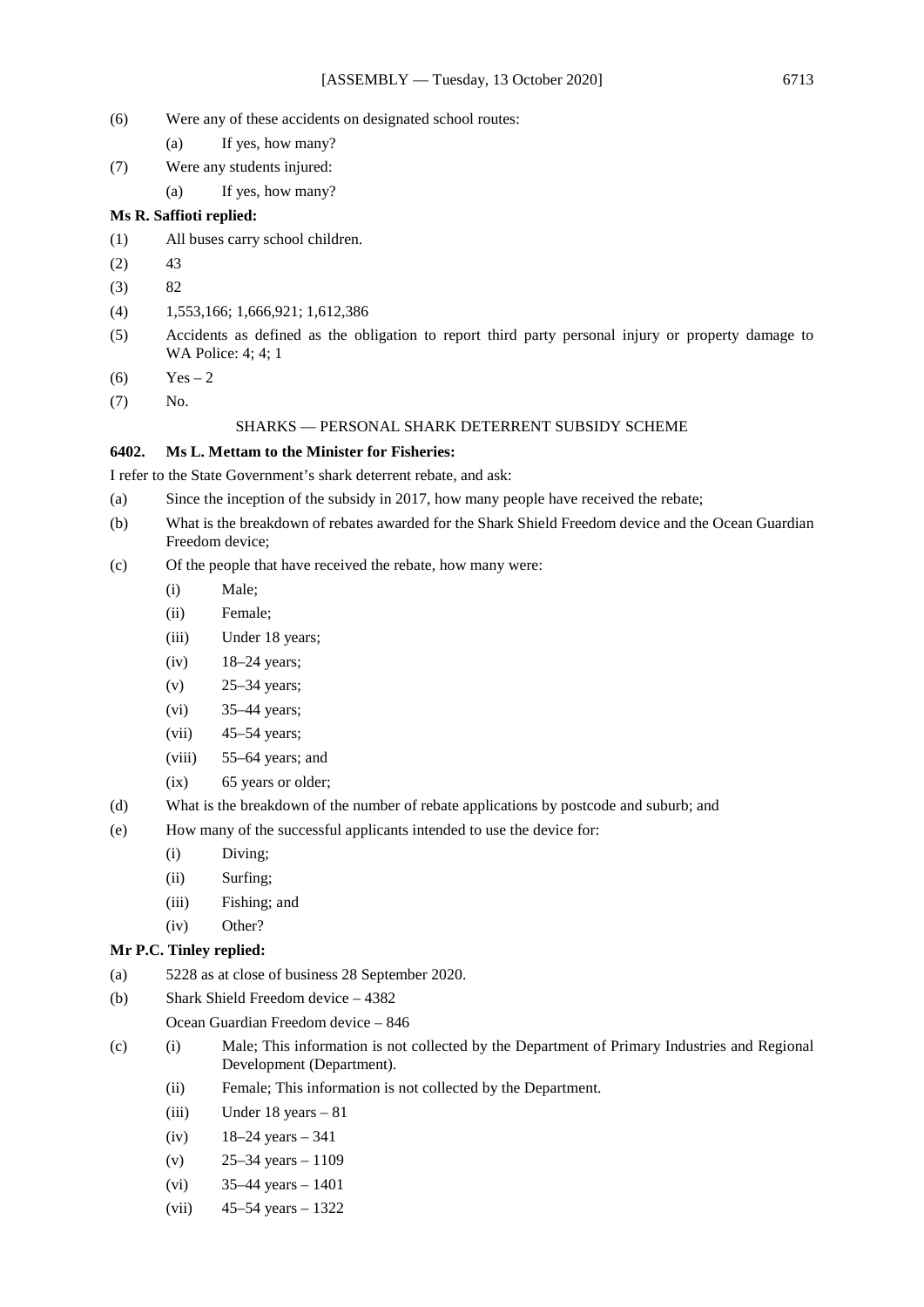- (6) Were any of these accidents on designated school routes:
	- (a) If yes, how many?
- (7) Were any students injured:
	- (a) If yes, how many?

## **Ms R. Saffioti replied:**

- (1) All buses carry school children.
- $(2)$  43
- $(3)$  82
- (4) 1,553,166; 1,666,921; 1,612,386
- (5) Accidents as defined as the obligation to report third party personal injury or property damage to WA Police: 4; 4; 1
- $(6)$  Yes 2
- (7) No.

#### SHARKS — PERSONAL SHARK DETERRENT SUBSIDY SCHEME

#### **6402. Ms L. Mettam to the Minister for Fisheries:**

I refer to the State Government's shark deterrent rebate, and ask:

- (a) Since the inception of the subsidy in 2017, how many people have received the rebate;
- (b) What is the breakdown of rebates awarded for the Shark Shield Freedom device and the Ocean Guardian Freedom device;
- (c) Of the people that have received the rebate, how many were:
	- (i) Male;
	- (ii) Female;
	- (iii) Under 18 years;
	- (iv) 18–24 years;
	- (v) 25–34 years;
	- (vi) 35–44 years;
	- (vii) 45–54 years;
	- (viii) 55–64 years; and
	- (ix) 65 years or older;
- (d) What is the breakdown of the number of rebate applications by postcode and suburb; and
- (e) How many of the successful applicants intended to use the device for:
	- (i) Diving;
	- (ii) Surfing;
	- (iii) Fishing; and
	- (iv) Other?

### **Mr P.C. Tinley replied:**

- (a) 5228 as at close of business 28 September 2020.
- (b) Shark Shield Freedom device 4382

Ocean Guardian Freedom device – 846

- (c) (i) Male; This information is not collected by the Department of Primary Industries and Regional Development (Department).
	- (ii) Female; This information is not collected by the Department.
	- (iii) Under 18 years 81
	- (iv)  $18-24$  years  $-341$
	- (v)  $25-34 \text{ years} 1109$
	- (vi)  $35-44$  years  $-1401$
	- (vii) 45–54 years 1322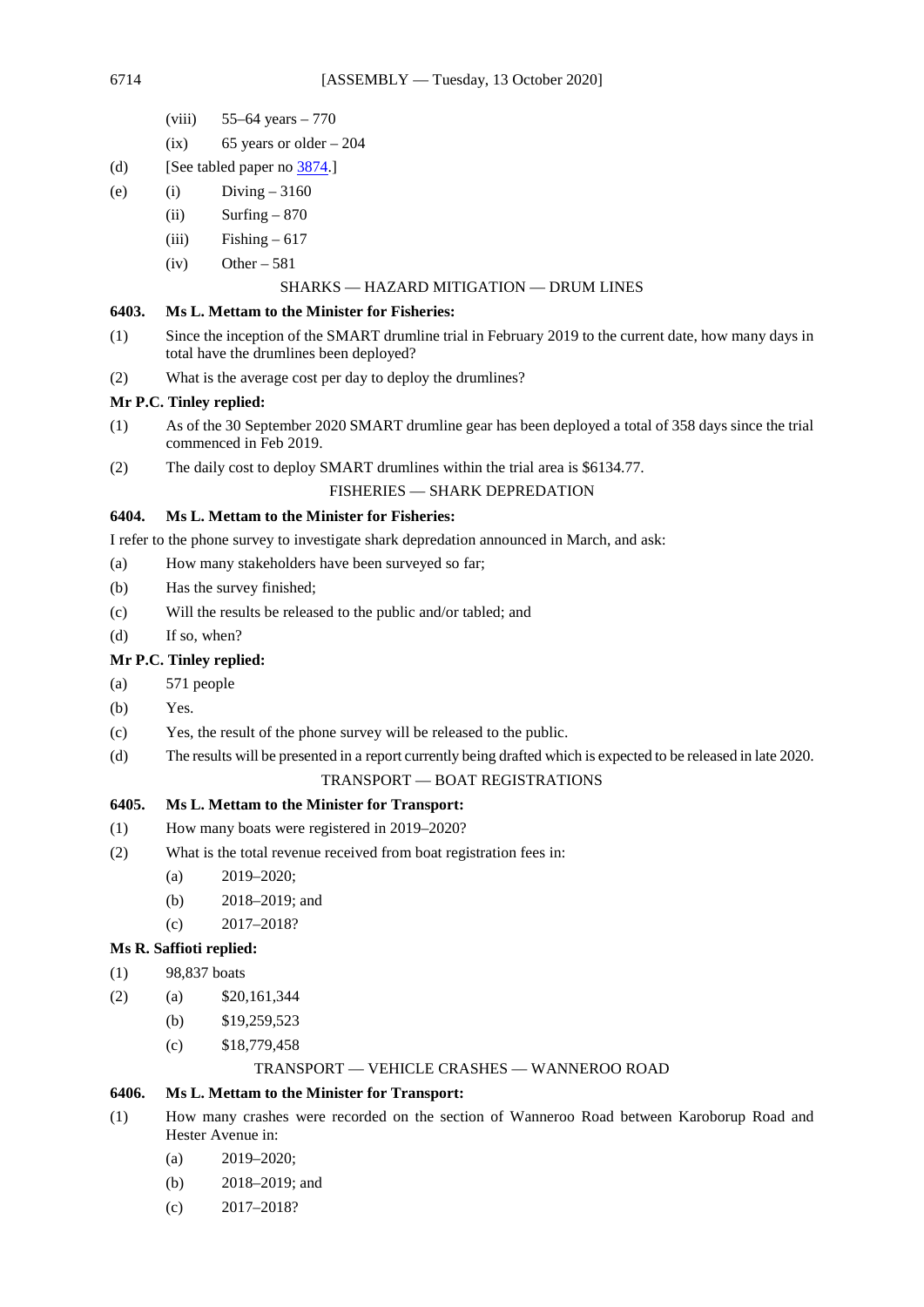- (viii) 55–64 years 770
- $(ix)$  65 years or older 204
- (d) [See tabled paper no [3874.\]](https://www.parliament.wa.gov.au/publications/tabledpapers.nsf/displaypaper/4013874a415fb3d70eff0e854825860100077db1/$file/3874.pdf)
- (e) (i)  $Diving 3160$ 
	- (ii) Surfing  $-870$
	- $(iii)$  Fishing 617
	- $(iv)$  Other 581

### SHARKS — HAZARD MITIGATION — DRUM LINES

## **6403. Ms L. Mettam to the Minister for Fisheries:**

- (1) Since the inception of the SMART drumline trial in February 2019 to the current date, how many days in total have the drumlines been deployed?
- (2) What is the average cost per day to deploy the drumlines?

## **Mr P.C. Tinley replied:**

- (1) As of the 30 September 2020 SMART drumline gear has been deployed a total of 358 days since the trial commenced in Feb 2019.
- (2) The daily cost to deploy SMART drumlines within the trial area is \$6134.77.

### FISHERIES — SHARK DEPREDATION

# **6404. Ms L. Mettam to the Minister for Fisheries:**

- I refer to the phone survey to investigate shark depredation announced in March, and ask:
- (a) How many stakeholders have been surveyed so far;
- (b) Has the survey finished;
- (c) Will the results be released to the public and/or tabled; and
- (d) If so, when?

## **Mr P.C. Tinley replied:**

- (a) 571 people
- (b) Yes.
- (c) Yes, the result of the phone survey will be released to the public.
- (d) The results will be presented in a report currently being drafted which is expected to be released in late 2020.

## TRANSPORT — BOAT REGISTRATIONS

## **6405. Ms L. Mettam to the Minister for Transport:**

- (1) How many boats were registered in 2019–2020?
- (2) What is the total revenue received from boat registration fees in:
	- (a) 2019–2020;
	- (b) 2018–2019; and
	- (c) 2017–2018?

## **Ms R. Saffioti replied:**

- (1) 98,837 boats
- $(2)$  (a)  $$20,161,344$ 
	- (b) \$19,259,523
	- (c) \$18,779,458

### TRANSPORT — VEHICLE CRASHES — WANNEROO ROAD

### **6406. Ms L. Mettam to the Minister for Transport:**

- (1) How many crashes were recorded on the section of Wanneroo Road between Karoborup Road and Hester Avenue in:
	- (a) 2019–2020;
	- (b) 2018–2019; and
	- (c) 2017–2018?